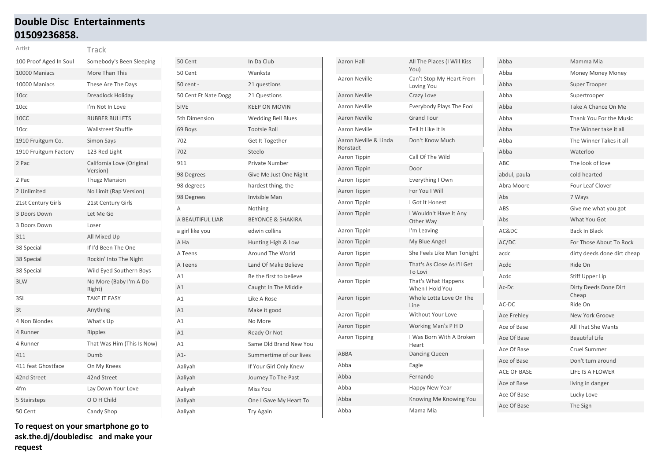# **Double Disc Entertainments 01509236858.**

| Artist                 | Track                                 |
|------------------------|---------------------------------------|
| 100 Proof Aged In Soul | Somebody's Been Sleeping              |
| 10000 Maniacs          | More Than This                        |
| 10000 Maniacs          | These Are The Days                    |
| 10 <sub>cc</sub>       | Dreadlock Holiday                     |
| 10cc                   | I'm Not In Love                       |
| 10CC                   | <b>RUBBER BULLETS</b>                 |
| 10cc                   | <b>Wallstreet Shuffle</b>             |
| 1910 Fruitgum Co.      | <b>Simon Says</b>                     |
| 1910 Fruitgum Factory  | 123 Red Light                         |
| 2 Pac                  | California Love (Original<br>Version) |
| 2 Pac                  | <b>Thugz Mansion</b>                  |
| 2 Unlimited            | No Limit (Rap Version)                |
| 21st Century Girls     | 21st Century Girls                    |
| 3 Doors Down           | Let Me Go                             |
| 3 Doors Down           | Loser                                 |
| 311                    | All Mixed Up                          |
| 38 Special             | If I'd Been The One                   |
| 38 Special             | Rockin' Into The Night                |
| 38 Special             | Wild Eyed Southern Boys               |
| 3LW                    | No More (Baby I'm A Do<br>Right)      |
| 3SL                    | <b>TAKE IT EASY</b>                   |
| 3t                     | Anything                              |
| 4 Non Blondes          | What's Up                             |
| 4 Runner               | Ripples                               |
| 4 Runner               | That Was Him (This Is Now)            |
| 411                    | Dumb                                  |
| 411 feat Ghostface     | On My Knees                           |
| 42nd Street            | 42nd Street                           |
| 4fm                    | Lay Down Your Love                    |
| 5 Stairsteps           | O O H Child                           |
| 50 Cent                | Candy Shop                            |

| 50 Cent              | In Da Club                   |
|----------------------|------------------------------|
| 50 Cent              | Wanksta                      |
| 50 cent -            | 21 questions                 |
| 50 Cent Ft Nate Dogg | 21 Questions                 |
| 5IVE                 | <b>KEEP ON MOVIN</b>         |
| 5th Dimension        | <b>Wedding Bell Blues</b>    |
| 69 Boys              | <b>Tootsie Roll</b>          |
| 702                  | Get It Together              |
| 702                  | Steelo                       |
| 911                  | Private Number               |
| 98 Degrees           | Give Me Just One Night       |
| 98 degrees           | hardest thing, the           |
| 98 Degrees           | <b>Invisible Man</b>         |
| A                    | Nothing                      |
| A BEAUTIFUL LIAR     | <b>BEYONCE &amp; SHAKIRA</b> |
| a girl like you      | edwin collins                |
| A Ha                 | Hunting High & Low           |
| A Teens              | Around The World             |
| A Teens              | Land Of Make Believe         |
| A1                   | Be the first to believe      |
| A1                   | Caught In The Middle         |
| A1                   | Like A Rose                  |
| A1                   | Make it good                 |
| A1                   | No More                      |
| A1                   | Ready Or Not                 |
| A1                   | Same Old Brand New You       |
| $A1-$                | Summertime of our lives      |
| Aaliyah              | If Your Girl Only Knew       |
| Aaliyah              | Journey To The Past          |
| Aaliyah              | Miss You                     |
| Aaliyah              | One I Gave My Heart To       |
| Aaliyah              | <b>Try Again</b>             |

| Aaron Hall                        | All The Places (I Will Kiss<br>You)    |
|-----------------------------------|----------------------------------------|
| Aaron Neville                     | Can't Stop My Heart From<br>Loving You |
| <b>Aaron Neville</b>              | Crazy Love                             |
| Aaron Neville                     | Everybody Plays The Fool               |
| <b>Aaron Neville</b>              | <b>Grand Tour</b>                      |
| Aaron Neville                     | Tell It Like It Is                     |
| Aaron Neville & Linda<br>Ronstadt | Don't Know Much                        |
| Aaron Tippin                      | Call Of The Wild                       |
| Aaron Tippin                      | Door                                   |
| Aaron Tippin                      | Everything I Own                       |
| Aaron Tippin                      | For You I Will                         |
| Aaron Tippin                      | I Got It Honest                        |
| Aaron Tippin                      | I Wouldn't Have It Any<br>Other Way    |
| Aaron Tippin                      | I'm Leaving                            |
| <b>Aaron Tippin</b>               | My Blue Angel                          |
| Aaron Tippin                      | She Feels Like Man Tonight             |
| Aaron Tippin                      | That's As Close As I'll Get<br>To Lovi |
| Aaron Tippin                      | That's What Happens<br>When I Hold You |
| Aaron Tippin                      | Whole Lotta Love On The<br>Line        |
| Aaron Tippin                      | <b>Without Your Love</b>               |
| Aaron Tippin                      | Working Man's P H D                    |
| Aaron Tipping                     | I Was Born With A Broken<br>Heart      |
| <b>ABBA</b>                       | Dancing Queen                          |
| Abba                              | Eagle                                  |
| Abba                              | Fernando                               |
| Abba                              | Happy New Year                         |
| Abba                              | Knowing Me Knowing You                 |
| Abba                              | Mama Mia                               |

| Abba               | Mamma Mia                      |
|--------------------|--------------------------------|
| Abba               | <b>Money Money Money</b>       |
| Abba               | Super Trooper                  |
| Abba               | Supertrooper                   |
| Abba               | Take A Chance On Me            |
| Abba               | Thank You For the Music        |
| Abba               | The Winner take it all         |
| Abba               | The Winner Takes it all        |
| Abba               | Waterloo                       |
| ABC                | The look of love               |
| abdul, paula       | cold hearted                   |
| Abra Moore         | Four Leaf Clover               |
| Abs                | 7 Ways                         |
| ABS                | Give me what you got           |
| Abs                | What You Got                   |
| AC&DC              | <b>Back In Black</b>           |
| AC/DC              | For Those About To Rock        |
| acdc               | dirty deeds done dirt cheap    |
| Acdc               | Ride On                        |
| Acdc               | Stiff Upper Lip                |
| Ac-Dc              | Dirty Deeds Done Dirt<br>Cheap |
| AC-DC              | Ride On                        |
| <b>Ace Frehley</b> | New York Groove                |
| Ace of Base        | All That She Wants             |
| Ace Of Base        | <b>Beautiful Life</b>          |
| Ace Of Base        | Cruel Summer                   |
| Ace of Base        | Don't turn around              |
| <b>ACE OF BASE</b> | LIFE IS A FLOWER               |
| Ace of Base        | living in danger               |
| Ace Of Base        | Lucky Love                     |
| Ace Of Base        | The Sign                       |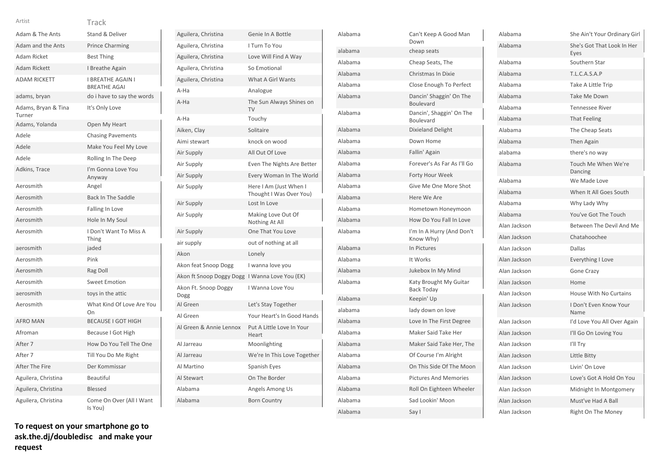### Track Artist

| Adam & The Ants               | Stand & Deliver                                 |
|-------------------------------|-------------------------------------------------|
| Adam and the Ants             | <b>Prince Charming</b>                          |
| Adam Ricket                   | <b>Best Thing</b>                               |
| <b>Adam Rickett</b>           | I Breathe Again                                 |
| <b>ADAM RICKETT</b>           | <b>I BREATHE AGAIN I</b><br><b>BREATHE AGAI</b> |
| adams, bryan                  | do i have to say the words                      |
| Adams, Bryan & Tina<br>Turner | It's Only Love                                  |
| Adams, Yolanda                | Open My Heart                                   |
| Adele                         | <b>Chasing Pavements</b>                        |
| Adele                         | Make You Feel My Love                           |
| Adele                         | Rolling In The Deep                             |
| Adkins, Trace                 | I'm Gonna Love You<br>Anyway                    |
| Aerosmith                     | Angel                                           |
| Aerosmith                     | <b>Back In The Saddle</b>                       |
| Aerosmith                     | Falling In Love                                 |
| Aerosmith                     | Hole In My Soul                                 |
| Aerosmith                     | I Don't Want To Miss A<br>Thing                 |
| aerosmith                     | jaded                                           |
| Aerosmith                     | Pink                                            |
| Aerosmith                     | Rag Doll                                        |
| Aerosmith                     | <b>Sweet Emotion</b>                            |
| aerosmith                     | toys in the attic                               |
| Aerosmith                     | What Kind Of Love Are You<br>On                 |
| <b>AFRO MAN</b>               | <b>BECAUSE I GOT HIGH</b>                       |
| Afroman                       | Because I Got High                              |
| After 7                       | How Do You Tell The One                         |
| After 7                       | Till You Do Me Right                            |
| After The Fire                | Der Kommissar                                   |
| Aguilera, Christina           | <b>Beautiful</b>                                |
| Aguilera, Christina           | Blessed                                         |
| Aguilera, Christina           | Come On Over (All I Want<br>Is You)             |

| Aguilera, Christina          | Genie In A Bottle                                 |
|------------------------------|---------------------------------------------------|
| Aguilera, Christina          | I Turn To You                                     |
| Aguilera, Christina          | Love Will Find A Way                              |
| Aguilera, Christina          | So Emotional                                      |
| Aguilera, Christina          | What A Girl Wants                                 |
| A-Ha                         | Analogue                                          |
| A-Ha                         | The Sun Always Shines on<br>TV                    |
| A-Ha                         | Touchy                                            |
| Aiken, Clay                  | Solitaire                                         |
| Aimi stewart                 | knock on wood                                     |
| Air Supply                   | All Out Of Love                                   |
| Air Supply                   | Even The Nights Are Better                        |
| Air Supply                   | Every Woman In The World                          |
| Air Supply                   | Here I Am (Just When I<br>Thought I Was Over You) |
| Air Supply                   | Lost In Love                                      |
| Air Supply                   | Making Love Out Of<br>Nothing At All              |
| Air Supply                   | One That You Love                                 |
| air supply                   | out of nothing at all                             |
| Akon                         | Lonely                                            |
| Akon feat Snoop Dogg         | I wanna love you                                  |
| Akon ft Snoop Doggy Dogg     | I Wanna Love You (EK)                             |
| Akon Ft. Snoop Doggy<br>Dogg | I Wanna Love You                                  |
| Al Green                     | Let's Stay Together                               |
| Al Green                     | Your Heart's In Good Hands                        |
| Al Green & Annie Lennox      | Put A Little Love In Your<br>Heart                |
| Al Jarreau                   | Moonlighting                                      |
| Al Jarreau                   | We're In This Love Together                       |
| Al Martino                   | Spanish Eyes                                      |
| Al Stewart                   | On The Border                                     |
| Alabama                      | Angels Among Us                                   |
| Alabama                      | <b>Born Country</b>                               |
|                              |                                                   |

| Alabama | Can't Keep A Good Man<br>Down                |
|---------|----------------------------------------------|
| alabama | cheap seats                                  |
| Alabama | Cheap Seats, The                             |
| Alabama | Christmas In Dixie                           |
| Alabama | Close Enough To Perfect                      |
| Alabama | Dancin' Shaggin' On The<br>Boulevard         |
| Alabama | Dancin', Shaggin' On The<br><b>Boulevard</b> |
| Alabama | Dixieland Delight                            |
| Alabama | Down Home                                    |
| Alabama | Fallin' Again                                |
| Alabama | Forever's As Far As I'll Go                  |
| Alabama | Forty Hour Week                              |
| Alabama | Give Me One More Shot                        |
| Alabama | Here We Are                                  |
| Alabama | Hometown Honeymoon                           |
| Alabama | How Do You Fall In Love                      |
| Alabama | I'm In A Hurry (And Don't<br>Know Why)       |
| Alabama | In Pictures                                  |
| Alabama | It Works                                     |
| Alabama | Jukebox In My Mind                           |
| Alabama | Katy Brought My Guitar<br><b>Back Today</b>  |
| Alabama | Keepin' Up                                   |
| alabama | lady down on love                            |
| Alabama | Love In The First Degree                     |
| Alabama | Maker Said Take Her                          |
| Alabama | Maker Said Take Her, The                     |
| Alabama | Of Course I'm Alright                        |
| Alabama | On This Side Of The Moon                     |
| Alabama | <b>Pictures And Memories</b>                 |
| Alabama | Roll On Eighteen Wheeler                     |
| Alabama | Sad Lookin' Moon                             |
| Alabama | Say I                                        |

| Alabama      | She Ain't Your Ordinary Girl       |
|--------------|------------------------------------|
| Alabama      | She's Got That Look In Her<br>Eyes |
| Alabama      | Southern Star                      |
| Alabama      | <b>T.L.C.A.S.A.P</b>               |
| Alabama      | Take A Little Trip                 |
| Alabama      | Take Me Down                       |
| Alabama      | <b>Tennessee River</b>             |
| Alabama      | <b>That Feeling</b>                |
| Alabama      | The Cheap Seats                    |
| Alabama      | <b>Then Again</b>                  |
| alabama      | there's no way                     |
| Alabama      | Touch Me When We're<br>Dancing     |
| Alabama      | We Made Love                       |
| Alabama      | When It All Goes South             |
| Alabama      | Why Lady Why                       |
| Alabama      | You've Got The Touch               |
| Alan Jackson | Between The Devil And Me           |
| Alan Jackson | Chatahoochee                       |
| Alan Jackson | Dallas                             |
| Alan Jackson | Everything I Love                  |
| Alan Jackson | <b>Gone Crazy</b>                  |
| Alan Jackson | Home                               |
| Alan Jackson | <b>House With No Curtains</b>      |
| Alan Jackson | I Don't Even Know Your<br>Name     |
| Alan Jackson | I'd Love You All Over Again        |
| Alan Jackson | I'll Go On Loving You              |
| Alan Jackson | I'll Try                           |
| Alan Jackson | Little Bitty                       |
| Alan Jackson | Livin' On Love                     |
| Alan Jackson | Love's Got A Hold On You           |
| Alan Jackson | Midnight In Montgomery             |
| Alan Jackson | Must've Had A Ball                 |
| Alan Jackson | Right On The Money                 |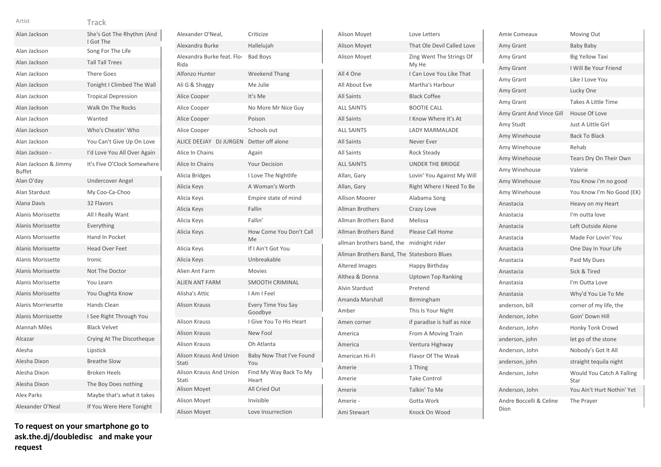| Alan Jackson                          | She's Got The Rhythm (And<br>I Got The |
|---------------------------------------|----------------------------------------|
| Alan Jackson                          | Song For The Life                      |
| Alan Jackson                          | <b>Tall Tall Trees</b>                 |
| Alan Jackson                          | <b>There Goes</b>                      |
| Alan Jackson                          | Tonight I Climbed The Wall             |
| Alan Jackson                          | <b>Tropical Depression</b>             |
| Alan Jackson                          | Walk On The Rocks                      |
| Alan Jackson                          | Wanted                                 |
| Alan Jackson                          | Who's Cheatin' Who                     |
| Alan Jackson                          | You Can't Give Up On Love              |
| Alan Jackson -                        | I'd Love You All Over Again            |
| Alan Jackson & Jimmy<br><b>Buffet</b> | It's Five O'Clock Somewhere            |
| Alan O'day                            | <b>Undercover Angel</b>                |
| Alan Stardust                         | My Coo-Ca-Choo                         |
| <b>Alana Davis</b>                    | 32 Flavors                             |
| Alanis Morissette                     | All I Really Want                      |
| <b>Alanis Morissette</b>              | Everything                             |
| Alanis Morissette                     | Hand In Pocket                         |
| <b>Alanis Morissette</b>              | <b>Head Over Feet</b>                  |
| <b>Alanis Morissette</b>              | Ironic                                 |
| <b>Alanis Morissette</b>              | Not The Doctor                         |
| Alanis Morissette                     | You Learn                              |
| Alanis Morissette                     | You Oughta Know                        |
| <b>Alanis Morriesette</b>             | Hands Clean                            |
| Alanis Morrissette                    | I See Right Through You                |
| <b>Alannah Miles</b>                  | <b>Black Velvet</b>                    |
| Alcazar                               | Crying At The Discotheque              |
| Alesha                                | Lipstick                               |
| Alesha Dixon                          | <b>Breathe Slow</b>                    |
| Alesha Dixon                          | <b>Broken Heels</b>                    |
| Alesha Dixon                          | The Boy Does nothing                   |
| <b>Alex Parks</b>                     | Maybe that's what it takes             |
| Alexander O'Neal                      | If You Were Here Tonight               |

**To request on your smartphone go to ask.the.dj/doubledisc and make your request**

| Alexander O'Neal,                       | Criticize                       |
|-----------------------------------------|---------------------------------|
| Alexandra Burke                         | Hallelujah                      |
| Alexandra Burke feat. Flo-<br>Rida      | <b>Bad Boys</b>                 |
| Alfonzo Hunter                          | <b>Weekend Thang</b>            |
| Ali G & Shaggy                          | Me Julie                        |
| Alice Cooper                            | It's Me                         |
| Alice Cooper                            | No More Mr Nice Guy             |
| Alice Cooper                            | Poison                          |
| Alice Cooper                            | Schools out                     |
| <b>ALICE DEEJAY</b><br><b>DJ JURGEN</b> | Detter off alone                |
| Alice In Chains                         | Again                           |
| Alice In Chains                         | <b>Your Decision</b>            |
| Alicia Bridges                          | I Love The Nightlife            |
| Alicia Keys                             | A Woman's Worth                 |
| Alicia Keys                             | Empire state of mind            |
| Alicia Keys                             | Fallin                          |
| Alicia Keys                             | Fallin'                         |
| Alicia Keys                             | How Come You Don't Call<br>Me   |
| Alicia Keys                             | If I Ain't Got You              |
| Alicia Keys                             | Unbreakable                     |
| Alien Ant Farm                          | <b>Movies</b>                   |
| <b>ALIEN ANT FARM</b>                   | <b>SMOOTH CRIMINAL</b>          |
| Alisha's Attic                          | I Am I Feel                     |
| <b>Alison Krauss</b>                    | Every Time You Say<br>Goodbye   |
| <b>Alison Krauss</b>                    | I Give You To His Heart         |
| <b>Alison Krauss</b>                    | New Fool                        |
| <b>Alison Krauss</b>                    | Oh Atlanta                      |
| <b>Alison Krauss And Union</b><br>Stati | Baby Now That I've Found<br>You |
| Alison Krauss And Union<br>Stati        | Find My Way Back To My<br>Heart |
| Alison Moyet                            | All Cried Out                   |
| Alison Moyet                            | Invisible                       |
| Alison Moyet                            | Love Insurrection               |
|                                         |                                 |

| Alison Moyet              | Love Letters                      |
|---------------------------|-----------------------------------|
| <b>Alison Moyet</b>       | That Ole Devil Called Love        |
| <b>Alison Moyet</b>       | Zing Went The Strings Of<br>My He |
| All 4 One                 | I Can Love You Like That          |
| All About Eve             | Martha's Harbour                  |
| <b>All Saints</b>         | <b>Black Coffee</b>               |
| <b>ALL SAINTS</b>         | <b>BOOTIE CALL</b>                |
| <b>All Saints</b>         | I Know Where It's At              |
| <b>ALL SAINTS</b>         | <b>LADY MARMALADE</b>             |
| <b>All Saints</b>         | Never Ever                        |
| <b>All Saints</b>         | <b>Rock Steady</b>                |
| <b>ALL SAINTS</b>         | <b>UNDER THE BRIDGE</b>           |
| Allan, Gary               | Lovin' You Against My Will        |
| Allan, Gary               | Right Where I Need To Be          |
| <b>Allison Moorer</b>     | Alabama Song                      |
| <b>Allman Brothers</b>    | Crazy Love                        |
| Allman Brothers Band      | Melissa                           |
| Allman Brothers Band      | Please Call Home                  |
| allman brothers band, the | midnight rider                    |
| Allman Brothers Band, The | <b>Statesboro Blues</b>           |
| <b>Altered Images</b>     | Happy Birthday                    |
| Althea & Donna            | Uptown Top Ranking                |
| <b>Alvin Stardust</b>     | Pretend                           |
| Amanda Marshall           | Birmingham                        |
| Amber                     | This Is Your Night                |
| Amen corner               | if paradise is half as nice       |
| America                   | From A Moving Train               |
| America                   | Ventura Highway                   |
| American Hi-Fi            | Flavor Of The Weak                |
| Amerie                    | 1 Thing                           |
| Amerie                    | <b>Take Control</b>               |
| Amerie                    | Talkin' To Me                     |
| Amerie -                  | Gotta Work                        |
| Ami Stewart               | Knock On Wood                     |

| Amie Comeaux                    | Moving Out                        |
|---------------------------------|-----------------------------------|
| Amy Grant                       | Baby Baby                         |
| Amy Grant                       | <b>Big Yellow Taxi</b>            |
| Amy Grant                       | I Will Be Your Friend             |
| Amy Grant                       | Like I Love You                   |
| Amy Grant                       | Lucky One                         |
| Amy Grant                       | <b>Takes A Little Time</b>        |
| Amy Grant And Vince Gill        | House Of Love                     |
| Amy Studt                       | Just A Little Girl                |
| Amy Winehouse                   | <b>Back To Black</b>              |
| Amy Winehouse                   | Rehab                             |
| Amy Winehouse                   | Tears Dry On Their Own            |
| Amy Winehouse                   | Valerie                           |
| Amy Winehouse                   | You Know i'm no good              |
| Amy Winehouse                   | You Know I'm No Good (EK)         |
| Anastacia                       | Heavy on my Heart                 |
| Anastacia                       | I'm outta love                    |
| Anastacia                       | Left Outside Alone                |
| Anastacia                       | Made For Lovin' You               |
| Anastacia                       | One Day In Your Life              |
| Anastacia                       | Paid My Dues                      |
| Anastacia                       | Sick & Tired                      |
| Anastasia                       | I'm Outta Love                    |
| Anastasia                       | Why'd You Lie To Me               |
| anderson, bill                  | corner of my life, the            |
| Anderson, John                  | Goin' Down Hill                   |
| Anderson, John                  | Honky Tonk Crowd                  |
| anderson, john                  | let go of the stone               |
| Anderson, John                  | Nobody's Got It All               |
| anderson, john                  | straight tequila night            |
| Anderson, John                  | Would You Catch A Falling<br>Star |
| Anderson, John                  | You Ain't Hurt Nothin' Yet        |
| Andre Boccelli & Celine<br>Dion | The Prayer                        |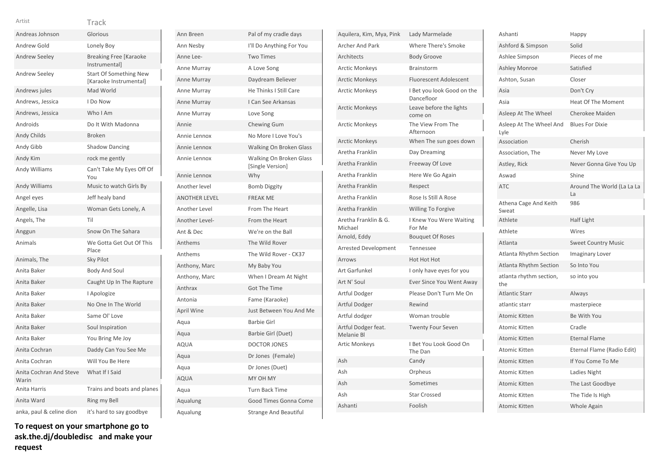| <b>VEIS</b> |
|-------------|

| Andreas Johnson                  | Glorious                                                |
|----------------------------------|---------------------------------------------------------|
| Andrew Gold                      | Lonely Boy                                              |
| <b>Andrew Seeley</b>             | <b>Breaking Free [Karaoke</b><br>Instrumental]          |
| <b>Andrew Seeley</b>             | <b>Start Of Something New</b><br>[Karaoke Instrumental] |
| Andrews jules                    | Mad World                                               |
| Andrews, Jessica                 | I Do Now                                                |
| Andrews, Jessica                 | Who I Am                                                |
| Androids                         | Do It With Madonna                                      |
| <b>Andy Childs</b>               | <b>Broken</b>                                           |
| Andy Gibb                        | <b>Shadow Dancing</b>                                   |
| Andy Kim                         | rock me gently                                          |
| Andy Williams                    | Can't Take My Eyes Off Of<br>You                        |
| <b>Andy Williams</b>             | Music to watch Girls By                                 |
| Angel eyes                       | Jeff healy band                                         |
| Angelle, Lisa                    | Woman Gets Lonely, A                                    |
| Angels, The                      | Til                                                     |
| Anggun                           | Snow On The Sahara                                      |
| Animals                          | We Gotta Get Out Of This<br>Place                       |
| Animals, The                     | Sky Pilot                                               |
| Anita Baker                      | <b>Body And Soul</b>                                    |
| Anita Baker                      | Caught Up In The Rapture                                |
| Anita Baker                      | I Apologize                                             |
| Anita Baker                      | No One In The World                                     |
| Anita Baker                      | Same Ol' Love                                           |
| Anita Baker                      | Soul Inspiration                                        |
| Anita Baker                      | You Bring Me Joy                                        |
| Anita Cochran                    | Daddy Can You See Me                                    |
| Anita Cochran                    | Will You Be Here                                        |
| Anita Cochran And Steve<br>Warin | What If I Said                                          |
| Anita Harris                     | Trains and boats and planes                             |
| Anita Ward                       | Ring my Bell                                            |
| anka, paul & celine dion         | it's hard to say goodbye                                |

| To request on your smartphone go to |  |
|-------------------------------------|--|
| ask.the.dj/doubledisc and make your |  |
| request                             |  |

| Ann Breen            | Pal of my cradle days                       |
|----------------------|---------------------------------------------|
| Ann Nesby            | I'll Do Anything For You                    |
| Anne Lee-            | <b>Two Times</b>                            |
| Anne Murray          | A Love Song                                 |
| Anne Murray          | Daydream Believer                           |
| Anne Murray          | He Thinks I Still Care                      |
| Anne Murray          | I Can See Arkansas                          |
| Anne Murray          | Love Song                                   |
| Annie                | <b>Chewing Gum</b>                          |
| Annie Lennox         | No More I Love You's                        |
| Annie Lennox         | Walking On Broken Glass                     |
| Annie Lennox         | Walking On Broken Glass<br>[Single Version] |
| Annie Lennox         | Why                                         |
| Another level        | <b>Bomb Diggity</b>                         |
| <b>ANOTHER LEVEL</b> | <b>FREAK ME</b>                             |
| Another Level        | From The Heart                              |
| Another Level-       | From the Heart                              |
| Ant & Dec            | We're on the Ball                           |
| Anthems              | The Wild Rover                              |
| Anthems              | The Wild Rover - CK37                       |
| Anthony, Marc        | My Baby You                                 |
| Anthony, Marc        | When I Dream At Night                       |
| Anthrax              | <b>Got The Time</b>                         |
| Antonia              | Fame (Karaoke)                              |
| April Wine           | Just Between You And Me                     |
| Aqua                 | <b>Barbie Girl</b>                          |
| Aqua                 | Barbie Girl (Duet)                          |
| <b>AQUA</b>          | <b>DOCTOR JONES</b>                         |
| Aqua                 | Dr Jones (Female)                           |
| Aqua                 | Dr Jones (Duet)                             |
| <b>AQUA</b>          | MY OH MY                                    |
| Aqua                 | <b>Turn Back Time</b>                       |
| Aqualung             | Good Times Gonna Come                       |
| Aqualung             | <b>Strange And Beautiful</b>                |

| Aquilera, Kim, Mya, Pink          | Lady Marmelade                           |
|-----------------------------------|------------------------------------------|
| <b>Archer And Park</b>            | <b>Where There's Smoke</b>               |
| Architects                        | <b>Body Groove</b>                       |
| <b>Arctic Monkeys</b>             | <b>Brainstorm</b>                        |
| <b>Arctic Monkeys</b>             | <b>Fluorescent Adolescent</b>            |
| <b>Arctic Monkeys</b>             | I Bet you look Good on the<br>Dancefloor |
| <b>Arctic Monkeys</b>             | Leave before the lights<br>come on       |
| Arctic Monkeys                    | The View From The<br>Afternoon           |
| <b>Arctic Monkeys</b>             | When The sun goes down                   |
| Aretha Franklin                   | Day Dreaming                             |
| Aretha Franklin                   | Freeway Of Love                          |
| Aretha Franklin                   | Here We Go Again                         |
| Aretha Franklin                   | Respect                                  |
| Aretha Franklin                   | Rose Is Still A Rose                     |
| Aretha Franklin                   | <b>Willing To Forgive</b>                |
| Aretha Franklin & G.<br>Michael   | I Knew You Were Waiting<br>For Me        |
| Arnold, Eddy                      | <b>Bouquet Of Roses</b>                  |
| <b>Arrested Development</b>       | Tennessee                                |
| Arrows                            | Hot Hot Hot                              |
| <b>Art Garfunkel</b>              | I only have eyes for you                 |
| Art N' Soul                       | Ever Since You Went Away                 |
| Artful Dodger                     | Please Don't Turn Me On                  |
| Artful Dodger                     | Rewind                                   |
| Artful dodger                     | Woman trouble                            |
| Artful Dodger feat.<br>Melanie Bl | <b>Twenty Four Seven</b>                 |
| <b>Artic Monkeys</b>              | I Bet You Look Good On<br>The Dan        |
| Ash                               | Candy                                    |
| Ash                               | Orpheus                                  |
| Ash                               | Sometimes                                |
| Ash                               | <b>Star Crossed</b>                      |
| Ashanti                           | Foolish                                  |

| Ashanti                         | Happy                            |
|---------------------------------|----------------------------------|
| Ashford & Simpson               | Solid                            |
| Ashlee Simpson                  | Pieces of me                     |
| <b>Ashley Monroe</b>            | Satisfied                        |
| Ashton, Susan                   | Closer                           |
| Asia                            | Don't Cry                        |
| Asia                            | <b>Heat Of The Moment</b>        |
| Asleep At The Wheel             | <b>Cherokee Maiden</b>           |
| Asleep At The Wheel And<br>Lyle | <b>Blues For Dixie</b>           |
| Association                     | Cherish                          |
| Association, The                | Never My Love                    |
| Astley, Rick                    | Never Gonna Give You Up          |
| Aswad                           | Shine                            |
| <b>ATC</b>                      | Around The World (La La La<br>La |
| Athena Cage And Keith<br>Sweat  | 986                              |
| Athlete                         | Half Light                       |
| Athlete                         | Wires                            |
| Atlanta                         | <b>Sweet Country Music</b>       |
| Atlanta Rhythm Section          | Imaginary Lover                  |
| <b>Atlanta Rhythm Section</b>   | So Into You                      |
| atlanta rhythm section,<br>the  | so into you                      |
| <b>Atlantic Starr</b>           | Always                           |
| atlantic starr                  | masterpiece                      |
| <b>Atomic Kitten</b>            | Be With You                      |
| Atomic Kitten                   | Cradle                           |
| <b>Atomic Kitten</b>            | <b>Eternal Flame</b>             |
| <b>Atomic Kitten</b>            | Eternal Flame (Radio Edit)       |
| <b>Atomic Kitten</b>            | If You Come To Me                |
| Atomic Kitten                   | Ladies Night                     |
| <b>Atomic Kitten</b>            | The Last Goodbye                 |
| Atomic Kitten                   | The Tide Is High                 |
| <b>Atomic Kitten</b>            | <b>Whole Again</b>               |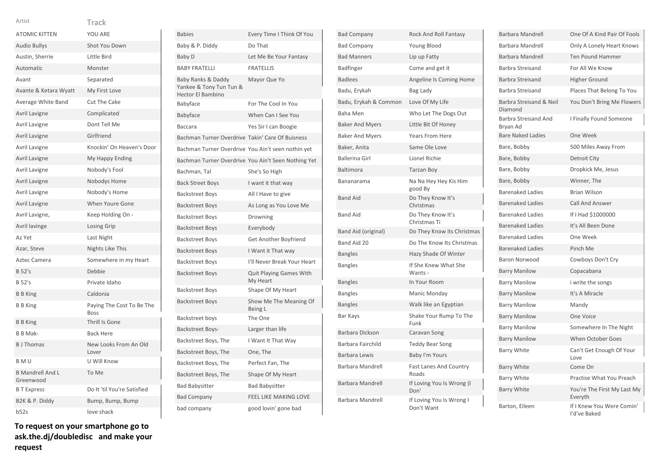| <b>ATOMIC KITTEN</b>                 | YOU ARE                                  |
|--------------------------------------|------------------------------------------|
| <b>Audio Bullys</b>                  | <b>Shot You Down</b>                     |
| Austin, Sherrie                      | Little Bird                              |
| Automatic                            | Monster                                  |
| Avant                                | Separated                                |
| Avante & Ketara Wyatt                | My First Love                            |
| Average White Band                   | Cut The Cake                             |
| Avril Lavigne                        | Complicated                              |
| Avril Lavigne                        | Dont Tell Me                             |
| Avril Lavigne                        | Girlfriend                               |
| Avril Lavigne                        | Knockin' On Heaven's Door                |
| <b>Avril Lavigne</b>                 | My Happy Ending                          |
| Avril Lavigne                        | Nobody's Fool                            |
| Avril Lavigne                        | Nobodys Home                             |
| Avril Lavigne                        | Nobody's Home                            |
| Avril Lavigne                        | When Youre Gone                          |
| Avril Lavigne,                       | Keep Holding On -                        |
| Avril lavinge                        | Losing Grip                              |
| Az Yet                               | Last Night                               |
| Azar, Steve                          | Nights Like This                         |
| Aztec Camera                         | Somewhere in my Heart                    |
| <b>B</b> 52's                        | Debbie                                   |
| <b>B</b> 52's                        | Private Idaho                            |
| <b>B</b> B King                      | Caldonia                                 |
| <b>B</b> B King                      | Paying The Cost To Be The<br><b>Boss</b> |
| <b>B</b> B King                      | Thrill Is Gone                           |
| <b>B B Mak-</b>                      | <b>Back Here</b>                         |
| <b>B</b> J Thomas                    | New Looks From An Old<br>Lover           |
| B M U                                | U Will Know                              |
| <b>B Mandrell And L</b><br>Greenwood | To Me                                    |
| <b>B</b> T Express                   | Do It 'til You're Satisfied              |
| B2K & P. Diddy                       | Bump, Bump, Bump                         |
| b52s                                 | love shack                               |

**To request on your smartphone go to ask.the.dj/doubledisc and make your request**

| <b>Babies</b>                                                             | Every Time I Think Of You                           |
|---------------------------------------------------------------------------|-----------------------------------------------------|
| Baby & P. Diddy                                                           | Do That                                             |
| Baby D                                                                    | Let Me Be Your Fantasy                              |
| <b>BABY FRATELLI</b>                                                      | <b>FRATELLIS</b>                                    |
| Baby Ranks & Daddy<br>Yankee & Tony Tun Tun &<br><b>Hector El Bambino</b> | Mayor Que Yo                                        |
| Babyface                                                                  | For The Cool In You                                 |
| Babyface                                                                  | When Can I See You                                  |
| <b>Baccara</b>                                                            | Yes Sir I can Boogie                                |
| Bachman Turner Overdrive Takin' Care Of Buisness                          |                                                     |
| Bachman Turner Overdrive You Ain't seen nothin yet                        |                                                     |
|                                                                           | Bachman Turner Overdrive You Ain't Seen Nothing Yet |
| Bachman, Tal                                                              | She's So High                                       |
| <b>Back Street Boys</b>                                                   | I want it that way                                  |
| <b>Backstreet Boys</b>                                                    | All I Have to give                                  |
| <b>Backstreet Boys</b>                                                    | As Long as You Love Me                              |
| <b>Backstreet Boys</b>                                                    | Drowning                                            |
| <b>Backstreet Boys</b>                                                    | Everybody                                           |
| <b>Backstreet Boys</b>                                                    | Get Another Boyfriend                               |
| <b>Backstreet Boys</b>                                                    | I Want it That way                                  |
| <b>Backstreet Boys</b>                                                    | I'll Never Break Your Heart                         |
| <b>Backstreet Boys</b>                                                    | <b>Quit Playing Games With</b><br>My Heart          |
| <b>Backstreet Boys</b>                                                    | Shape Of My Heart                                   |
| <b>Backstreet Boys</b>                                                    | Show Me The Meaning Of<br>Being L                   |
| Backstreet boys                                                           | The One                                             |
| Backstreet Boys-                                                          | Larger than life                                    |
| Backstreet Boys, The                                                      | I Want It That Way                                  |
| Backstreet Boys, The                                                      | One, The                                            |
| Backstreet Boys, The                                                      | Perfect Fan, The                                    |
| Backstreet Boys, The                                                      | Shape Of My Heart                                   |
| <b>Bad Babysitter</b>                                                     | <b>Bad Babysitter</b>                               |
| <b>Bad Company</b>                                                        | <b>FEEL LIKE MAKING LOVE</b>                        |
| bad company                                                               | good lovin' gone bad                                |

| <b>Bad Company</b>     | <b>Rock And Roll Fantasy</b>           |
|------------------------|----------------------------------------|
| <b>Bad Company</b>     | Young Blood                            |
| <b>Bad Manners</b>     | Lip up Fatty                           |
| Badfinger              | Come and get it                        |
| <b>Badlees</b>         | Angeline Is Coming Home                |
| Badu, Erykah           | Bag Lady                               |
| Badu, Erykah & Common  | Love Of My Life                        |
| <b>Baha Men</b>        | Who Let The Dogs Out                   |
| <b>Baker And Myers</b> | Little Bit Of Honey                    |
| <b>Baker And Myers</b> | <b>Years From Here</b>                 |
| Baker, Anita           | Same Ole Love                          |
| <b>Ballerina Girl</b>  | Lionel Richie                          |
| Baltimora              | <b>Tarzan Boy</b>                      |
| Bananarama             | Na Na Hey Hey Kis Him<br>good By       |
| <b>Band Aid</b>        | Do They Know It's<br>Christmas         |
| <b>Band Aid</b>        | Do They Know It's<br>Christmas Ti      |
| Band Aid (original)    | Do They Know its Christmas             |
| Band Aid 20            | Do The Know Its Christmas              |
| <b>Bangles</b>         | Hazy Shade Of Winter                   |
| <b>Bangles</b>         | If She Knew What She<br>Wants -        |
| <b>Bangles</b>         | In Your Room                           |
| <b>Bangles</b>         | Manic Monday                           |
| <b>Bangles</b>         | Walk like an Egyptian                  |
| Bar Kays               | Shake Your Rump To The<br>Funk         |
| Barbara Dickson        | Caravan Song                           |
| Barbara Fairchild      | <b>Teddy Bear Song</b>                 |
| Barbara Lewis          | Baby I'm Yours                         |
| Barbara Mandrell       | <b>Fast Lanes And Country</b><br>Roads |
| Barbara Mandrell       | If Loving You Is Wrong (I<br>Don'      |
| Barbara Mandrell       | If Loving You Is Wrong I<br>Don't Want |

| <b>Barbara Mandrell</b>                 | One Of A Kind Pair Of Fools               |
|-----------------------------------------|-------------------------------------------|
| <b>Barbara Mandrell</b>                 | Only A Lonely Heart Knows                 |
| <b>Barbara Mandrell</b>                 | <b>Ten Pound Hammer</b>                   |
| Barbra Streisand                        | For All We Know                           |
| <b>Barbra Streisand</b>                 | <b>Higher Ground</b>                      |
| Barbra Streisand                        | Places That Belong To You                 |
| Barbra Streisand & Neil<br>Diamond      | You Don't Bring Me Flowers                |
| <b>Barbra Streisand And</b><br>Bryan Ad | I Finally Found Someone                   |
| <b>Bare Naked Ladies</b>                | One Week                                  |
| Bare, Bobby                             | 500 Miles Away From                       |
| Bare, Bobby                             | Detroit City                              |
| Bare, Bobby                             | Dropkick Me, Jesus                        |
| Bare, Bobby                             | Winner, The                               |
| <b>Barenaked Ladies</b>                 | <b>Brian Wilson</b>                       |
| <b>Barenaked Ladies</b>                 | <b>Call And Answer</b>                    |
| <b>Barenaked Ladies</b>                 | If I Had \$1000000                        |
| <b>Barenaked Ladies</b>                 | It's All Been Done                        |
| <b>Barenaked Ladies</b>                 | One Week                                  |
| <b>Barenaked Ladies</b>                 | Pinch Me                                  |
| <b>Baron Norwood</b>                    | Cowboys Don't Cry                         |
| <b>Barry Manilow</b>                    | Copacabana                                |
| <b>Barry Manilow</b>                    | i write the songs                         |
| <b>Barry Manilow</b>                    | It's A Miracle                            |
| <b>Barry Manilow</b>                    | Mandy                                     |
| <b>Barry Manilow</b>                    | One Voice                                 |
| <b>Barry Manilow</b>                    | Somewhere In The Night                    |
| <b>Barry Manilow</b>                    | <b>When October Goes</b>                  |
| <b>Barry White</b>                      | Can't Get Enough Of Your<br>Love          |
| <b>Barry White</b>                      | Come On                                   |
| <b>Barry White</b>                      | Practise What You Preach                  |
| <b>Barry White</b>                      | You're The First My Last My<br>Everyth    |
| Barton, Eileen                          | If I Knew You Were Comin'<br>l'd've Baked |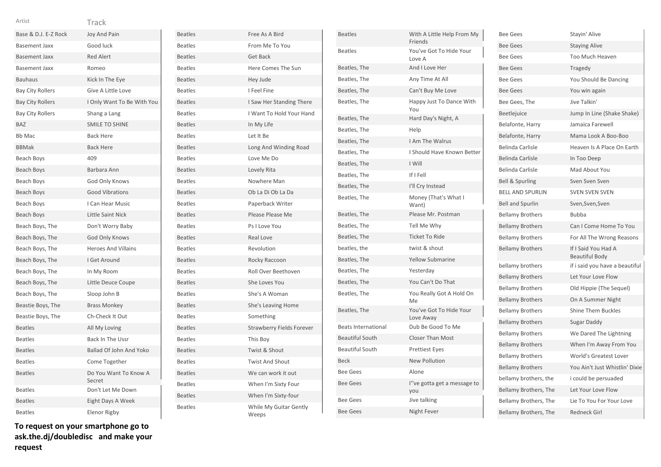| Base & D.J. E-Z Rock    | <b>Joy And Pain</b>             |
|-------------------------|---------------------------------|
| <b>Basement Jaxx</b>    | Good luck                       |
| <b>Basement Jaxx</b>    | <b>Red Alert</b>                |
| Basement Jaxx           | Romeo                           |
| <b>Bauhaus</b>          | Kick In The Eye                 |
| <b>Bay City Rollers</b> | Give A Little Love              |
| <b>Bay City Rollers</b> | I Only Want To Be With You      |
| <b>Bay City Rollers</b> | Shang a Lang                    |
| <b>BAZ</b>              | <b>SMILE TO SHINE</b>           |
| <b>Bb Mac</b>           | <b>Back Here</b>                |
| <b>BBMak</b>            | <b>Back Here</b>                |
| Beach Boys              | 409                             |
| <b>Beach Boys</b>       | Barbara Ann                     |
| Beach Boys              | God Only Knows                  |
| Beach Boys              | <b>Good Vibrations</b>          |
| Beach Boys              | I Can Hear Music                |
| Beach Boys              | Little Saint Nick               |
| Beach Boys, The         | Don't Worry Baby                |
| Beach Boys, The         | God Only Knows                  |
| Beach Boys, The         | <b>Heroes And Villains</b>      |
| Beach Boys, The         | I Get Around                    |
| Beach Boys, The         | In My Room                      |
| Beach Boys, The         | Little Deuce Coupe              |
| Beach Boys, The         | Sloop John B                    |
| Beastie Boys, The       | <b>Brass Monkey</b>             |
| Beastie Boys, The       | Ch-Check It Out                 |
| <b>Beatles</b>          | All My Loving                   |
| <b>Beatles</b>          | Back In The Ussr                |
| <b>Beatles</b>          | <b>Ballad Of John And Yoko</b>  |
| <b>Beatles</b>          | Come Together                   |
| <b>Beatles</b>          | Do You Want To Know A<br>Secret |
| <b>Beatles</b>          | Don't Let Me Down               |
| <b>Beatles</b>          | Eight Days A Week               |
| <b>Beatles</b>          | Elenor Rigby                    |

Beatles Free As A Bird Beatles From Me To You Beatles Get Back Beatles **Here Comes The Sun** Beatles Hey Jude Beatles I Feel Fine Beatles **I Saw Her Standing There** Beatles I Want To Hold Your Hand Beatles In My Life Beatles Let It Be Beatles **Long And Winding Road** Beatles Love Me Do Beatles Lovely Rita Beatles **Nowhere Man** Beatles Ob La Di Ob La Da Beatles Paperback Writer Beatles **Please Please Me** Beatles Ps I Love You Beatles Real Love Beatles Revolution Beatles Rocky Raccoon Beatles Roll Over Beethoven Beatles She Loves You Beatles She's A Woman Beatles She's Leaving Home Beatles Something Beatles Strawberry Fields Forever Beatles This Boy Beatles Twist & Shout Beatles Twist And Shout Beatles We can work it out Beatles When I'm Sixty Four Beatles When I'm Sixty-four Beatles While My Guitar Gently Weeps

| <b>Beatles</b>             | With A Little Help From My<br>Friends |
|----------------------------|---------------------------------------|
| <b>Beatles</b>             | You've Got To Hide Your<br>Love A     |
| Beatles, The               | And I Love Her                        |
| Beatles, The               | Any Time At All                       |
| Beatles, The               | Can't Buy Me Love                     |
| Beatles, The               | Happy Just To Dance With<br>You       |
| Beatles, The               | Hard Day's Night, A                   |
| Beatles, The               | Help                                  |
| Beatles, The               | I Am The Walrus                       |
| Beatles, The               | I Should Have Known Better            |
| Beatles, The               | I Will                                |
| Beatles, The               | If I Fell                             |
| Beatles, The               | I'll Cry Instead                      |
| Beatles, The               | Money (That's What I<br>Want)         |
| Beatles, The               | Please Mr. Postman                    |
| Beatles, The               | Tell Me Why                           |
| Beatles, The               | <b>Ticket To Ride</b>                 |
| beatles, the               | twist & shout                         |
| Beatles, The               | <b>Yellow Submarine</b>               |
| Beatles, The               | Yesterday                             |
| Beatles, The               | You Can't Do That                     |
| Beatles, The               | You Really Got A Hold On<br>Me        |
| Beatles, The               | You've Got To Hide Your<br>Love Away  |
| <b>Beats International</b> | Dub Be Good To Me                     |
| <b>Beautiful South</b>     | <b>Closer Than Most</b>               |
| <b>Beautiful South</b>     | <b>Prettiest Eyes</b>                 |
| <b>Beck</b>                | <b>New Pollution</b>                  |
| <b>Bee Gees</b>            | Alone                                 |
| <b>Bee Gees</b>            | l"ve gotta get a message to<br>you    |
| <b>Bee Gees</b>            | Jive talking                          |
| <b>Bee Gees</b>            | Night Fever                           |

| <b>Bee Gees</b>            | Stayin' Alive                         |
|----------------------------|---------------------------------------|
| <b>Bee Gees</b>            | <b>Staying Alive</b>                  |
| <b>Bee Gees</b>            | Too Much Heaven                       |
| <b>Bee Gees</b>            | <b>Tragedy</b>                        |
| <b>Bee Gees</b>            | You Should Be Dancing                 |
| <b>Bee Gees</b>            | You win again                         |
| Bee Gees, The              | Jive Talkin'                          |
| Beetlejuice                | Jump In Line (Shake Shake)            |
| Belafonte, Harry           | Jamaica Farewell                      |
| Belafonte, Harry           | Mama Look A Boo-Boo                   |
| <b>Belinda Carlisle</b>    | Heaven Is A Place On Earth            |
| <b>Belinda Carlisle</b>    | In Too Deep                           |
| <b>Belinda Carlisle</b>    | Mad About You                         |
| <b>Bell &amp; Spurling</b> | Sven Sven Sven                        |
| <b>BELL AND SPURLIN</b>    | <b>SVEN SVEN SVEN</b>                 |
| <b>Bell and Spurlin</b>    | Sven, Sven, Sven                      |
| <b>Bellamy Brothers</b>    | Bubba                                 |
| <b>Bellamy Brothers</b>    | Can I Come Home To You                |
| <b>Bellamy Brothers</b>    | For All The Wrong Reasons             |
| <b>Bellamy Brothers</b>    | If I Said You Had A<br>Beautiful Body |
| bellamy brothers           | if i said you have a beautiful        |
| <b>Bellamy Brothers</b>    | Let Your Love Flow                    |
| <b>Bellamy Brothers</b>    | Old Hippie (The Sequel)               |
| <b>Bellamy Brothers</b>    | On A Summer Night                     |
| <b>Bellamy Brothers</b>    | <b>Shine Them Buckles</b>             |
| <b>Bellamy Brothers</b>    | Sugar Daddy                           |
| <b>Bellamy Brothers</b>    | We Dared The Lightning                |
| <b>Bellamy Brothers</b>    | When I'm Away From You                |
| <b>Bellamy Brothers</b>    | World's Greatest Lover                |
| <b>Bellamy Brothers</b>    | You Ain't Just Whistlin' Dixie        |
| bellamy brothers, the      | i could be persuaded                  |
| Bellamy Brothers, The      | Let Your Love Flow                    |
| Bellamy Brothers, The      | Lie To You For Your Love              |
| Bellamy Brothers, The      | <b>Redneck Girl</b>                   |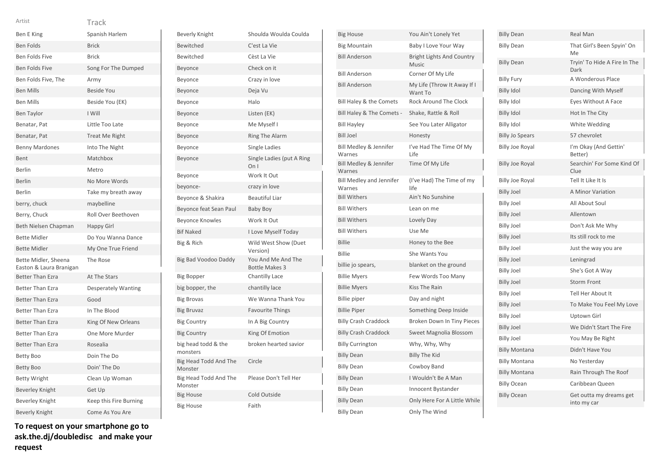| Ben E King                                      | Spanish Harlem             |
|-------------------------------------------------|----------------------------|
| <b>Ben Folds</b>                                | <b>Brick</b>               |
| <b>Ben Folds Five</b>                           | <b>Brick</b>               |
| <b>Ben Folds Five</b>                           | Song For The Dumped        |
| Ben Folds Five, The                             | Army                       |
| <b>Ben Mills</b>                                | <b>Beside You</b>          |
| <b>Ben Mills</b>                                | Beside You (EK)            |
| <b>Ben Taylor</b>                               | I Will                     |
| Benatar, Pat                                    | Little Too Late            |
| Benatar, Pat                                    | Treat Me Right             |
| <b>Benny Mardones</b>                           | Into The Night             |
| Bent                                            | Matchbox                   |
| Berlin                                          | Metro                      |
| <b>Berlin</b>                                   | No More Words              |
| Berlin                                          | Take my breath away        |
| berry, chuck                                    | maybelline                 |
| Berry, Chuck                                    | Roll Over Beethoven        |
| Beth Nielsen Chapman                            | <b>Happy Girl</b>          |
| <b>Bette Midler</b>                             | Do You Wanna Dance         |
| <b>Bette Midler</b>                             | My One True Friend         |
| Bette Midler, Sheena<br>Easton & Laura Branigan | The Rose                   |
| <b>Better Than Ezra</b>                         | At The Stars               |
| <b>Better Than Ezra</b>                         | <b>Desperately Wanting</b> |
| <b>Better Than Ezra</b>                         | Good                       |
| <b>Better Than Ezra</b>                         | In The Blood               |
| <b>Better Than Ezra</b>                         | King Of New Orleans        |
| <b>Better Than Ezra</b>                         | One More Murder            |
| <b>Better Than Ezra</b>                         | Rosealia                   |
| <b>Betty Boo</b>                                | Doin The Do                |
| <b>Betty Boo</b>                                | Doin' The Do               |
| <b>Betty Wright</b>                             | Clean Up Woman             |
| <b>Beverley Knight</b>                          | Get Up                     |
| Beverley Knight                                 | Keep this Fire Burning     |
| <b>Beverly Knight</b>                           | Come As You Are            |

**To request on your smartphone go to ask.the.dj/doubledisc and make your request**

| <b>Beverly Knight</b>            | Shoulda Woulda Coulda                       |
|----------------------------------|---------------------------------------------|
| Bewitched                        | C'est La Vie                                |
| Bewitched                        | Cèst La Vie                                 |
| Beyonce                          | Check on it                                 |
| Beyonce                          | Crazy in love                               |
| Beyonce                          | Deja Vu                                     |
| Beyonce                          | Halo                                        |
| Beyonce                          | Listen (EK)                                 |
| Beyonce                          | Me Myself I                                 |
| Beyonce                          | Ring The Alarm                              |
| Beyonce                          | Single Ladies                               |
| Beyonce                          | Single Ladies (put A Ring<br>On I           |
| Beyonce                          | Work It Out                                 |
| beyonce-                         | crazy in love                               |
| Beyonce & Shakira                | <b>Beautiful Liar</b>                       |
| Beyonce feat Sean Paul           | <b>Baby Boy</b>                             |
| Beyonce Knowles                  | Work It Out                                 |
| <b>Bif Naked</b>                 | I Love Myself Today                         |
| Big & Rich                       | Wild West Show (Duet<br>Version)            |
| Big Bad Voodoo Daddy             | You And Me And The<br><b>Bottle Makes 3</b> |
| <b>Big Bopper</b>                | <b>Chantilly Lace</b>                       |
| big bopper, the                  | chantilly lace                              |
| <b>Big Brovas</b>                | We Wanna Thank You                          |
| <b>Big Bruvaz</b>                | <b>Favourite Things</b>                     |
| <b>Big Country</b>               | In A Big Country                            |
| <b>Big Country</b>               | King Of Emotion                             |
| big head todd & the<br>monsters  | broken hearted savior                       |
| Big Head Todd And The<br>Monster | Circle                                      |
| Big Head Todd And The<br>Monster | Please Don't Tell Her                       |
| <b>Big House</b>                 | Cold Outside                                |
| <b>Big House</b>                 | Faith                                       |

| <b>Big House</b>                          | You Ain't Lonely Yet                      |
|-------------------------------------------|-------------------------------------------|
| <b>Big Mountain</b>                       | Baby I Love Your Way                      |
| <b>Bill Anderson</b>                      | <b>Bright Lights And Country</b><br>Music |
| <b>Bill Anderson</b>                      | Corner Of My Life                         |
| <b>Bill Anderson</b>                      | My Life (Throw It Away If I<br>Want To    |
| Bill Haley & the Comets                   | <b>Rock Around The Clock</b>              |
| Bill Haley & The Comets -                 | Shake, Rattle & Roll                      |
| <b>Bill Hayley</b>                        | See You Later Alligator                   |
| <b>Bill Joel</b>                          | Honesty                                   |
| Bill Medley & Jennifer<br>Warnes          | I've Had The Time Of My<br>Life           |
| Bill Medley & Jennifer<br>Warnes          | Time Of My Life                           |
| <b>Bill Medley and Jennifer</b><br>Warnes | (I've Had) The Time of my<br>life         |
| <b>Bill Withers</b>                       | Ain't No Sunshine                         |
| <b>Bill Withers</b>                       | Lean on me                                |
| <b>Bill Withers</b>                       | Lovely Day                                |
| <b>Bill Withers</b>                       | Use Me                                    |
| <b>Billie</b>                             | Honey to the Bee                          |
| <b>Billie</b>                             | She Wants You                             |
| billie jo spears,                         | blanket on the ground                     |
| <b>Billie Myers</b>                       | Few Words Too Many                        |
| <b>Billie Myers</b>                       | <b>Kiss The Rain</b>                      |
| <b>Billie piper</b>                       | Day and night                             |
| <b>Billie Piper</b>                       | Something Deep Inside                     |
| <b>Billy Crash Craddock</b>               | Broken Down In Tiny Pieces                |
| <b>Billy Crash Craddock</b>               | Sweet Magnolia Blossom                    |
| <b>Billy Currington</b>                   | Why, Why, Why                             |
| <b>Billy Dean</b>                         | <b>Billy The Kid</b>                      |
| <b>Billy Dean</b>                         | Cowboy Band                               |
| <b>Billy Dean</b>                         | I Wouldn't Be A Man                       |
| <b>Billy Dean</b>                         | Innocent Bystander                        |
| <b>Billy Dean</b>                         | Only Here For A Little While              |
| <b>Billy Dean</b>                         | Only The Wind                             |

| <b>Billy Dean</b>      | Real Man                               |
|------------------------|----------------------------------------|
| <b>Billy Dean</b>      | That Girl's Been Spyin' On<br>Me       |
| <b>Billy Dean</b>      | Tryin' To Hide A Fire In The<br>Dark   |
| <b>Billy Fury</b>      | A Wonderous Place                      |
| <b>Billy Idol</b>      | Dancing With Myself                    |
| <b>Billy Idol</b>      | Eyes Without A Face                    |
| <b>Billy Idol</b>      | Hot In The City                        |
| <b>Billy Idol</b>      | White Wedding                          |
| <b>Billy Jo Spears</b> | 57 chevrolet                           |
| Billy Joe Royal        | I'm Okay (And Gettin'<br>Better)       |
| <b>Billy Joe Royal</b> | Searchin' For Some Kind Of<br>Clue     |
| <b>Billy Joe Royal</b> | Tell It Like It Is                     |
| <b>Billy Joel</b>      | A Minor Variation                      |
| <b>Billy Joel</b>      | All About Soul                         |
| <b>Billy Joel</b>      | Allentown                              |
| <b>Billy Joel</b>      | Don't Ask Me Why                       |
| <b>Billy Joel</b>      | Its still rock to me                   |
| <b>Billy Joel</b>      | Just the way you are                   |
| <b>Billy Joel</b>      | Leningrad                              |
| <b>Billy Joel</b>      | She's Got A Way                        |
| <b>Billy Joel</b>      | <b>Storm Front</b>                     |
| <b>Billy Joel</b>      | Tell Her About It                      |
| <b>Billy Joel</b>      | To Make You Feel My Love               |
| <b>Billy Joel</b>      | Uptown Girl                            |
| <b>Billy Joel</b>      | We Didn't Start The Fire               |
| <b>Billy Joel</b>      | You May Be Right                       |
| <b>Billy Montana</b>   | Didn't Have You                        |
| <b>Billy Montana</b>   | No Yesterday                           |
| <b>Billy Montana</b>   | Rain Through The Roof                  |
| <b>Billy Ocean</b>     | Caribbean Queen                        |
| <b>Billy Ocean</b>     | Get outta my dreams get<br>into my car |
|                        |                                        |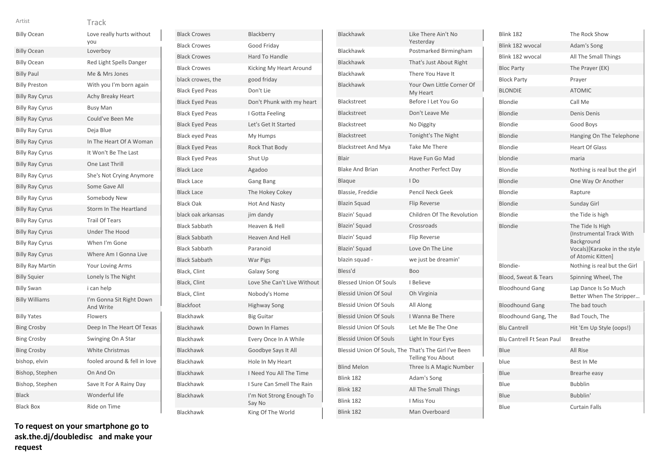### Track Artist

|                         | <b>IIdCK</b>                          |
|-------------------------|---------------------------------------|
| <b>Billy Ocean</b>      | Love really hurts without<br>you      |
| <b>Billy Ocean</b>      | Loverboy                              |
| <b>Billy Ocean</b>      | Red Light Spells Danger               |
| <b>Billy Paul</b>       | Me & Mrs Jones                        |
| <b>Billy Preston</b>    | With you I'm born again               |
| <b>Billy Ray Cyrus</b>  | Achy Breaky Heart                     |
| <b>Billy Ray Cyrus</b>  | <b>Busy Man</b>                       |
| <b>Billy Ray Cyrus</b>  | Could've Been Me                      |
| <b>Billy Ray Cyrus</b>  | Deja Blue                             |
| <b>Billy Ray Cyrus</b>  | In The Heart Of A Woman               |
| <b>Billy Ray Cyrus</b>  | It Won't Be The Last                  |
| <b>Billy Ray Cyrus</b>  | One Last Thrill                       |
| <b>Billy Ray Cyrus</b>  | She's Not Crying Anymore              |
| <b>Billy Ray Cyrus</b>  | Some Gave All                         |
| <b>Billy Ray Cyrus</b>  | Somebody New                          |
| <b>Billy Ray Cyrus</b>  | Storm In The Heartland                |
| <b>Billy Ray Cyrus</b>  | <b>Trail Of Tears</b>                 |
| <b>Billy Ray Cyrus</b>  | <b>Under The Hood</b>                 |
| <b>Billy Ray Cyrus</b>  | When I'm Gone                         |
| <b>Billy Ray Cyrus</b>  | Where Am I Gonna Live                 |
| <b>Billy Ray Martin</b> | <b>Your Loving Arms</b>               |
| <b>Billy Squier</b>     | Lonely Is The Night                   |
| <b>Billy Swan</b>       | i can help                            |
| <b>Billy Williams</b>   | I'm Gonna Sit Right Down<br>And Write |
| <b>Billy Yates</b>      | Flowers                               |
| <b>Bing Crosby</b>      | Deep In The Heart Of Texas            |
| <b>Bing Crosby</b>      | Swinging On A Star                    |
| <b>Bing Crosby</b>      | <b>White Christmas</b>                |
| bishop, elvin           | fooled around & fell in love          |
| Bishop, Stephen         | On And On                             |
| Bishop, Stephen         | Save It For A Rainy Day               |
| <b>Black</b>            | Wonderful life                        |
| <b>Black Box</b>        | Ride on Time                          |

Black Crowes Blackberry Black Crowes Good Friday Black Crowes Hard To Handle Black Crowes Kicking My Heart Around black crowes, the good friday Black Eyed Peas Don't Lie Black Eyed Peas Don't Phunk with my heart Black Eyed Peas I Gotta Feeling Black Eyed Peas Let's Get It Started Black eyed Peas My Humps Black Eyed Peas Rock That Body Black Eyed Peas Shut Up Black Lace Agadoo Black Lace Gang Bang Black Lace The Hokey Cokey Black Oak Hot And Nasty black oak arkansas jim dandy Black Sabbath Heaven & Hell Black Sabbath Heaven And Hell Black Sabbath Paranoid Black Sabbath War Pigs Black, Clint Galaxy Song Black, Clint Love She Can't Live Without Black, Clint Nobody's Home Blackfoot Highway Song Blackhawk Big Guitar Blackhawk Down In Flames Blackhawk Every Once In A While Blackhawk Goodbye Says It All Blackhawk Hole In My Heart Blackhawk I Need You All The Time Blackhawk I Sure Can Smell The Rain Blackhawk I'm Not Strong Enough To Say No Blackhawk King Of The World

| Blackhawk                                             | Like There Ain't No<br>Yesterdav      |
|-------------------------------------------------------|---------------------------------------|
| Blackhawk                                             | Postmarked Birmingham                 |
| Blackhawk                                             | That's Just About Right               |
| <b>Blackhawk</b>                                      | There You Have It                     |
| <b>Blackhawk</b>                                      | Your Own Little Corner Of<br>My Heart |
| Blackstreet                                           | Before I Let You Go                   |
| Blackstreet                                           | Don't Leave Me                        |
| Blackstreet                                           | No Diggity                            |
| Blackstreet                                           | Tonight's The Night                   |
| <b>Blackstreet And Mya</b>                            | <b>Take Me There</b>                  |
| Blair                                                 | Have Fun Go Mad                       |
| <b>Blake And Brian</b>                                | Another Perfect Day                   |
| Blaque                                                | I Do                                  |
| Blassie, Freddie                                      | Pencil Neck Geek                      |
| <b>Blazin Squad</b>                                   | <b>Flip Reverse</b>                   |
| Blazin' Squad                                         | Children Of The Revolution            |
| Blazin' Squad                                         | Crossroads                            |
| Blazin' Squad                                         | <b>Flip Reverse</b>                   |
| Blazin' Squad                                         | Love On The Line                      |
| blazin squad -                                        | we just be dreamin'                   |
| Bless'd                                               | <b>Boo</b>                            |
| <b>Blessed Union Of Souls</b>                         | I Believe                             |
| <b>Blessid Union Of Soul</b>                          | Oh Virginia                           |
| <b>Blessid Union Of Souls</b>                         | All Along                             |
| <b>Blessid Union Of Souls</b>                         | I Wanna Be There                      |
| <b>Blessid Union Of Souls</b>                         | Let Me Be The One                     |
| <b>Blessid Union Of Souls</b>                         | Light In Your Eyes                    |
| Blessid Union Of Souls, The That's The Girl I've Been | Telling You About                     |
| <b>Blind Melon</b>                                    | Three Is A Magic Number               |
| Blink 182                                             | Adam's Song                           |
| Blink 182                                             | All The Small Things                  |
| <b>Blink 182</b>                                      | I Miss You                            |
| <b>Blink 182</b>                                      | Man Overboard                         |

| The Rock Show                                                                                                          |
|------------------------------------------------------------------------------------------------------------------------|
| Adam's Song                                                                                                            |
| All The Small Things                                                                                                   |
| The Prayer (EK)                                                                                                        |
| Prayer                                                                                                                 |
| <b>ATOMIC</b>                                                                                                          |
| Call Me                                                                                                                |
| <b>Denis Denis</b>                                                                                                     |
| Good Boys                                                                                                              |
| Hanging On The Telephone                                                                                               |
| <b>Heart Of Glass</b>                                                                                                  |
| maria                                                                                                                  |
| Nothing is real but the girl                                                                                           |
| One Way Or Another                                                                                                     |
| Rapture                                                                                                                |
| Sunday Girl                                                                                                            |
| the Tide is high                                                                                                       |
|                                                                                                                        |
| The Tide Is High<br>(Instrumental Track With<br><b>Background</b><br>Vocals)[Karaoke in the style<br>of Atomic Kitten] |
| Nothing is real but the Girl                                                                                           |
| Spinning Wheel, The                                                                                                    |
| Lap Dance Is So Much<br>Better When The Stripper                                                                       |
| The bad touch                                                                                                          |
| Bad Touch, The                                                                                                         |
| Hit 'Em Up Style (oops!)                                                                                               |
| <b>Breathe</b>                                                                                                         |
| All Rise                                                                                                               |
| Best In Me                                                                                                             |
| Brearhe easy                                                                                                           |
| <b>Bubblin</b>                                                                                                         |
| Bubblin'                                                                                                               |
|                                                                                                                        |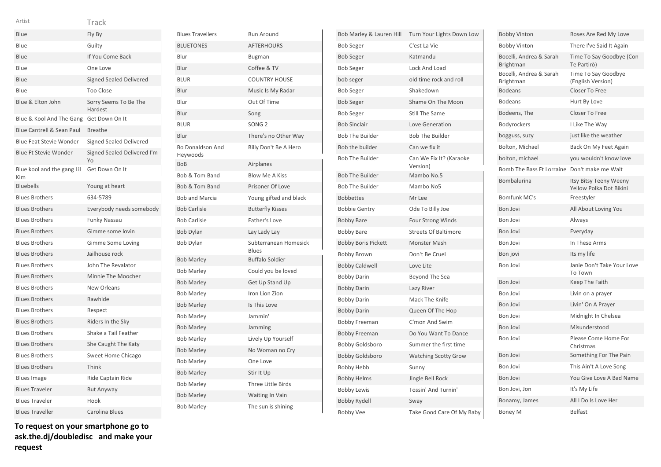| Artist                            | Track                             |
|-----------------------------------|-----------------------------------|
| Blue                              | Fly By                            |
| Blue                              | Guilty                            |
| Blue                              | If You Come Back                  |
| Blue                              | One Love                          |
| Blue                              | <b>Signed Sealed Delivered</b>    |
| Blue                              | <b>Too Close</b>                  |
| Blue & Elton John                 | Sorry Seems To Be The<br>Hardest  |
| Blue & Kool And The Gang          | Get Down On It                    |
| Blue Cantrell & Sean Paul         | <b>Breathe</b>                    |
| <b>Blue Feat Stevie Wonder</b>    | <b>Signed Sealed Delivered</b>    |
| <b>Blue Ft Stevie Wonder</b>      | Signed Sealed Delivered I'm<br>Yo |
| Blue kool and the gang Lil<br>Kim | Get Down On It                    |
| <b>Bluebells</b>                  | Young at heart                    |
| <b>Blues Brothers</b>             | 634-5789                          |
| <b>Blues Brothers</b>             | Everybody needs somebody          |
| <b>Blues Brothers</b>             | <b>Funky Nassau</b>               |
| <b>Blues Brothers</b>             | Gimme some lovin                  |
| <b>Blues Brothers</b>             | Gimme Some Loving                 |
| <b>Blues Brothers</b>             | Jailhouse rock                    |
| <b>Blues Brothers</b>             | John The Revalator                |
| <b>Blues Brothers</b>             | Minnie The Moocher                |
| <b>Blues Brothers</b>             | New Orleans                       |
| <b>Blues Brothers</b>             | Rawhide                           |
| <b>Blues Brothers</b>             | Respect                           |
| <b>Blues Brothers</b>             | Riders In the Sky                 |
| <b>Blues Brothers</b>             | Shake a Tail Feather              |
| <b>Blues Brothers</b>             | She Caught The Katy               |
| <b>Blues Brothers</b>             | Sweet Home Chicago                |
| <b>Blues Brothers</b>             | Think                             |
| <b>Blues Image</b>                | Ride Captain Ride                 |
| <b>Blues Traveler</b>             | <b>But Anyway</b>                 |
| <b>Blues Traveler</b>             | Hook                              |
| <b>Blues Traveller</b>            | Carolina Blues                    |

**To request on your smartphone go to ask.the.dj/doubledisc and make your request**

| <b>Blues Travellers</b>             | Run Around                     |
|-------------------------------------|--------------------------------|
| <b>BLUETONES</b>                    | <b>AFTERHOURS</b>              |
| Blur                                | <b>Bugman</b>                  |
| Blur                                | Coffee & TV                    |
| <b>BLUR</b>                         | <b>COUNTRY HOUSE</b>           |
| Blur                                | Music Is My Radar              |
| Blur                                | Out Of Time                    |
| Blur                                | Song                           |
| <b>BLUR</b>                         | SONG <sub>2</sub>              |
| Blur                                | There's no Other Way           |
| <b>Bo Donaldson And</b><br>Heywoods | Billy Don't Be A Hero          |
| <b>BoB</b>                          | Airplanes                      |
| Bob & Tom Band                      | <b>Blow Me A Kiss</b>          |
| Bob & Tom Band                      | Prisoner Of Love               |
| <b>Bob and Marcia</b>               | Young gifted and black         |
| <b>Bob Carlisle</b>                 | <b>Butterfly Kisses</b>        |
| <b>Bob Carlisle</b>                 | Father's Love                  |
| <b>Bob Dylan</b>                    | Lay Lady Lay                   |
| Bob Dylan                           | Subterranean Homesick<br>Blues |
| <b>Bob Marley</b>                   | <b>Buffalo Soldier</b>         |
| <b>Bob Marley</b>                   | Could you be loved             |
| <b>Bob Marley</b>                   | <b>Get Up Stand Up</b>         |
| <b>Bob Marley</b>                   | Iron Lion Zion                 |
| <b>Bob Marley</b>                   | Is This Love                   |
| <b>Bob Marley</b>                   | Jammin'                        |
| <b>Bob Marley</b>                   | Jamming                        |
| <b>Bob Marley</b>                   | Lively Up Yourself             |
| <b>Bob Marley</b>                   | No Woman no Cry                |
| <b>Bob Marley</b>                   | One Love                       |
| <b>Bob Marley</b>                   | Stir It Up                     |
| <b>Bob Marley</b>                   | <b>Three Little Birds</b>      |
| <b>Bob Marley</b>                   | Waiting In Vain                |
| Bob Marley-                         | The sun is shining             |

| Bob Marley & Lauren Hill   | Turn Your Lights Down Low           |
|----------------------------|-------------------------------------|
| <b>Bob Seger</b>           | C'est La Vie                        |
| <b>Bob Seger</b>           | Katmandu                            |
| <b>Bob Seger</b>           | <b>Lock And Load</b>                |
| bob seger                  | old time rock and roll              |
| <b>Bob Seger</b>           | Shakedown                           |
| <b>Bob Seger</b>           | Shame On The Moon                   |
| <b>Bob Seger</b>           | <b>Still The Same</b>               |
| <b>Bob Sinclair</b>        | Love Generation                     |
| <b>Bob The Builder</b>     | <b>Bob The Builder</b>              |
| Bob the builder            | Can we fix it                       |
| <b>Bob The Builder</b>     | Can We Fix It? (Karaoke<br>Version) |
| <b>Bob The Builder</b>     | Mambo No.5                          |
| <b>Bob The Builder</b>     | Mambo No5                           |
| <b>Bobbettes</b>           | Mr Lee                              |
| <b>Bobbie Gentry</b>       | Ode To Billy Joe                    |
| <b>Bobby Bare</b>          | Four Strong Winds                   |
| <b>Bobby Bare</b>          | <b>Streets Of Baltimore</b>         |
| <b>Bobby Boris Pickett</b> | <b>Monster Mash</b>                 |
| <b>Bobby Brown</b>         | Don't Be Cruel                      |
| <b>Bobby Caldwell</b>      | Love Lite                           |
| <b>Bobby Darin</b>         | Beyond The Sea                      |
| <b>Bobby Darin</b>         | Lazy River                          |
| <b>Bobby Darin</b>         | Mack The Knife                      |
| <b>Bobby Darin</b>         | Queen Of The Hop                    |
| <b>Bobby Freeman</b>       | C'mon And Swim                      |
| <b>Bobby Freeman</b>       | Do You Want To Dance                |
| <b>Bobby Goldsboro</b>     | Summer the first time               |
| <b>Bobby Goldsboro</b>     | <b>Watching Scotty Grow</b>         |
| <b>Bobby Hebb</b>          | Sunny                               |
| <b>Bobby Helms</b>         | Jingle Bell Rock                    |
| <b>Bobby Lewis</b>         | Tossin' And Turnin'                 |
| <b>Bobby Rydell</b>        | Sway                                |
| <b>Bobby Vee</b>           | Take Good Care Of My Baby           |

| <b>Bobby Vinton</b>                         | Roses Are Red My Love                             |
|---------------------------------------------|---------------------------------------------------|
| <b>Bobby Vinton</b>                         | There I've Said It Again                          |
| Bocelli, Andrea & Sarah<br><b>Brightman</b> | Time To Say Goodbye (Con<br>Te Partirò)           |
| Bocelli, Andrea & Sarah<br>Brightman        | Time To Say Goodbye<br>(English Version)          |
| <b>Bodeans</b>                              | Closer To Free                                    |
| <b>Bodeans</b>                              | Hurt By Love                                      |
| Bodeens, The                                | Closer To Free                                    |
| Bodyrockers                                 | I Like The Way                                    |
| bogguss, suzy                               | just like the weather                             |
| Bolton, Michael                             | Back On My Feet Again                             |
| bolton, michael                             | you wouldn't know love                            |
| <b>Bomb The Bass Ft Lorraine</b>            | Don't make me Wait                                |
| Bombalurina                                 | Itsy Bitsy Teeny Weeny<br>Yellow Polka Dot Bikini |
| Bomfunk MC's                                | Freestyler                                        |
| <b>Bon Jovi</b>                             | All About Loving You                              |
| <b>Bon Jovi</b>                             | Always                                            |
| <b>Bon Jovi</b>                             | Everyday                                          |
| Bon Jovi                                    | In These Arms                                     |
| Bon jovi                                    | Its my life                                       |
| <b>Bon Jovi</b>                             | Janie Don't Take Your Love<br>To Town             |
| <b>Bon Jovi</b>                             | Keep The Faith                                    |
| <b>Bon Jovi</b>                             | Livin on a prayer                                 |
| <b>Bon Jovi</b>                             | Livin' On A Prayer                                |
| Bon Jovi                                    | Midnight In Chelsea                               |
| <b>Bon Jovi</b>                             | Misunderstood                                     |
| Bon Jovi                                    | Please Come Home For<br>Christmas                 |
| <b>Bon Jovi</b>                             | Something For The Pain                            |
| <b>Bon Jovi</b>                             | This Ain't A Love Song                            |
| <b>Bon Jovi</b>                             | You Give Love A Bad Name                          |
| Bon Jovi, Jon                               | It's My Life                                      |
| Bonamy, James                               | All I Do Is Love Her                              |
| <b>Boney M</b>                              | <b>Belfast</b>                                    |
|                                             |                                                   |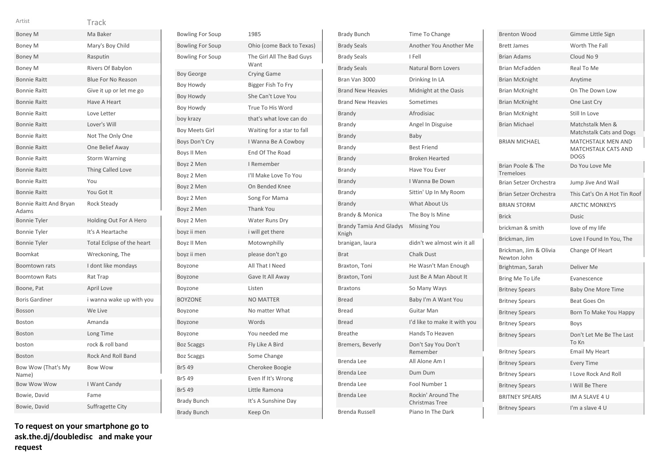| Artist                          | Track                      |
|---------------------------------|----------------------------|
| <b>Boney M</b>                  | Ma Baker                   |
| Boney M                         | Mary's Boy Child           |
| <b>Boney M</b>                  | Rasputin                   |
| <b>Boney M</b>                  | Rivers Of Babylon          |
| <b>Bonnie Raitt</b>             | <b>Blue For No Reason</b>  |
| <b>Bonnie Raitt</b>             | Give it up or let me go    |
| <b>Bonnie Raitt</b>             | Have A Heart               |
| <b>Bonnie Raitt</b>             | Love Letter                |
| <b>Bonnie Raitt</b>             | Lover's Will               |
| <b>Bonnie Raitt</b>             | Not The Only One           |
| <b>Bonnie Raitt</b>             | One Belief Away            |
| <b>Bonnie Raitt</b>             | <b>Storm Warning</b>       |
| <b>Bonnie Raitt</b>             | Thing Called Love          |
| <b>Bonnie Raitt</b>             | You                        |
| <b>Bonnie Raitt</b>             | You Got It                 |
| Bonnie Raitt And Bryan<br>Adams | Rock Steady                |
| <b>Bonnie Tyler</b>             | Holding Out For A Hero     |
| <b>Bonnie Tyler</b>             | It's A Heartache           |
| <b>Bonnie Tyler</b>             | Total Eclipse of the heart |
| Boomkat                         | Wreckoning, The            |
| <b>Boomtown rats</b>            | I dont like mondays        |
| <b>Boomtown Rats</b>            | Rat Trap                   |
| Boone, Pat                      | April Love                 |
| <b>Boris Gardiner</b>           | i wanna wake up with you   |
| Bosson                          | We Live                    |
| <b>Boston</b>                   | Amanda                     |
| <b>Boston</b>                   | Long Time                  |
| boston                          | rock & roll band           |
| <b>Boston</b>                   | <b>Rock And Roll Band</b>  |
| Bow Wow (That's My<br>Name)     | <b>Bow Wow</b>             |
| <b>Bow Wow Wow</b>              | I Want Candy               |
| Bowie, David                    | Fame                       |
| Bowie, David                    | Suffragette City           |

| <b>Bowling For Soup</b> | 1985                              |
|-------------------------|-----------------------------------|
| <b>Bowling For Soup</b> | Ohio (come Back to Texas)         |
| <b>Bowling For Soup</b> | The Girl All The Bad Guys<br>Want |
| <b>Boy George</b>       | <b>Crying Game</b>                |
| Boy Howdy               | Bigger Fish To Fry                |
| Boy Howdy               | She Can't Love You                |
| Boy Howdy               | True To His Word                  |
| boy krazy               | that's what love can do           |
| <b>Boy Meets Girl</b>   | Waiting for a star to fall        |
| Boys Don't Cry          | I Wanna Be A Cowboy               |
| Boys II Men             | End Of The Road                   |
| Boyz 2 Men              | I Remember                        |
| Boyz 2 Men              | I'll Make Love To You             |
| Boyz 2 Men              | On Bended Knee                    |
| Boyz 2 Men              | Song For Mama                     |
| Boyz 2 Men              | <b>Thank You</b>                  |
| Boyz 2 Men              | Water Runs Dry                    |
| boyz ii men             | i will get there                  |
| Boyz II Men             | Motownphilly                      |
| boyz ii men             | please don't go                   |
| Boyzone                 | All That I Need                   |
| Boyzone                 | Gave It All Away                  |
| Boyzone                 | Listen                            |
| <b>BOYZONE</b>          | <b>NO MATTER</b>                  |
| Boyzone                 | No matter What                    |
| Boyzone                 | Words                             |
| Boyzone                 | You needed me                     |
| <b>Boz Scaggs</b>       | Fly Like A Bird                   |
| <b>Boz Scaggs</b>       | Some Change                       |
| Br5 49                  | Cherokee Boogie                   |
| Br5 49                  | Even If It's Wrong                |
| <b>Br5 49</b>           | Little Ramona                     |
| <b>Brady Bunch</b>      | It's A Sunshine Day               |
| <b>Brady Bunch</b>      | Keep On                           |

| <b>Brady Bunch</b>                      | Time To Change                              |
|-----------------------------------------|---------------------------------------------|
| <b>Brady Seals</b>                      | Another You Another Me                      |
| <b>Brady Seals</b>                      | I Fell                                      |
| <b>Brady Seals</b>                      | <b>Natural Born Lovers</b>                  |
| Bran Van 3000                           | Drinking In LA                              |
| <b>Brand New Heavies</b>                | Midnight at the Oasis                       |
| <b>Brand New Heavies</b>                | Sometimes                                   |
| Brandy                                  | Afrodisiac                                  |
| Brandy                                  | Angel In Disguise                           |
| <b>Brandy</b>                           | Baby                                        |
| Brandy                                  | <b>Best Friend</b>                          |
| <b>Brandy</b>                           | <b>Broken Hearted</b>                       |
| Brandy                                  | Have You Ever                               |
| Brandy                                  | I Wanna Be Down                             |
| Brandy                                  | Sittin' Up In My Room                       |
| <b>Brandy</b>                           | What About Us                               |
| Brandy & Monica                         | The Boy Is Mine                             |
| <b>Brandy Tamia And Gladys</b><br>Knigh | <b>Missing You</b>                          |
| branigan, laura                         | didn't we almost win it all                 |
| <b>Brat</b>                             | <b>Chalk Dust</b>                           |
| Braxton, Toni                           | He Wasn't Man Enough                        |
| Braxton, Toni                           | Just Be A Man About It                      |
| <b>Braxtons</b>                         | So Many Ways                                |
| Bread                                   | Baby I'm A Want You                         |
| <b>Bread</b>                            | Guitar Man                                  |
| <b>Bread</b>                            | I'd like to make it with you                |
| <b>Breathe</b>                          | Hands To Heaven                             |
| Bremers, Beverly                        | Don't Say You Don't<br>Remember             |
| <b>Brenda Lee</b>                       | All Alone Am I                              |
| Brenda Lee                              | Dum Dum                                     |
| Brenda Lee                              | Fool Number 1                               |
| Brenda Lee                              | Rockin' Around The<br><b>Christmas Tree</b> |
| Brenda Russell                          | Piano In The Dark                           |

| <b>Brenton Wood</b>                   | Gimme Little Sign                                                      |  |  |
|---------------------------------------|------------------------------------------------------------------------|--|--|
| <b>Brett James</b>                    | Worth The Fall                                                         |  |  |
| <b>Brian Adams</b>                    | Cloud No 9                                                             |  |  |
| <b>Brian McFadden</b>                 | Real To Me                                                             |  |  |
| <b>Brian McKnight</b>                 | Anytime                                                                |  |  |
| <b>Brian McKnight</b>                 | On The Down Low                                                        |  |  |
| <b>Brian McKnight</b>                 | One Last Cry                                                           |  |  |
| <b>Brian McKnight</b>                 | Still In Love                                                          |  |  |
| <b>Brian Michael</b>                  | Matchstalk Men &<br><b>Matchstalk Cats and Dogs</b>                    |  |  |
| <b>BRIAN MICHAEL</b>                  | <b>MATCHSTALK MEN AND</b><br><b>MATCHSTALK CATS AND</b><br><b>DOGS</b> |  |  |
| Brian Poole & The<br>Tremeloes        | Do You Love Me                                                         |  |  |
| Brian Setzer Orchestra                | Jump Jive And Wail                                                     |  |  |
| Brian Setzer Orchestra                | This Cat's On A Hot Tin Roof                                           |  |  |
| <b>BRIAN STORM</b>                    | <b>ARCTIC MONKEYS</b>                                                  |  |  |
| <b>Brick</b>                          | Dusic                                                                  |  |  |
| brickman & smith                      | love of my life                                                        |  |  |
| Brickman, Jim                         | Love I Found In You, The                                               |  |  |
| Brickman, Jim & Olivia<br>Newton John | Change Of Heart                                                        |  |  |
| Brightman, Sarah                      | Deliver Me                                                             |  |  |
| Bring Me To Life                      | Evanescence                                                            |  |  |
| <b>Britney Spears</b>                 | <b>Baby One More Time</b>                                              |  |  |
| <b>Britney Spears</b>                 | Beat Goes On                                                           |  |  |
| <b>Britney Spears</b>                 | Born To Make You Happy                                                 |  |  |
| <b>Britney Spears</b>                 | <b>Boys</b>                                                            |  |  |
| <b>Britney Spears</b>                 | Don't Let Me Be The Last<br>To Kn                                      |  |  |
| <b>Britney Spears</b>                 | Email My Heart                                                         |  |  |
| <b>Britney Spears</b>                 | <b>Every Time</b>                                                      |  |  |
| <b>Britney Spears</b>                 | <b>I Love Rock And Roll</b>                                            |  |  |
|                                       |                                                                        |  |  |
| <b>Britney Spears</b>                 | I Will Be There                                                        |  |  |
| <b>BRITNEY SPEARS</b>                 | IM A SLAVE 4 U                                                         |  |  |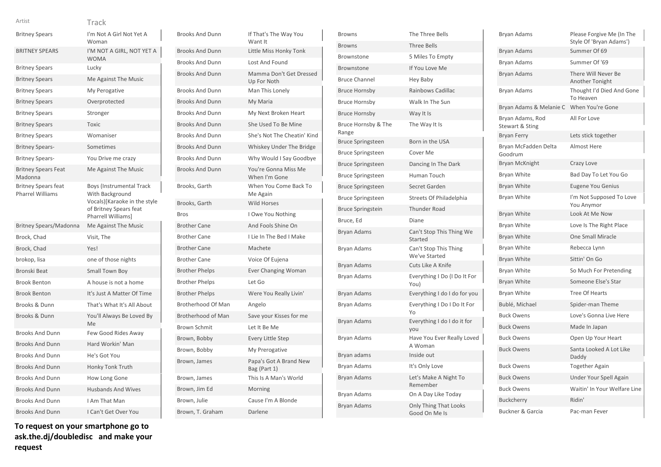| J.<br>٠ |  |  |  |  |
|---------|--|--|--|--|
|         |  |  |  |  |
|         |  |  |  |  |

# rack

| <b>Britney Spears</b>                                 | I'm Not A Girl Not Yet A<br>Woman                                                                                                  |
|-------------------------------------------------------|------------------------------------------------------------------------------------------------------------------------------------|
| <b>BRITNEY SPEARS</b>                                 | I'M NOT A GIRL, NOT YET A<br><b>WOMA</b>                                                                                           |
| <b>Britney Spears</b>                                 | Lucky                                                                                                                              |
| <b>Britney Spears</b>                                 | Me Against The Music                                                                                                               |
| <b>Britney Spears</b>                                 | My Perogative                                                                                                                      |
| <b>Britney Spears</b>                                 | Overprotected                                                                                                                      |
| <b>Britney Spears</b>                                 | Stronger                                                                                                                           |
| <b>Britney Spears</b>                                 | <b>Toxic</b>                                                                                                                       |
| <b>Britney Spears</b>                                 | Womaniser                                                                                                                          |
| <b>Britney Spears-</b>                                | Sometimes                                                                                                                          |
| <b>Britney Spears-</b>                                | You Drive me crazy                                                                                                                 |
| <b>Britney Spears Feat</b><br>Madonna                 | Me Against The Music                                                                                                               |
| <b>Britney Spears feat</b><br><b>Pharrel Williams</b> | <b>Boys (Instrumental Track</b><br>With Background<br>Vocals)[Karaoke in the style<br>of Britney Spears feat<br>Pharrell Williams] |
|                                                       |                                                                                                                                    |
| <b>Britney Spears/Madonna</b>                         | Me Against The Music                                                                                                               |
| Brock, Chad                                           | Visit, The                                                                                                                         |
| Brock, Chad                                           | Yes!                                                                                                                               |
| brokop, lisa                                          | one of those nights                                                                                                                |
| Bronski Beat                                          | Small Town Boy                                                                                                                     |
| <b>Brook Benton</b>                                   | A house is not a home                                                                                                              |
| <b>Brook Benton</b>                                   | It's Just A Matter Of Time                                                                                                         |
| Brooks & Dunn                                         | That's What It's All About                                                                                                         |
| Brooks & Dunn                                         | You'll Always Be Loved By<br>Me                                                                                                    |
| <b>Brooks And Dunn</b>                                | Few Good Rides Away                                                                                                                |
| <b>Brooks And Dunn</b>                                | Hard Workin' Man                                                                                                                   |
| <b>Brooks And Dunn</b>                                | He's Got You                                                                                                                       |
| <b>Brooks And Dunn</b>                                | Honky Tonk Truth                                                                                                                   |
| <b>Brooks And Dunn</b>                                | How Long Gone                                                                                                                      |
| <b>Brooks And Dunn</b>                                | <b>Husbands And Wives</b>                                                                                                          |
| <b>Brooks And Dunn</b>                                | I Am That Man                                                                                                                      |

| <b>Brooks And Dunn</b> | If That's The Way You<br>Want It       |
|------------------------|----------------------------------------|
| <b>Brooks And Dunn</b> | Little Miss Honky Tonk                 |
| <b>Brooks And Dunn</b> | <b>Lost And Found</b>                  |
| <b>Brooks And Dunn</b> | Mamma Don't Get Dressed<br>Up For Noth |
| <b>Brooks And Dunn</b> | Man This Lonely                        |
| <b>Brooks And Dunn</b> | My Maria                               |
| <b>Brooks And Dunn</b> | My Next Broken Heart                   |
| <b>Brooks And Dunn</b> | She Used To Be Mine                    |
| <b>Brooks And Dunn</b> | She's Not The Cheatin' Kind            |
| <b>Brooks And Dunn</b> | Whiskey Under The Bridge               |
| <b>Brooks And Dunn</b> | Why Would I Say Goodbye                |
| <b>Brooks And Dunn</b> | You're Gonna Miss Me<br>When I'm Gone  |
| Brooks, Garth          | When You Come Back To<br>Me Again      |
| Brooks, Garth          | <b>Wild Horses</b>                     |
| <b>Bros</b>            | I Owe You Nothing                      |
| <b>Brother Cane</b>    | And Fools Shine On                     |
| <b>Brother Cane</b>    | I Lie In The Bed I Make                |
| <b>Brother Cane</b>    | Machete                                |
| <b>Brother Cane</b>    | Voice Of Eujena                        |
| <b>Brother Phelps</b>  | <b>Ever Changing Woman</b>             |
| <b>Brother Phelps</b>  | Let Go                                 |
| <b>Brother Phelps</b>  | Were You Really Livin'                 |
| Brotherhood Of Man     | Angelo                                 |
| Brotherhood of Man     | Save your Kisses for me                |
| <b>Brown Schmit</b>    | Let It Be Me                           |
| Brown, Bobby           | <b>Every Little Step</b>               |
| Brown, Bobby           | My Prerogative                         |
| Brown, James           | Papa's Got A Brand New<br>Bag (Part 1) |
| Brown, James           | This Is A Man's World                  |
| Brown, Jim Ed          | Morning                                |
| Brown, Julie           | Cause I'm A Blonde                     |
| Brown, T. Graham       | Darlene                                |

| <b>Browns</b>                | The Three Bells                        |
|------------------------------|----------------------------------------|
| <b>Browns</b>                | <b>Three Bells</b>                     |
| Brownstone                   | 5 Miles To Empty                       |
| Brownstone                   | If You Love Me                         |
| <b>Bruce Channel</b>         | Hey Baby                               |
| <b>Bruce Hornsby</b>         | Rainbows Cadillac                      |
| <b>Bruce Hornsby</b>         | Walk In The Sun                        |
| <b>Bruce Hornsby</b>         | Way It Is                              |
| Bruce Hornsby & The<br>Range | The Way It Is                          |
| <b>Bruce Springsteen</b>     | Born in the USA                        |
| <b>Bruce Springsteen</b>     | Cover Me                               |
| <b>Bruce Springsteen</b>     | Dancing In The Dark                    |
| <b>Bruce Springsteen</b>     | Human Touch                            |
| <b>Bruce Springsteen</b>     | Secret Garden                          |
| <b>Bruce Springsteen</b>     | Streets Of Philadelphia                |
| <b>Bruce Springstein</b>     | <b>Thunder Road</b>                    |
| Bruce, Ed                    | Diane                                  |
| Bryan Adams                  | Can't Stop This Thing We<br>Started    |
| Bryan Adams                  | Can't Stop This Thing<br>We've Started |
| Bryan Adams                  | Cuts Like A Knife                      |
| Bryan Adams                  | Everything I Do (I Do It For<br>You)   |
| <b>Bryan Adams</b>           | Everything I do I do for you           |
| Bryan Adams                  | Everything I Do I Do It For<br>Yo      |
| Bryan Adams                  | Everything I do I do it for<br>you     |
| Bryan Adams                  | Have You Ever Really Loved<br>A Woman  |
| Bryan adams                  | Inside out                             |
| Bryan Adams                  | It's Only Love                         |
| Bryan Adams                  | Let's Make A Night To<br>Remember      |
| Bryan Adams                  | On A Day Like Today                    |
| <b>Bryan Adams</b>           | Only Thing That Looks<br>Good On Me Is |

| Bryan Adams                         | Please Forgive Me (In The<br>Style Of 'Bryan Adams') |
|-------------------------------------|------------------------------------------------------|
| <b>Bryan Adams</b>                  | Summer Of 69                                         |
| <b>Bryan Adams</b>                  | Summer Of '69                                        |
| <b>Bryan Adams</b>                  | There Will Never Be<br>Another Tonight               |
| Bryan Adams                         | Thought I'd Died And Gone<br>To Heaven               |
| Bryan Adams & Melanie C             | When You're Gone                                     |
| Bryan Adams, Rod<br>Stewart & Sting | All For Love                                         |
| <b>Bryan Ferry</b>                  | Lets stick together                                  |
| Bryan McFadden Delta<br>Goodrum     | <b>Almost Here</b>                                   |
| <b>Bryan McKnight</b>               | Crazy Love                                           |
| Bryan White                         | Bad Day To Let You Go                                |
| Bryan White                         | <b>Eugene You Genius</b>                             |
| Bryan White                         | I'm Not Supposed To Love<br>You Anymor               |
| Bryan White                         | Look At Me Now                                       |
| Bryan White                         | Love Is The Right Place                              |
| <b>Bryan White</b>                  | <b>One Small Miracle</b>                             |
| Bryan White                         | Rebecca Lynn                                         |
| Bryan White                         | Sittin' On Go                                        |
| <b>Bryan White</b>                  | So Much For Pretending                               |
| <b>Bryan White</b>                  | Someone Else's Star                                  |
| Bryan White                         | <b>Tree Of Hearts</b>                                |
| Bublé, Michael                      | Spider-man Theme                                     |
| <b>Buck Owens</b>                   | Love's Gonna Live Here                               |
| <b>Buck Owens</b>                   | Made In Japan                                        |
| <b>Buck Owens</b>                   | Open Up Your Heart                                   |
| <b>Buck Owens</b>                   | Santa Looked A Lot Like<br>Daddy                     |
| <b>Buck Owens</b>                   | <b>Together Again</b>                                |
| <b>Buck Owens</b>                   | Under Your Spell Again                               |
| <b>Buck Owens</b>                   | Waitin' In Your Welfare Line                         |
| <b>Buckcherry</b>                   | Ridin'                                               |
| Buckner & Garcia                    | Pac-man Fever                                        |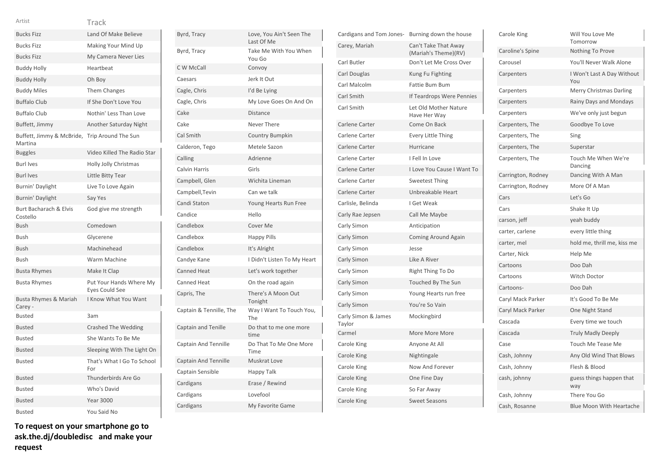|  | ٧ | v |
|--|---|---|
|  |   |   |
|  |   |   |
|  |   | × |

| <b>Bucks Fizz</b>                                        | Land Of Make Believe                      |
|----------------------------------------------------------|-------------------------------------------|
| <b>Bucks Fizz</b>                                        | Making Your Mind Up                       |
| <b>Bucks Fizz</b>                                        | My Camera Never Lies                      |
| <b>Buddy Holly</b>                                       | Heartbeat                                 |
| <b>Buddy Holly</b>                                       | Oh Boy                                    |
| <b>Buddy Miles</b>                                       | <b>Them Changes</b>                       |
| <b>Buffalo Club</b>                                      | If She Don't Love You                     |
| <b>Buffalo Club</b>                                      | Nothin' Less Than Love                    |
| Buffett, Jimmy                                           | <b>Another Saturday Night</b>             |
| Buffett, Jimmy & McBride, Trip Around The Sun<br>Martina |                                           |
| <b>Buggles</b>                                           | Video Killed The Radio Star               |
| <b>Burl Ives</b>                                         | Holly Jolly Christmas                     |
| <b>Burl Ives</b>                                         | Little Bitty Tear                         |
| Burnin' Daylight                                         | Live To Love Again                        |
| Burnin' Daylight                                         | Say Yes                                   |
| Burt Bacharach & Elvis<br>Costello                       | God give me strength                      |
| Bush                                                     | Comedown                                  |
| Bush                                                     | Glycerene                                 |
| Bush                                                     | Machinehead                               |
| <b>Bush</b>                                              | <b>Warm Machine</b>                       |
| <b>Busta Rhymes</b>                                      | Make It Clap                              |
| Busta Rhymes                                             | Put Your Hands Where My<br>Eyes Could See |
| Busta Rhymes & Mariah<br>Carey -                         | I Know What You Want                      |
| <b>Busted</b>                                            | 3am                                       |
| Busted                                                   | <b>Crashed The Wedding</b>                |
| <b>Busted</b>                                            | She Wants To Be Me                        |
| <b>Busted</b>                                            | Sleeping With The Light On                |
| <b>Busted</b>                                            | That's What I Go To School<br>For         |
| Busted                                                   | Thunderbirds Are Go                       |
| Busted                                                   | Who's David                               |
| Busted                                                   | <b>Year 3000</b>                          |
| <b>Busted</b>                                            | You Said No                               |

**To request on your smartphone go to ask.the.dj/doubledisc and make your request**

| Byrd, Tracy                 | Love, You Ain't Seen The<br>Last Of Me |
|-----------------------------|----------------------------------------|
| Byrd, Tracy                 | Take Me With You When<br>You Go        |
| C W McCall                  | Convoy                                 |
| Caesars                     | Jerk It Out                            |
| Cagle, Chris                | I'd Be Lying                           |
| Cagle, Chris                | My Love Goes On And On                 |
| Cake                        | <b>Distance</b>                        |
| Cake                        | Never There                            |
| Cal Smith                   | <b>Country Bumpkin</b>                 |
| Calderon, Tego              | Metele Sazon                           |
| Calling                     | Adrienne                               |
| Calvin Harris               | Girls                                  |
| Campbell, Glen              | Wichita Lineman                        |
| Campbell, Tevin             | Can we talk                            |
| Candi Staton                | Young Hearts Run Free                  |
| Candice                     | Hello                                  |
| Candlebox                   | Cover Me                               |
| Candlebox                   | <b>Happy Pills</b>                     |
| Candlebox                   | It's Alright                           |
| Candye Kane                 | I Didn't Listen To My Heart            |
| <b>Canned Heat</b>          | Let's work together                    |
| Canned Heat                 | On the road again                      |
| Capris, The                 | There's A Moon Out<br>Tonight          |
| Captain & Tennille, The     | Way I Want To Touch You,<br>The        |
| Captain and Tenille         | Do that to me one more<br>time         |
| <b>Captain And Tennille</b> | Do That To Me One More<br>Time         |
| <b>Captain And Tennille</b> | Muskrat Love                           |
| Captain Sensible            | Happy Talk                             |
| Cardigans                   | Erase / Rewind                         |
| Cardigans                   | Lovefool                               |
| Cardigans                   | My Favorite Game                       |
|                             |                                        |

| Cardigans and Tom Jones-      | Burning down the house                       |
|-------------------------------|----------------------------------------------|
| Carey, Mariah                 | Can't Take That Away<br>(Mariah's Theme)(RV) |
| Carl Butler                   | Don't Let Me Cross Over                      |
| Carl Douglas                  | Kung Fu Fighting                             |
| Carl Malcolm                  | Fattie Bum Bum                               |
| Carl Smith                    | If Teardrops Were Pennies                    |
| Carl Smith                    | Let Old Mother Nature<br>Have Her Way        |
| Carlene Carter                | Come On Back                                 |
| Carlene Carter                | <b>Every Little Thing</b>                    |
| Carlene Carter                | Hurricane                                    |
| Carlene Carter                | I Fell In Love                               |
| Carlene Carter                | I Love You Cause I Want To                   |
| Carlene Carter                | <b>Sweetest Thing</b>                        |
| Carlene Carter                | Unbreakable Heart                            |
| Carlisle, Belinda             | I Get Weak                                   |
| Carly Rae Jepsen              | Call Me Maybe                                |
| Carly Simon                   | Anticipation                                 |
| Carly Simon                   | <b>Coming Around Again</b>                   |
| Carly Simon                   | Jesse                                        |
| Carly Simon                   | Like A River                                 |
| Carly Simon                   | Right Thing To Do                            |
| Carly Simon                   | Touched By The Sun                           |
| Carly Simon                   | Young Hearts run free                        |
| Carly Simon                   | You're So Vain                               |
| Carly Simon & James<br>Taylor | Mockingbird                                  |
| Carmel                        | More More More                               |
| Carole King                   | Anyone At All                                |
| Carole King                   | Nightingale                                  |
| Carole King                   | Now And Forever                              |
| <b>Carole King</b>            | One Fine Day                                 |
| Carole King                   | So Far Away                                  |
| Carole King                   | <b>Sweet Seasons</b>                         |

| Carole King        | Will You Love Me<br>Tomorrow      |
|--------------------|-----------------------------------|
| Caroline's Spine   | <b>Nothing To Prove</b>           |
| Carousel           | You'll Never Walk Alone           |
| Carpenters         | I Won't Last A Day Without<br>You |
| Carpenters         | Merry Christmas Darling           |
| Carpenters         | Rainy Days and Mondays            |
| Carpenters         | We've only just begun             |
| Carpenters, The    | Goodbye To Love                   |
| Carpenters, The    | Sing                              |
| Carpenters, The    | Superstar                         |
| Carpenters, The    | Touch Me When We're<br>Dancing    |
| Carrington, Rodney | Dancing With A Man                |
| Carrington, Rodney | More Of A Man                     |
| Cars               | Let's Go                          |
| Cars               | Shake It Up                       |
| carson, jeff       | yeah buddy                        |
| carter, carlene    | every little thing                |
| carter, mel        | hold me, thrill me, kiss me       |
| Carter, Nick       | Help Me                           |
| Cartoons           | Doo Dah                           |
| Cartoons           | <b>Witch Doctor</b>               |
| Cartoons-          | Doo Dah                           |
| Caryl Mack Parker  | It's Good To Be Me                |
| Caryl Mack Parker  | One Night Stand                   |
| Cascada            | Every time we touch               |
| Cascada            | <b>Truly Madly Deeply</b>         |
| Case               | Touch Me Tease Me                 |
| Cash, Johnny       | Any Old Wind That Blows           |
| Cash, Johnny       | Flesh & Blood                     |
| cash, johnny       | guess things happen that<br>way   |
| Cash, Johnny       | There You Go                      |
| Cash, Rosanne      | <b>Blue Moon With Heartache</b>   |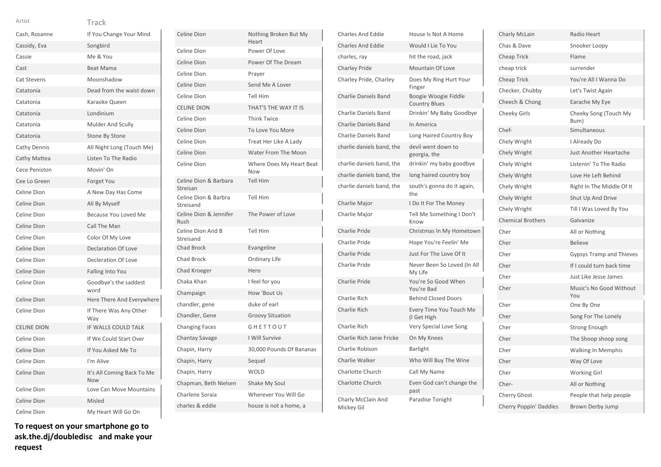| Artist             | Track                                    |
|--------------------|------------------------------------------|
| Cash, Rosanne      | If You Change Your Mind                  |
| Cassidy, Eva       | Songbird                                 |
| Cassie             | Me & You                                 |
| Cast               | <b>Beat Mama</b>                         |
| <b>Cat Stevens</b> | Moonshadow                               |
| Catatonia          | Dead from the waist down                 |
| Catatonia          | Karaoke Queen                            |
| Catatonia          | Londinium                                |
| Catatonia          | Mulder And Scully                        |
| Catatonia          | Stone By Stone                           |
| Cathy Dennis       | All Night Long (Touch Me)                |
| Cathy Mattea       | Listen To The Radio                      |
| Cece Peniston      | Movin' On                                |
| Cee Lo Green       | Forget You                               |
| Celine Dion        | A New Day Has Come                       |
| Celine Dion        | All By Myself                            |
| Celine Dion        | Because You Loved Me                     |
| Celine Dion        | Call The Man                             |
| Celine Dion        | Color Of My Love                         |
| Celine Dion        | <b>Declaration Of Love</b>               |
| Celine Dion        | Decleration Of Love                      |
| Celine Dion        | Falling Into You                         |
| Celine Dion        | Goodbye's the saddest<br>word            |
| Celine Dion        | Here There And Everywhere                |
| Celine Dion        | If There Was Any Other<br>Way            |
| <b>CELINE DION</b> | IF WALLS COULD TALK                      |
| Celine Dion        | If We Could Start Over                   |
| Celine Dion        | If You Asked Me To                       |
| Celine Dion        | I'm Alive                                |
| Celine Dion        | It's All Coming Back To Me<br><b>Now</b> |
| Celine Dion        | Love Can Move Mountains                  |
| Celine Dion        | Misled                                   |
| Celine Dion        | My Heart Will Go On                      |

| Celine Dion                       | Nothing Broken But My<br>Heart  |
|-----------------------------------|---------------------------------|
| Celine Dion                       | Power Of Love                   |
| Celine Dion                       | Power Of The Dream              |
| Celine Dion                       | Prayer                          |
| Celine Dion                       | Send Me A Lover                 |
| Celine Dion                       | <b>Tell Him</b>                 |
| <b>CELINE DION</b>                | THAT'S THE WAY IT IS            |
| Celine Dion                       | <b>Think Twice</b>              |
| Celine Dion                       | To Love You More                |
| Celine Dion                       | Treat Her Like A Lady           |
| Celine Dion                       | Water From The Moon             |
| Celine Dion                       | Where Does My Heart Beat<br>Now |
| Celine Dion & Barbara<br>Streisan | <b>Tell Him</b>                 |
| Celine Dion & Barbra<br>Streisand | <b>Tell Him</b>                 |
| Celine Dion & Jennifer<br>Rush    | The Power of Love               |
| Celine Dion And B<br>Streisand    | <b>Tell Him</b>                 |
| <b>Chad Brock</b>                 | Evangeline                      |
| Chad Brock                        | Ordinary Life                   |
| Chad Kroeger                      | Hero                            |
| Chaka Khan                        | I feel for you                  |
| Champaign                         | How 'Bout Us                    |
| chandler, gene                    | duke of earl                    |
| Chandler, Gene                    | <b>Groovy Situation</b>         |
| <b>Changing Faces</b>             | GHETTOUT                        |
| Chantay Savage                    | I Will Survive                  |
| Chapin, Harry                     | 30,000 Pounds Of Bananas        |
| Chapin, Harry                     | Sequel                          |
| Chapin, Harry                     | <b>WOLD</b>                     |
| Chapman, Beth Nielsen             | Shake My Soul                   |
| Charlene Soraia                   | Wherever You Will Go            |
| charles & eddie                   | house is not a home, a          |

| <b>Charles And Eddie</b>         | House Is Not A Home                          |
|----------------------------------|----------------------------------------------|
| <b>Charles And Eddie</b>         | Would I Lie To You                           |
| charles, ray                     | hit the road, jack                           |
| <b>Charley Pride</b>             | <b>Mountain Of Love</b>                      |
| Charley Pride, Charley           | Does My Ring Hurt Your<br>Finger             |
| <b>Charlie Daniels Band</b>      | Boogie Woogie Fiddle<br><b>Country Blues</b> |
| <b>Charlie Daniels Band</b>      | Drinkin' My Baby Goodbye                     |
| <b>Charlie Daniels Band</b>      | In America                                   |
| <b>Charlie Daniels Band</b>      | Long Haired Country Boy                      |
| charlie daniels band, the        | devil went down to<br>georgia, the           |
| charlie daniels band, the        | drinkin' my baby goodbye                     |
| charlie daniels band, the        | long haired country boy                      |
| charlie daniels band, the        | south's gonna do it again,<br>the            |
| Charlie Major                    | I Do It For The Money                        |
| Charlie Major                    | Tell Me Something I Don't<br>Know            |
| Charlie Pride                    | Christmas In My Hometown                     |
| Charlie Pride                    | Hope You're Feelin' Me                       |
| Charlie Pride                    | Just For The Love Of It                      |
| Charlie Pride                    | Never Been So Loved (In All<br>My Life       |
| Charlie Pride                    | You're So Good When<br>You're Bad            |
| Charlie Rich                     | <b>Behind Closed Doors</b>                   |
| Charlie Rich                     | Every Time You Touch Me<br>(I Get High       |
| Charlie Rich                     | Very Special Love Song                       |
| Charlie Rich Janie Fricke        | On My Knees                                  |
| Charlie Robison                  | <b>Barlight</b>                              |
| Charlie Walker                   | Who Will Buy The Wine                        |
| <b>Charlotte Church</b>          | Call My Name                                 |
| <b>Charlotte Church</b>          | Even God can't change the<br>past            |
| Charly McClain And<br>Mickey Gil | Paradise Tonight                             |

| Charly McLain            | Radio Heart                     |
|--------------------------|---------------------------------|
| Chas & Dave              | Snooker Loopy                   |
| <b>Cheap Trick</b>       | Flame                           |
| cheap trick              | surrender                       |
| <b>Cheap Trick</b>       | You're All I Wanna Do           |
| Checker, Chubby          | Let's Twist Again               |
| Cheech & Chong           | Earache My Eye                  |
| <b>Cheeky Girls</b>      | Cheeky Song (Touch My<br>Bum)   |
| Chef-                    | Simultaneous                    |
| Chely Wright             | I Already Do                    |
| Chely Wright             | Just Another Heartache          |
| Chely Wright             | Listenin' To The Radio          |
| Chely Wright             | Love He Left Behind             |
| Chely Wright             | Right In The Middle Of It       |
| Chely Wright             | Shut Up And Drive               |
| Chely Wright             | Till I Was Loved By You         |
| <b>Chemical Brothers</b> | Galvanize                       |
| Cher                     | All or Nothing                  |
| Cher                     | <b>Believe</b>                  |
| Cher                     | <b>Gypsys Tramp and Thieves</b> |
| Cher                     | If I could turn back time       |
| Cher                     | Just Like Jesse James           |
| Cher                     | Music's No Good Without<br>You  |
| Cher                     | One By One                      |
| Cher                     | Song For The Lonely             |
| Cher                     | <b>Strong Enough</b>            |
| Cher                     | The Shoop shoop song            |
| Cher                     | <b>Walking In Memphis</b>       |
| Cher                     | Way Of Love                     |
| Cher                     | Working Girl                    |
| Cher-                    | All or Nothing                  |
| Cherry Ghost             | People that help people         |
| Cherry Poppin' Daddies   | <b>Brown Derby Jump</b>         |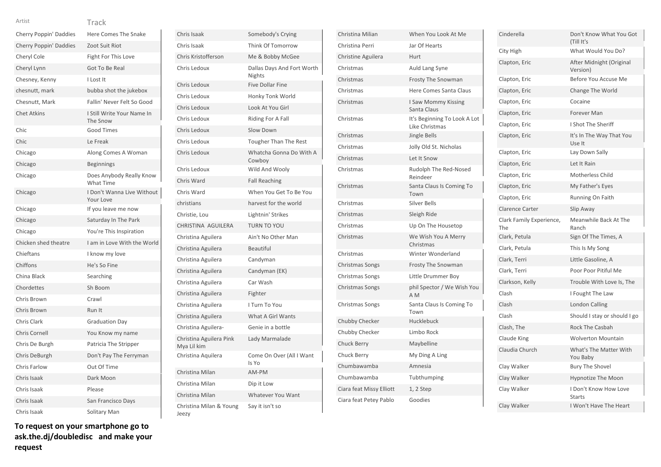| Artist                 | Track                                        |
|------------------------|----------------------------------------------|
| Cherry Poppin' Daddies | Here Comes The Snake                         |
| Cherry Poppin' Daddies | Zoot Suit Riot                               |
| Cheryl Cole            | Fight For This Love                          |
| Cheryl Lynn            | Got To Be Real                               |
| Chesney, Kenny         | I Lost It                                    |
| chesnutt, mark         | bubba shot the jukebox                       |
| Chesnutt, Mark         | Fallin' Never Felt So Good                   |
| <b>Chet Atkins</b>     | I Still Write Your Name In<br>The Snow       |
| Chic                   | <b>Good Times</b>                            |
| Chic                   | Le Freak                                     |
| Chicago                | Along Comes A Woman                          |
| Chicago                | <b>Beginnings</b>                            |
| Chicago                | Does Anybody Really Know<br><b>What Time</b> |
| Chicago                | I Don't Wanna Live Without<br>Your Love      |
| Chicago                | If you leave me now                          |
| Chicago                | Saturday In The Park                         |
| Chicago                | You're This Inspiration                      |
| Chicken shed theatre   | I am in Love With the World                  |
| Chieftans              | I know my love                               |
| Chiffons               | He's So Fine                                 |
| China Black            | Searching                                    |
| Chordettes             | Sh Boom                                      |
| Chris Brown            | Crawl                                        |
| Chris Brown            | Run It                                       |
| <b>Chris Clark</b>     | <b>Graduation Day</b>                        |
| Chris Cornell          | You Know my name                             |
| Chris De Burgh         | Patricia The Stripper                        |
| Chris DeBurgh          | Don't Pay The Ferryman                       |
| Chris Farlow           | Out Of Time                                  |
| Chris Isaak            | Dark Moon                                    |
| Chris Isaak            | Please                                       |
| Chris Isaak            | San Francisco Days                           |
| Chris Isaak            | Solitary Man                                 |

| Chris Isaak                            | Somebody's Crying                           |
|----------------------------------------|---------------------------------------------|
| Chris Isaak                            | Think Of Tomorrow                           |
| Chris Kristofferson                    | Me & Bobby McGee                            |
| Chris Ledoux                           | Dallas Days And Fort Worth<br><b>Nights</b> |
| Chris Ledoux                           | <b>Five Dollar Fine</b>                     |
| Chris Ledoux                           | Honky Tonk World                            |
| Chris Ledoux                           | Look At You Girl                            |
| Chris Ledoux                           | Riding For A Fall                           |
| Chris Ledoux                           | Slow Down                                   |
| Chris Ledoux                           | <b>Tougher Than The Rest</b>                |
| Chris Ledoux                           | Whatcha Gonna Do With A<br>Cowboy           |
| Chris Ledoux                           | Wild And Wooly                              |
| Chris Ward                             | <b>Fall Reaching</b>                        |
| Chris Ward                             | When You Get To Be You                      |
| christians                             | harvest for the world                       |
| Christie, Lou                          | Lightnin' Strikes                           |
| CHRISTINA AGUILERA                     | <b>TURN TO YOU</b>                          |
| Christina Aguilera                     | Ain't No Other Man                          |
| Christina Aguilera                     | <b>Beautiful</b>                            |
| Christina Aguilera                     | Candyman                                    |
| Christina Aguilera                     | Candyman (EK)                               |
| Christina Aguilera                     | Car Wash                                    |
| Christina Aguilera                     | Fighter                                     |
| Christina Aguilera                     | I Turn To You                               |
| Christina Aguilera                     | What A Girl Wants                           |
| Christina Aguilera-                    | Genie in a bottle                           |
| Christina Aguilera Pink<br>Mya Lil kim | Lady Marmalade                              |
| Christina Aquilera                     | Come On Over (All I Want<br>Is Yo           |
| Christina Milan                        | AM-PM                                       |
| Christina Milan                        | Dip it Low                                  |
| Christina Milan                        | <b>Whatever You Want</b>                    |
| Christina Milan & Young<br>Jeezy       | Say it isn't so                             |

| Christina Milian         | When You Look At Me                            |
|--------------------------|------------------------------------------------|
| Christina Perri          | Jar Of Hearts                                  |
| Christine Aguilera       | <b>Hurt</b>                                    |
| Christmas                | Auld Lang Syne                                 |
| Christmas                | <b>Frosty The Snowman</b>                      |
| Christmas                | Here Comes Santa Claus                         |
| Christmas                | I Saw Mommy Kissing<br>Santa Claus             |
| Christmas                | It's Beginning To Look A Lot<br>Like Christmas |
| Christmas                | Jingle Bells                                   |
| Christmas                | Jolly Old St. Nicholas                         |
| Christmas                | Let It Snow                                    |
| Christmas                | Rudolph The Red-Nosed<br>Reindeer              |
| Christmas                | Santa Claus Is Coming To<br>Town               |
| Christmas                | <b>Silver Bells</b>                            |
| Christmas                | Sleigh Ride                                    |
| Christmas                | Up On The Housetop                             |
| Christmas                | We Wish You A Merry<br>Christmas               |
| Christmas                | Winter Wonderland                              |
| <b>Christmas Songs</b>   | <b>Frosty The Snowman</b>                      |
| Christmas Songs          | Little Drummer Boy                             |
| Christmas Songs          | phil Spector / We Wish You<br>A M              |
| Christmas Songs          | Santa Claus Is Coming To<br>Town               |
| Chubby Checker           | Hucklebuck                                     |
| Chubby Checker           | Limbo Rock                                     |
| <b>Chuck Berry</b>       | Maybelline                                     |
| Chuck Berry              | My Ding A Ling                                 |
| Chumbawamba              | Amnesia                                        |
| Chumbawamba              | Tubthumping                                    |
| Ciara feat Missy Elliott | 1, 2 Step                                      |
| Ciara feat Petey Pablo   | Goodies                                        |

| Cinderella                      | Don't Know What You Got<br>(Till It's  |
|---------------------------------|----------------------------------------|
| City High                       | What Would You Do?                     |
| Clapton, Eric                   | After Midnight (Original<br>Version)   |
| Clapton, Eric                   | Before You Accuse Me                   |
| Clapton, Eric                   | Change The World                       |
| Clapton, Eric                   | Cocaine                                |
| Clapton, Eric                   | Forever Man                            |
| Clapton, Eric                   | I Shot The Sheriff                     |
| Clapton, Eric                   | It's In The Way That You<br>Use It     |
| Clapton, Eric                   | Lay Down Sally                         |
| Clapton, Eric                   | Let It Rain                            |
| Clapton, Eric                   | Motherless Child                       |
| Clapton, Eric                   | My Father's Eyes                       |
| Clapton, Eric                   | Running On Faith                       |
| <b>Clarence Carter</b>          | Slip Away                              |
| Clark Family Experience,<br>The | Meanwhile Back At The<br>Ranch         |
| Clark, Petula                   | Sign Of The Times, A                   |
| Clark, Petula                   | This Is My Song                        |
| Clark, Terri                    | Little Gasoline, A                     |
| Clark, Terri                    | Poor Poor Pitiful Me                   |
| Clarkson, Kelly                 | Trouble With Love Is, The              |
| Clash                           | I Fought The Law                       |
| Clash                           | London Calling                         |
| Clash                           | Should I stay or should I go           |
| Clash, The                      | <b>Rock The Casbah</b>                 |
| Claude King                     | <b>Wolverton Mountain</b>              |
| Claudia Church                  | What's The Matter With<br>You Baby     |
| Clay Walker                     | <b>Bury The Shovel</b>                 |
| Clay Walker                     | <b>Hypnotize The Moon</b>              |
| Clay Walker                     | I Don't Know How Love<br><b>Starts</b> |
| Clay Walker                     | I Won't Have The Heart                 |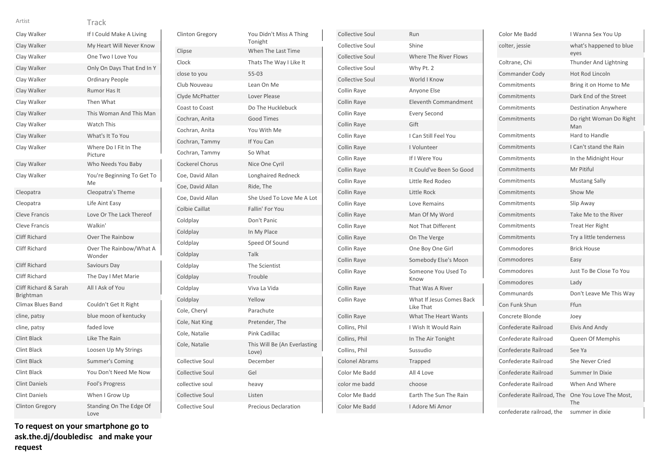Track

| Clay Walker                        | If I Could Make A Living          |
|------------------------------------|-----------------------------------|
| Clay Walker                        | My Heart Will Never Know          |
| Clay Walker                        | One Two I Love You                |
| Clay Walker                        | Only On Days That End In Y        |
| Clay Walker                        | <b>Ordinary People</b>            |
| Clay Walker                        | Rumor Has It                      |
| Clay Walker                        | Then What                         |
| Clay Walker                        | This Woman And This Man           |
| Clay Walker                        | <b>Watch This</b>                 |
| Clay Walker                        | What's It To You                  |
| Clay Walker                        | Where Do I Fit In The<br>Picture  |
| Clay Walker                        | Who Needs You Baby                |
| Clay Walker                        | You're Beginning To Get To<br>Me  |
| Cleopatra                          | Cleopatra's Theme                 |
| Cleopatra                          | Life Aint Easy                    |
| <b>Cleve Francis</b>               | Love Or The Lack Thereof          |
| <b>Cleve Francis</b>               | Walkin'                           |
| <b>Cliff Richard</b>               | Over The Rainbow                  |
| Cliff Richard                      | Over The Rainbow/What A<br>Wonder |
| <b>Cliff Richard</b>               | Saviours Day                      |
| Cliff Richard                      | The Day I Met Marie               |
| Cliff Richard & Sarah<br>Brightman | All I Ask of You                  |
| Climax Blues Band                  | Couldn't Get It Right             |
| cline, patsy                       | blue moon of kentucky             |
| cline, patsy                       | faded love                        |
| <b>Clint Black</b>                 | Like The Rain                     |
| <b>Clint Black</b>                 | Loosen Up My Strings              |
| <b>Clint Black</b>                 | Summer's Coming                   |
| Clint Black                        | You Don't Need Me Now             |
| <b>Clint Daniels</b>               | Fool's Progress                   |
| <b>Clint Daniels</b>               | When I Grow Up                    |
| <b>Clinton Gregory</b>             | Standing On The Edge Of<br>Love   |

| <b>Clinton Gregory</b> | You Didn't Miss A Thing<br>Tonight    |
|------------------------|---------------------------------------|
| Clipse                 | When The Last Time                    |
| Clock                  | Thats The Way I Like It               |
| close to you           | $55 - 03$                             |
| Club Nouveau           | Lean On Me                            |
| Clyde McPhatter        | Lover Please                          |
| Coast to Coast         | Do The Hucklebuck                     |
| Cochran, Anita         | <b>Good Times</b>                     |
| Cochran, Anita         | You With Me                           |
| Cochran, Tammy         | If You Can                            |
| Cochran, Tammy         | So What                               |
| <b>Cockerel Chorus</b> | Nice One Cyril                        |
| Coe, David Allan       | Longhaired Redneck                    |
| Coe, David Allan       | Ride, The                             |
| Coe, David Allan       | She Used To Love Me A Lot             |
| Colbie Caillat         | Fallin' For You                       |
| Coldplay               | Don't Panic                           |
| Coldplay               | In My Place                           |
| Coldplay               | Speed Of Sound                        |
| Coldplay               | Talk                                  |
| Coldplay               | The Scientist                         |
| Coldplay               | Trouble                               |
| Coldplay               | Viva La Vida                          |
| Coldplay               | Yellow                                |
| Cole, Cheryl           | Parachute                             |
| Cole, Nat King         | Pretender, The                        |
| Cole, Natalie          | Pink Cadillac                         |
| Cole, Natalie          | This Will Be (An Everlasting<br>Love) |
| Collective Soul        | December                              |
| <b>Collective Soul</b> | Gel                                   |
| collective soul        | heavy                                 |
| Collective Soul        | Listen                                |
| Collective Soul        | <b>Precious Declaration</b>           |
|                        |                                       |

| <b>Collective Soul</b> | Run                                   |
|------------------------|---------------------------------------|
| Collective Soul        | Shine                                 |
| <b>Collective Soul</b> | Where The River Flows                 |
| Collective Soul        | Why Pt. 2                             |
| Collective Soul        | World I Know                          |
| Collin Raye            | Anyone Else                           |
| Collin Raye            | <b>Eleventh Commandment</b>           |
| Collin Raye            | <b>Every Second</b>                   |
| Collin Raye            | Gift                                  |
| Collin Raye            | I Can Still Feel You                  |
| Collin Raye            | I Volunteer                           |
| Collin Raye            | If I Were You                         |
| Collin Raye            | It Could've Been So Good              |
| Collin Raye            | Little Red Rodeo                      |
| Collin Raye            | Little Rock                           |
| Collin Raye            | Love Remains                          |
| Collin Raye            | Man Of My Word                        |
| Collin Raye            | <b>Not That Different</b>             |
| Collin Raye            | On The Verge                          |
| Collin Raye            | One Boy One Girl                      |
| Collin Raye            | Somebody Else's Moon                  |
| Collin Raye            | Someone You Used To<br>Know           |
| Collin Raye            | That Was A River                      |
| Collin Raye            | What If Jesus Comes Back<br>Like That |
| Collin Raye            | What The Heart Wants                  |
| Collins, Phil          | I Wish It Would Rain                  |
| Collins, Phil          | In The Air Tonight                    |
| Collins, Phil          | Sussudio                              |
| <b>Colonel Abrams</b>  | Trapped                               |
| Color Me Badd          | All 4 Love                            |
| color me badd          | choose                                |
| Color Me Badd          | Earth The Sun The Rain                |
| Color Me Badd          | I Adore Mi Amor                       |

| Color Me Badd             | I Wanna Sex You Up              |
|---------------------------|---------------------------------|
| colter, jessie            | what's happened to blue<br>eyes |
| Coltrane, Chi             | Thunder And Lightning           |
| Commander Cody            | <b>Hot Rod Lincoln</b>          |
| Commitments               | Bring it on Home to Me          |
| Commitments               | Dark End of the Street          |
| Commitments               | <b>Destination Anywhere</b>     |
| Commitments               | Do right Woman Do Right<br>Man  |
| Commitments               | Hard to Handle                  |
| Commitments               | I Can't stand the Rain          |
| Commitments               | In the Midnight Hour            |
| Commitments               | Mr Pitiful                      |
| Commitments               | <b>Mustang Sally</b>            |
| Commitments               | Show Me                         |
| Commitments               | Slip Away                       |
| Commitments               | Take Me to the River            |
| Commitments               | <b>Treat Her Right</b>          |
| Commitments               | Try a little tenderness         |
| Commodores                | <b>Brick House</b>              |
| Commodores                | Easy                            |
| Commodores                | Just To Be Close To You         |
| Commodores                | Ladv                            |
| Communards                | Don't Leave Me This Way         |
| Con Funk Shun             | Ffun                            |
| Concrete Blonde           | Joey                            |
| Confederate Railroad      | Elvis And Andy                  |
| Confederate Railroad      | Queen Of Memphis                |
| Confederate Railroad      | See Ya                          |
| Confederate Railroad      | <b>She Never Cried</b>          |
| Confederate Railroad      | Summer In Dixie                 |
| Confederate Railroad      | When And Where                  |
| Confederate Railroad, The | One You Love The Most,<br>The   |
| confederate railroad, the | summer in dixie                 |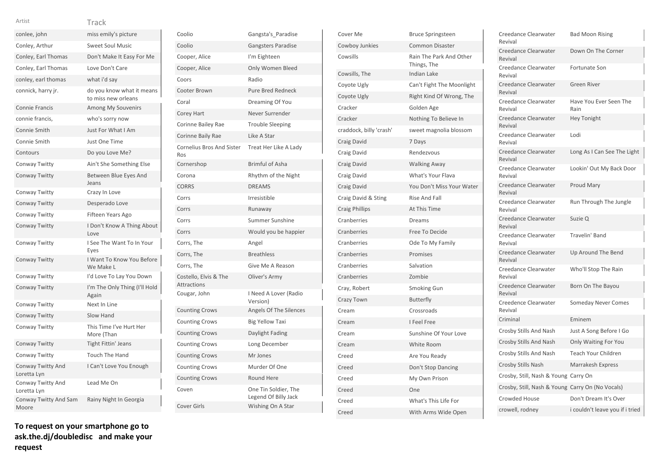### Track Artist

| conlee, john                     | miss emily's picture                             |
|----------------------------------|--------------------------------------------------|
| Conley, Arthur                   | <b>Sweet Soul Music</b>                          |
| Conley, Earl Thomas              | Don't Make It Easy For Me                        |
| Conley, Earl Thomas              | Love Don't Care                                  |
| conley, earl thomas              | what i'd say                                     |
| connick, harry jr.               | do you know what it means<br>to miss new orleans |
| <b>Connie Francis</b>            | Among My Souvenirs                               |
| connie francis,                  | who's sorry now                                  |
| Connie Smith                     | Just For What I Am                               |
| Connie Smith                     | Just One Time                                    |
| Contours                         | Do you Love Me?                                  |
| Conway Twitty                    | Ain't She Something Else                         |
| Conway Twitty                    | Between Blue Eyes And<br>Jeans                   |
| Conway Twitty                    | Crazy In Love                                    |
| Conway Twitty                    | Desperado Love                                   |
| Conway Twitty                    | Fifteen Years Ago                                |
| Conway Twitty                    | I Don't Know A Thing About<br>Love               |
| Conway Twitty                    | I See The Want To In Your<br>Eyes                |
| Conway Twitty                    | I Want To Know You Before<br>We Make L           |
| Conway Twitty                    | I'd Love To Lay You Down                         |
| Conway Twitty                    | I'm The Only Thing (I'll Hold<br>Again           |
| Conway Twitty                    | Next In Line                                     |
| Conway Twitty                    | Slow Hand                                        |
| Conway Twitty                    | This Time I've Hurt Her<br>More (Than            |
| <b>Conway Twitty</b>             | <b>Tight Fittin' Jeans</b>                       |
| Conway Twitty                    | <b>Touch The Hand</b>                            |
| Conway Twitty And<br>Loretta Lyn | I Can't Love You Enough                          |
| Conway Twitty And<br>Loretta Lyn | Lead Me On                                       |
| Conway Twitty And Sam<br>Moore   | Rainy Night In Georgia                           |

| Coolio                                      | Gangsta's Paradise                           |
|---------------------------------------------|----------------------------------------------|
| Coolio                                      | <b>Gangsters Paradise</b>                    |
| Cooper, Alice                               | I'm Eighteen                                 |
| Cooper, Alice                               | Only Women Bleed                             |
| Coors                                       | Radio                                        |
| Cooter Brown                                | <b>Pure Bred Redneck</b>                     |
| Coral                                       | Dreaming Of You                              |
| Corey Hart                                  | Never Surrender                              |
| Corinne Bailey Rae                          | <b>Trouble Sleeping</b>                      |
| Corinne Baily Rae                           | Like A Star                                  |
| <b>Cornelius Bros And Sister</b><br>Ros     | Treat Her Like A Lady                        |
| Cornershop                                  | <b>Brimful of Asha</b>                       |
| Corona                                      | Rhythm of the Night                          |
| <b>CORRS</b>                                | <b>DREAMS</b>                                |
| Corrs                                       | Irresistible                                 |
| Corrs                                       | Runaway                                      |
| Corrs                                       | Summer Sunshine                              |
| Corrs                                       | Would you be happier                         |
| Corrs, The                                  | Angel                                        |
| Corrs, The                                  | <b>Breathless</b>                            |
| Corrs, The                                  | Give Me A Reason                             |
| Costello, Elvis & The<br><b>Attractions</b> | Oliver's Army                                |
| Cougar, John                                | I Need A Lover (Radio<br>Version)            |
| <b>Counting Crows</b>                       | <b>Angels Of The Silences</b>                |
| <b>Counting Crows</b>                       | <b>Big Yellow Taxi</b>                       |
| <b>Counting Crows</b>                       | Daylight Fading                              |
| <b>Counting Crows</b>                       | Long December                                |
| <b>Counting Crows</b>                       | Mr Jones                                     |
| <b>Counting Crows</b>                       | Murder Of One                                |
| <b>Counting Crows</b>                       | <b>Round Here</b>                            |
| Coven                                       | One Tin Soldier, The<br>Legend Of Billy Jack |
| <b>Cover Girls</b>                          | Wishing On A Star                            |

| Cover Me                | <b>Bruce Springsteen</b>               |
|-------------------------|----------------------------------------|
| Cowboy Junkies          | <b>Common Disaster</b>                 |
| Cowsills                | Rain The Park And Other<br>Things, The |
| Cowsills, The           | Indian Lake                            |
| Coyote Ugly             | Can't Fight The Moonlight              |
| Coyote Ugly             | Right Kind Of Wrong, The               |
| Cracker                 | Golden Age                             |
| Cracker                 | Nothing To Believe In                  |
| craddock, billy 'crash' | sweet magnolia blossom                 |
| Craig David             | 7 Days                                 |
| Craig David             | Rendezvous                             |
| Craig David             | <b>Walking Away</b>                    |
| Craig David             | What's Your Flava                      |
| Craig David             | You Don't Miss Your Water              |
| Craig David & Sting     | <b>Rise And Fall</b>                   |
| <b>Craig Phillips</b>   | At This Time                           |
| Cranberries             | Dreams                                 |
| Cranberries             | Free To Decide                         |
| Cranberries             | Ode To My Family                       |
| Cranberries             | Promises                               |
| Cranberries             | Salvation                              |
| Cranberries             | Zombie                                 |
| Cray, Robert            | Smoking Gun                            |
| Crazy Town              | <b>Butterfly</b>                       |
| Cream                   | Crossroads                             |
| Cream                   | I Feel Free                            |
| Cream                   | Sunshine Of Your Love                  |
| Cream                   | White Room                             |
| Creed                   | Are You Ready                          |
| Creed                   | Don't Stop Dancing                     |
| Creed                   | My Own Prison                          |
| Creed                   | One                                    |
| Creed                   | What's This Life For                   |
| Creed                   | With Arms Wide Open                    |

| Creedance Clearwater<br>Revival                  | <b>Bad Moon Rising</b>          |
|--------------------------------------------------|---------------------------------|
| Creedance Clearwater<br>Revival                  | Down On The Corner              |
| Creedance Clearwater<br>Revival                  | Fortunate Son                   |
| Creedance Clearwater<br>Revival                  | <b>Green River</b>              |
| Creedance Clearwater<br>Revival                  | Have You Ever Seen The<br>Rain  |
| Creedance Clearwater<br>Revival                  | <b>Hey Tonight</b>              |
| Creedance Clearwater<br>Revival                  | Lodi                            |
| Creedance Clearwater<br>Revival                  | Long As I Can See The Light     |
| Creedance Clearwater<br>Revival                  | Lookin' Out My Back Door        |
| Creedance Clearwater<br>Revival                  | Proud Mary                      |
| Creedance Clearwater<br>Revival                  | Run Through The Jungle          |
| Creedance Clearwater<br>Revival                  | Suzie Q                         |
| Creedance Clearwater<br>Revival                  | Travelin' Band                  |
| Creedance Clearwater<br>Revival                  | Up Around The Bend              |
| Creedance Clearwater<br>Revival                  | Who'll Stop The Rain            |
| Creedence Clearwater<br>Revival                  | Born On The Bayou               |
| Creedence Clearwater<br>Revival                  | <b>Someday Never Comes</b>      |
| Criminal                                         | Eminem                          |
| Crosby Stills And Nash                           | Just A Song Before I Go         |
| Crosby Stills And Nash                           | <b>Only Waiting For You</b>     |
| Crosby Stills And Nash                           | Teach Your Children             |
| Crosby Stills Nash                               | Marrakesh Express               |
| Crosby, Still, Nash & Young Carry On             |                                 |
| Crosby, Still, Nash & Young Carry On (No Vocals) |                                 |
| Crowded House                                    | Don't Dream It's Over           |
| crowell, rodney                                  | i couldn't leave you if i tried |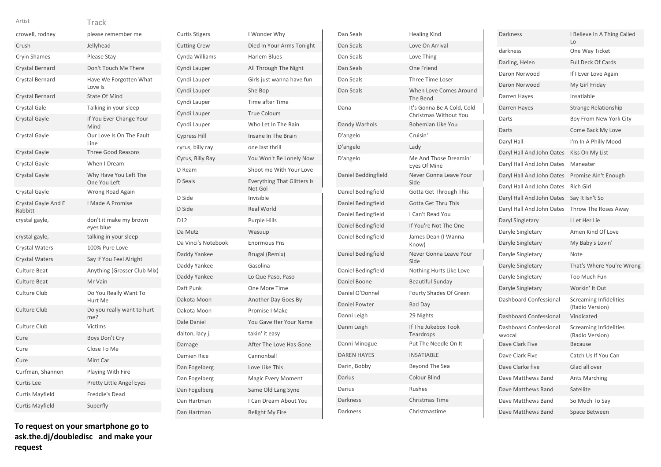| crowell, rodney                | please remember me                    |
|--------------------------------|---------------------------------------|
| Crush                          | Jellyhead                             |
| <b>Cryin Shames</b>            | Please Stay                           |
| Crystal Bernard                | Don't Touch Me There                  |
| Crystal Bernard                | Have We Forgotten What<br>Love Is     |
| Crystal Bernard                | <b>State Of Mind</b>                  |
| Crystal Gale                   | Talking in your sleep                 |
| Crystal Gayle                  | If You Ever Change Your<br>Mind       |
| Crystal Gayle                  | Our Love Is On The Fault<br>Line      |
| Crystal Gayle                  | <b>Three Good Reasons</b>             |
| Crystal Gayle                  | When I Dream                          |
| Crystal Gayle                  | Why Have You Left The<br>One You Left |
| Crystal Gayle                  | Wrong Road Again                      |
| Crystal Gayle And E<br>Rabbitt | <b>I Made A Promise</b>               |
| crystal gayle,                 | don't it make my brown<br>eyes blue   |
| crystal gayle,                 | talking in your sleep                 |
| Crystal Waters                 | 100% Pure Love                        |
| <b>Crystal Waters</b>          | Say If You Feel Alright               |
| Culture Beat                   | Anything (Grosser Club Mix)           |
| <b>Culture Beat</b>            | Mr Vain                               |
| Culture Club                   | Do You Really Want To<br>Hurt Me      |
| <b>Culture Club</b>            | Do you really want to hurt<br>me?     |
| Culture Club                   | Victims                               |
| Cure                           | Boys Don't Cry                        |
| Cure                           | Close To Me                           |
| Cure                           | Mint Car                              |
| Curfman, Shannon               | Playing With Fire                     |
| Curtis Lee                     | Pretty Little Angel Eyes              |
| Curtis Mayfield                | Freddie's Dead                        |
| <b>Curtis Mayfield</b>         | Superfly                              |

**To request on your smartphone go to ask.the.dj/doubledisc and make your request**

| <b>Curtis Stigers</b> | I Wonder Why                                  |
|-----------------------|-----------------------------------------------|
| <b>Cutting Crew</b>   | Died In Your Arms Tonight                     |
| Cynda Williams        | Harlem Blues                                  |
| Cyndi Lauper          | All Through The Night                         |
| Cyndi Lauper          | Girls just wanna have fun                     |
| Cyndi Lauper          | She Bop                                       |
| Cyndi Lauper          | <b>Time after Time</b>                        |
| Cyndi Lauper          | <b>True Colours</b>                           |
| Cyndi Lauper          | Who Let In The Rain                           |
| <b>Cypress Hill</b>   | Insane In The Brain                           |
| cyrus, billy ray      | one last thrill                               |
| Cyrus, Billy Ray      | You Won't Be Lonely Now                       |
| D Ream                | Shoot me With Your Love                       |
| D Seals               | <b>Everything That Glitters Is</b><br>Not Gol |
| D Side                | Invisible                                     |
| D Side                | <b>Real World</b>                             |
| D12                   | <b>Purple Hills</b>                           |
| Da Mutz               | Wasuup                                        |
| Da Vinci's Notebook   | <b>Enormous Pns</b>                           |
| Daddy Yankee          | Brugal (Remix)                                |
| Daddy Yankee          | Gasolina                                      |
| Daddy Yankee          | Lo Que Paso, Paso                             |
| Daft Punk             | One More Time                                 |
| Dakota Moon           | Another Day Goes By                           |
| Dakota Moon           | Promise I Make                                |
| Dale Daniel           | You Gave Her Your Name                        |
| dalton, lacy j.       | takin' it easy                                |
| Damage                | After The Love Has Gone                       |
| Damien Rice           | Cannonball                                    |
| Dan Fogelberg         | Love Like This                                |
| Dan Fogelberg         | <b>Magic Every Moment</b>                     |
| Dan Fogelberg         | Same Old Lang Syne                            |
| Dan Hartman           | I Can Dream About You                         |
| Dan Hartman           | <b>Relight My Fire</b>                        |

| Dan Seals           | <b>Healing Kind</b>                                 |
|---------------------|-----------------------------------------------------|
| Dan Seals           | Love On Arrival                                     |
| Dan Seals           | Love Thing                                          |
| Dan Seals           | One Friend                                          |
| Dan Seals           | Three Time Loser                                    |
| Dan Seals           | When Love Comes Around<br>The Bend                  |
| Dana                | It's Gonna Be A Cold, Cold<br>Christmas Without You |
| Dandy Warhols       | <b>Bohemian Like You</b>                            |
| D'angelo            | Cruisin'                                            |
| D'angelo            | Lady                                                |
| D'angelo            | Me And Those Dreamin'<br>Eves Of Mine               |
| Daniel Beddingfield | Never Gonna Leave Your<br>Side                      |
| Daniel Bedingfield  | Gotta Get Through This                              |
| Daniel Bedingfield  | <b>Gotta Get Thru This</b>                          |
| Daniel Bedingfield  | I Can't Read You                                    |
| Daniel Bedingfield  | If You're Not The One                               |
| Daniel Bedingfield  | James Dean (I Wanna<br>Know)                        |
| Daniel Bedingfield  | Never Gonna Leave Your<br>Side                      |
| Daniel Bedingfield  | Nothing Hurts Like Love                             |
| Daniel Boone        | <b>Beautiful Sunday</b>                             |
| Daniel O'Donnel     | Fourty Shades Of Green                              |
| Daniel Powter       | <b>Bad Day</b>                                      |
| Danni Leigh         | 29 Nights                                           |
| Danni Leigh         | If The Jukebox Took<br>Teardrops                    |
| Danni Minogue       | Put The Needle On It                                |
| <b>DAREN HAYES</b>  | <b>INSATIABLE</b>                                   |
| Darin, Bobby        | Beyond The Sea                                      |
| Darius              | Colour Blind                                        |
| Darius              | <b>Rushes</b>                                       |
| Darkness            | Christmas Time                                      |
| Darkness            | Christmastime                                       |

| Darkness                         | I Believe In A Thing Called<br>Lo                |
|----------------------------------|--------------------------------------------------|
| darkness                         | One Way Ticket                                   |
| Darling, Helen                   | <b>Full Deck Of Cards</b>                        |
| Daron Norwood                    | If I Ever Love Again                             |
| Daron Norwood                    | My Girl Friday                                   |
| Darren Hayes                     | Insatiable                                       |
| Darren Hayes                     | <b>Strange Relationship</b>                      |
| Darts                            | Boy From New York City                           |
| Darts                            | Come Back My Love                                |
| Daryl Hall                       | I'm In A Philly Mood                             |
| Daryl Hall And John Oates        | Kiss On My List                                  |
| Daryl Hall And John Oates        | Maneater                                         |
| Daryl Hall And John Oates        | Promise Ain't Enough                             |
| Daryl Hall And John Oates        | Rich Girl                                        |
| Daryl Hall And John Oates        | Say It Isn't So                                  |
| Daryl Hall And John Oates        | Throw The Roses Away                             |
| Daryl Singletary                 | I Let Her Lie                                    |
| Daryle Singletary                | Amen Kind Of Love                                |
| Daryle Singletary                | My Baby's Lovin'                                 |
| Daryle Singletary                | Note                                             |
| Daryle Singletary                | That's Where You're Wrong                        |
| Daryle Singletary                | Too Much Fun                                     |
| Daryle Singletary                | Workin' It Out                                   |
| Dashboard Confessional           | <b>Screaming Infidelities</b><br>(Radio Version) |
| Dashboard Confessional           | Vindicated                                       |
| Dashboard Confessional<br>wvocal | <b>Screaming Infidelities</b><br>(Radio Version) |
| Dave Clark Five                  | <b>Because</b>                                   |
| Dave Clark Five                  | Catch Us If You Can                              |
| Dave Clarke five                 | Glad all over                                    |
| Dave Matthews Band               | <b>Ants Marching</b>                             |
| Dave Matthews Band               | Satellite                                        |
| Dave Matthews Band               | So Much To Say                                   |
| Dave Matthews Band               | Space Between                                    |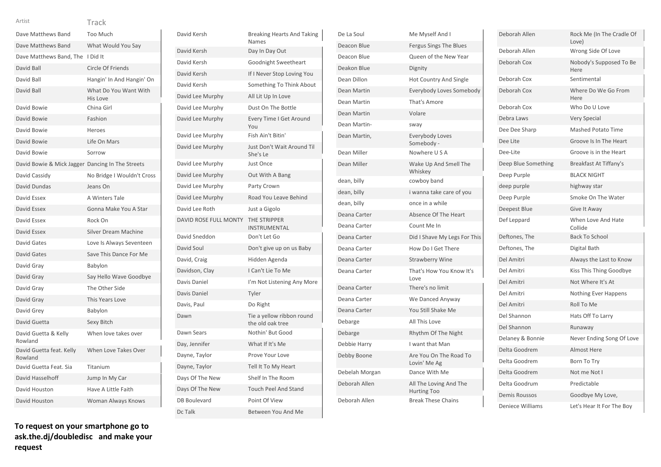| Dave Matthews Band                               | Too Much                          |
|--------------------------------------------------|-----------------------------------|
| Dave Matthews Band                               | What Would You Say                |
| Dave Matthews Band, The                          | I Did It                          |
| David Ball                                       | Circle Of Friends                 |
| David Ball                                       | Hangin' In And Hangin' On         |
| David Ball                                       | What Do You Want With<br>His Love |
| David Bowie                                      | China Girl                        |
| David Bowie                                      | Fashion                           |
| David Bowie                                      | Heroes                            |
| David Bowie                                      | Life On Mars                      |
| David Bowie                                      | Sorrow                            |
| David Bowie & Mick Jagger Dancing In The Streets |                                   |
| David Cassidy                                    | No Bridge I Wouldn't Cross        |
| David Dundas                                     | Jeans On                          |
| David Essex                                      | A Winters Tale                    |
| David Essex                                      | Gonna Make You A Star             |
| David Essex                                      | Rock On                           |
| David Essex                                      | Silver Dream Machine              |
| David Gates                                      | Love Is Always Seventeen          |
| David Gates                                      | Save This Dance For Me            |
| David Gray                                       | Babylon                           |
| David Gray                                       | Say Hello Wave Goodbye            |
| David Gray                                       | The Other Side                    |
| David Gray                                       | This Years Love                   |
| David Grey                                       | Babylon                           |
| David Guetta                                     | Sexy Bitch                        |
| David Guetta & Kelly<br>Rowland                  | When love takes over              |
| David Guetta feat. Kelly<br>Rowland              | When Love Takes Over              |
| David Guetta Feat. Sia                           | Titanium                          |
| David Hasselhoff                                 | Jump In My Car                    |
| David Houston                                    | Have A Little Faith               |

David Kersh Breaking Hearts And Taking Names David Kersh Day In Day Out David Kersh Goodnight Sweetheart David Kersh If I Never Stop Loving You David Kersh Something To Think About David Lee Murphy All Lit Up In Love David Lee Murphy Dust On The Bottle David Lee Murphy Every Time I Get Around You David Lee Murphy Fish Ain't Bitin' David Lee Murphy Just Don't Wait Around Til She's Le David Lee Murphy Just Once David Lee Murphy Out With A Bang David Lee Murphy Party Crown David Lee Murphy Road You Leave Behind David Lee Roth Just a Gigolo DAVID ROSE FULL MONTY THE STRIPPER INSTRUMENTAL David Sneddon Don't Let Go David Soul Don't give up on us Baby David, Craig **Hidden Agenda** Davidson, Clay I Can't Lie To Me Davis Daniel I'm Not Listening Any More Davis Daniel **Tyler** Davis, Paul **Do Right** Dawn Tie a yellow ribbon round the old oak tree Dawn Sears Nothin' But Good Day, Jennifer What If It's Me Dayne, Taylor **Prove Your Love** Dayne, Taylor Tell It To My Heart Days Of The New Shelf In The Room Days Of The New Touch Peel And Stand DB Boulevard Point Of View Dc Talk Between You And Me

| De La Soul         | Me Myself And I                              |
|--------------------|----------------------------------------------|
| Deacon Blue        | <b>Fergus Sings The Blues</b>                |
| Deacon Blue        | Queen of the New Year                        |
| Deakon Blue        | Dignity                                      |
| Dean Dillon        | <b>Hot Country And Single</b>                |
| <b>Dean Martin</b> | Everybody Loves Somebody                     |
| Dean Martin        | That's Amore                                 |
| <b>Dean Martin</b> | Volare                                       |
| Dean Martin-       | sway                                         |
| Dean Martin,       | Everybody Loves<br>Somebody -                |
| Dean Miller        | Nowhere USA                                  |
| Dean Miller        | Wake Up And Smell The<br>Whiskey             |
| dean, billy        | cowboy band                                  |
| dean, billy        | i wanna take care of you                     |
| dean, billy        | once in a while                              |
| Deana Carter       | Absence Of The Heart                         |
| Deana Carter       | Count Me In                                  |
| Deana Carter       | Did I Shave My Legs For This                 |
| Deana Carter       | How Do I Get There                           |
| Deana Carter       | <b>Strawberry Wine</b>                       |
| Deana Carter       | That's How You Know It's<br>Love             |
| Deana Carter       | There's no limit                             |
| Deana Carter       | We Danced Anyway                             |
| Deana Carter       | You Still Shake Me                           |
| Debarge            | All This Love                                |
| Debarge            | Rhythm Of The Night                          |
| Debbie Harry       | I want that Man                              |
| Debby Boone        | Are You On The Road To<br>Lovin' Me Ag       |
| Debelah Morgan     | Dance With Me                                |
| Deborah Allen      | All The Loving And The<br><b>Hurting Too</b> |
| Deborah Allen      | <b>Break These Chains</b>                    |

| Deborah Allen           | Rock Me (In The Cradle Of<br>Love) |
|-------------------------|------------------------------------|
| Deborah Allen           | Wrong Side Of Love                 |
| Deborah Cox             | Nobody's Supposed To Be<br>Here    |
| Deborah Cox             | Sentimental                        |
| Deborah Cox             | Where Do We Go From<br>Here        |
| Deborah Cox             | Who Do U Love                      |
| Debra Laws              | <b>Very Special</b>                |
| Dee Dee Sharp           | <b>Mashed Potato Time</b>          |
| Dee Lite                | Groove Is In The Heart             |
| Dee-Lite                | Groove is in the Heart             |
| Deep Blue Something     | Breakfast At Tiffany's             |
| Deep Purple             | <b>BLACK NIGHT</b>                 |
| deep purple             | highway star                       |
| Deep Purple             | Smoke On The Water                 |
| Deepest Blue            | Give It Away                       |
| Def Leppard             | When Love And Hate<br>Collide      |
| Deftones, The           | <b>Back To School</b>              |
| Deftones, The           | Digital Bath                       |
| Del Amitri              | Always the Last to Know            |
| Del Amitri              | Kiss This Thing Goodbye            |
| Del Amitri              | Not Where It's At                  |
| Del Amitri              | Nothing Ever Happens               |
| Del Amitri              | Roll To Me                         |
| Del Shannon             | Hats Off To Larry                  |
| Del Shannon             | Runaway                            |
| Delaney & Bonnie        | Never Ending Song Of Love          |
| Delta Goodrem           | <b>Almost Here</b>                 |
| Delta Goodrem           | Born To Try                        |
| Delta Goodrem           | Not me Not I                       |
| Delta Goodrum           | Predictable                        |
| <b>Demis Roussos</b>    | Goodbye My Love,                   |
| <b>Deniece Williams</b> | Let's Hear It For The Boy          |

**To request on your smartphone go to ask.the.dj/doubledisc and make your request**

David Houston Woman Always Knows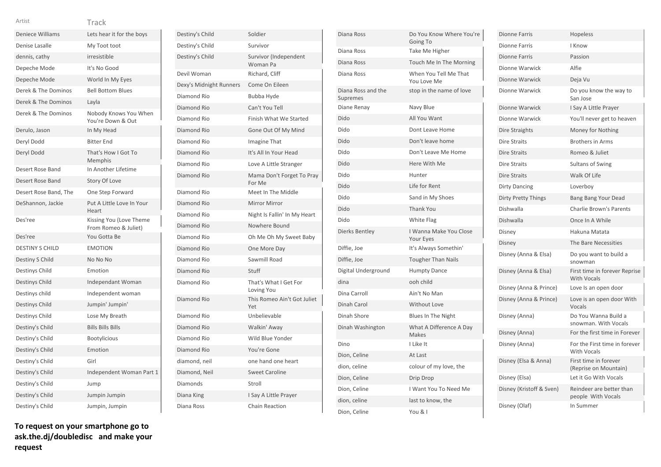| <b>Deniece Williams</b> | Lets hear it for the boys                       |
|-------------------------|-------------------------------------------------|
| Denise Lasalle          | My Toot toot                                    |
| dennis, cathy           | irresistible                                    |
| Depeche Mode            | It's No Good                                    |
| Depeche Mode            | World In My Eyes                                |
| Derek & The Dominos     | <b>Bell Bottom Blues</b>                        |
| Derek & The Dominos     | Layla                                           |
| Derek & The Dominos     | Nobody Knows You When<br>You're Down & Out      |
| Derulo, Jason           | In My Head                                      |
| Deryl Dodd              | <b>Bitter End</b>                               |
| Deryl Dodd              | That's How I Got To<br>Memphis                  |
| Desert Rose Band        | In Another Lifetime                             |
| Desert Rose Band        | Story Of Love                                   |
| Desert Rose Band, The   | One Step Forward                                |
| DeShannon, Jackie       | Put A Little Love In Your<br>Heart              |
| Des'ree                 | Kissing You (Love Theme<br>From Romeo & Juliet) |
| Des'ree                 | You Gotta Be                                    |
| <b>DESTINY S CHILD</b>  | <b>EMOTION</b>                                  |
| Destiny S Child         | No No No                                        |
| Destinys Child          | Emotion                                         |
| Destinys Child          | Independant Woman                               |
| Destinys child          | Independent woman                               |
| <b>Destinys Child</b>   | Jumpin' Jumpin'                                 |
| Destinys Child          | Lose My Breath                                  |
| Destiny's Child         | <b>Bills Bills Bills</b>                        |
| Destiny's Child         | <b>Bootylicious</b>                             |
| Destiny's Child         | Emotion                                         |
| Destiny's Child         | Girl                                            |
| Destiny's Child         | Independent Woman Part 1                        |
| Destiny's Child         | Jump                                            |
| Destiny's Child         | Jumpin Jumpin                                   |
| Destiny's Child         | Jumpin, Jumpin                                  |
|                         |                                                 |

| Destiny's Child         | Soldier                             |
|-------------------------|-------------------------------------|
| Destiny's Child         | Survivor                            |
| Destiny's Child         | Survivor (Independent<br>Woman Pa   |
| Devil Woman             | Richard, Cliff                      |
| Dexy's Midnight Runners | Come On Eileen                      |
| Diamond Rio             | <b>Bubba Hyde</b>                   |
| Diamond Rio             | Can't You Tell                      |
| Diamond Rio             | <b>Finish What We Started</b>       |
| Diamond Rio             | Gone Out Of My Mind                 |
| Diamond Rio             | Imagine That                        |
| Diamond Rio             | It's All In Your Head               |
| Diamond Rio             | Love A Little Stranger              |
| Diamond Rio             | Mama Don't Forget To Pray<br>For Me |
| Diamond Rio             | Meet In The Middle                  |
| Diamond Rio             | <b>Mirror Mirror</b>                |
| Diamond Rio             | Night Is Fallin' In My Heart        |
| Diamond Rio             | Nowhere Bound                       |
| Diamond Rio             | Oh Me Oh My Sweet Baby              |
| Diamond Rio             | One More Day                        |
| Diamond Rio             | Sawmill Road                        |
| Diamond Rio             | Stuff                               |
| Diamond Rio             | That's What I Get For<br>Loving You |
| Diamond Rio             | This Romeo Ain't Got Juliet<br>Yet  |
| Diamond Rio             | Unbelievable                        |
| Diamond Rio             | Walkin' Away                        |
| Diamond Rio             | Wild Blue Yonder                    |
| Diamond Rio             | You're Gone                         |
| diamond, neil           | one hand one heart                  |
| Diamond, Neil           | <b>Sweet Caroline</b>               |
| Diamonds                | Stroll                              |
| Diana King              | I Say A Little Prayer               |
| Diana Ross              | <b>Chain Reaction</b>               |

| Diana Ross                     | Do You Know Where You're<br>Going To |
|--------------------------------|--------------------------------------|
| Diana Ross                     | Take Me Higher                       |
| Diana Ross                     | Touch Me In The Morning              |
| Diana Ross                     | When You Tell Me That<br>You Love Me |
| Diana Ross and the<br>Supremes | stop in the name of love             |
| Diane Renay                    | Navy Blue                            |
| Dido                           | All You Want                         |
| Dido                           | Dont Leave Home                      |
| Dido                           | Don't leave home                     |
| Dido                           | Don't Leave Me Home                  |
| Dido                           | Here With Me                         |
| Dido                           | Hunter                               |
| Dido                           | Life for Rent                        |
| Dido                           | Sand in My Shoes                     |
| Dido                           | <b>Thank You</b>                     |
| Dido                           | White Flag                           |
| Dierks Bentley                 | I Wanna Make You Close<br>Your Eyes  |
| Diffie, Joe                    | It's Always Somethin'                |
| Diffie, Joe                    | <b>Tougher Than Nails</b>            |
| Digital Underground            | <b>Humpty Dance</b>                  |
| dina                           | ooh child                            |
| Dina Carroll                   | Ain't No Man                         |
| Dinah Carol                    | <b>Without Love</b>                  |
| Dinah Shore                    | Blues In The Night                   |
| Dinah Washington               | What A Difference A Day<br>Makes     |
| Dino                           | I Like It                            |
| Dion, Celine                   | At Last                              |
| dion, celine                   | colour of my love, the               |
| Dion, Celine                   | Drip Drop                            |
| Dion, Celine                   | I Want You To Need Me                |
| dion, celine                   | last to know, the                    |
| Dion. Celine                   | You & I                              |

| Dionne Farris              | <b>Hopeless</b>                                     |
|----------------------------|-----------------------------------------------------|
| <b>Dionne Farris</b>       | I Know                                              |
| <b>Dionne Farris</b>       | Passion                                             |
| Dionne Warwick             | Alfie                                               |
| Dionne Warwick             | Deja Vu                                             |
| Dionne Warwick             | Do you know the way to<br>San Jose                  |
| Dionne Warwick             | I Say A Little Prayer                               |
| Dionne Warwick             | You'll never get to heaven                          |
| Dire Straights             | Money for Nothing                                   |
| Dire Straits               | <b>Brothers in Arms</b>                             |
| <b>Dire Straits</b>        | Romeo & Juliet                                      |
| <b>Dire Straits</b>        | Sultans of Swing                                    |
| Dire Straits               | Walk Of Life                                        |
| <b>Dirty Dancing</b>       | Loverboy                                            |
| <b>Dirty Pretty Things</b> | Bang Bang Your Dead                                 |
| Dishwalla                  | <b>Charlie Brown's Parents</b>                      |
| Dishwalla                  | Once In A While                                     |
| Disney                     | Hakuna Matata                                       |
| Disney                     | The Bare Necessities                                |
| Disney (Anna & Elsa)       | Do you want to build a<br>snowman                   |
| Disney (Anna & Elsa)       | First time in forever Reprise<br><b>With Vocals</b> |
| Disney (Anna & Prince)     | Love Is an open door                                |
| Disney (Anna & Prince)     | Love is an open door With<br>Vocals                 |
| Disney (Anna)              | Do You Wanna Build a<br>snowman. With Vocals        |
| Disney (Anna)              | For the first time in Forever                       |
| Disney (Anna)              | For the First time in forever<br><b>With Vocals</b> |
| Disney (Elsa & Anna)       | First time in forever<br>(Reprise on Mountain)      |
| Disney (Elsa)              | Let it Go With Vocals                               |
| Disney (Kristoff & Sven)   | Reindeer are better than<br>people With Vocals      |
| Disney (Olaf)              | In Summer                                           |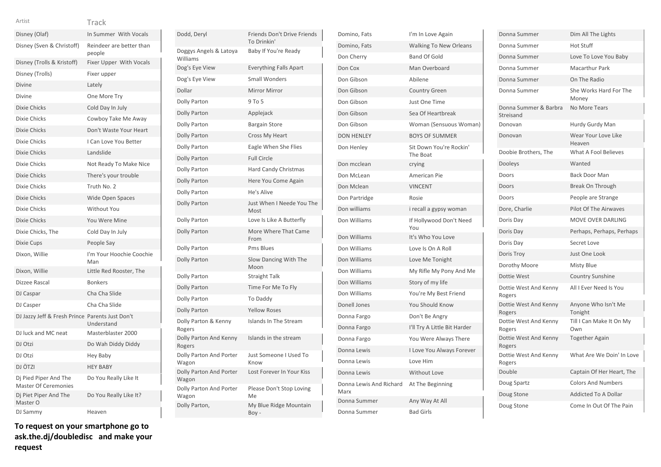| × | × | × |  |
|---|---|---|--|

Track

| Disney (Olaf)                                        | In Summer With Vocals              |
|------------------------------------------------------|------------------------------------|
| Disney (Sven & Christoff)                            | Reindeer are better than<br>people |
| Disney (Trolls & Kristoff)                           | <b>Fixer Upper With Vocals</b>     |
| Disney (Trolls)                                      | Fixer upper                        |
| <b>Divine</b>                                        | Lately                             |
| Divine                                               | One More Try                       |
| <b>Dixie Chicks</b>                                  | Cold Day In July                   |
| Dixie Chicks                                         | Cowboy Take Me Away                |
| Dixie Chicks                                         | Don't Waste Your Heart             |
| Dixie Chicks                                         | I Can Love You Better              |
| <b>Dixie Chicks</b>                                  | Landslide                          |
| Dixie Chicks                                         | Not Ready To Make Nice             |
| <b>Dixie Chicks</b>                                  | There's your trouble               |
| Dixie Chicks                                         | Truth No. 2                        |
| <b>Dixie Chicks</b>                                  | <b>Wide Open Spaces</b>            |
| Dixie Chicks                                         | <b>Without You</b>                 |
| <b>Dixie Chicks</b>                                  | You Were Mine                      |
| Dixie Chicks, The                                    | Cold Day In July                   |
| Dixie Cups                                           | People Say                         |
| Dixon, Willie                                        | I'm Your Hoochie Coochie<br>Man    |
| Dixon, Willie                                        | Little Red Rooster, The            |
| Dizzee Rascal                                        | <b>Bonkers</b>                     |
| DJ Caspar                                            | Cha Cha Slide                      |
| DJ Casper                                            | Cha Cha Slide                      |
| DJ Jazzy Jeff & Fresh Prince Parents Just Don't      | Understand                         |
| DJ luck and MC neat                                  | Masterblaster 2000                 |
| DJ Otzi                                              | Do Wah Diddy Diddy                 |
| DJ Otzi                                              | <b>Hey Baby</b>                    |
| DJ ÖTZI                                              | <b>HEY BABY</b>                    |
| Dj Pied Piper And The<br><b>Master Of Ceremonies</b> | Do You Really Like It              |
| Dj Piet Piper And The<br>Master O                    | Do You Really Like It?             |
| DJ Sammy                                             | Heaven                             |

**To request on your smartphone go to ask.the.dj/doubledisc and make your request**

| Dodd, Deryl                        | Friends Don't Drive Friends<br>To Drinkin' |
|------------------------------------|--------------------------------------------|
| Doggys Angels & Latoya<br>Williams | Baby If You're Ready                       |
| Dog's Eye View                     | <b>Everything Falls Apart</b>              |
| Dog's Eye View                     | <b>Small Wonders</b>                       |
| Dollar                             | <b>Mirror Mirror</b>                       |
| Dolly Parton                       | 9 To 5                                     |
| <b>Dolly Parton</b>                | Applejack                                  |
| <b>Dolly Parton</b>                | <b>Bargain Store</b>                       |
| <b>Dolly Parton</b>                | <b>Cross My Heart</b>                      |
| Dolly Parton                       | Eagle When She Flies                       |
| <b>Dolly Parton</b>                | <b>Full Circle</b>                         |
| Dolly Parton                       | <b>Hard Candy Christmas</b>                |
| <b>Dolly Parton</b>                | Here You Come Again                        |
| Dolly Parton                       | He's Alive                                 |
| <b>Dolly Parton</b>                | Just When I Neede You The<br>Most          |
| Dolly Parton                       | Love Is Like A Butterfly                   |
| Dolly Parton                       | More Where That Came<br>From               |
| Dolly Parton                       | <b>Pms Blues</b>                           |
| <b>Dolly Parton</b>                | Slow Dancing With The<br>Moon              |
| <b>Dolly Parton</b>                | <b>Straight Talk</b>                       |
| <b>Dolly Parton</b>                | Time For Me To Fly                         |
| Dolly Parton                       | <b>To Daddy</b>                            |
| <b>Dolly Parton</b>                | <b>Yellow Roses</b>                        |
| Dolly Parton & Kenny<br>Rogers     | Islands In The Stream                      |
| Dolly Parton And Kenny<br>Rogers   | Islands in the stream                      |
| Dolly Parton And Porter<br>Wagon   | Just Someone I Used To<br>Know             |
| Dolly Parton And Porter<br>Wagon   | Lost Forever In Your Kiss                  |
| Dolly Parton And Porter<br>Wagon   | Please Don't Stop Loving<br>Me             |
| Dolly Parton,                      | My Blue Ridge Mountain<br>Boy-             |
|                                    |                                            |

| Domino, Fats                    | I'm In Love Again                   |
|---------------------------------|-------------------------------------|
| Domino, Fats                    | <b>Walking To New Orleans</b>       |
| Don Cherry                      | <b>Band Of Gold</b>                 |
| Don Cox                         | Man Overboard                       |
| Don Gibson                      | Abilene                             |
| Don Gibson                      | <b>Country Green</b>                |
| Don Gibson                      | Just One Time                       |
| Don Gibson                      | Sea Of Heartbreak                   |
| Don Gibson                      | Woman (Sensuous Woman)              |
| <b>DON HENLEY</b>               | <b>BOYS OF SUMMER</b>               |
| Don Henley                      | Sit Down You're Rockin'<br>The Boat |
| Don mcclean                     | crying                              |
| Don McLean                      | American Pie                        |
| Don Mclean                      | <b>VINCENT</b>                      |
| Don Partridge                   | Rosie                               |
| Don williams                    | i recall a gypsy woman              |
| Don Williams                    | If Hollywood Don't Need<br>You      |
| Don Williams                    | It's Who You Love                   |
| Don Williams                    | Love Is On A Roll                   |
| Don Williams                    | Love Me Tonight                     |
| Don Williams                    | My Rifle My Pony And Me             |
| Don Williams                    | Story of my life                    |
| Don Williams                    | You're My Best Friend               |
| Donell Jones                    | <b>You Should Know</b>              |
| Donna Fargo                     | Don't Be Angry                      |
| Donna Fargo                     | I'll Try A Little Bit Harder        |
| Donna Fargo                     | You Were Always There               |
| Donna Lewis                     | I Love You Always Forever           |
| Donna Lewis                     | Love Him                            |
| Donna Lewis                     | <b>Without Love</b>                 |
| Donna Lewis And Richard<br>Marx | At The Beginning                    |
| Donna Summer                    | Any Way At All                      |
| Donna Summer                    | <b>Bad Girls</b>                    |

| Donna Summer                       | Dim All The Lights              |
|------------------------------------|---------------------------------|
| Donna Summer                       | <b>Hot Stuff</b>                |
| Donna Summer                       | Love To Love You Baby           |
| Donna Summer                       | <b>Macarthur Park</b>           |
| Donna Summer                       | On The Radio                    |
| Donna Summer                       | She Works Hard For The<br>Money |
| Donna Summer & Barbra<br>Streisand | No More Tears                   |
| Donovan                            | Hurdy Gurdy Man                 |
| Donovan                            | Wear Your Love Like<br>Heaven   |
| Doobie Brothers, The               | What A Fool Believes            |
| Dooleys                            | Wanted                          |
| Doors                              | <b>Back Door Man</b>            |
| Doors                              | Break On Through                |
| Doors                              | People are Strange              |
| Dore, Charlie                      | <b>Pilot Of The Airwaves</b>    |
| Doris Day                          | MOVE OVER DARLING               |
| Doris Day                          | Perhaps, Perhaps, Perhaps       |
| Doris Day                          | Secret Love                     |
| Doris Troy                         | Just One Look                   |
| Dorothy Moore                      | <b>Misty Blue</b>               |
| Dottie West                        | <b>Country Sunshine</b>         |
| Dottie West And Kenny<br>Rogers    | All I Ever Need Is You          |
| Dottie West And Kenny<br>Rogers    | Anyone Who Isn't Me<br>Tonight  |
| Dottie West And Kenny<br>Rogers    | Till I Can Make It On My<br>Own |
| Dottie West And Kenny<br>Rogers    | <b>Together Again</b>           |
| Dottie West And Kenny<br>Rogers    | What Are We Doin' In Love       |
| Double                             | Captain Of Her Heart, The       |
| Doug Spartz                        | <b>Colors And Numbers</b>       |
| Doug Stone                         | <b>Addicted To A Dollar</b>     |
| Doug Stone                         | Come In Out Of The Pain         |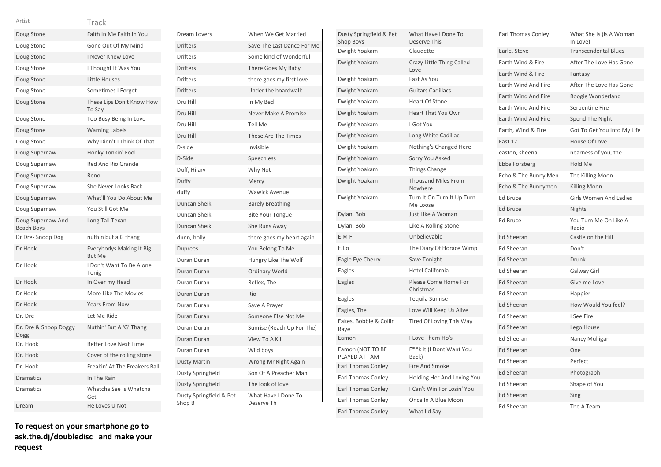|  | - 3 |  |
|--|-----|--|
|  |     |  |

| Artist                                 | Track                                     |
|----------------------------------------|-------------------------------------------|
| Doug Stone                             | Faith In Me Faith In You                  |
| Doug Stone                             | Gone Out Of My Mind                       |
| Doug Stone                             | I Never Knew Love                         |
| Doug Stone                             | I Thought It Was You                      |
| Doug Stone                             | Little Houses                             |
| Doug Stone                             | Sometimes I Forget                        |
| Doug Stone                             | These Lips Don't Know How<br>To Say       |
| Doug Stone                             | Too Busy Being In Love                    |
| Doug Stone                             | <b>Warning Labels</b>                     |
| Doug Stone                             | Why Didn't I Think Of That                |
| Doug Supernaw                          | Honky Tonkin' Fool                        |
| Doug Supernaw                          | Red And Rio Grande                        |
| Doug Supernaw                          | Reno                                      |
| Doug Supernaw                          | She Never Looks Back                      |
| Doug Supernaw                          | What'll You Do About Me                   |
| Doug Supernaw                          | You Still Got Me                          |
| Doug Supernaw And<br><b>Beach Boys</b> | Long Tall Texan                           |
| Dr Dre-Snoop Dog                       | nuthin but a G thang                      |
| Dr Hook                                | Everybodys Making It Big<br><b>But Me</b> |
| Dr Hook                                | I Don't Want To Be Alone<br>Tonig         |
| Dr Hook                                | In Over my Head                           |
| Dr Hook                                | More Like The Movies                      |
| Dr Hook                                | <b>Years From Now</b>                     |
| Dr. Dre                                | Let Me Ride                               |
| Dr. Dre & Snoop Doggy<br>Dogg          | Nuthin' But A 'G' Thang                   |
| Dr. Hook                               | <b>Better Love Next Time</b>              |
| Dr. Hook                               | Cover of the rolling stone                |
| Dr. Hook                               | Freakin' At The Freakers Ball             |
| <b>Dramatics</b>                       | In The Rain                               |
| Dramatics                              | Whatcha See Is Whatcha<br>Get             |
| Dream                                  | He Loves U Not                            |
|                                        |                                           |

| Dream Lovers                      | When We Get Married               |
|-----------------------------------|-----------------------------------|
| <b>Drifters</b>                   | Save The Last Dance For Me        |
| <b>Drifters</b>                   | Some kind of Wonderful            |
| <b>Drifters</b>                   | There Goes My Baby                |
| <b>Drifters</b>                   | there goes my first love          |
| <b>Drifters</b>                   | Under the boardwalk               |
| Dru Hill                          | In My Bed                         |
| Dru Hill                          | Never Make A Promise              |
| Dru Hill                          | <b>Tell Me</b>                    |
| Dru Hill                          | These Are The Times               |
| D-side                            | Invisible                         |
| D-Side                            | Speechless                        |
| Duff, Hilary                      | Why Not                           |
| Duffy                             | Mercy                             |
| duffy                             | <b>Wawick Avenue</b>              |
| Duncan Sheik                      | <b>Barely Breathing</b>           |
| Duncan Sheik                      | <b>Bite Your Tongue</b>           |
| Duncan Sheik                      | She Runs Away                     |
| dunn, holly                       | there goes my heart again         |
| <b>Duprees</b>                    | You Belong To Me                  |
| Duran Duran                       | Hungry Like The Wolf              |
| <b>Duran Duran</b>                | Ordinary World                    |
| Duran Duran                       | Reflex, The                       |
| Duran Duran                       | Rio                               |
| Duran Duran                       | Save A Prayer                     |
| Duran Duran                       | Someone Else Not Me               |
| Duran Duran                       | Sunrise (Reach Up For The)        |
| Duran Duran                       | View To A Kill                    |
| Duran Duran                       | Wild boys                         |
| <b>Dusty Martin</b>               | Wrong Mr Right Again              |
| Dusty Springfield                 | Son Of A Preacher Man             |
| Dusty Springfield                 | The look of love                  |
| Dusty Springfield & Pet<br>Shop B | What Have I Done To<br>Deserve Th |

| Dusty Springfield & Pet<br>Shop Boys | What Have I Done To<br>Deserve This    |
|--------------------------------------|----------------------------------------|
| Dwight Yoakam                        | Claudette                              |
| Dwight Yoakam                        | Crazy Little Thing Called<br>Love      |
| Dwight Yoakam                        | Fast As You                            |
| Dwight Yoakam                        | <b>Guitars Cadillacs</b>               |
| Dwight Yoakam                        | <b>Heart Of Stone</b>                  |
| Dwight Yoakam                        | <b>Heart That You Own</b>              |
| Dwight Yoakam                        | I Got You                              |
| Dwight Yoakam                        | Long White Cadillac                    |
| Dwight Yoakam                        | Nothing's Changed Here                 |
| Dwight Yoakam                        | Sorry You Asked                        |
| Dwight Yoakam                        | <b>Things Change</b>                   |
| Dwight Yoakam                        | <b>Thousand Miles From</b><br>Nowhere  |
| Dwight Yoakam                        | Turn It On Turn It Up Turn<br>Me Loose |
| Dylan, Bob                           | Just Like A Woman                      |
| Dylan, Bob                           | Like A Rolling Stone                   |
| E M F                                | Unbelievable                           |
| E.I.o                                | The Diary Of Horace Wimp               |
| Eagle Eye Cherry                     | Save Tonight                           |
| Eagles                               | <b>Hotel California</b>                |
| Eagles                               | Please Come Home For<br>Christmas      |
| Eagles                               | Tequila Sunrise                        |
| Eagles, The                          | Love Will Keep Us Alive                |
| Eakes, Bobbie & Collin<br>Raye       | Tired Of Loving This Way               |
| Eamon                                | I Love Them Ho's                       |
| Eamon (NOT TO BE<br>PLAYED AT FAM    | F**k It (I Dont Want You<br>Back)      |
| <b>Earl Thomas Conley</b>            | <b>Fire And Smoke</b>                  |
| <b>Earl Thomas Conley</b>            | Holding Her And Loving You             |
| <b>Earl Thomas Conley</b>            | I Can't Win For Losin' You             |
| <b>Earl Thomas Conley</b>            | Once In A Blue Moon                    |
| <b>Earl Thomas Conley</b>            | What I'd Say                           |

| Earl Thomas Conley   | What She Is (Is A Woman<br>In Love) |
|----------------------|-------------------------------------|
| Earle, Steve         | <b>Transcendental Blues</b>         |
| Earth Wind & Fire    | After The Love Has Gone             |
| Earth Wind & Fire    | Fantasy                             |
| Earth Wind And Fire  | After The Love Has Gone             |
| Earth Wind And Fire  | Boogie Wonderland                   |
| Earth Wind And Fire  | Serpentine Fire                     |
| Earth Wind And Fire  | Spend The Night                     |
| Earth, Wind & Fire   | Got To Get You Into My Life         |
| East 17              | House Of Love                       |
| easton, sheena       | nearness of you, the                |
| Ebba Forsberg        | Hold Me                             |
| Echo & The Bunny Men | The Killing Moon                    |
| Echo & The Bunnymen  | Killing Moon                        |
| <b>Ed Bruce</b>      | <b>Girls Women And Ladies</b>       |
| <b>Ed Bruce</b>      | Nights                              |
| <b>Ed Bruce</b>      | You Turn Me On Like A<br>Radio      |
| <b>Ed Sheeran</b>    | Castle on the Hill                  |
| <b>Ed Sheeran</b>    | Don't                               |
| <b>Ed Sheeran</b>    | Drunk                               |
| <b>Ed Sheeran</b>    | Galway Girl                         |
| <b>Ed Sheeran</b>    | Give me Love                        |
| <b>Ed Sheeran</b>    | Happier                             |
| <b>Ed Sheeran</b>    | How Would You feel?                 |
| <b>Ed Sheeran</b>    | I See Fire                          |
| <b>Ed Sheeran</b>    | Lego House                          |
| <b>Ed Sheeran</b>    | Nancy Mulligan                      |
| <b>Ed Sheeran</b>    | One                                 |
| Ed Sheeran           | Perfect                             |
| <b>Ed Sheeran</b>    | Photograph                          |
| Ed Sheeran           | Shape of You                        |
| <b>Ed Sheeran</b>    | Sing                                |
| <b>Ed Sheeran</b>    | The A Team                          |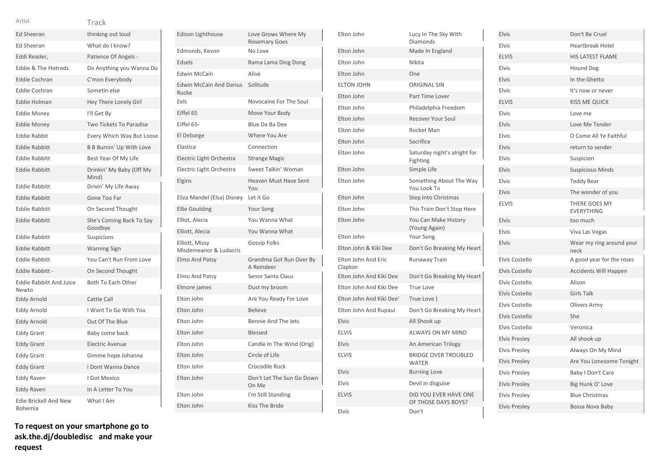| Arti |  |
|------|--|

| Artist                                  | Track                               |
|-----------------------------------------|-------------------------------------|
| <b>Ed Sheeran</b>                       | thinking out loud                   |
| <b>Ed Sheeran</b>                       | What do I know?                     |
| Eddi Reader,                            | Patience Of Angels -                |
| <b>Eddie &amp; The Hotrods</b>          | Do Anything you Wanna Do            |
| <b>Eddie Cochran</b>                    | C'mon Everybody                     |
| <b>Eddie Cochran</b>                    | Sometin else                        |
| <b>Eddie Holman</b>                     | Hey There Lonely Girl               |
| <b>Eddie Money</b>                      | I'll Get By                         |
| <b>Eddie Money</b>                      | <b>Two Tickets To Paradise</b>      |
| <b>Eddie Rabbit</b>                     | Every Which Way But Loose           |
| <b>Eddie Rabbitt</b>                    | <b>B B Burnin' Up With Love</b>     |
| <b>Eddie Rabbitt</b>                    | Best Year Of My Life                |
| <b>Eddie Rabbitt</b>                    | Drinkin' My Baby (Off My<br>Mind)   |
| <b>Eddie Rabbitt</b>                    | Drivin' My Life Away                |
| <b>Eddie Rabbitt</b>                    | Gone Too Far                        |
| <b>Eddie Rabbitt</b>                    | On Second Thought                   |
| <b>Eddie Rabbitt</b>                    | She's Coming Back To Say<br>Goodbye |
| <b>Eddie Rabbitt</b>                    | Suspicions                          |
| <b>Eddie Rabbitt</b>                    | <b>Warning Sign</b>                 |
| <b>Eddie Rabbitt</b>                    | You Can't Run From Love             |
| Eddie Rabbitt -                         | On Second Thought                   |
| <b>Eddie Rabbitt And Juice</b><br>Newto | Both To Each Other                  |
| <b>Eddy Arnold</b>                      | Cattle Call                         |
| Eddy Arnold                             | I Want To Go With You               |
| <b>Eddy Arnold</b>                      | Out Of The Blue                     |
| <b>Eddy Grant</b>                       | Baby come back                      |
| <b>Eddy Grant</b>                       | <b>Electric Avenue</b>              |
| <b>Eddy Grant</b>                       | Gimme hope Johanna                  |
| <b>Eddy Grant</b>                       | i Dont Wanna Dance                  |
| Eddy Raven                              | I Got Mexico                        |
| <b>Eddy Raven</b>                       | In A Letter To You                  |
| <b>Edie Brickell And New</b><br>Bohemia | What I Am                           |

| <b>Edison Lighthouse</b>                 | Love Grows Where My<br><b>Rosemary Goes</b> |
|------------------------------------------|---------------------------------------------|
| Edmonds, Kevon                           | No Love                                     |
| Edsels                                   | Rama Lama Ding Dong                         |
| <b>Edwin McCain</b>                      | Alive                                       |
| <b>Edwin McCain And Darius</b><br>Rucke  | Solitude                                    |
| Eels                                     | Novocaine For The Soul                      |
| Eiffel 65                                | Move Your Body                              |
| Eiffel 65-                               | Blue Da Ba Dee                              |
| El Debarge                               | Where You Are                               |
| Elastica                                 | Connection                                  |
| Electric Light Orchestra                 | <b>Strange Magic</b>                        |
| Electric Light Orchestra                 | Sweet Talkin' Woman                         |
| Elgins                                   | <b>Heaven Must Have Sent</b><br>You         |
| Eliza Mandel (Elsa) Disney               | Let it Go                                   |
| <b>Ellie Goulding</b>                    | Your Song                                   |
| Elliot, Alecia                           | You Wanna What                              |
| Elliott, Alecia                          | You Wanna What                              |
| Elliott, Missy<br>Misdemeanor & Ludacris | <b>Gossip Folks</b>                         |
| <b>Elmo And Patsy</b>                    | Grandma Got Run Over By<br>A Reindeer       |
| Elmo And Patsy                           | Senor Santa Claus                           |
| Elmore james                             | Dust my broom                               |
| Elton John                               | Are You Ready For Love                      |
| Elton John                               | <b>Believe</b>                              |
| Elton John                               | <b>Bennie And The Jets</b>                  |
| Elton John                               | Blessed                                     |
| Elton John                               | Candle In The Wind (Orig)                   |
| Elton John                               | Circle of Life                              |
| Elton John                               | Crocodile Rock                              |
| Elton John                               | Don't Let The Sun Go Down<br>On Me          |
| Elton John                               | I'm Still Standing                          |
| Elton John                               | Kiss The Bride                              |

| Elton John                     | Lucy In The Sky With<br>Diamonds             |
|--------------------------------|----------------------------------------------|
| Elton John                     | Made In England                              |
| Elton John                     | Nikita                                       |
| Elton John                     | One                                          |
| <b>ELTON JOHN</b>              | <b>ORIGINAL SIN</b>                          |
| Elton John                     | Part Time Lover                              |
| Elton John                     | Philadelphia Freedom                         |
| Elton John                     | <b>Recover Your Soul</b>                     |
| Elton John                     | Rocket Man                                   |
| Elton John                     | Sacrifice                                    |
| Elton John                     | Saturday night's alright for<br>Fighting     |
| Elton John                     | Simple Life                                  |
| Elton John                     | Something About The Way<br>You Look To       |
| Elton John                     | <b>Step Into Christmas</b>                   |
| Elton John                     | This Train Don't Stop Here                   |
| Elton John                     | You Can Make History<br>(Young Again)        |
| Elton John                     | Your Song                                    |
| Elton John & Kiki Dee          | Don't Go Breaking My Heart                   |
| Elton John And Eric<br>Clapton | Runaway Train                                |
| Elton John And Kiki Dee        | Don't Go Breaking My Heart                   |
| Elton John And Kiki Dee        | <b>True Love</b>                             |
| Elton John And Kiki Dee'       | True Love)                                   |
| Elton John And Rupaul          | Don't Go Breaking My Heart                   |
| Elvis                          | All Shook up                                 |
| <b>ELVIS</b>                   | <b>ALWAYS ON MY MIND</b>                     |
| Elvis                          | An American Trilogy                          |
| <b>ELVIS</b>                   | <b>BRIDGE OVER TROUBLED</b><br><b>WATER</b>  |
| Elvis                          | <b>Burning Love</b>                          |
| Elvis                          | Devil in disguise                            |
| <b>ELVIS</b>                   | DID YOU EVER HAVE ONE<br>OF THOSE DAYS BOYS? |
| Elvis                          | Don't                                        |

| Elvis                | Don't Be Cruel                     |
|----------------------|------------------------------------|
| Elvis                | Heartbreak Hotel                   |
| <b>ELVIS</b>         | <b>HIS LATEST FLAME</b>            |
| Elvis                | Hound Dog                          |
| <b>Elvis</b>         | In the Ghetto                      |
| Elvis                | It's now or never                  |
| <b>ELVIS</b>         | <b>KISS ME QUICK</b>               |
| Elvis                | Love me                            |
| <b>Elvis</b>         | Love Me Tender                     |
| <b>Elvis</b>         | O Come All Ye Faithful             |
| <b>Elvis</b>         | return to sender                   |
| <b>Elvis</b>         | Suspicion                          |
| <b>Elvis</b>         | <b>Suspicious Minds</b>            |
| Elvis                | <b>Teddy Bear</b>                  |
| <b>Elvis</b>         | The wonder of you                  |
| <b>ELVIS</b>         | THERE GOES MY<br><b>EVERYTHING</b> |
| <b>Elvis</b>         | too much                           |
| <b>Elvis</b>         | Viva Las Vegas                     |
| <b>Elvis</b>         | Wear my ring around your<br>neck   |
| Elvis Costello       | A good year for the roses          |
| Elvis Costello       | <b>Accidents Will Happen</b>       |
| Elvis Costello       | Alison                             |
| Elvis Costello       | <b>Girls Talk</b>                  |
| Elvis Costello       | Olivers Army                       |
| Elvis Costello       | She                                |
| Elvis Costello       | Veronica                           |
| <b>Elvis Presley</b> | All shook up                       |
| <b>Elvis Presley</b> | Always On My Mind                  |
| <b>Elvis Presley</b> | Are You Lonesome Tonight           |
| <b>Elvis Presley</b> | Baby I Don't Care                  |
| <b>Elvis Presley</b> | Big Hunk O' Love                   |
| <b>Elvis Presley</b> | <b>Blue Christmas</b>              |
| <b>Elvis Presley</b> | Bossa Nova Baby                    |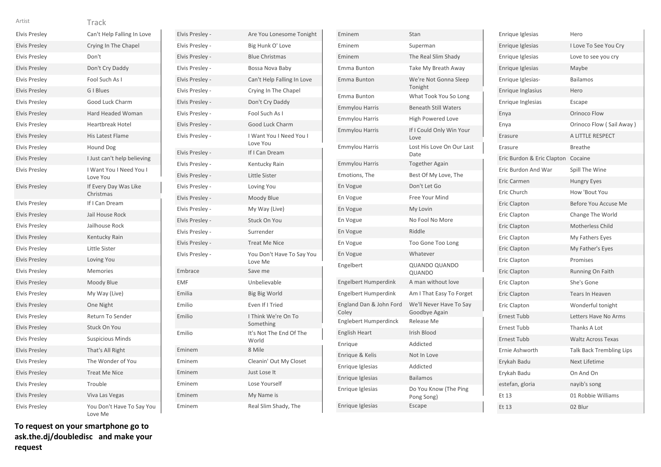| <b>Elvis Presley</b> | Can't Help Falling In Love           |
|----------------------|--------------------------------------|
| <b>Elvis Presley</b> | Crying In The Chapel                 |
| <b>Elvis Presley</b> | Don't                                |
| <b>Elvis Presley</b> | Don't Cry Daddy                      |
| <b>Elvis Presley</b> | Fool Such As I                       |
| <b>Elvis Presley</b> | G I Blues                            |
| <b>Elvis Presley</b> | Good Luck Charm                      |
| <b>Elvis Presley</b> | Hard Headed Woman                    |
| <b>Elvis Presley</b> | <b>Heartbreak Hotel</b>              |
| <b>Elvis Presley</b> | <b>His Latest Flame</b>              |
| <b>Elvis Presley</b> | Hound Dog                            |
| <b>Elvis Presley</b> | I Just can't help believing          |
| <b>Elvis Presley</b> | I Want You I Need You I<br>Love You  |
| <b>Elvis Presley</b> | If Every Day Was Like<br>Christmas   |
| <b>Elvis Presley</b> | If I Can Dream                       |
| <b>Elvis Presley</b> | Jail House Rock                      |
| <b>Elvis Presley</b> | Jailhouse Rock                       |
| <b>Elvis Presley</b> | Kentucky Rain                        |
| <b>Elvis Presley</b> | Little Sister                        |
| <b>Elvis Presley</b> | Loving You                           |
| <b>Elvis Presley</b> | Memories                             |
| <b>Elvis Presley</b> | Moody Blue                           |
| <b>Elvis Presley</b> | My Way (Live)                        |
| <b>Elvis Presley</b> | One Night                            |
| <b>Elvis Presley</b> | Return To Sender                     |
| <b>Elvis Presley</b> | <b>Stuck On You</b>                  |
| <b>Elvis Presley</b> | <b>Suspicious Minds</b>              |
| <b>Elvis Presley</b> | That's All Right                     |
| <b>Elvis Presley</b> | The Wonder of You                    |
| <b>Elvis Presley</b> | <b>Treat Me Nice</b>                 |
| <b>Elvis Presley</b> | Trouble                              |
| <b>Elvis Presley</b> | Viva Las Vegas                       |
| <b>Elvis Presley</b> | You Don't Have To Say You<br>Love Me |

| Elvis Presley - | Are You Lonesome Tonight             |
|-----------------|--------------------------------------|
| Elvis Presley - | Big Hunk O' Love                     |
| Elvis Presley - | <b>Blue Christmas</b>                |
| Elvis Presley - | Bossa Nova Baby                      |
| Elvis Presley - | Can't Help Falling In Love           |
| Elvis Presley - | Crying In The Chapel                 |
| Elvis Presley - | Don't Cry Daddy                      |
| Elvis Presley - | Fool Such As I                       |
| Elvis Presley - | Good Luck Charm                      |
| Elvis Presley - | I Want You I Need You I<br>Love You  |
| Elvis Presley - | If I Can Dream                       |
| Elvis Presley - | Kentucky Rain                        |
| Elvis Presley - | Little Sister                        |
| Elvis Presley - | Loving You                           |
| Elvis Presley - | Moody Blue                           |
| Elvis Presley - | My Way (Live)                        |
| Elvis Presley - | <b>Stuck On You</b>                  |
| Elvis Presley - | Surrender                            |
| Elvis Presley - | <b>Treat Me Nice</b>                 |
| Elvis Presley - | You Don't Have To Say You<br>Love Me |
| Embrace         | Save me                              |
| <b>EMF</b>      | Unbelievable                         |
| Emilia          | Big Big World                        |
| Emilio          | Even If I Tried                      |
| Emilio          | I Think We're On To<br>Something     |
| Emilio          | It's Not The End Of The<br>World     |
| Eminem          | 8 Mile                               |
| Eminem          | Cleanin' Out My Closet               |
| Eminem          | Just Lose It                         |
| Eminem          | Lose Yourself                        |
| Eminem          | My Name is                           |
| Eminem          | Real Slim Shady, The                 |

| Eminem                           | Stan                                     |
|----------------------------------|------------------------------------------|
| Eminem                           | Superman                                 |
| Eminem                           | The Real Slim Shady                      |
| Emma Bunton                      | Take My Breath Away                      |
| <b>Emma Bunton</b>               | We're Not Gonna Sleep<br>Tonight         |
| Emma Bunton                      | What Took You So Long                    |
| <b>Emmylou Harris</b>            | <b>Beneath Still Waters</b>              |
| <b>Emmylou Harris</b>            | <b>High Powered Love</b>                 |
| <b>Emmylou Harris</b>            | If I Could Only Win Your<br>Love         |
| Emmylou Harris                   | Lost His Love On Our Last<br>Date        |
| <b>Emmylou Harris</b>            | <b>Together Again</b>                    |
| Emotions, The                    | Best Of My Love, The                     |
| En Vogue                         | Don't Let Go                             |
| En Vogue                         | Free Your Mind                           |
| En Vogue                         | My Lovin                                 |
| En Vogue                         | No Fool No More                          |
| En Vogue                         | Riddle                                   |
| En Vogue                         | Too Gone Too Long                        |
| En Vogue                         | Whatever                                 |
| Engelbert                        | <b>QUANDO QUANDO</b><br>QUANDO           |
| Engelbert Humperdink             | A man without love                       |
| <b>Engelbert Humperdink</b>      | Am I That Easy To Forget                 |
| England Dan & John Ford<br>Coley | We'll Never Have To Say<br>Goodbye Again |
| Englebert Humperdinck            | Release Me                               |
| English Heart                    | Irish Blood                              |
| Enrique                          | Addicted                                 |
| Enrique & Kelis                  | Not In Love                              |
| Enrique Iglesias                 | Addicted                                 |
| Enrique Iglesias                 | <b>Bailamos</b>                          |
| Enrique Iglesias                 | Do You Know (The Ping<br>Pong Song)      |
| Enrique Iglesias                 | Escape                                   |

| Enrique Iglesias           | Hero                            |
|----------------------------|---------------------------------|
| Enrique Iglesias           | I Love To See You Cry           |
| Enrique Iglesias           | Love to see you cry             |
| Enrique Iglesias           | Maybe                           |
| Enrique Iglesias-          | <b>Bailamos</b>                 |
| Enrique Inglasius          | Hero                            |
| Enrique Inglesias          | Escape                          |
| Enya                       | Orinoco Flow                    |
| Enya                       | Orinoco Flow (Sail Away)        |
| Erasure                    | A LITTLE RESPECT                |
| Erasure                    | <b>Breathe</b>                  |
| Eric Burdon & Eric Clapton | Cocaine                         |
| Eric Burdon And War        | Spill The Wine                  |
| Eric Carmen                | <b>Hungry Eyes</b>              |
| Eric Church                | How 'Bout You                   |
| Eric Clapton               | Before You Accuse Me            |
| Eric Clapton               | Change The World                |
| <b>Eric Clapton</b>        | Motherless Child                |
| Eric Clapton               | My Fathers Eyes                 |
| Eric Clapton               | My Father's Eyes                |
| Eric Clapton               | Promises                        |
| Eric Clapton               | Running On Faith                |
| Eric Clapton               | She's Gone                      |
| <b>Eric Clapton</b>        | <b>Tears In Heaven</b>          |
| Eric Clapton               | Wonderful tonight               |
| <b>Ernest Tubb</b>         | Letters Have No Arms            |
| <b>Ernest Tubb</b>         | Thanks A Lot                    |
| <b>Ernest Tubb</b>         | <b>Waltz Across Texas</b>       |
| Ernie Ashworth             | <b>Talk Back Trembling Lips</b> |
| Erykah Badu                | Next Lifetime                   |
| Erykah Badu                | On And On                       |
| estefan, gloria            | nayib's song                    |
| Et 13                      | 01 Robbie Williams              |
| Et 13                      | 02 Blur                         |
|                            |                                 |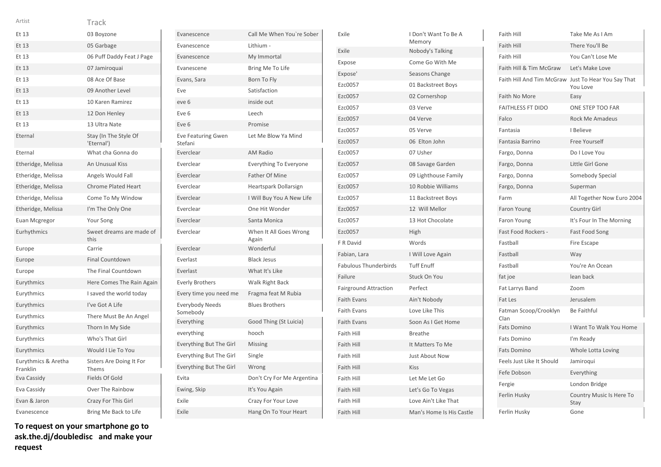| Artist                          | Track                                        |
|---------------------------------|----------------------------------------------|
| Et 13                           | 03 Boyzone                                   |
| Et 13                           | 05 Garbage                                   |
| Et 13                           | 06 Puff Daddy Feat J Page                    |
| Et 13                           | 07 Jamiroquai                                |
| Et 13                           | 08 Ace Of Base                               |
| Et 13                           | 09 Another Level                             |
| Et 13                           | 10 Karen Ramirez                             |
| Et 13                           | 12 Don Henley                                |
| Et 13                           | 13 Ultra Nate                                |
| Eternal                         | Stay (In The Style Of<br>'Eternal')          |
| Eternal                         | What cha Gonna do                            |
| Etheridge, Melissa              | An Unusual Kiss                              |
| Etheridge, Melissa              | Angels Would Fall                            |
| Etheridge, Melissa              | <b>Chrome Plated Heart</b>                   |
| Etheridge, Melissa              | Come To My Window                            |
| Etheridge, Melissa              | I'm The Only One                             |
| Euan Mcgregor                   | Your Song                                    |
| Eurhythmics                     | Sweet dreams are made of                     |
|                                 | this                                         |
| Europe                          | Carrie                                       |
| Europe                          | <b>Final Countdown</b>                       |
| Europe                          | The Final Countdown                          |
| Eurythmics                      | Here Comes The Rain Again                    |
| Eurythmics                      | I saved the world today                      |
| Eurythmics                      | I've Got A Life                              |
| Eurythmics                      | There Must Be An Angel                       |
| Eurythmics                      | Thorn In My Side                             |
| Eurythmics                      | Who's That Girl                              |
| Eurythmics                      | Would I Lie To You                           |
| Eurythmics & Aretha<br>Franklin | Sisters Are Doing It For<br>Thems            |
| Eva Cassidy                     | Fields Of Gold                               |
| Eva Cassidy                     | Over The Rainbow                             |
| Evan & Jaron                    | Crazy For This Girl<br>Bring Me Back to Life |

**To request on your smartphone go to ask.the.dj/doubledisc and make your request**

| Evanescence                          | Call Me When You're Sober       |
|--------------------------------------|---------------------------------|
| Evanescence                          | Lithium -                       |
| Evanescence                          | My Immortal                     |
| Evanescene                           | Bring Me To Life                |
| Evans, Sara                          | Born To Fly                     |
| Eve                                  | Satisfaction                    |
| eve 6                                | inside out                      |
| Eve 6                                | Leech                           |
| Eve <sub>6</sub>                     | Promise                         |
| <b>Eve Featuring Gwen</b><br>Stefani | Let Me Blow Ya Mind             |
| Everclear                            | <b>AM Radio</b>                 |
| Everclear                            | <b>Everything To Everyone</b>   |
| Everclear                            | <b>Father Of Mine</b>           |
| Everclear                            | Heartspark Dollarsign           |
| Everclear                            | I Will Buy You A New Life       |
| Everclear                            | One Hit Wonder                  |
| Everclear                            | Santa Monica                    |
| Everclear                            | When It All Goes Wrong<br>Again |
| Everclear                            | Wonderful                       |
| Everlast                             | <b>Black Jesus</b>              |
| Everlast                             | What It's Like                  |
| <b>Everly Brothers</b>               | Walk Right Back                 |
| Every time you need me               | Fragma feat M Rubia             |
| Everybody Needs<br>Somebody          | <b>Blues Brothers</b>           |
| Everything                           | Good Thing (St Luicia)          |
| everything                           | hooch                           |
| <b>Everything But The Girl</b>       | Missing                         |
| <b>Everything But The Girl</b>       | Single                          |
| Everything But The Girl              | Wrong                           |
| Evita                                | Don't Cry For Me Argentina      |
| Ewing, Skip                          | It's You Again                  |
| Exile                                | Crazy For Your Love             |
| Exile                                | Hang On To Your Heart           |

| Exile                        | I Don't Want To Be A<br>Memory |
|------------------------------|--------------------------------|
| Exile                        | Nobody's Talking               |
| Expose                       | Come Go With Me                |
| Expose'                      | Seasons Change                 |
| Ezc0057                      | 01 Backstreet Boys             |
| Ezc0057                      | 02 Cornershop                  |
| Ezc0057                      | 03 Verve                       |
| Ezc0057                      | 04 Verve                       |
| Ezc0057                      | 05 Verve                       |
| Ezc0057                      | 06 Elton John                  |
| Ezc0057                      | 07 Usher                       |
| Ezc0057                      | 08 Savage Garden               |
| Ezc0057                      | 09 Lighthouse Family           |
| Ezc0057                      | 10 Robbie Williams             |
| Ezc0057                      | 11 Backstreet Boys             |
| Ezc0057                      | 12 Will Mellor                 |
| Ezc0057                      | 13 Hot Chocolate               |
| Ezc0057                      | High                           |
| F R David                    | Words                          |
| Fabian, Lara                 | I Will Love Again              |
| <b>Fabulous Thunderbirds</b> | <b>Tuff Enuff</b>              |
| Failure                      | Stuck On You                   |
| <b>Fairground Attraction</b> | Perfect                        |
| <b>Faith Evans</b>           | Ain't Nobody                   |
| <b>Faith Evans</b>           | Love Like This                 |
| <b>Faith Evans</b>           | Soon As I Get Home             |
| <b>Faith Hill</b>            | <b>Breathe</b>                 |
| <b>Faith Hill</b>            | It Matters To Me               |
| Faith Hill                   | <b>Just About Now</b>          |
| <b>Faith Hill</b>            | <b>Kiss</b>                    |
| <b>Faith Hill</b>            | Let Me Let Go                  |
| <b>Faith Hill</b>            | Let's Go To Vegas              |
| Faith Hill                   | Love Ain't Like That           |
| <b>Faith Hill</b>            | Man's Home Is His Castle       |

| <b>Faith Hill</b>             | Take Me As I Am                       |
|-------------------------------|---------------------------------------|
| <b>Faith Hill</b>             | There You'll Be                       |
| Faith Hill                    | You Can't Lose Me                     |
| Faith Hill & Tim McGraw       | Let's Make Love                       |
| Faith Hill And Tim McGraw     | Just To Hear You Say That<br>You Love |
| Faith No More                 | Easy                                  |
| <b>FAITHLESS FT DIDO</b>      | ONE STEP TOO FAR                      |
| Falco                         | <b>Rock Me Amadeus</b>                |
| Fantasia                      | I Believe                             |
| Fantasia Barrino              | Free Yourself                         |
| Fargo, Donna                  | Do I Love You                         |
| Fargo, Donna                  | Little Girl Gone                      |
| Fargo, Donna                  | Somebody Special                      |
| Fargo, Donna                  | Superman                              |
| Farm                          | All Together Now Euro 2004            |
| Faron Young                   | <b>Country Girl</b>                   |
| Faron Young                   | It's Four In The Morning              |
| Fast Food Rockers -           | Fast Food Song                        |
| Fastball                      | Fire Escape                           |
| Fastball                      | Way                                   |
| Fastball                      | You're An Ocean                       |
| fat joe                       | lean back                             |
| Fat Larrys Band               | Zoom                                  |
| Fat Les                       | Jerusalem                             |
| Fatman Scoop/Crooklyn<br>Clan | <b>Be Faithful</b>                    |
| <b>Fats Domino</b>            | I Want To Walk You Home               |
| <b>Fats Domino</b>            | I'm Ready                             |
| <b>Fats Domino</b>            | Whole Lotta Loving                    |
| Feels Just Like It Should     | Jamiroqui                             |
| Fefe Dobson                   | Everything                            |
| Fergie                        | London Bridge                         |
| Ferlin Husky                  | Country Music Is Here To<br>Stay      |
| Ferlin Husky                  | Gone                                  |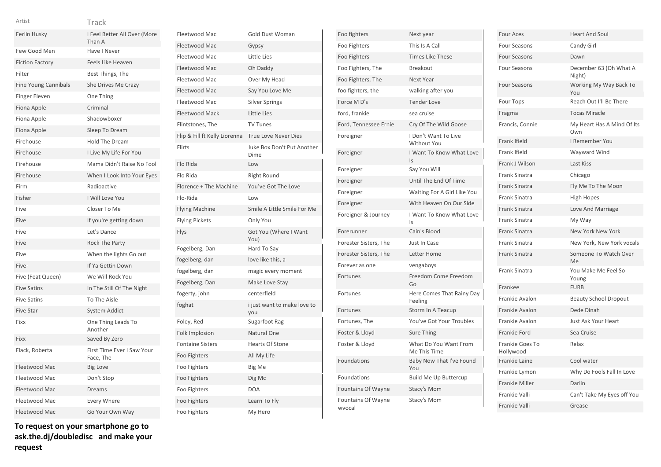| ٧ |  |
|---|--|
|   |  |

| Artist                      | Track                                   |
|-----------------------------|-----------------------------------------|
| Ferlin Husky                | I Feel Better All Over (More<br>Than A  |
| Few Good Men                | Have I Never                            |
| <b>Fiction Factory</b>      | Feels Like Heaven                       |
| Filter                      | Best Things, The                        |
| <b>Fine Young Cannibals</b> | She Drives Me Crazy                     |
| <b>Finger Eleven</b>        | One Thing                               |
| Fiona Apple                 | Criminal                                |
| Fiona Apple                 | Shadowboxer                             |
| Fiona Apple                 | Sleep To Dream                          |
| Firehouse                   | <b>Hold The Dream</b>                   |
| Firehouse                   | I Live My Life For You                  |
| Firehouse                   | Mama Didn't Raise No Fool               |
| Firehouse                   | When I Look Into Your Eyes              |
| Firm                        | Radioactive                             |
| Fisher                      | I Will Love You                         |
| Five                        | Closer To Me                            |
| Five                        | If you're getting down                  |
| Five                        | Let's Dance                             |
| Five                        | <b>Rock The Party</b>                   |
| Five                        | When the lights Go out                  |
| Five-                       | If Ya Gettin Down                       |
| Five (Feat Queen)           | We Will Rock You                        |
| <b>Five Satins</b>          | In The Still Of The Night               |
| <b>Five Satins</b>          | To The Aisle                            |
| <b>Five Star</b>            | <b>System Addict</b>                    |
| Fixx                        | One Thing Leads To<br>Another           |
| Fixx                        | Saved By Zero                           |
| Flack, Roberta              | First Time Ever I Saw Your<br>Face, The |
| Fleetwood Mac               | <b>Big Love</b>                         |
| Fleetwood Mac               | Don't Stop                              |
| Fleetwood Mac               | Dreams                                  |
| Fleetwood Mac               | Every Where                             |
| <b>Fleetwood Mac</b>        | Go Your Own Way                         |

| Fleetwood Mac                 | Gold Dust Woman                    |
|-------------------------------|------------------------------------|
| Fleetwood Mac                 | Gypsy                              |
| Fleetwood Mac                 | Little Lies                        |
| <b>Fleetwood Mac</b>          | Oh Daddy                           |
| Fleetwood Mac                 | Over My Head                       |
| Fleetwood Mac                 | Say You Love Me                    |
| Fleetwood Mac                 | <b>Silver Springs</b>              |
| <b>Fleetwood Mack</b>         | Little Lies                        |
| Flintstones, The              | <b>TV Tunes</b>                    |
| Flip & Fill ft Kelly Liorenna | <b>True Love Never Dies</b>        |
| Flirts                        | Juke Box Don't Put Another<br>Dime |
| Flo Rida                      | Low                                |
| Flo Rida                      | <b>Right Round</b>                 |
| Florence + The Machine        | You've Got The Love                |
| Flo-Rida                      | Low                                |
| <b>Flying Machine</b>         | Smile A Little Smile For Me        |
| <b>Flying Pickets</b>         | Only You                           |
| Flys                          | Got You (Where I Want<br>You)      |
| Fogelberg, Dan                | Hard To Say                        |
| fogelberg, dan                | love like this, a                  |
| fogelberg, dan                | magic every moment                 |
| Fogelberg, Dan                | Make Love Stay                     |
| fogerty, john                 | centerfield                        |
| foghat                        | i just want to make love to<br>you |
| Foley, Red                    | Sugarfoot Rag                      |
| Folk Implosion                | Natural One                        |
| <b>Fontaine Sisters</b>       | <b>Hearts Of Stone</b>             |
| Foo Fighters                  | All My Life                        |
| Foo Fighters                  | Big Me                             |
| Foo Fighters                  | Dig Mc                             |
| Foo Fighters                  | <b>DOA</b>                         |
| Foo Fighters                  | Learn To Fly                       |
| Foo Fighters                  | My Hero                            |

| Foo fighters                        | Next year                             |
|-------------------------------------|---------------------------------------|
| Foo Fighters                        | This Is A Call                        |
| Foo Fighters                        | <b>Times Like These</b>               |
| Foo Fighters, The                   | Breakout                              |
| Foo Fighters, The                   | Next Year                             |
| foo fighters, the                   | walking after you                     |
| Force M D's                         | <b>Tender Love</b>                    |
| ford, frankie                       | sea cruise                            |
| Ford, Tennessee Ernie               | Cry Of The Wild Goose                 |
| Foreigner                           | I Don't Want To Live<br>Without You   |
| Foreigner                           | I Want To Know What Love<br>ls        |
| Foreigner                           | Say You Will                          |
| Foreigner                           | Until The End Of Time                 |
| Foreigner                           | Waiting For A Girl Like You           |
| Foreigner                           | With Heaven On Our Side               |
| Foreigner & Journey                 | I Want To Know What Love<br>Is        |
| Forerunner                          | Cain's Blood                          |
| Forester Sisters, The               | Just In Case                          |
| Forester Sisters, The               | Letter Home                           |
| Forever as one                      | vengaboys                             |
| Fortunes                            | Freedom Come Freedom<br>Go            |
| Fortunes                            | Here Comes That Rainy Day<br>Feeling  |
| Fortunes                            | Storm In A Teacup                     |
| Fortunes, The                       | You've Got Your Troubles              |
| Foster & Lloyd                      | Sure Thing                            |
| Foster & Lloyd                      | What Do You Want From<br>Me This Time |
| Foundations                         | Baby Now That I've Found<br>You       |
| Foundations                         | <b>Build Me Up Buttercup</b>          |
| Fountains Of Wayne                  | Stacy's Mom                           |
| <b>Fountains Of Wayne</b><br>wvocal | Stacy's Mom                           |

| <b>Heart And Soul</b>             |
|-----------------------------------|
| Candy Girl                        |
| Dawn                              |
| December 63 (Oh What A<br>Night)  |
| Working My Way Back To<br>You     |
| Reach Out I'll Be There           |
| <b>Tocas Miracle</b>              |
| My Heart Has A Mind Of Its<br>Own |
| I Remember You                    |
| Wayward Wind                      |
| Last Kiss                         |
| Chicago                           |
| Fly Me To The Moon                |
| <b>High Hopes</b>                 |
| Love And Marriage                 |
| My Way                            |
| New York New York                 |
| New York, New York vocals         |
| Someone To Watch Over<br>Me       |
| You Make Me Feel So<br>Young      |
| <b>FURB</b>                       |
| <b>Beauty School Dropout</b>      |
| Dede Dinah                        |
| Just Ask Your Heart               |
| Sea Cruise                        |
| Relax                             |
| Cool water                        |
| Why Do Fools Fall In Love         |
|                                   |
| Darlin                            |
| Can't Take My Eyes off You        |
|                                   |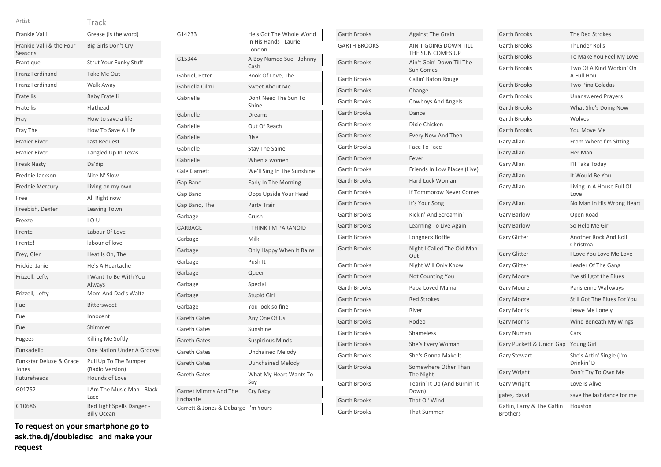Seasons

Frankie Valli & the Four

| AILISL        | i rack               |
|---------------|----------------------|
| Frankie Valli | Grease (is the word) |

Frantique Strut Your Funky Stuff

Franz Ferdinand Take Me Out

Big Girls Don't Cry

| Franz Ferdinand                  | Walk Away                                       |
|----------------------------------|-------------------------------------------------|
| Fratellis                        | <b>Baby Fratelli</b>                            |
| Fratellis                        | Flathead -                                      |
| Fray                             | How to save a life                              |
| Fray The                         | How To Save A Life                              |
| <b>Frazier River</b>             | Last Request                                    |
| <b>Frazier River</b>             | Tangled Up In Texas                             |
| <b>Freak Nasty</b>               | Da'dip                                          |
| Freddie Jackson                  | Nice N' Slow                                    |
| <b>Freddie Mercury</b>           | Living on my own                                |
| Free                             | All Right now                                   |
| Freebish, Dexter                 | Leaving Town                                    |
| Freeze                           | 10U                                             |
| Frente                           | Labour Of Love                                  |
| Frente!                          | labour of love                                  |
| Frey, Glen                       | Heat Is On, The                                 |
| Frickie, Janie                   | He's A Heartache                                |
| Frizzell, Lefty                  | I Want To Be With You<br>Always                 |
| Frizzell, Lefty                  | Mom And Dad's Waltz                             |
| Fuel                             | <b>Bittersweet</b>                              |
| Fuel                             | Innocent                                        |
| Fuel                             | Shimmer                                         |
| <b>Fugees</b>                    | Killing Me Softly                               |
| Funkadelic                       | One Nation Under A Groove                       |
| Funkstar Deluxe & Grace<br>Jones | Pull Up To The Bumper<br>(Radio Version)        |
| <b>Futureheads</b>               | Hounds of Love                                  |
| G01752                           | I Am The Music Man - Black<br>Lace              |
| G10686                           | Red Light Spells Danger -<br><b>Billy Ocean</b> |

| To request on your smartphone go to |  |  |
|-------------------------------------|--|--|
| ask.the.dj/doubledisc and make your |  |  |
| request                             |  |  |

| G14233                                  | He's Got The Whole World<br>In His Hands - Laurie<br>London |
|-----------------------------------------|-------------------------------------------------------------|
| G15344                                  | A Boy Named Sue - Johnny<br>Cash                            |
| Gabriel, Peter                          | Book Of Love, The                                           |
| Gabriella Cilmi                         | Sweet About Me                                              |
| Gabrielle                               | Dont Need The Sun To<br>Shine                               |
| Gabrielle                               | <b>Dreams</b>                                               |
| Gabrielle                               | Out Of Reach                                                |
| Gabrielle                               | <b>Rise</b>                                                 |
| Gabrielle                               | <b>Stay The Same</b>                                        |
| Gabrielle                               | When a women                                                |
| <b>Gale Garnett</b>                     | We'll Sing In The Sunshine                                  |
| Gap Band                                | Early In The Morning                                        |
| Gap Band                                | Oops Upside Your Head                                       |
| Gap Band, The                           | Party Train                                                 |
| Garbage                                 | Crush                                                       |
| GARBAGE                                 | <b>I THINK I M PARANOID</b>                                 |
| Garbage                                 | Milk                                                        |
| Garbage                                 | Only Happy When It Rains                                    |
| Garbage                                 | Push It                                                     |
| Garbage                                 | Queer                                                       |
| Garbage                                 | Special                                                     |
| Garbage                                 | Stupid Girl                                                 |
| Garbage                                 | You look so fine                                            |
| <b>Gareth Gates</b>                     | Any One Of Us                                               |
| <b>Gareth Gates</b>                     | Sunshine                                                    |
| <b>Gareth Gates</b>                     | <b>Suspicious Minds</b>                                     |
| <b>Gareth Gates</b>                     | <b>Unchained Melody</b>                                     |
| <b>Gareth Gates</b>                     | <b>Uunchained Melody</b>                                    |
| <b>Gareth Gates</b>                     | What My Heart Wants To<br>Say                               |
| <b>Garnet Mimms And The</b><br>Enchante | Cry Baby                                                    |
| Garrett & Jones & Debarge I'm Yours     |                                                             |

| <b>Garth Brooks</b> | <b>Against The Grain</b>                      |
|---------------------|-----------------------------------------------|
| <b>GARTH BROOKS</b> | AIN T GOING DOWN TILL<br>THE SUN COMES UP     |
| <b>Garth Brooks</b> | Ain't Goin' Down Till The<br><b>Sun Comes</b> |
| <b>Garth Brooks</b> | Callin' Baton Rouge                           |
| <b>Garth Brooks</b> | Change                                        |
| Garth Brooks        | <b>Cowboys And Angels</b>                     |
| <b>Garth Brooks</b> | Dance                                         |
| Garth Brooks        | Dixie Chicken                                 |
| <b>Garth Brooks</b> | Every Now And Then                            |
| <b>Garth Brooks</b> | Face To Face                                  |
| <b>Garth Brooks</b> | Fever                                         |
| <b>Garth Brooks</b> | Friends In Low Places (Live)                  |
| <b>Garth Brooks</b> | <b>Hard Luck Woman</b>                        |
| <b>Garth Brooks</b> | If Tommorow Never Comes                       |
| <b>Garth Brooks</b> | It's Your Song                                |
| <b>Garth Brooks</b> | Kickin' And Screamin'                         |
| <b>Garth Brooks</b> | Learning To Live Again                        |
| Garth Brooks        | Longneck Bottle                               |
| <b>Garth Brooks</b> | Night I Called The Old Man<br>Out             |
| <b>Garth Brooks</b> | Night Will Only Know                          |
| <b>Garth Brooks</b> | Not Counting You                              |
| <b>Garth Brooks</b> | Papa Loved Mama                               |
| <b>Garth Brooks</b> | <b>Red Strokes</b>                            |
| <b>Garth Brooks</b> | River                                         |
| <b>Garth Brooks</b> | Rodeo                                         |
| <b>Garth Brooks</b> | Shameless                                     |
| <b>Garth Brooks</b> | She's Every Woman                             |
| <b>Garth Brooks</b> | She's Gonna Make It                           |
| <b>Garth Brooks</b> | Somewhere Other Than<br>The Night             |
| <b>Garth Brooks</b> | Tearin' It Up (And Burnin' It<br>Down)        |
| <b>Garth Brooks</b> | That OI' Wind                                 |
| Garth Brooks        | <b>That Summer</b>                            |

| <b>Garth Brooks</b>                           | The Red Strokes                        |
|-----------------------------------------------|----------------------------------------|
| <b>Garth Brooks</b>                           | <b>Thunder Rolls</b>                   |
| <b>Garth Brooks</b>                           | To Make You Feel My Love               |
| <b>Garth Brooks</b>                           | Two Of A Kind Workin' On<br>A Full Hou |
| <b>Garth Brooks</b>                           | <b>Two Pina Coladas</b>                |
| <b>Garth Brooks</b>                           | <b>Unanswered Prayers</b>              |
| <b>Garth Brooks</b>                           | What She's Doing Now                   |
| <b>Garth Brooks</b>                           | Wolves                                 |
| <b>Garth Brooks</b>                           | You Move Me                            |
| Gary Allan                                    | From Where I'm Sitting                 |
| Gary Allan                                    | Her Man                                |
| Gary Allan                                    | I'll Take Today                        |
| Gary Allan                                    | It Would Be You                        |
| Gary Allan                                    | Living In A House Full Of<br>Love      |
| Gary Allan                                    | No Man In His Wrong Heart              |
| <b>Gary Barlow</b>                            | Open Road                              |
| <b>Gary Barlow</b>                            | So Help Me Girl                        |
| <b>Gary Glitter</b>                           | Another Rock And Roll<br>Christma      |
| <b>Gary Glitter</b>                           | I Love You Love Me Love                |
| <b>Gary Glitter</b>                           | Leader Of The Gang                     |
| <b>Gary Moore</b>                             | I've still got the Blues               |
| <b>Gary Moore</b>                             | Parisienne Walkways                    |
| <b>Gary Moore</b>                             | Still Got The Blues For You            |
| <b>Gary Morris</b>                            | Leave Me Lonely                        |
| <b>Gary Morris</b>                            | Wind Beneath My Wings                  |
| <b>Gary Numan</b>                             | Cars                                   |
| Gary Puckett & Union Gap                      | Young Girl                             |
| Gary Stewart                                  | She's Actin' Single (I'm<br>Drinkin' D |
| Gary Wright                                   | Don't Try To Own Me                    |
| <b>Gary Wright</b>                            | Love Is Alive                          |
| gates, david                                  | save the last dance for me             |
| Gatlin, Larry & The Gatlin<br><b>Brothers</b> | Houston                                |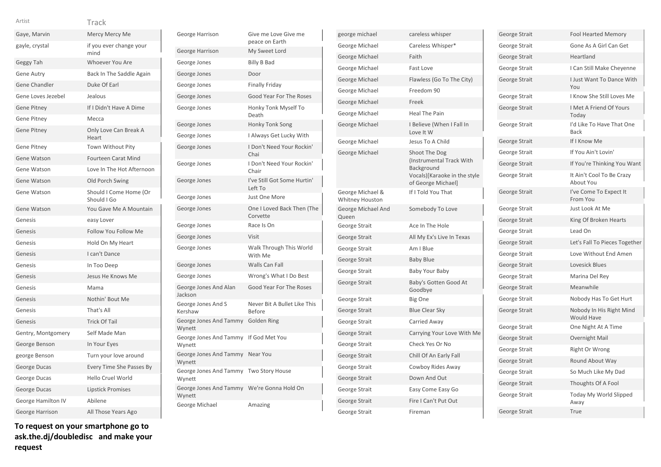| Gaye, Marvin       | Mercy Mercy Me                        |
|--------------------|---------------------------------------|
| gayle, crystal     | if you ever change your<br>mind       |
| Geggy Tah          | Whoever You Are                       |
| <b>Gene Autry</b>  | Back In The Saddle Again              |
| Gene Chandler      | Duke Of Earl                          |
| Gene Loves Jezebel | Jealous                               |
| <b>Gene Pitney</b> | If I Didn't Have A Dime               |
| <b>Gene Pitney</b> | Mecca                                 |
| <b>Gene Pitney</b> | Only Love Can Break A<br>Heart        |
| <b>Gene Pitney</b> | <b>Town Without Pity</b>              |
| <b>Gene Watson</b> | <b>Fourteen Carat Mind</b>            |
| Gene Watson        | Love In The Hot Afternoon             |
| Gene Watson        | Old Porch Swing                       |
| Gene Watson        | Should I Come Home (Or<br>Should I Go |
| Gene Watson        | You Gave Me A Mountain                |
| Genesis            | easy Lover                            |
| Genesis            | <b>Follow You Follow Me</b>           |
| Genesis            | Hold On My Heart                      |
| Genesis            | I can't Dance                         |
| Genesis            | In Too Deep                           |
| Genesis            | Jesus He Knows Me                     |
| Genesis            | Mama                                  |
| Genesis            | Nothin' Bout Me                       |
| Genesis            | That's All                            |
| Genesis            | <b>Trick Of Tail</b>                  |
| Gentry, Montgomery | Self Made Man                         |
| George Benson      | In Your Eyes                          |
| george Benson      | Turn your love around                 |
| George Ducas       | Every Time She Passes By              |
| George Ducas       | Hello Cruel World                     |
| George Ducas       | <b>Lipstick Promises</b>              |
| George Hamilton IV | Abilene                               |
| George Harrison    | All Those Years Ago                   |

| George Harrison                                      | Give me Love Give me<br>peace on Earth |
|------------------------------------------------------|----------------------------------------|
| George Harrison                                      | My Sweet Lord                          |
| George Jones                                         | <b>Billy B Bad</b>                     |
| George Jones                                         | Door                                   |
| George Jones                                         | <b>Finally Friday</b>                  |
| George Jones                                         | Good Year For The Roses                |
| George Jones                                         | Honky Tonk Myself To<br>Death          |
| George Jones                                         | Honky Tonk Song                        |
| George Jones                                         | I Always Get Lucky With                |
| George Jones                                         | I Don't Need Your Rockin'<br>Chai      |
| George Jones                                         | I Don't Need Your Rockin'<br>Chair     |
| George Jones                                         | I've Still Got Some Hurtin'<br>Left To |
| George Jones                                         | Just One More                          |
| George Jones                                         | One I Loved Back Then (The<br>Corvette |
| George Jones                                         | Race Is On                             |
| George Jones                                         | Visit                                  |
| George Jones                                         | Walk Through This World<br>With Me     |
| George Jones                                         | Walls Can Fall                         |
| George Jones                                         | Wrong's What I Do Best                 |
| George Jones And Alan<br>Jackson                     | Good Year For The Roses                |
| George Jones And S<br>Kershaw                        | Never Bit A Bullet Like This<br>Before |
| George Jones And Tammy<br>Wynett                     | Golden Ring                            |
| George Jones And Tammy<br>Wynett                     | If God Met You                         |
| George Jones And Tammy<br>Wynett                     | Near You                               |
| George Jones And Tammy<br>Wynett                     | Two Story House                        |
| George Jones And Tammy We're Gonna Hold On<br>Wynett |                                        |
| George Michael                                       | Amazing                                |

| george michael                             | careless whisper                                                                                              |
|--------------------------------------------|---------------------------------------------------------------------------------------------------------------|
| George Michael                             | Careless Whisper*                                                                                             |
| George Michael                             | Faith                                                                                                         |
| George Michael                             | Fast Love                                                                                                     |
| George Michael                             | Flawless (Go To The City)                                                                                     |
| George Michael                             | Freedom 90                                                                                                    |
| George Michael                             | Freek                                                                                                         |
| George Michael                             | <b>Heal The Pain</b>                                                                                          |
| George Michael                             | I Believe (When I Fall In<br>Love It W                                                                        |
| George Michael                             | Jesus To A Child                                                                                              |
| George Michael                             | Shoot The Dog<br>(Instrumental Track With<br>Background<br>Vocals)[Karaoke in the style<br>of George Michael] |
| George Michael &<br><b>Whitney Houston</b> | If I Told You That                                                                                            |
| George Michael And<br>Queen                | Somebody To Love                                                                                              |
| George Strait                              | Ace In The Hole                                                                                               |
| George Strait                              | All My Ex's Live In Texas                                                                                     |
| George Strait                              | Am I Blue                                                                                                     |
| George Strait                              | <b>Baby Blue</b>                                                                                              |
| George Strait                              | Baby Your Baby                                                                                                |
| George Strait                              | Baby's Gotten Good At<br>Goodbye                                                                              |
| George Strait                              | Big One                                                                                                       |
| George Strait                              | <b>Blue Clear Sky</b>                                                                                         |
| George Strait                              | Carried Away                                                                                                  |
| George Strait                              | Carrying Your Love With Me                                                                                    |
| George Strait                              | Check Yes Or No                                                                                               |
| George Strait                              | Chill Of An Early Fall                                                                                        |
| George Strait                              | Cowboy Rides Away                                                                                             |
| George Strait                              | Down And Out                                                                                                  |
| George Strait                              | Easy Come Easy Go                                                                                             |
| George Strait                              | Fire I Can't Put Out                                                                                          |
| George Strait                              | Fireman                                                                                                       |

| George Strait | <b>Fool Hearted Memory</b>                    |
|---------------|-----------------------------------------------|
| George Strait | Gone As A Girl Can Get                        |
| George Strait | Heartland                                     |
| George Strait | I Can Still Make Cheyenne                     |
| George Strait | I Just Want To Dance With<br>You              |
| George Strait | I Know She Still Loves Me                     |
| George Strait | I Met A Friend Of Yours<br>Today              |
| George Strait | I'd Like To Have That One<br>Back             |
| George Strait | If I Know Me                                  |
| George Strait | If You Ain't Lovin'                           |
| George Strait | If You're Thinking You Want                   |
| George Strait | It Ain't Cool To Be Crazy<br>About You        |
| George Strait | I've Come To Expect It<br>From You            |
| George Strait | Just Look At Me                               |
| George Strait | King Of Broken Hearts                         |
| George Strait | Lead On                                       |
| George Strait | Let's Fall To Pieces Together                 |
| George Strait | Love Without End Amen                         |
| George Strait | Lovesick Blues                                |
| George Strait | Marina Del Rey                                |
| George Strait | Meanwhile                                     |
| George Strait | Nobody Has To Get Hurt                        |
| George Strait | Nobody In His Right Mind<br><b>Would Have</b> |
| George Strait | One Night At A Time                           |
| George Strait | Overnight Mail                                |
| George Strait | Right Or Wrong                                |
| George Strait | <b>Round About Way</b>                        |
| George Strait | So Much Like My Dad                           |
| George Strait | Thoughts Of A Fool                            |
| George Strait | Today My World Slipped<br>Away                |
| George Strait | True                                          |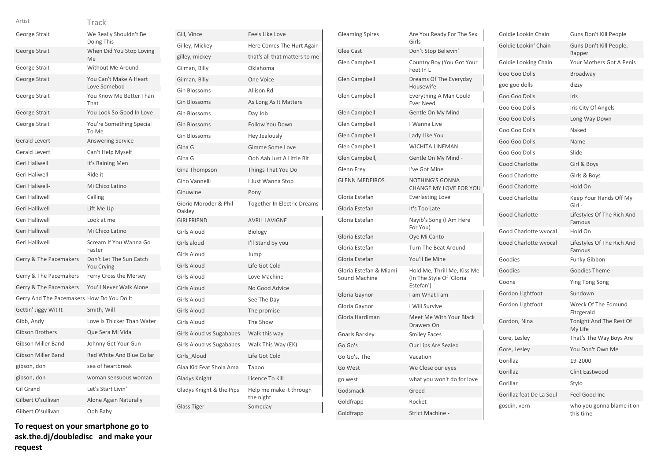### Track Artist

|                                           | I I ALN                                |
|-------------------------------------------|----------------------------------------|
| George Strait                             | We Really Shouldn't Be<br>Doing This   |
| George Strait                             | When Did You Stop Loving<br>Me         |
| George Strait                             | <b>Without Me Around</b>               |
| George Strait                             | You Can't Make A Heart<br>Love Somebod |
| George Strait                             | You Know Me Better Than<br>That        |
| George Strait                             | You Look So Good In Love               |
| George Strait                             | You're Something Special<br>To Me      |
| <b>Gerald Levert</b>                      | <b>Answering Service</b>               |
| <b>Gerald Levert</b>                      | Can't Help Myself                      |
| Geri Haliwell                             | It's Raining Men                       |
| <b>Geri Haliwell</b>                      | Ride it                                |
| Geri Haliwell-                            | Mi Chico Latino                        |
| Geri Halliwell                            | Calling                                |
| Geri Halliwell                            | Lift Me Up                             |
| Geri Halliwell                            | Look at me                             |
| Geri Halliwell                            | Mi Chico Latino                        |
| Geri Halliwell                            | Scream If You Wanna Go<br>Faster       |
| Gerry & The Pacemakers                    | Don't Let The Sun Catch<br>You Crying  |
| Gerry & The Pacemakers                    | Ferry Cross the Mersey                 |
| Gerry & The Pacemakers                    | You'll Never Walk Alone                |
| Gerry And The Pacemakers How Do You Do It |                                        |
| Gettin' Jiggy Wit It                      | Smith, Will                            |
| Gibb, Andy                                | Love Is Thicker Than Water             |
| Gibson Brothers                           | Que Sera Mi Vida                       |
| <b>Gibson Miller Band</b>                 | Johnny Get Your Gun                    |
| <b>Gibson Miller Band</b>                 | Red White And Blue Collar              |
| gibson, don                               | sea of heartbreak                      |
| gibson, don                               | woman sensuous woman                   |
| Gil Grand                                 | Let's Start Livin'                     |
| Gilbert O'sullivan                        | Alone Again Naturally                  |
| Gilbert O'sullivan                        | Ooh Baby                               |
|                                           |                                        |

| Gill, Vince                     | <b>Feels Like Love</b>               |
|---------------------------------|--------------------------------------|
| Gilley, Mickey                  | Here Comes The Hurt Again            |
| gilley, mickey                  | that's all that matters to me        |
| Gilman, Billy                   | Oklahoma                             |
| Gilman, Billy                   | One Voice                            |
| <b>Gin Blossoms</b>             | Allison Rd                           |
| <b>Gin Blossoms</b>             | As Long As It Matters                |
| Gin Blossoms                    | Day Job                              |
| <b>Gin Blossoms</b>             | <b>Follow You Down</b>               |
| <b>Gin Blossoms</b>             | Hey Jealously                        |
| Gina G                          | Gimme Some Love                      |
| Gina G                          | Ooh Aah Just A Little Bit            |
| Gina Thompson                   | Things That You Do                   |
| Gino Vannelli                   | I Just Wanna Stop                    |
| Ginuwine                        | Pony                                 |
| Giorio Moroder & Phil<br>Oakley | <b>Together In Electric Dreams</b>   |
| <b>GIRLFRIEND</b>               | <b>AVRIL LAVIGNE</b>                 |
| Girls Aloud                     | Biology                              |
| Girls aloud                     | I'll Stand by you                    |
| <b>Girls Aloud</b>              | Jump                                 |
| <b>Girls Aloud</b>              | Life Got Cold                        |
| <b>Girls Aloud</b>              | Love Machine                         |
| <b>Girls Aloud</b>              | No Good Advice                       |
| <b>Girls Aloud</b>              | See The Day                          |
| <b>Girls Aloud</b>              | The promise                          |
| <b>Girls Aloud</b>              | The Show                             |
| Girls Aloud vs Sugababes        | Walk this way                        |
| Girls Aloud vs Sugababes        | Walk This Way (EK)                   |
| Girls Aloud                     | Life Got Cold                        |
| Glaa Kid Feat Shola Ama         | Taboo                                |
| Gladys Knight                   | Licence To Kill                      |
| Gladys Knight & the Pips        | Help me make it through<br>the night |
| <b>Glass Tiger</b>              | Someday                              |
|                                 |                                      |

| <b>Gleaming Spires</b>                  | Are You Ready For The Sex<br>Girls                                   |
|-----------------------------------------|----------------------------------------------------------------------|
| <b>Glee Cast</b>                        | Don't Stop Believin'                                                 |
| Glen Campbell                           | Country Boy (You Got Your<br>Feet In L                               |
| Glen Campbell                           | Dreams Of The Everyday<br>Housewife                                  |
| Glen Campbell                           | Everything A Man Could<br><b>Ever Need</b>                           |
| Glen Campbell                           | Gentle On My Mind                                                    |
| Glen Campbell                           | I Wanna Live                                                         |
| Glen Campbell                           | Lady Like You                                                        |
| Glen Campbell                           | WICHITA LINEMAN                                                      |
| Glen Campbell,                          | Gentle On My Mind -                                                  |
| Glenn Frey                              | I've Got Mine                                                        |
| <b>GLENN MEDEIROS</b>                   | <b>NOTHING'S GONNA</b><br>CHANGE MY LOVE FOR YOU                     |
| Gloria Estefan                          | <b>Everlasting Love</b>                                              |
| Gloria Estefan                          | It's Too Late                                                        |
| Gloria Estefan                          | Nayib's Song (I Am Here<br>For You)                                  |
| Gloria Estefan                          | Oye Mi Canto                                                         |
| Gloria Estefan                          | <b>Turn The Beat Around</b>                                          |
| Gloria Estefan                          | You'll Be Mine                                                       |
| Gloria Estefan & Miami<br>Sound Machine | Hold Me, Thrill Me, Kiss Me<br>(In The Style Of 'Gloria<br>Estefan') |
| Gloria Gaynor                           | I am What I am                                                       |
| Gloria Gaynor                           | I Will Survive                                                       |
| Gloria Hardiman                         | Meet Me With Your Black<br>Drawers On                                |
| <b>Gnarls Barkley</b>                   | <b>Smiley Faces</b>                                                  |
| Go Go's                                 | Our Lips Are Sealed                                                  |
| Go Go's, The                            | Vacation                                                             |
| Go West                                 | We Close our eyes                                                    |
| go west                                 | what you won't do for love                                           |
| Godsmack                                | Greed                                                                |
| Goldfrapp                               | Rocket                                                               |
| Goldfrapp                               | Strict Machine -                                                     |

| Goldie Lookin Chain      | Guns Don't Kill People                 |
|--------------------------|----------------------------------------|
| Goldie Lookin' Chain     | Guns Don't Kill People,<br>Rapper      |
| Goldie Looking Chain     | Your Mothers Got A Penis               |
| Goo Goo Dolls            | Broadway                               |
| goo goo dolls            | dizzy                                  |
| Goo Goo Dolls            | Iris                                   |
| Goo Goo Dolls            | Iris City Of Angels                    |
| Goo Goo Dolls            | Long Way Down                          |
| Goo Goo Dolls            | Naked                                  |
| Goo Goo Dolls            | Name                                   |
| Goo Goo Dolls            | Slide                                  |
| <b>Good Charlotte</b>    | Girl & Boys                            |
| Good Charlotte           | Girls & Boys                           |
| <b>Good Charlotte</b>    | Hold On                                |
| <b>Good Charlotte</b>    | Keep Your Hands Off My<br>Girl -       |
| Good Charlotte           | Lifestyles Of The Rich And<br>Famous   |
| Good Charlotte wyocal    | Hold On                                |
| Good Charlotte wyocal    | Lifestyles Of The Rich And<br>Famous   |
| Goodies                  | Funky Gibbon                           |
| Goodies                  | <b>Goodies Theme</b>                   |
| Goons                    | <b>Ying Tong Song</b>                  |
| Gordon Lightfoot         | Sundown                                |
| Gordon Lightfoot         | Wreck Of The Edmund<br>Fitzgerald      |
| Gordon, Nina             | Tonight And The Rest Of<br>My Life     |
| Gore, Lesley             | That's The Way Boys Are                |
| Gore, Lesley             | You Don't Own Me                       |
| Gorillaz                 | 19-2000                                |
| Gorillaz                 | Clint Eastwood                         |
| Gorillaz                 | Stylo                                  |
| Gorillaz feat De La Soul | Feel Good Inc                          |
| gosdin, vern             | who you gonna blame it on<br>this time |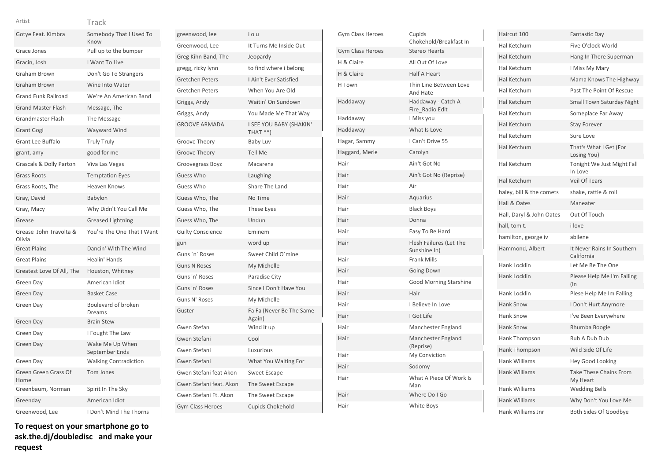| w<br>٧ | v |
|--------|---|
|        |   |

| Gotye Feat. Kimbra               | Somebody That I Used To<br>Know   |
|----------------------------------|-----------------------------------|
| Grace Jones                      | Pull up to the bumper             |
| Gracin, Josh                     | I Want To Live                    |
| Graham Brown                     | Don't Go To Strangers             |
| <b>Graham Brown</b>              | Wine Into Water                   |
| <b>Grand Funk Railroad</b>       | We're An American Band            |
| <b>Grand Master Flash</b>        | Message, The                      |
| <b>Grandmaster Flash</b>         | The Message                       |
| Grant Gogi                       | Wayward Wind                      |
| <b>Grant Lee Buffalo</b>         | <b>Truly Truly</b>                |
| grant, amy                       | good for me                       |
| Grascals & Dolly Parton          | Viva Las Vegas                    |
| <b>Grass Roots</b>               | <b>Temptation Eyes</b>            |
| Grass Roots, The                 | Heaven Knows                      |
| Gray, David                      | Babylon                           |
| Gray, Macy                       | Why Didn't You Call Me            |
| Grease                           | <b>Greased Lightning</b>          |
| Grease John Travolta &<br>Olivia | You're The One That I Want        |
| <b>Great Plains</b>              | Dancin' With The Wind             |
| <b>Great Plains</b>              | Healin' Hands                     |
| Greatest Love Of All, The        | Houston, Whitney                  |
| Green Day                        | American Idiot                    |
| Green Day                        | <b>Basket Case</b>                |
| Green Day                        | Boulevard of broken<br>Dreams     |
| Green Day                        | <b>Brain Stew</b>                 |
| Green Day                        | I Fought The Law                  |
| Green Day                        | Wake Me Up When<br>September Ends |
| Green Day                        | <b>Walking Contradiction</b>      |
| Green Green Grass Of<br>Home     | <b>Tom Jones</b>                  |
| Greenbaum, Norman                | Spirit In The Sky                 |
| Greenday                         | American Idiot                    |
| Greenwood, Lee                   | I Don't Mind The Thorns           |

| greenwood, lee           | i o u                                |
|--------------------------|--------------------------------------|
| Greenwood, Lee           | It Turns Me Inside Out               |
| Greg Kihn Band, The      | Jeopardy                             |
| gregg, ricky lynn        | to find where i belong               |
| <b>Gretchen Peters</b>   | I Ain't Ever Satisfied               |
| <b>Gretchen Peters</b>   | When You Are Old                     |
| Griggs, Andy             | Waitin' On Sundown                   |
| Griggs, Andy             | You Made Me That Way                 |
| <b>GROOVE ARMADA</b>     | I SEE YOU BABY (SHAKIN'<br>$THAT **$ |
| Groove Theory            | <b>Baby Luv</b>                      |
| Groove Theory            | <b>Tell Me</b>                       |
| Groovegrass Boyz         | Macarena                             |
| Guess Who                | Laughing                             |
| Guess Who                | Share The Land                       |
| Guess Who, The           | No Time                              |
| Guess Who, The           | <b>These Eyes</b>                    |
| Guess Who, The           | Undun                                |
| <b>Guilty Conscience</b> | Eminem                               |
| gun                      | word up                              |
| Guns 'n' Roses           | Sweet Child O'mine                   |
| <b>Guns N Roses</b>      | My Michelle                          |
| Guns 'n' Roses           | Paradise City                        |
| Guns 'n' Roses           | Since I Don't Have You               |
| Guns N' Roses            | My Michelle                          |
| Guster                   | Fa Fa (Never Be The Same<br>Again)   |
| Gwen Stefan              | Wind it up                           |
| Gwen Stefani             | Cool                                 |
| Gwen Stefani             | Luxurious                            |
| Gwen Stefani             | What You Waiting For                 |
| Gwen Stefani feat Akon   | <b>Sweet Escape</b>                  |
| Gwen Stefani feat. Akon  | The Sweet Escape                     |
| Gwen Stefani Ft. Akon    | The Sweet Escape                     |
| <b>Gym Class Heroes</b>  | <b>Cupids Chokehold</b>              |

| Gym Class Heroes        | Cupids<br>Chokehold/Breakfast In        |
|-------------------------|-----------------------------------------|
| <b>Gym Class Heroes</b> | <b>Stereo Hearts</b>                    |
| H & Claire              | All Out Of Love                         |
| H & Claire              | <b>Half A Heart</b>                     |
| H Town                  | Thin Line Between Love<br>And Hate      |
| Haddaway                | Haddaway - Catch A<br>Fire_Radio Edit   |
| Haddaway                | I Miss you                              |
| Haddaway                | What Is Love                            |
| Hagar, Sammy            | I Can't Drive 55                        |
| Haggard, Merle          | Carolyn                                 |
| Hair                    | Ain't Got No                            |
| Hair                    | Ain't Got No (Reprise)                  |
| Hair                    | Air                                     |
| Hair                    | Aquarius                                |
| Hair                    | <b>Black Boys</b>                       |
| Hair                    | Donna                                   |
| Hair                    | Easy To Be Hard                         |
| Hair                    | Flesh Failures (Let The<br>Sunshine In) |
| Hair                    | <b>Frank Mills</b>                      |
| Hair                    | <b>Going Down</b>                       |
| Hair                    | <b>Good Morning Starshine</b>           |
| Hair                    | Hair                                    |
| Hair                    | I Believe In Love                       |
| Hair                    | I Got Life                              |
| Hair                    | Manchester England                      |
| Hair                    | Manchester England<br>(Reprise)         |
| Hair                    | My Conviction                           |
| Hair                    | Sodomy                                  |
| Hair                    | What A Piece Of Work Is<br>Man          |
| Hair                    | Where Do I Go                           |
| Hair                    | White Boys                              |

| Haircut 100              | <b>Fantastic Day</b>                      |
|--------------------------|-------------------------------------------|
| Hal Ketchum              | Five O'clock World                        |
| Hal Ketchum              | Hang In There Superman                    |
| Hal Ketchum              | I Miss My Mary                            |
| Hal Ketchum              | Mama Knows The Highway                    |
| Hal Ketchum              | Past The Point Of Rescue                  |
| Hal Ketchum              | <b>Small Town Saturday Night</b>          |
| Hal Ketchum              | Someplace Far Away                        |
| Hal Ketchum              | <b>Stay Forever</b>                       |
| Hal Ketchum              | Sure Love                                 |
| Hal Ketchum              | That's What I Get (For<br>Losing You)     |
| Hal Ketchum              | Tonight We Just Might Fall<br>In Love     |
| Hal Ketchum              | <b>Veil Of Tears</b>                      |
| haley, bill & the comets | shake, rattle & roll                      |
| Hall & Oates             | Maneater                                  |
| Hall, Daryl & John Oates | Out Of Touch                              |
| hall, tom t.             | i love                                    |
| hamilton, george iv      | abilene                                   |
| Hammond, Albert          | It Never Rains In Southern<br>California  |
| Hank Locklin             | Let Me Be The One                         |
| <b>Hank Locklin</b>      | Please Help Me I'm Falling<br>$(\ln$      |
| Hank Locklin             | Plese Help Me Im Falling                  |
| <b>Hank Snow</b>         | I Don't Hurt Anymore                      |
| <b>Hank Snow</b>         | I've Been Everywhere                      |
| <b>Hank Snow</b>         | Rhumba Boogie                             |
| Hank Thompson            | Rub A Dub Dub                             |
| Hank Thompson            | Wild Side Of Life                         |
| <b>Hank Williams</b>     | <b>Hey Good Looking</b>                   |
| <b>Hank Williams</b>     | <b>Take These Chains From</b><br>My Heart |
| Hank Williams            | <b>Wedding Bells</b>                      |
| <b>Hank Williams</b>     | Why Don't You Love Me                     |
| Hank Williams Jnr        | Both Sides Of Goodbye                     |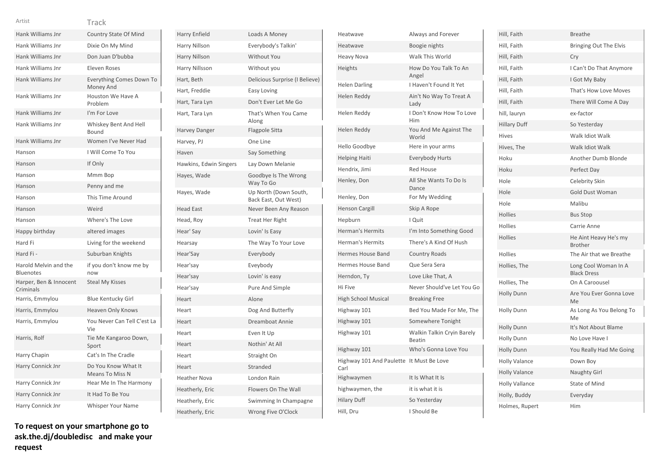| . .<br>٧ | w |  |
|----------|---|--|
|          | ٠ |  |
|          |   |  |

| Artist                                    | Track                                         |
|-------------------------------------------|-----------------------------------------------|
| Hank Williams Jnr                         | <b>Country State Of Mind</b>                  |
| Hank Williams Jnr                         | Dixie On My Mind                              |
| Hank Williams Jnr                         | Don Juan D'bubba                              |
| Hank Williams Jnr                         | <b>Eleven Roses</b>                           |
| Hank Williams Jnr                         | Everything Comes Down To<br>Money And         |
| Hank Williams Jnr                         | Houston We Have A<br>Problem                  |
| Hank Williams Jnr                         | I'm For Love                                  |
| Hank Williams Jnr                         | Whiskey Bent And Hell<br>Bound                |
| Hank Williams Jnr                         | Women I've Never Had                          |
| Hanson                                    | I Will Come To You                            |
| Hanson                                    | If Only                                       |
| Hanson                                    | Mmm Bop                                       |
| Hanson                                    | Penny and me                                  |
| Hanson                                    | This Time Around                              |
| Hanson                                    | Weird                                         |
|                                           |                                               |
| Hanson                                    | Where's The Love                              |
| Happy birthday                            | altered images                                |
| Hard Fi                                   | Living for the weekend                        |
| Hard Fi-                                  | Suburban Knights                              |
| Harold Melvin and the<br><b>Bluenotes</b> | if you don't know me by<br>now                |
| Harper, Ben & Innocent<br>Criminals       | <b>Steal My Kisses</b>                        |
| Harris, Emmylou                           | <b>Blue Kentucky Girl</b>                     |
| Harris, Emmylou                           | Heaven Only Knows                             |
| Harris, Emmylou                           | You Never Can Tell C'est La<br>Vie            |
| Harris, Rolf                              | Tie Me Kangaroo Down,<br>Sport                |
| Harry Chapin                              | Cat's In The Cradle                           |
| Harry Connick Jnr                         | Do You Know What It<br><b>Means To Miss N</b> |
| Harry Connick Jnr                         | Hear Me In The Harmony                        |
| Harry Connick Jnr                         | It Had To Be You                              |

| Harry Enfield          | Loads A Money                                 |
|------------------------|-----------------------------------------------|
| Harry Nillson          | Everybody's Talkin'                           |
| Harry Nillson          | <b>Without You</b>                            |
| Harry Nillsson         | Without you                                   |
| Hart, Beth             | Delicious Surprise (I Believe)                |
| Hart, Freddie          | Easy Loving                                   |
| Hart, Tara Lyn         | Don't Ever Let Me Go                          |
| Hart, Tara Lyn         | That's When You Came<br>Along                 |
| <b>Harvey Danger</b>   | <b>Flagpole Sitta</b>                         |
| Harvey, PJ             | One Line                                      |
| Haven                  | Say Something                                 |
| Hawkins, Edwin Singers | Lay Down Melanie                              |
| Hayes, Wade            | Goodbye Is The Wrong<br>Way To Go             |
| Hayes, Wade            | Up North (Down South,<br>Back East, Out West) |
| <b>Head East</b>       | Never Been Any Reason                         |
| Head, Roy              | <b>Treat Her Right</b>                        |
| Hear' Say              | Lovin' Is Easy                                |
| Hearsay                | The Way To Your Love                          |
| Hear'Say               | Everybody                                     |
| Hear'say               | Eveybody                                      |
| Hear'say               | Lovin' is easy                                |
| Hear'say               | Pure And Simple                               |
| Heart                  | Alone                                         |
| Heart                  | Dog And Butterfly                             |
| Heart                  | Dreamboat Annie                               |
| Heart                  | Even It Up                                    |
| Heart                  | Nothin' At All                                |
| Heart                  | Straight On                                   |
| Heart                  | Stranded                                      |
| <b>Heather Nova</b>    | London Rain                                   |
| Heatherly, Eric        | Flowers On The Wall                           |
| Heatherly, Eric        | Swimming In Champagne                         |
| Heatherly, Eric        | Wrong Five O'Clock                            |

| Heatwave                         | Always and Forever                   |
|----------------------------------|--------------------------------------|
| Heatwave                         | Boogie nights                        |
| <b>Heavy Nova</b>                | Walk This World                      |
| Heights                          | How Do You Talk To An<br>Angel       |
| Helen Darling                    | I Haven't Found It Yet               |
| Helen Reddy                      | Ain't No Way To Treat A<br>Lady      |
| Helen Reddy                      | I Don't Know How To Love<br>Him      |
| Helen Reddy                      | You And Me Against The<br>World      |
| Hello Goodbye                    | Here in your arms                    |
| <b>Helping Haiti</b>             | <b>Everybody Hurts</b>               |
| Hendrix, Jimi                    | <b>Red House</b>                     |
| Henley, Don                      | All She Wants To Do Is<br>Dance      |
| Henley, Don                      | For My Wedding                       |
| <b>Henson Cargill</b>            | Skip A Rope                          |
| Hepburn                          | I Quit                               |
| Herman's Hermits                 | I'm Into Something Good              |
| <b>Herman's Hermits</b>          | There's A Kind Of Hush               |
| <b>Hermes House Band</b>         | <b>Country Roads</b>                 |
| Hermes House Band                | Que Sera Sera                        |
| Herndon, Ty                      | Love Like That, A                    |
| Hi Five                          | Never Should've Let You Go           |
| <b>High School Musical</b>       | <b>Breaking Free</b>                 |
| Highway 101                      | Bed You Made For Me, The             |
| Highway 101                      | Somewhere Tonight                    |
| Highway 101                      | Walkin Talkin Cryin Barely<br>Beatin |
| Highway 101                      | Who's Gonna Love You                 |
| Highway 101 And Paulette<br>Carl | It Must Be Love                      |
| Highwaymen                       | It Is What It Is                     |
| highwaymen, the                  | it is what it is                     |
| <b>Hilary Duff</b>               | So Yesterday                         |
| Hill, Dru                        | I Should Be                          |

| Hill, Faith           | <b>Breathe</b>                             |
|-----------------------|--------------------------------------------|
| Hill, Faith           | Bringing Out The Elvis                     |
| Hill, Faith           | Cry                                        |
| Hill, Faith           | I Can't Do That Anymore                    |
| Hill, Faith           | I Got My Baby                              |
| Hill, Faith           | That's How Love Moves                      |
| Hill, Faith           | There Will Come A Day                      |
| hill, lauryn          | ex-factor                                  |
| <b>Hillary Duff</b>   | So Yesterday                               |
| Hives                 | Walk Idiot Walk                            |
| Hives, The            | Walk Idiot Walk                            |
| Hoku                  | Another Dumb Blonde                        |
| Hoku                  | Perfect Day                                |
| Hole                  | Celebrity Skin                             |
| Hole                  | <b>Gold Dust Woman</b>                     |
| Hole                  | Malibu                                     |
| <b>Hollies</b>        | <b>Bus Stop</b>                            |
| <b>Hollies</b>        | Carrie Anne                                |
| <b>Hollies</b>        | He Aint Heavy He's my<br><b>Brother</b>    |
| <b>Hollies</b>        | The Air that we Breathe                    |
| Hollies, The          | Long Cool Woman In A<br><b>Black Dress</b> |
| Hollies, The          | On A Caroousel                             |
| <b>Holly Dunn</b>     | Are You Ever Gonna Love<br>Me              |
| <b>Holly Dunn</b>     | As Long As You Belong To<br>Me             |
| <b>Holly Dunn</b>     | It's Not About Blame                       |
| <b>Holly Dunn</b>     | No Love Have I                             |
| Holly Dunn            | You Really Had Me Going                    |
| <b>Holly Valance</b>  | Down Boy                                   |
| <b>Holly Valance</b>  | <b>Naughty Girl</b>                        |
| <b>Holly Vallance</b> | State of Mind                              |
| Holly, Buddy          | Everyday                                   |
| Holmes, Rupert        | Him                                        |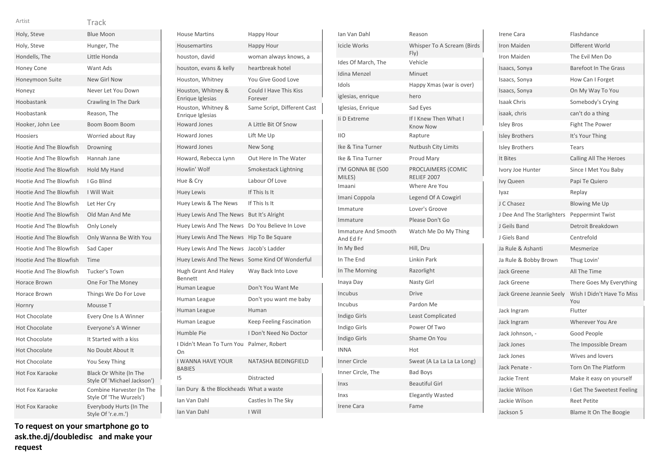|  | ٧ |  |
|--|---|--|
|  |   |  |

| Holy, Steve                    | <b>Blue Moon</b>                                      |
|--------------------------------|-------------------------------------------------------|
| Holy, Steve                    | Hunger, The                                           |
| Hondells, The                  | Little Honda                                          |
| Honey Cone                     | Want Ads                                              |
| Honeymoon Suite                | New Girl Now                                          |
| Honeyz                         | Never Let You Down                                    |
| Hoobastank                     | Crawling In The Dark                                  |
| Hoobastank                     | Reason, The                                           |
| Hooker, John Lee               | Boom Boom Boom                                        |
| <b>Hoosiers</b>                | Worried about Rav                                     |
| Hootie And The Blowfish        | Drowning                                              |
| Hootie And The Blowfish        | Hannah Jane                                           |
| Hootie And The Blowfish        | Hold My Hand                                          |
| Hootie And The Blowfish        | I Go Blind                                            |
| <b>Hootie And The Blowfish</b> | I Will Wait                                           |
| Hootie And The Blowfish        | Let Her Cry                                           |
| Hootie And The Blowfish        | Old Man And Me                                        |
| Hootie And The Blowfish        | Only Lonely                                           |
| <b>Hootie And The Blowfish</b> | Only Wanna Be With You                                |
| Hootie And The Blowfish        | Sad Caper                                             |
| Hootie And The Blowfish        | Time                                                  |
| Hootie And The Blowfish        | <b>Tucker's Town</b>                                  |
| Horace Brown                   | One For The Money                                     |
| Horace Brown                   | Things We Do For Love                                 |
| Hornry                         | Mousse T                                              |
| <b>Hot Chocolate</b>           | Every One Is A Winner                                 |
| <b>Hot Chocolate</b>           | Everyone's A Winner                                   |
| <b>Hot Chocolate</b>           | It Started with a kiss                                |
| <b>Hot Chocolate</b>           | No Doubt About It                                     |
| <b>Hot Chocolate</b>           | You Sexy Thing                                        |
| Hot Fox Karaoke                | Black Or White (In The<br>Style Of 'Michael Jackson') |
| Hot Fox Karaoke                | Combine Harvester (In The<br>Style Of 'The Wurzels')  |
| Hot Fox Karaoke                | Everybody Hurts (In The<br>Style Of 'r.e.m.')         |

House Martins Happy Hour Housemartins Happy Hour houston, david woman always knows, a houston, evans & kelly heartbreak hotel Houston, Whitney You Give Good Love Houston, Whitney & Enrique Iglesias Could I Have This Kiss Forever Houston, Whitney & Enrique Iglesias Same Script, Different Cast Howard Jones A Little Bit Of Snow Howard Jones Lift Me Up Howard Jones New Song Howard, Rebecca Lynn Out Here In The Water Howlin' Wolf Smokestack Lightning Hue & Cry Labour Of Love Huey Lewis If This Is It Huey Lewis & The News If This Is It Huey Lewis And The News But It's Alright Huey Lewis And The News Do You Believe In Love Huey Lewis And The News Hip To Be Square Huey Lewis And The News Jacob's Ladder Huey Lewis And The News Some Kind Of Wonderful Hugh Grant And Haley Bennett Way Back Into Love Human League Don't You Want Me Human League Don't you want me baby Human League Human Human League Keep Feeling Fascination Humble Pie I Don't Need No Doctor I Didn't Mean To Turn You Palmer, Robert On I WANNA HAVE YOUR BABIES NATASHA BEDINGFIELD I5 Distracted Ian Dury & the Blockheads What a waste Ian Van Dahl Castles In The Sky Ian Van Dahl I Will

| Ian Van Dahl                            | Reason                                   |
|-----------------------------------------|------------------------------------------|
| <b>Icicle Works</b>                     | Whisper To A Scream (Birds<br>Fly)       |
| Ides Of March, The                      | Vehicle                                  |
| Idina Menzel                            | Minuet                                   |
| Idols                                   | Happy Xmas (war is over)                 |
| iglesias, enrique                       | hero                                     |
| Iglesias, Enrique                       | Sad Eyes                                 |
| li D Extreme                            | If I Knew Then What I<br><b>Know Now</b> |
| <b>IIO</b>                              | Rapture                                  |
| Ike & Tina Turner                       | <b>Nutbush City Limits</b>               |
| Ike & Tina Turner                       | <b>Proud Mary</b>                        |
| I'M GONNA BE (500<br>MILES)             | PROCLAIMERS (COMIC<br>RELIEF 2007        |
| Imaani                                  | Where Are You                            |
| Imani Coppola                           | Legend Of A Cowgirl                      |
| Immature                                | Lover's Groove                           |
| Immature                                | Please Don't Go                          |
| <b>Immature And Smooth</b><br>And Ed Fr | Watch Me Do My Thing                     |
| In My Bed                               | Hill, Dru                                |
| In The End                              | Linkin Park                              |
| In The Morning                          | Razorlight                               |
| Inaya Day                               | Nasty Girl                               |
| Incubus                                 | <b>Drive</b>                             |
| Incubus                                 | Pardon Me                                |
| Indigo Girls                            | <b>Least Complicated</b>                 |
| Indigo Girls                            | Power Of Two                             |
| Indigo Girls                            | Shame On You                             |
| <b>INNA</b>                             | Hot                                      |
| <b>Inner Circle</b>                     | Sweat (A La La La La Long)               |
| Inner Circle, The                       | <b>Bad Boys</b>                          |
| Inxs                                    | <b>Beautiful Girl</b>                    |
| Inxs                                    | <b>Elegantly Wasted</b>                  |
| <b>Irene Cara</b>                       | Fame                                     |

| Irene Cara                 | Flashdance                        |
|----------------------------|-----------------------------------|
| Iron Maiden                | Different World                   |
| Iron Maiden                | The Evil Men Do                   |
| Isaacs, Sonya              | <b>Barefoot In The Grass</b>      |
| Isaacs, Sonya              | How Can I Forget                  |
| Isaacs, Sonya              | On My Way To You                  |
| <b>Isaak Chris</b>         | Somebody's Crying                 |
| isaak, chris               | can't do a thing                  |
| <b>Isley Bros</b>          | Fight The Power                   |
| <b>Isley Brothers</b>      | It's Your Thing                   |
| <b>Isley Brothers</b>      | Tears                             |
| It Bites                   | <b>Calling All The Heroes</b>     |
| Ivory Joe Hunter           | Since I Met You Baby              |
| Ivy Queen                  | Papi Te Quiero                    |
| lyaz                       | Replay                            |
| J C Chasez                 | <b>Blowing Me Up</b>              |
| J Dee And The Starlighters | <b>Peppermint Twist</b>           |
| J Geils Band               | Detroit Breakdown                 |
| J Giels Band               | Centrefold                        |
| Ja Rule & Ashanti          | Mesmerize                         |
| Ja Rule & Bobby Brown      | Thug Lovin'                       |
| Jack Greene                | All The Time                      |
| Jack Greene                | There Goes My Everything          |
| Jack Greene Jeannie Seely  | Wish I Didn't Have To Miss<br>You |
| Jack Ingram                | Flutter                           |
| Jack Ingram                | Wherever You Are                  |
| Jack Johnson, -            | Good People                       |
| Jack Jones                 | The Impossible Dream              |
| Jack Jones                 | Wives and lovers                  |
| Jack Penate -              | Torn On The Platform              |
| Jackie Trent               | Make it easy on yourself          |
| Jackie Wilson              | I Get The Sweetest Feeling        |
| Jackie Wilson              | <b>Reet Petite</b>                |
| Jackson 5                  | Blame It On The Boogie            |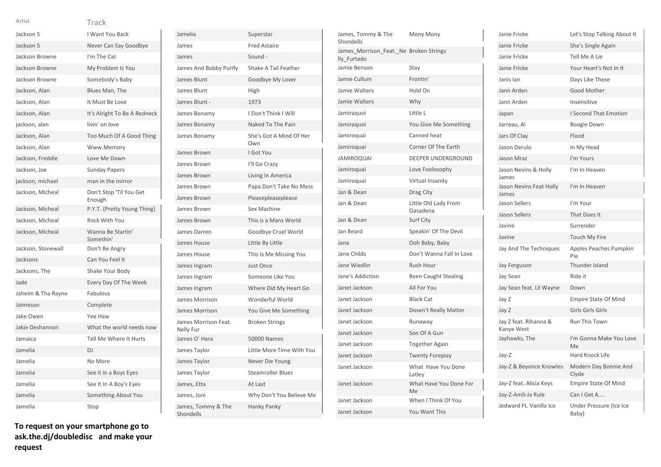| Jackson 5          | I Want You Back                   |
|--------------------|-----------------------------------|
| Jackson 5          | Never Can Say Goodbye             |
| Jackson Browne     | I'm The Cat                       |
| Jackson Browne     | My Problem Is You                 |
| Jackson Browne     | Somebody's Baby                   |
| Jackson, Alan      | Blues Man, The                    |
| Jackson, Alan      | It Must Be Love                   |
| Jackson, Alan      | It's Alright To Be A Redneck      |
| jackson, alan      | livin' on love                    |
| Jackson, Alan      | Too Much Of A Good Thing          |
| Jackson, Alan      | Www.Memory                        |
| Jackson, Freddie   | Love Me Down                      |
| Jackson, Joe       | <b>Sunday Papers</b>              |
| jackson, michael   | man in the mirror                 |
| Jackson, Micheal   | Don't Stop 'Til You Get<br>Enough |
| Jackson, Micheal   | P.Y.T. (Pretty Young Thing)       |
| Jackson, Micheal   | Rock With You                     |
| Jackson, Micheal   | Wanna Be Startin'<br>Somethin'    |
| Jackson, Stonewall | Don't Be Angry                    |
| Jacksons           | Can You Feel It                   |
| Jacksons, The      | Shake Your Body                   |
| Jade               | Every Day Of The Week             |
| Jaheim & Tha Rayne | Fabulous                          |
| Jaimeson           | Complete                          |
| Jake Owen          | Yee Haw                           |
| Jakie Deshannon    | What the world needs now          |
| Jamaica            | Tell Me Where It Hurts            |
| Jamelia            | DJ                                |
| Jamelia            | No More                           |
| Jamelia            | See it in a Boys Eyes             |
| Jamelia            | See It In A Boy's Eyes            |
| Jamelia            | Something About You               |
| Jamelia            | Stop                              |

| Jamelia                           | Superstar                      |
|-----------------------------------|--------------------------------|
| James                             | <b>Fred Astaire</b>            |
| James                             | Sound -                        |
| James And Bobby Purify            | Shake A Tail Feather           |
| James Blunt                       | Goodbye My Lover               |
| James Blunt                       | High                           |
| James Blunt -                     | 1973                           |
| James Bonamy                      | I Don't Think I Will           |
| James Bonamy                      | Naked To The Pain              |
| James Bonamy                      | She's Got A Mind Of Her<br>Own |
| James Brown                       | I Got You                      |
| James Brown                       | I'll Go Crazy                  |
| James Brown                       | Living In America              |
| James Brown                       | Papa Don't Take No Mess        |
| James Brown                       | Pleasepleaseplease             |
| James Brown                       | Sex Machine                    |
| James Brown                       | This is a Mans World           |
| James Darren                      | Goodbye Cruel World            |
| James House                       | Little By Little               |
| James House                       | This Is Me Missing You         |
| James Ingram                      | <b>Just Once</b>               |
| James Ingram                      | Someone Like You               |
| James Ingram                      | Where Did My Heart Go          |
| James Morrison                    | Wonderful World                |
| <b>James Morrison</b>             | You Give Me Something          |
| James Morrison Feat.<br>Nelly Fur | <b>Broken Strings</b>          |
| James O' Hara                     | <b>50000 Names</b>             |
| James Taylor                      | Little More Time With You      |
| James Taylor                      | Never Die Young                |
| James Taylor                      | <b>Steamroller Blues</b>       |
| James, Etta                       | At Last                        |
| James, Joni                       | Why Don't You Believe Me       |
| James, Tommy & The<br>Shondells   | Hanky Panky                    |

| James, Tommy & The<br>Shondells                       | Mony Mony                        |
|-------------------------------------------------------|----------------------------------|
| James Morrison Feat. Ne Broken Strings<br>lly Furtado |                                  |
| Jamie Benson                                          | Stay                             |
| Jamie Cullum                                          | Frontin'                         |
| Jamie Walters                                         | Hold On                          |
| Jamie Walters                                         | Why                              |
| Jamiraquoi                                            | Little L                         |
| Jamiraquoi                                            | You Give Me Something            |
| Jamiroquai                                            | Canned heat                      |
| Jamiroquai                                            | Corner Of The Earth              |
| <b>JAMIROQUAI</b>                                     | <b>DEEPER UNDERGROUND</b>        |
| Jamiroquai                                            | Love Foolosophy                  |
| Jamiroquai                                            | Virtual Insanity                 |
| Jan & Dean                                            | Drag City                        |
| Jan & Dean                                            | Little Old Lady From<br>Oasadena |
| Jan & Dean                                            | <b>Surf City</b>                 |
| Jan Beard                                             | Speakin' Of The Devil            |
| Jana                                                  | Ooh Baby, Baby                   |
| Jane Childs                                           | Don't Wanna Fall In Love         |
| Jane Wiedlin                                          | <b>Rush Hour</b>                 |
| Jane's Addiction                                      | <b>Been Caught Stealing</b>      |
| Janet Jackson                                         | All For You                      |
| Janet Jackson                                         | <b>Black Cat</b>                 |
| Janet Jackson                                         | Dosen't Really Matter            |
| Janet Jackson                                         | Runaway                          |
| Janet Jackson                                         | Son Of A Gun                     |
| Janet Jackson                                         | <b>Together Again</b>            |
| Janet Jackson                                         | <b>Twenty Foreplay</b>           |
| Janet Jackson                                         | What Have You Done<br>Latlev     |
| Janet Jackson                                         | What Have You Done For<br>Me     |
| Janet Jackson                                         | When I Think Of You              |
| Janet Jackson                                         | You Want This                    |

| Janie Fricke                        | Let's Stop Talking About It      |
|-------------------------------------|----------------------------------|
| Janie Fricke                        | She's Single Again               |
| Janie Fricke                        | Tell Me A Lie                    |
| Janie Fricke                        | Your Heart's Not In It           |
| Janis lan                           | Days Like These                  |
| Jann Arden                          | <b>Good Mother</b>               |
| Jann Arden                          | Insensitive                      |
| Japan                               | <b>I Second That Emotion</b>     |
| Jarreau, Al                         | Boogie Down                      |
| Jars Of Clay                        | Flood                            |
| Jason Derulo                        | In My Head                       |
| <b>Jason Mraz</b>                   | I'm Yours                        |
| Jason Nevins & Holly<br>lames       | I'm In Heaven                    |
| Jason Nevins Feat Holly<br>James    | I'm In Heaven                    |
| Jason Sellers                       | I'm Your                         |
| Jason Sellers                       | That Does It                     |
| Javine                              | Surrender                        |
| Javine                              | <b>Touch My Fire</b>             |
| Jay And The Techniques              | Apples Peaches Pumpkin<br>Pie    |
| Jay Ferguson                        | Thunder Island                   |
| Jay Sean                            | Ride it                          |
| Jay Sean feat. Lil Wayne            | Down                             |
| Jay Z                               | <b>Empire State Of Mind</b>      |
| Jay Z                               | Girls Girls Girls                |
| Jay Z feat. Rihanna &<br>Kanye West | Run This Town                    |
| Jayhawks, The                       | I'm Gonna Make You Love<br>Me    |
| Jay-Z                               | Hard Knock Life                  |
| Jay-Z & Beyonce Knowles             | Modern Day Bonnie And<br>Clyde   |
| Jay-Z feat. Alicia Keys             | <b>Empire State Of Mind</b>      |
| Jay-Z-Amli-Ja Rule                  | Can I Get A                      |
| Jedward Ft. Vanilla Ice             | Under Pressure (Ice Ice<br>Baby) |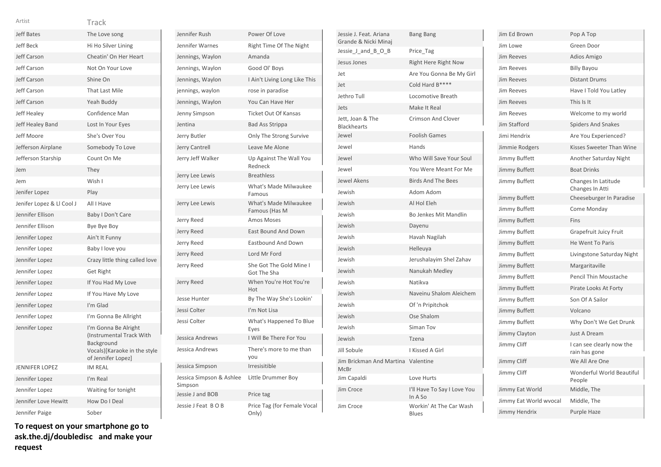| Artist                    | Track                                                                                                                |
|---------------------------|----------------------------------------------------------------------------------------------------------------------|
| <b>Jeff Bates</b>         | The Love song                                                                                                        |
| Jeff Beck                 | Hi Ho Silver Lining                                                                                                  |
| Jeff Carson               | Cheatin' On Her Heart                                                                                                |
| Jeff Carson               | Not On Your Love                                                                                                     |
| Jeff Carson               | Shine On                                                                                                             |
| Jeff Carson               | <b>That Last Mile</b>                                                                                                |
| <b>Jeff Carson</b>        | Yeah Buddy                                                                                                           |
| <b>Jeff Healey</b>        | Confidence Man                                                                                                       |
| Jeff Healey Band          | Lost In Your Eyes                                                                                                    |
| Jeff Moore                | She's Over You                                                                                                       |
| Jefferson Airplane        | Somebody To Love                                                                                                     |
| Jefferson Starship        | Count On Me                                                                                                          |
| Jem                       | They                                                                                                                 |
| Jem                       | Wish I                                                                                                               |
| Jenifer Lopez             | Play                                                                                                                 |
| Jenifer Lopez & Ll Cool J | All I Have                                                                                                           |
| Jennifer Ellison          | Baby I Don't Care                                                                                                    |
| Jennifer Ellison          | Bye Bye Boy                                                                                                          |
| Jennifer Lopez            | Ain't It Funny                                                                                                       |
| Jennifer Lopez            | Baby I love you                                                                                                      |
| Jennifer Lopez            | Crazy little thing called love                                                                                       |
| Jennifer Lopez            | <b>Get Right</b>                                                                                                     |
| Jennifer Lopez            | If You Had My Love                                                                                                   |
| Jennifer Lopez            | If You Have My Love                                                                                                  |
| Jennifer Lopez            | I'm Glad                                                                                                             |
| Jennifer Lopez            | I'm Gonna Be Allright                                                                                                |
| Jennifer Lopez            | I'm Gonna Be Alright<br>(Instrumental Track With<br>Background<br>Vocals)[Karaoke in the style<br>of Jennifer Lopez] |
| <b>JENNIFER LOPEZ</b>     | <b>IM REAL</b>                                                                                                       |
| Jennifer Lopez            | I'm Real                                                                                                             |
| Jennifer Lopez            | Waiting for tonight                                                                                                  |
| Jennifer Love Hewitt      | How Do I Deal                                                                                                        |
| Jennifer Paige            | Sober                                                                                                                |

**To request on your smartphone go to ask.the.dj/doubledisc and make your request**

| Jennifer Rush                       | Power Of Love                          |
|-------------------------------------|----------------------------------------|
| Jennifer Warnes                     | Right Time Of The Night                |
| Jennings, Waylon                    | Amanda                                 |
| Jennings, Waylon                    | Good Ol' Boys                          |
| Jennings, Waylon                    | I Ain't Living Long Like This          |
| jennings, waylon                    | rose in paradise                       |
| Jennings, Waylon                    | You Can Have Her                       |
| Jenny Simpson                       | <b>Ticket Out Of Kansas</b>            |
| Jentina                             | <b>Bad Ass Strippa</b>                 |
| Jerry Butler                        | Only The Strong Survive                |
| Jerry Cantrell                      | Leave Me Alone                         |
| Jerry Jeff Walker                   | Up Against The Wall You<br>Redneck     |
| Jerry Lee Lewis                     | <b>Breathless</b>                      |
| Jerry Lee Lewis                     | What's Made Milwaukee<br>Famous        |
| Jerry Lee Lewis                     | What's Made Milwaukee<br>Famous (Has M |
| Jerry Reed                          | Amos Moses                             |
| Jerry Reed                          | <b>East Bound And Down</b>             |
| Jerry Reed                          | <b>Eastbound And Down</b>              |
| Jerry Reed                          | Lord Mr Ford                           |
| Jerry Reed                          | She Got The Gold Mine I<br>Got The Sha |
| Jerry Reed                          | When You're Hot You're<br>Hot          |
| Jesse Hunter                        | By The Way She's Lookin'               |
| Jessi Colter                        | I'm Not Lisa                           |
| Jessi Colter                        | What's Happened To Blue<br>Eyes        |
| Jessica Andrews                     | I Will Be There For You                |
| Jessica Andrews                     | There's more to me than<br>vou         |
| Jessica Simpson                     | Irresisitible                          |
| Jessica Simpson & Ashlee<br>Simpson | Little Drummer Boy                     |
| Jessie J and BOB                    | Price tag                              |
| Jessie J Feat BOB                   | Price Tag (for Female Vocal<br>Only)   |

| Jessie J. Feat. Ariana<br>Grande & Nicki Minaj | <b>Bang Bang</b>                       |
|------------------------------------------------|----------------------------------------|
| Jessie J and B O B                             | Price_Tag                              |
| Jesus Jones                                    | Right Here Right Now                   |
| Jet                                            | Are You Gonna Be My Girl               |
| Jet                                            | Cold Hard B****                        |
| Jethro Tull                                    | Locomotive Breath                      |
| Jets                                           | Make It Real                           |
| Jett, Joan & The<br><b>Blackhearts</b>         | <b>Crimson And Clover</b>              |
| Jewel                                          | <b>Foolish Games</b>                   |
| Jewel                                          | Hands                                  |
| Jewel                                          | Who Will Save Your Soul                |
| Jewel                                          | You Were Meant For Me                  |
| <b>Jewel Akens</b>                             | <b>Birds And The Bees</b>              |
| Jewish                                         | Adom Adom                              |
| Jewish                                         | Al Hol Eleh                            |
| Jewish                                         | Bo Jenkes Mit Mandlin                  |
| Jewish                                         | Dayenu                                 |
| Jewish                                         | Havah Nagilah                          |
| Jewish                                         | Helleuya                               |
| Jewish                                         | Jerushalayim Shel Zahav                |
| Jewish                                         | Nanukah Medley                         |
| Jewish                                         | Natikva                                |
| Jewish                                         | Naveinu Shalom Aleichem                |
| Jewish                                         | Of 'n Pripitchok                       |
| Jewish                                         | Ose Shalom                             |
| Jewish                                         | Siman Tov                              |
| Jewish                                         | Tzena                                  |
| Jill Sobule                                    | I Kissed A Girl                        |
| Jim Brickman And Martina<br><b>McBr</b>        | Valentine                              |
| Jim Capaldi                                    | Love Hurts                             |
| Jim Croce                                      | I'll Have To Say I Love You<br>In A So |
| Jim Croce                                      | Workin' At The Car Wash<br>Rlues       |

| Jim Ed Brown           | Pop A Top                                  |
|------------------------|--------------------------------------------|
| Jim Lowe               | Green Door                                 |
| <b>Jim Reeves</b>      | Adios Amigo                                |
| <b>Jim Reeves</b>      | <b>Billy Bayou</b>                         |
| Jim Reeves             | <b>Distant Drums</b>                       |
| <b>Jim Reeves</b>      | Have I Told You Latley                     |
| <b>Jim Reeves</b>      | This Is It                                 |
| <b>Jim Reeves</b>      | Welcome to my world                        |
| Jim Stafford           | <b>Spiders And Snakes</b>                  |
| Jimi Hendrix           | Are You Experienced?                       |
| Jimmie Rodgers         | Kisses Sweeter Than Wine                   |
| Jimmy Buffett          | Another Saturday Night                     |
| Jimmy Buffett          | <b>Boat Drinks</b>                         |
| Jimmy Buffett          | Changes In Latitude<br>Changes In Atti     |
| Jimmy Buffett          | Cheeseburger In Paradise                   |
| Jimmy Buffett          | Come Monday                                |
| Jimmy Buffett          | Fins                                       |
| Jimmy Buffett          | Grapefruit Juicy Fruit                     |
| Jimmy Buffett          | He Went To Paris                           |
| Jimmy Buffett          | Livingstone Saturday Night                 |
| Jimmy Buffett          | Margaritaville                             |
| Jimmy Buffett          | <b>Pencil Thin Moustache</b>               |
| Jimmy Buffett          | Pirate Looks At Forty                      |
| Jimmy Buffett          | Son Of A Sailor                            |
| Jimmy Buffett          | Volcano                                    |
| Jimmy Buffett          | Why Don't We Get Drunk                     |
| Jimmy Clayton          | <b>Just A Dream</b>                        |
| Jimmy Cliff            | I can see clearly now the<br>rain has gone |
| Jimmy Cliff            | We All Are One                             |
| Jimmy Cliff            | Wonderful World Beautiful<br>People        |
| Jimmy Eat World        | Middle, The                                |
| Jimmy Eat World wvocal | Middle, The                                |
| Jimmy Hendrix          | <b>Purple Haze</b>                         |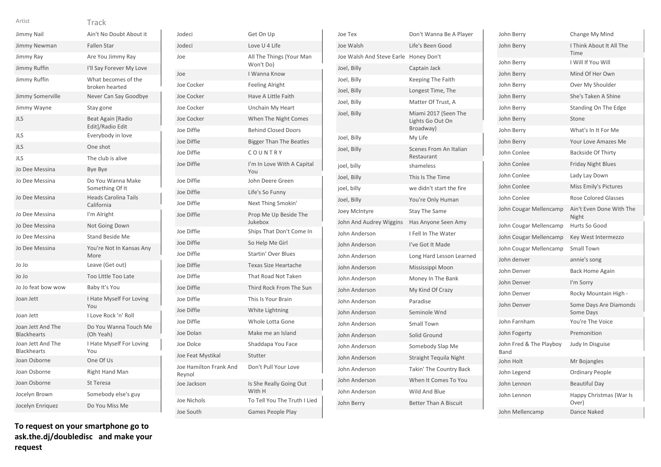| ٧ | v |  |  |  |
|---|---|--|--|--|
|   |   |  |  |  |

Jodeci Jodeci

| Jimmy Nail                              | Ain't No Doubt About it                   |
|-----------------------------------------|-------------------------------------------|
| Jimmy Newman                            | <b>Fallen Star</b>                        |
| Jimmy Ray                               | Are You Jimmy Ray                         |
| Jimmy Ruffin                            | I'll Say Forever My Love                  |
| Jimmy Ruffin                            | What becomes of the<br>broken hearted     |
| Jimmy Somerville                        | Never Can Say Goodbye                     |
| Jimmy Wayne                             | Stay gone                                 |
| JLS                                     | Beat Again [Radio<br>Edit]/Radio Edit     |
| <b>JLS</b>                              | Everybody in love                         |
| <b>JLS</b>                              | One shot                                  |
| JLS                                     | The club is alive                         |
| Jo Dee Messina                          | Bye Bye                                   |
| Jo Dee Messina                          | Do You Wanna Make<br>Something Of It      |
| Jo Dee Messina                          | <b>Heads Carolina Tails</b><br>California |
| Jo Dee Messina                          | I'm Alright                               |
| Jo Dee Messina                          | Not Going Down                            |
| Jo Dee Messina                          | <b>Stand Beside Me</b>                    |
| Jo Dee Messina                          | You're Not In Kansas Any<br>More          |
| Jo Jo                                   | Leave (Get out)                           |
| Jo Jo                                   | Too Little Too Late                       |
| Jo Jo feat bow wow                      | Baby It's You                             |
| Joan Jett                               | I Hate Myself For Loving<br>You           |
| Joan Jett                               | I Love Rock 'n' Roll                      |
| Joan Jett And The<br><b>Blackhearts</b> | Do You Wanna Touch Me<br>(Oh Yeah)        |
| Joan Jett And The<br><b>Blackhearts</b> | I Hate Myself For Loving<br>You           |
| Joan Osborne                            | One Of Us                                 |
| Joan Osborne                            | Right Hand Man                            |
| Joan Osborne                            | St Teresa                                 |
| Jocelyn Brown                           | Somebody else's guy                       |
| Jocelyn Enriquez                        | Do You Miss Me                            |
|                                         |                                           |

| Jodeci                           | Get On Up                             |
|----------------------------------|---------------------------------------|
| Jodeci                           | Love U 4 Life                         |
| Joe                              | All The Things (Your Man<br>Won't Do) |
| Joe                              | I Wanna Know                          |
| Joe Cocker                       | <b>Feeling Alright</b>                |
| Joe Cocker                       | Have A Little Faith                   |
| Joe Cocker                       | Unchain My Heart                      |
| Joe Cocker                       | When The Night Comes                  |
| Joe Diffie                       | <b>Behind Closed Doors</b>            |
| Joe Diffie                       | <b>Bigger Than The Beatles</b>        |
| Joe Diffie                       | COUNTRY                               |
| Joe Diffie                       | I'm In Love With A Capital<br>You     |
| Joe Diffie                       | John Deere Green                      |
| Joe Diffie                       | Life's So Funny                       |
| Joe Diffie                       | Next Thing Smokin'                    |
| Joe Diffie                       | Prop Me Up Beside The<br>Jukebox      |
| Joe Diffie                       | Ships That Don't Come In              |
| Joe Diffie                       | So Help Me Girl                       |
| Joe Diffie                       | <b>Startin' Over Blues</b>            |
| Joe Diffie                       | Texas Size Heartache                  |
| Joe Diffie                       | That Road Not Taken                   |
| Joe Diffie                       | Third Rock From The Sun               |
| Joe Diffie                       | This Is Your Brain                    |
| Joe Diffie                       | White Lightning                       |
| Joe Diffie                       | Whole Lotta Gone                      |
| Joe Dolan                        | Make me an Island                     |
| Joe Dolce                        | Shaddapa You Face                     |
| Joe Feat Mystikal                | Stutter                               |
| Joe Hamilton Frank And<br>Reynol | Don't Pull Your Love                  |
| Joe Jackson                      | Is She Really Going Out<br>With H     |
| Joe Nichols                      | To Tell You The Truth I Liec          |
| Joe South                        | <b>Games People Play</b>              |

| Joe Tex                   | Don't Wanna Be A Player                               |
|---------------------------|-------------------------------------------------------|
| Joe Walsh                 | Life's Been Good                                      |
| Joe Walsh And Steve Earle | Honey Don't                                           |
| Joel, Billy               | Captain Jack                                          |
| Joel, Billy               | Keeping The Faith                                     |
| Joel, Billy               | Longest Time, The                                     |
| Joel, Billy               | Matter Of Trust, A                                    |
| Joel, Billy               | Miami 2017 (Seen The<br>Lights Go Out On<br>Broadway) |
| Joel, Billy               | My Life                                               |
| Joel, Billy               | Scenes From An Italian<br>Restaurant                  |
| joel, billy               | shameless                                             |
| Joel, Billy               | This Is The Time                                      |
| joel, billy               | we didn't start the fire                              |
| Joel, Billy               | You're Only Human                                     |
| Joey McIntyre             | <b>Stay The Same</b>                                  |
| John And Audrey Wiggins   | Has Anyone Seen Amy                                   |
| John Anderson             | I Fell In The Water                                   |
| John Anderson             | I've Got It Made                                      |
| John Anderson             | Long Hard Lesson Learned                              |
| John Anderson             | Mississippi Moon                                      |
| John Anderson             | Money In The Bank                                     |
| John Anderson             | My Kind Of Crazy                                      |
| John Anderson             | Paradise                                              |
| John Anderson             | Seminole Wnd                                          |
| John Anderson             | Small Town                                            |
| John Anderson             | Solid Ground                                          |
| John Anderson             | Somebody Slap Me                                      |
| John Anderson             | <b>Straight Tequila Night</b>                         |
| John Anderson             | Takin' The Country Back                               |
| John Anderson             | When It Comes To You                                  |
| John Anderson             | Wild And Blue                                         |
| John Berry                | <b>Better Than A Biscuit</b>                          |
|                           |                                                       |

| John Berry                      | Change My Mind                      |
|---------------------------------|-------------------------------------|
| John Berry                      | I Think About It All The<br>Time    |
| John Berry                      | I Will If You Will                  |
| John Berry                      | Mind Of Her Own                     |
| John Berry                      | Over My Shoulder                    |
| John Berry                      | She's Taken A Shine                 |
| John Berry                      | Standing On The Edge                |
| John Berry                      | Stone                               |
| John Berry                      | What's In It For Me                 |
| John Berry                      | Your Love Amazes Me                 |
| John Conlee                     | <b>Backside Of Thirty</b>           |
| John Conlee                     | <b>Friday Night Blues</b>           |
| John Conlee                     | Lady Lay Down                       |
| John Conlee                     | Miss Emily's Pictures               |
| John Conlee                     | <b>Rose Colored Glasses</b>         |
| John Cougar Mellencamp          | Ain't Even Done With The<br>Night   |
| John Cougar Mellencamp          | Hurts So Good                       |
| John Cougar Mellencamp          | Key West Intermezzo                 |
| John Cougar Mellencamp          | <b>Small Town</b>                   |
| John denver                     | annie's song                        |
| John Denver                     | <b>Back Home Again</b>              |
| John Denver                     | I'm Sorry                           |
| John Denver                     | Rocky Mountain High -               |
| John Denver                     | Some Days Are Diamonds<br>Some Days |
| John Farnham                    | You're The Voice                    |
| John Fogerty                    | Premonition                         |
| John Fred & The Playboy<br>Band | Judy In Disguise                    |
| John Holt                       | Mr Bojangles                        |
| John Legend                     | <b>Ordinary People</b>              |
| John Lennon                     | <b>Beautiful Day</b>                |
| John Lennon                     | Happy Christmas (War Is<br>Over)    |
| John Mellencamp                 | Dance Naked                         |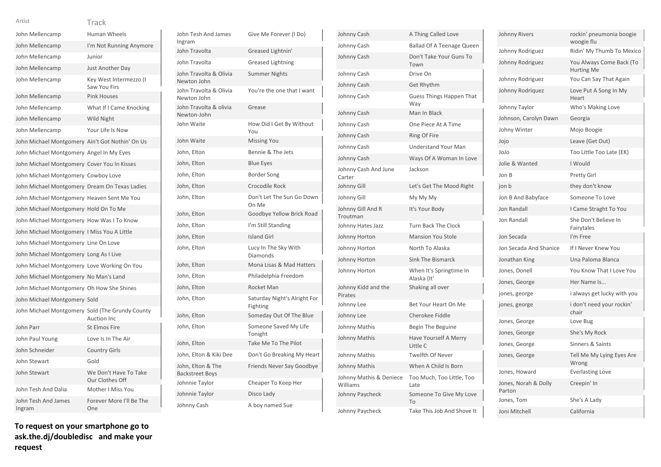| John Mellencamp                                 | Human Wheels                             |
|-------------------------------------------------|------------------------------------------|
| John Mellencamp                                 | I'm Not Running Anymore                  |
| John Mellencamp                                 | Junior                                   |
| John Mellencamp                                 | Just Another Day                         |
| John Mellencamp                                 | Key West Intermezzo (I<br>Saw You Firs   |
| John Mellencamp                                 | <b>Pink Houses</b>                       |
| John Mellencamp                                 | What If I Came Knocking                  |
| John Mellencamp                                 | Wild Night                               |
| John Mellencamp                                 | Your Life Is Now                         |
| John Michael Montgomery Ain't Got Nothin' On Us |                                          |
| John Michael Montgomery Angel In My Eyes        |                                          |
| John Michael Montgomery Cover You In Kisses     |                                          |
| John Michael Montgomery Cowboy Love             |                                          |
| John Michael Montgomery Dream On Texas Ladies   |                                          |
| John Michael Montgomery Heaven Sent Me You      |                                          |
| John Michael Montgomery Hold On To Me           |                                          |
| John Michael Montgomery How Was I To Know       |                                          |
| John Michael Montgomery I Miss You A Little     |                                          |
| John Michael Montgomery Line On Love            |                                          |
| John Michael Montgomery Long As I Live          |                                          |
| John Michael Montgomery Love Working On You     |                                          |
| John Michael Montgomery No Man's Land           |                                          |
| John Michael Montgomery Oh How She Shines       |                                          |
| John Michael Montgomery Sold                    |                                          |
| John Michael Montgomery Sold (The Grundy County | Auction Inc                              |
| John Parr                                       | <b>St Elmos Fire</b>                     |
| John Paul Young                                 | Love Is In The Air                       |
| John Schneider                                  | <b>Country Girls</b>                     |
| John Stewart                                    | Gold                                     |
| John Stewart                                    | We Don't Have To Take<br>Our Clothes Off |
| John Tesh And Dalia                             | Mother I Miss You                        |
| John Tesh And James<br>Ingram                   | Forever More I'll Be The<br>One          |

John Tesh And James Ingram Give Me Forever (I Do) John Travolta Greased Lightnin' John Travolta Greased Lightning John Travolta & Olivia Newton John Summer Nights John Travolta & Olivia Newton John You're the one that I want John Travolta & olivia Newton-John Grease John Waite **How Did I Get By Without** You John Waite Missing You John, Elton Bennie & The Jets John, Elton Blue Eyes John, Elton Border Song John, Elton Crocodile Rock John, Elton Don't Let The Sun Go Down On Me John, Elton Goodbye Yellow Brick Road John, Elton I'm Still Standing John, Elton Island Girl John, Elton Lucy In The Sky With Diamonds John, Elton Mona Lisas & Mad Hatters John, Elton Philadelphia Freedom John, Elton Rocket Man John, Elton Saturday Night's Alright For Fighting John, Elton Someday Out Of The Blue John, Elton Someone Saved My Life Tonight John, Elton Take Me To The Pilot John, Elton & Kiki Dee Don't Go Breaking My Heart John, Elton & The Backstreet Boys Friends Never Say Goodbye Johnnie Taylor Cheaper To Keep Her Johnnie Taylor Disco Lady Johnny Cash A boy named Sue

| Johnny Cash                         | A Thing Called Love                    |
|-------------------------------------|----------------------------------------|
| Johnny Cash                         | <b>Ballad Of A Teenage Queen</b>       |
| Johnny Cash                         | Don't Take Your Guns To<br>Town        |
| Johnny Cash                         | Drive On                               |
| Johnny Cash                         | <b>Get Rhythm</b>                      |
| Johnny Cash                         | Guess Things Happen That<br>Way        |
| Johnny Cash                         | Man In Black                           |
| Johnny Cash                         | One Piece At A Time                    |
| Johnny Cash                         | Ring Of Fire                           |
| Johnny Cash                         | <b>Understand Your Man</b>             |
| Johnny Cash                         | Ways Of A Woman In Love                |
| Johnny Cash And June<br>Carter      | Jackson                                |
| Johnny Gill                         | Let's Get The Mood Right               |
| Johnny Gill                         | My My My                               |
| Johnny Gill And R<br>Troutman       | It's Your Body                         |
| Johnny Hates Jazz                   | <b>Turn Back The Clock</b>             |
| Johnny Horton                       | <b>Mansion You Stole</b>               |
| Johnny Horton                       | North To Alaska                        |
| Johnny Horton                       | <b>Sink The Bismarck</b>               |
| Johnny Horton                       | When It's Springtime In<br>Alaska (It' |
| Johnny Kidd and the<br>Pirates      | Shaking all over                       |
| Johnny Lee                          | Bet Your Heart On Me                   |
| Johnny Lee                          | Cherokee Fiddle                        |
| Johnny Mathis                       | Begin The Beguine                      |
| Johnny Mathis                       | Have Yourself A Merry<br>Little C      |
| Johnny Mathis                       | <b>Twelfth Of Never</b>                |
| Johnny Mathis                       | When A Child Is Born                   |
| Johnny Mathis & Deniece<br>Williams | Too Much, Too Little, Too<br>Late      |
| Johnny Paycheck                     | Someone To Give My Love<br>To          |
| Johnny Paycheck                     | Take This Job And Shove It             |

| Johnny Rivers                  | rockin' pneumonia boogie<br>woogie flu        |
|--------------------------------|-----------------------------------------------|
| Johnny Rodriguez               | Ridin' My Thumb To Mexico                     |
| Johnny Rodriguez               | You Always Come Back (To<br><b>Hurting Me</b> |
| Johnny Rodriguez               | You Can Say That Again                        |
| Johnny Rodriguez               | Love Put A Song In My<br>Heart                |
| Johnny Taylor                  | Who's Making Love                             |
| Johnson, Carolyn Dawn          | Georgia                                       |
| Johny Winter                   | Mojo Boogie                                   |
| Jojo                           | Leave (Get Out)                               |
| JoJo                           | Too Little Too Late (EK)                      |
| Jolie & Wanted                 | I Would                                       |
| Jon B                          | <b>Pretty Girl</b>                            |
| jon b                          | they don't know                               |
| Jon B And Babyface             | Someone To Love                               |
| Jon Randall                    | I Came Straght To You                         |
| <b>Jon Randall</b>             | She Don't Believe In<br>Fairytales            |
| Jon Secada                     | I'm Free                                      |
| Jon Secada And Shanice         | If I Never Knew You                           |
| Jonathan King                  | Una Paloma Blanca                             |
| Jones, Donell                  | You Know That I Love You                      |
| Jones, George                  | Her Name Is                                   |
| jones, george                  | i always get lucky with you                   |
| jones, george                  | i don't need your rockin'<br>chair            |
| Jones, George                  | Love Bug                                      |
| Jones, George                  | She's My Rock                                 |
| Jones, George                  | Sinners & Saints                              |
| Jones, George                  | Tell Me My Lying Eyes Are<br>Wrong            |
| Jones, Howard                  | <b>Everlasting Love</b>                       |
| Jones, Norah & Dolly<br>Parton | Creepin' In                                   |
| Jones, Tom                     | She's A Lady                                  |
| Joni Mitchell                  | California                                    |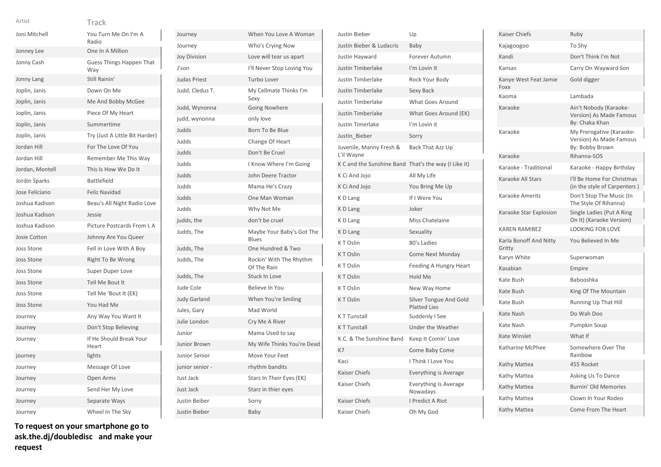|--|

| v |  | I<br>I |
|---|--|--------|
|   |  |        |
|   |  |        |

| Artist            | Track                                  |
|-------------------|----------------------------------------|
| Joni Mitchell     | You Turn Me On I'm A<br>Radio          |
| Jonney Lee        | One In A Million                       |
| Jonny Cash        | <b>Guess Things Happen That</b><br>Way |
| Jonny Lang        | Still Rainin'                          |
| Joplin, Janis     | Down On Me                             |
| Joplin, Janis     | Me And Bobby McGee                     |
| Joplin, Janis     | Piece Of My Heart                      |
| Joplin, Janis     | Summertime                             |
| Joplin, Janis     | Try (Just A Little Bit Harder)         |
| Jordan Hill       | For The Love Of You                    |
| Jordan Hill       | Remember Me This Way                   |
| Jordan, Montell   | This Is How We Do It                   |
| Jordin Sparks     | <b>Battlefield</b>                     |
| Jose Feliciano    | <b>Feliz Navidad</b>                   |
| Joshua Kadison    | Beau's All Night Radio Love            |
| Joshua Kadison    | Jessie                                 |
| Joshua Kadison    | Picture Postcards From L A             |
| Josie Cotton      | Johnny Are You Queer                   |
| <b>Joss Stone</b> | Fell in Love With A Boy                |
| Joss Stone        | Right To Be Wrong                      |
| <b>Joss Stone</b> | Super Duper Love                       |
| <b>Joss Stone</b> | Tell Me Bout It                        |
| <b>Joss Stone</b> | Tell Me 'Bout It (EK)                  |
| <b>Joss Stone</b> | You Had Me                             |
| Journey           | Any Way You Want It                    |
| Journey           | Don't Stop Believing                   |
| Journey           | If He Should Break Your<br>Heart       |
| journey           | lights                                 |
| Journey           | Message Of Love                        |
| Journey           | Open Arms                              |
| Journey           | Send Her My Love                       |
| Journey           | Separate Ways                          |
| Journey           | Wheel In The Sky                       |
|                   |                                        |

| Journey             | When You Love A Woman                  |
|---------------------|----------------------------------------|
| Journey             | Who's Crying Now                       |
| <b>Joy Division</b> | Love will tear us apart                |
| J'son               | I'll Never Stop Loving You             |
| <b>Judas Priest</b> | Turbo Lover                            |
| Judd, Cledus T.     | My Cellmate Thinks I'm<br>Sexy         |
| Judd, Wynonna       | Going Nowhere                          |
| judd, wynonna       | only love                              |
| Judds               | Born To Be Blue                        |
| Judds               | Change Of Heart                        |
| Judds               | Don't Be Cruel                         |
| Judds               | I Know Where I'm Going                 |
| Judds               | John Deere Tractor                     |
| Judds               | Mama He's Crazy                        |
| Judds               | One Man Woman                          |
| Judds               | Why Not Me                             |
| judds, the          | don't be cruel                         |
| Judds, The          | Maybe Your Baby's Got The<br>Blues     |
| Judds, The          | One Hundred & Two                      |
| Judds, The          | Rockin' With The Rhythm<br>Of The Rain |
| Judds, The          | Stuck In Love                          |
| Jude Cole           | Believe In You                         |
| <b>Judy Garland</b> | When You're Smiling                    |
| Jules, Gary         | Mad World                              |
| Julie London        | Cry Me A River                         |
| Junior              | Mama Used to say                       |
| <b>Junior Brown</b> | My Wife Thinks You're Dead             |
| Junior Senior       | Move Your Feet                         |
| junior senior -     | rhythm bandits                         |
| Just Jack           | Starz In Their Eyes (EK)               |
| Just Jack           | Starz in thier eyes                    |
| Justin Beiber       | Sorry                                  |
| Justin Bieber       | Baby                                   |

| Justin Bieber                         | Up                                            |
|---------------------------------------|-----------------------------------------------|
| Justin Bieber & Ludacris              | Baby                                          |
| Justin Hayward                        | Forever Autumn                                |
| <b>Justin Timberlake</b>              | I'm Lovin It                                  |
| <b>Justin Timberlake</b>              | Rock Your Body                                |
| <b>Justin Timberlake</b>              | Sexy Back                                     |
| <b>Justin Timberlake</b>              | What Goes Around                              |
| <b>Justin Timberlake</b>              | What Goes Around (EK)                         |
| <b>Justin Timerlake</b>               | I'm Lovin it                                  |
| Justin Bieber                         | Sorry                                         |
| Juvenile, Manny Fresh &<br>L'il Wayne | Back That Azz Up                              |
| K C and the Sunshine Band             | That's the way (I Like it)                    |
| K Ci And Jojo                         | All My Life                                   |
| K Ci And Jojo                         | You Bring Me Up                               |
| K D Lang                              | If I Were You                                 |
| K D Lang                              | Joker                                         |
| K D Lang                              | Miss Chatelaine                               |
| K D Lang                              | Sexuality                                     |
| KT Oslin                              | 80's Ladies                                   |
| KT Oslin                              | <b>Come Next Monday</b>                       |
| KT Oslin                              | Feeding A Hungry Heart                        |
| KT Oslin                              | Hold Me                                       |
| KT Oslin                              | New Way Home                                  |
| KT Oslin                              | Silver Tongue And Gold<br><b>Platted Lies</b> |
| <b>KT Tunstall</b>                    | Suddenly I See                                |
| <b>KT Tunstall</b>                    | Under the Weather                             |
| K.C. & The Sunshine Band              | Keep It Comin' Love                           |
| K7                                    | Come Baby Come                                |
| Kaci                                  | I Think I Love You                            |
| <b>Kaiser Chiefs</b>                  | Everything is Average                         |
| Kaiser Chiefs                         | <b>Everything Is Average</b><br>Nowadays      |
| Kaiser Chiefs                         | I Predict A Riot                              |
| Kaiser Chiefs                         | Oh My God                                     |

| Kaiser Chiefs                    | Ruby                                                                   |
|----------------------------------|------------------------------------------------------------------------|
| Kajagoogoo                       | To Shy                                                                 |
| Kandi                            | Don't Think I'm Not                                                    |
| Kansas                           | Carry On Wayward Son                                                   |
| Kanye West Feat Jamie<br>Foxx    | Gold digger                                                            |
| Kaoma                            | Lambada                                                                |
| Karaoke                          | Ain't Nobody (Karaoke-<br>Version) As Made Famous<br>By: Chaka Khan    |
| Karaoke                          | My Prerogative (Karaoke-<br>Version) As Made Famous<br>By: Bobby Brown |
| Karaoke                          | Rihanna-SOS                                                            |
| Karaoke - Traditional            | Karaoke - Happy Birthday                                               |
| Karaoke All Stars                | I'll Be Home For Christmas<br>(in the style of Carpenters)             |
| Karaoke Ameritz                  | Don't Stop The Music (In<br>The Style Of Rihanna)                      |
| Karaoke Star Explosion           | Single Ladies (Put A Ring<br>On It) (Karaoke Version)                  |
| <b>KAREN RAMIREZ</b>             | <b>LOOKING FOR LOVE</b>                                                |
| Karla Bonoff And Nitty<br>Gritty | You Believed In Me                                                     |
| Karyn White                      | Superwoman                                                             |
| Kasabian                         | Empire                                                                 |
| Kate Bush                        | Babooshka                                                              |
| Kate Bush                        | King Of The Mountain                                                   |
| Kate Bush                        | <b>Running Up That Hill</b>                                            |
| <b>Kate Nash</b>                 | Do Wah Doo                                                             |
| Kate Nash                        | Pumpkin Soup                                                           |
| Kate Winslet                     | What If                                                                |
| Katharine McPhee                 | Somewhere Over The<br>Rainbow                                          |
| Kathy Mattea                     | 455 Rocket                                                             |
| Kathy Mattea                     | Asking Us To Dance                                                     |
| Kathy Mattea                     | <b>Burnin' Old Memories</b>                                            |
| Kathy Mattea                     | Clown In Your Rodeo                                                    |
| Kathy Mattea                     | Come From The Heart                                                    |
|                                  |                                                                        |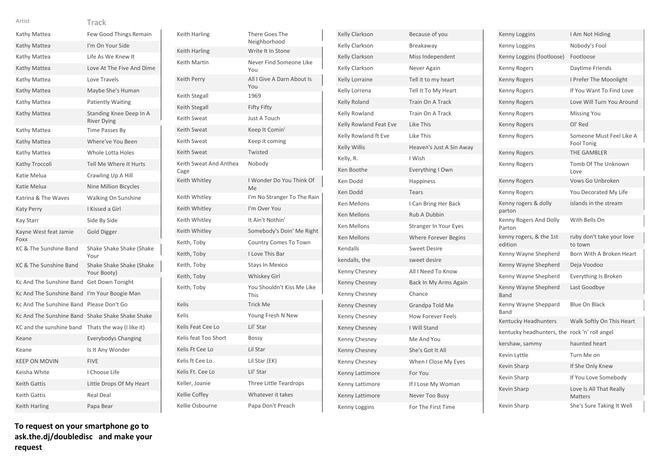| Artist                   | Track                                         |
|--------------------------|-----------------------------------------------|
| Kathy Mattea             | Few Good Things Remain                        |
| Kathy Mattea             | I'm On Your Side                              |
| Kathy Mattea             | Life As We Knew It                            |
| Kathy Mattea             | Love At The Five And Dime                     |
| Kathy Mattea             | Love Travels                                  |
| Kathy Mattea             | Maybe She's Human                             |
| Kathy Mattea             | <b>Patiently Waiting</b>                      |
| Kathy Mattea             | Standing Knee Deep In A<br><b>River Dying</b> |
| Kathy Mattea             | Time Passes By                                |
| Kathy Mattea             | Where've You Been                             |
| Kathy Mattea             | Whole Lotta Holes                             |
| Kathy Troccoli           | Tell Me Where It Hurts                        |
| Katie Melua              | Crawling Up A Hill                            |
| Katie Melua              | <b>Nine Million Bicycles</b>                  |
| Katrina & The Waves      | <b>Walking On Sunshine</b>                    |
| <b>Katy Perry</b>        | I Kissed a Girl                               |
| <b>Kay Starr</b>         | Side By Side                                  |
| Kayne West feat Jamie    | <b>Gold Digger</b>                            |
| Foxx                     |                                               |
| KC & The Sunshine Band   | Shake Shake Shake (Shake<br>Your              |
| KC & The Sunshine Band   | Shake Shake Shake (Shake<br>Your Booty)       |
| Kc And The Sunshine Band | Get Down Tonight                              |
| Kc And The Sunshine Band | I'm Your Boogie Man                           |
| Kc And The Sunshine Band | Please Don't Go                               |
| Kc And The Sunshine Band | Shake Shake Shake Shake                       |
| KC and the sunshine band | Thats the way (I like it)                     |
| Keane                    | <b>Everybodys Changing</b>                    |
| Keane                    | Is It Any Wonder                              |
| <b>KEEP ON MOVIN</b>     | <b>FIVE</b>                                   |
| Keisha White             | I Choose Life                                 |
| <b>Keith Gattis</b>      | Little Drops Of My Heart                      |
| <b>Keith Gattis</b>      | <b>Real Deal</b>                              |

| Keith Harling                  | There Goes The<br>Neighborhood     |
|--------------------------------|------------------------------------|
| Keith Harling                  | Write It In Stone                  |
| Keith Martin                   | Never Find Someone Like<br>You     |
| Keith Perry                    | All I Give A Darn About Is<br>You  |
| Keith Stegall                  | 1969                               |
| Keith Stegall                  | Fifty Fifty                        |
| Keith Sweat                    | Just A Touch                       |
| Keith Sweat                    | Keep It Comin'                     |
| Keith Sweat                    | Keep it coming                     |
| Keith Sweat                    | Twisted                            |
| Keith Sweat And Anthea<br>Cage | Nobody                             |
| Keith Whitley                  | I Wonder Do You Think Of<br>Me     |
| Keith Whitley                  | I'm No Stranger To The Rain        |
| Keith Whitley                  | I'm Over You                       |
| Keith Whitley                  | It Ain't Nothin'                   |
| Keith Whitley                  | Somebody's Doin' Me Right          |
| Keith, Toby                    | Country Comes To Town              |
| Keith, Toby                    | I Love This Bar                    |
| Keith, Toby                    | <b>Stays In Mexico</b>             |
| Keith, Toby                    | Whiskey Girl                       |
| Keith, Toby                    | You Shouldn't Kiss Me Like<br>This |
| Kelis                          | <b>Trick Me</b>                    |
| Kelis                          | Young Fresh N New                  |
| Kelis Feat Cee Lo              | Lil' Star                          |
| Kelis feat Too Short           | Bossy                              |
| Kelis Ft Cee Lo                | Lil Star                           |
| Kelis ft Cee Lo                | Lil Star (EK)                      |
| Kelis Ft. Cee Lo               | Lil' Star                          |
| Keller, Joanie                 | <b>Three Little Teardrops</b>      |
| Kellie Coffey                  | Whatever it takes                  |
| Kellie Osbourne                | Papa Don't Preach                  |

| <b>Kelly Clarkson</b>  | Because of you           |
|------------------------|--------------------------|
| Kelly Clarkson         | Breakaway                |
| Kelly Clarkson         | Miss Independent         |
| Kelly Clarkson         | Never Again              |
| Kelly Lorraine         | Tell it to my heart      |
| Kelly Lorrena          | Tell It To My Heart      |
| Kelly Roland           | Train On A Track         |
| Kelly Rowland          | Train On A Track         |
| Kelly Rowland Feat Eve | <b>Like This</b>         |
| Kelly Rowland ft Eve   | Like This                |
| <b>Kelly Willis</b>    | Heaven's Just A Sin Away |
| Kelly, R.              | I Wish                   |
| Ken Boothe             | Everything I Own         |
| Ken Dodd               | Happiness                |
| Ken Dodd               | Tears                    |
| Ken Mellons            | I Can Bring Her Back     |
| <b>Ken Mellons</b>     | Rub A Dubbin             |
| Ken Mellons            | Stranger In Your Eyes    |
| <b>Ken Mellons</b>     | Where Forever Begins     |
| Kendalls               | <b>Sweet Desire</b>      |
| kendalls, the          | sweet desire             |
| Kenny Chesney          | All I Need To Know       |
| Kenny Chesney          | Back In My Arms Again    |
| Kenny Chesney          | Chance                   |
| Kenny Chesney          | Grandpa Told Me          |
| Kenny Chesney          | <b>How Forever Feels</b> |
| Kenny Chesney          | I Will Stand             |
| Kenny Chesney          | Me And You               |
| Kenny Chesney          | She's Got It All         |
| Kenny Chesney          | When I Close My Eyes     |
| Kenny Lattimore        | For You                  |
| Kenny Lattimore        | If I Lose My Woman       |
| Kenny Lattimore        | Never Too Busy           |
| Kenny Loggins          | For The First Time       |

| Kenny Loggins                                 | I Am Not Hiding                           |
|-----------------------------------------------|-------------------------------------------|
| Kenny Loggins                                 | Nobody's Fool                             |
| Kenny Loggins (footloose)                     | Footloose                                 |
| Kenny Rogers                                  | Daytime Friends                           |
| <b>Kenny Rogers</b>                           | I Prefer The Moonlight                    |
| Kenny Rogers                                  | If You Want To Find Love                  |
| Kenny Rogers                                  | Love Will Turn You Around                 |
| Kenny Rogers                                  | <b>Missing You</b>                        |
| <b>Kenny Rogers</b>                           | OI' Red                                   |
| Kenny Rogers                                  | Someone Must Feel Like A<br>Fool Tonig    |
| <b>Kenny Rogers</b>                           | THE GAMBLER                               |
| Kenny Rogers                                  | Tomb Of The Unknown<br>Love               |
| Kenny Rogers                                  | Vows Go Unbroken                          |
| Kenny Rogers                                  | You Decorated My Life                     |
| Kenny rogers & dolly<br>parton                | islands in the stream                     |
| Kenny Rogers And Dolly<br>Parton              | With Bells On                             |
| kenny rogers, & the 1st<br>edition            | ruby don't take your love<br>to town      |
| Kenny Wayne Shepherd                          | Born With A Broken Heart                  |
| Kenny Wayne Shepherd                          | Deja Voodoo                               |
| Kenny Wayne Shepherd                          | Everything Is Broken                      |
| Kenny Wayne Shepherd<br>Band                  | Last Goodbye                              |
| Kenny Wayne Sheppard<br>Band                  | <b>Blue On Black</b>                      |
| Kentucky Headhunters                          | Walk Softly On This Heart                 |
| kentucky headhunters, the rock 'n' roll angel |                                           |
| kershaw, sammy                                | haunted heart                             |
| Kevin Lyttle                                  | Turn Me on                                |
| Kevin Sharp                                   | If She Only Knew                          |
| Kevin Sharp                                   | If You Love Somebody                      |
| Kevin Sharp                                   | Love Is All That Really<br><b>Matters</b> |
| Kevin Sharp                                   | She's Sure Taking It Well                 |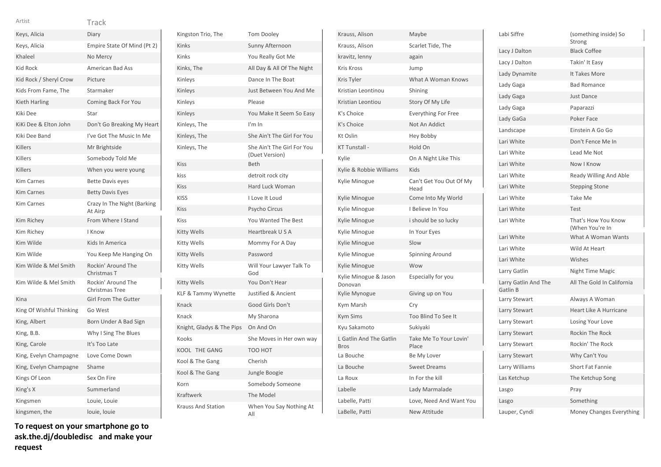| Keys, Alicia             | Diary                                  |
|--------------------------|----------------------------------------|
| Keys, Alicia             | Empire State Of Mind (Pt 2)            |
| Khaleel                  | No Mercy                               |
| <b>Kid Rock</b>          | <b>American Bad Ass</b>                |
| Kid Rock / Sheryl Crow   | Picture                                |
| Kids From Fame, The      | Starmaker                              |
| Kieth Harling            | Coming Back For You                    |
| Kiki Dee                 | Star                                   |
| KiKi Dee & Elton John    | Don't Go Breaking My Heart             |
| Kiki Dee Band            | I've Got The Music In Me               |
| Killers                  | Mr Brightside                          |
| Killers                  | Somebody Told Me                       |
| Killers                  | When you were young                    |
| <b>Kim Carnes</b>        | <b>Bette Davis eyes</b>                |
| <b>Kim Carnes</b>        | <b>Betty Davis Eyes</b>                |
| <b>Kim Carnes</b>        | Crazy In The Night (Barking<br>At Airp |
| Kim Richey               | From Where I Stand                     |
| Kim Richey               | I Know                                 |
| Kim Wilde                | Kids In America                        |
| Kim Wilde                | You Keep Me Hanging On                 |
| Kim Wilde & Mel Smith    | Rockin' Around The<br>Christmas T      |
| Kim Wilde & Mel Smith    | Rockin' Around The<br>Christmas Tree   |
| Kina                     | <b>Girl From The Gutter</b>            |
| King Of Wishful Thinking | Go West                                |
| King, Albert             | Born Under A Bad Sign                  |
| King, B.B.               | Why I Sing The Blues                   |
| King, Carole             | It's Too Late                          |
| King, Evelyn Champagne   | Love Come Down                         |
| King, Evelyn Champagne   | Shame                                  |
| Kings Of Leon            | Sex On Fire                            |
| King's X                 | Summerland                             |
| Kingsmen                 | Louie, Louie                           |
| kingsmen, the            | louie, louie                           |

**To request on your smartphone go to ask.the.dj/doubledisc and make your request**

| Kingston Trio, The        | <b>Tom Dooley</b>                            |
|---------------------------|----------------------------------------------|
| Kinks                     | Sunny Afternoon                              |
| Kinks                     | You Really Got Me                            |
| Kinks, The                | All Day & All Of The Night                   |
| Kinleys                   | Dance In The Boat                            |
| Kinleys                   | Just Between You And Me                      |
| Kinleys                   | Please                                       |
| Kinleys                   | You Make It Seem So Easy                     |
| Kinleys, The              | $l'm$ In                                     |
| Kinleys, The              | She Ain't The Girl For You                   |
| Kinleys, The              | She Ain't The Girl For You<br>(Duet Version) |
| Kiss                      | <b>Beth</b>                                  |
| kiss                      | detroit rock city                            |
| Kiss                      | Hard Luck Woman                              |
| <b>KISS</b>               | I Love It Loud                               |
| Kiss                      | Psycho Circus                                |
| <b>Kiss</b>               | <b>You Wanted The Best</b>                   |
| Kitty Wells               | Heartbreak U S A                             |
| Kitty Wells               | Mommy For A Day                              |
| Kitty Wells               | Password                                     |
| Kitty Wells               | Will Your Lawyer Talk To<br>God              |
| Kitty Wells               | You Don't Hear                               |
| KLF & Tammy Wynette       | <b>Justified &amp; Ancient</b>               |
| Knack                     | Good Girls Don't                             |
| Knack                     | My Sharona                                   |
| Knight, Gladys & The Pips | On And On                                    |
| Kooks                     | She Moves in Her own way                     |
| KOOL THE GANG             | TOO HOT                                      |
| Kool & The Gang           | Cherish                                      |
| Kool & The Gang           | Jungle Boogie                                |
| Korn                      | Somebody Someone                             |
| Kraftwerk                 | The Model                                    |
| <b>Krauss And Station</b> | When You Say Nothing At<br>All               |

| Krauss, Alison                         | Maybe                           |
|----------------------------------------|---------------------------------|
| Krauss, Alison                         | Scarlet Tide, The               |
| kravitz, lenny                         | again                           |
| <b>Kris Kross</b>                      | Jump                            |
| Kris Tyler                             | What A Woman Knows              |
| Kristian Leontinou                     | Shining                         |
| Kristian Leontiou                      | Story Of My Life                |
| K's Choice                             | <b>Everything For Free</b>      |
| K's Choice                             | Not An Addict                   |
| Kt Oslin                               | Hey Bobby                       |
| KT Tunstall -                          | Hold On                         |
| Kylie                                  | On A Night Like This            |
| Kylie & Robbie Williams                | Kids                            |
| Kylie Minogue                          | Can't Get You Out Of My<br>Head |
| Kylie Minogue                          | Come Into My World              |
| Kylie Minogue                          | I Believe In You                |
| Kylie Minogue                          | i should be so lucky            |
| Kylie Minogue                          | In Your Eyes                    |
| Kylie Minogue                          | Slow                            |
| Kylie Minogue                          | Spinning Around                 |
| <b>Kylie Minogue</b>                   | Wow                             |
| Kylie Minogue & Jason<br>Donovan       | Especially for you              |
| Kylie Mynogue                          | Giving up on You                |
| Kym Marsh                              | Cry                             |
| <b>Kym Sims</b>                        | Too Blind To See It             |
| Kyu Sakamoto                           | Sukiyaki                        |
| L Gatlin And The Gatlin<br><b>Bros</b> | Take Me To Your Lovin'<br>Place |
| La Bouche                              | Be My Lover                     |
| La Bouche                              | <b>Sweet Dreams</b>             |
| La Roux                                | In For the kill                 |
| Labelle                                | Lady Marmalade                  |
| Labelle, Patti                         | Love, Need And Want You         |
| LaBelle, Patti                         | <b>New Attitude</b>             |

| Labi Siffre                      | (something inside) So<br>Strong        |
|----------------------------------|----------------------------------------|
| Lacy J Dalton                    | <b>Black Coffee</b>                    |
| Lacy J Dalton                    | Takin' It Easy                         |
| Lady Dynamite                    | It Takes More                          |
| Lady Gaga                        | <b>Bad Romance</b>                     |
| Lady Gaga                        | <b>Just Dance</b>                      |
| Lady Gaga                        | Paparazzi                              |
| Lady GaGa                        | Poker Face                             |
| Landscape                        | Einstein A Go Go                       |
| Lari White                       | Don't Fence Me In                      |
| Lari White                       | Lead Me Not                            |
| Lari White                       | Now I Know                             |
| Lari White                       | Ready Willing And Able                 |
| Lari White                       | <b>Stepping Stone</b>                  |
| Lari White                       | Take Me                                |
| Lari White                       | Test                                   |
| Lari White                       | That's How You Know<br>(When You're In |
| Lari White                       | What A Woman Wants                     |
| Lari White                       | Wild At Heart                          |
| Lari White                       | Wishes                                 |
| Larry Gatlin                     | Night Time Magic                       |
| Larry Gatlin And The<br>Gatlin B | All The Gold In California             |
| Larry Stewart                    | Always A Woman                         |
| Larry Stewart                    | <b>Heart Like A Hurricane</b>          |
| Larry Stewart                    | Losing Your Love                       |
| Larry Stewart                    | Rockin The Rock                        |
| Larry Stewart                    | Rockin' The Rock                       |
| Larry Stewart                    | Why Can't You                          |
| Larry Williams                   | <b>Short Fat Fannie</b>                |
| Las Ketchup                      | The Ketchup Song                       |
| Lasgo                            | Pray                                   |
| Lasgo                            | Something                              |
| Lauper, Cyndi                    | Money Changes Everything               |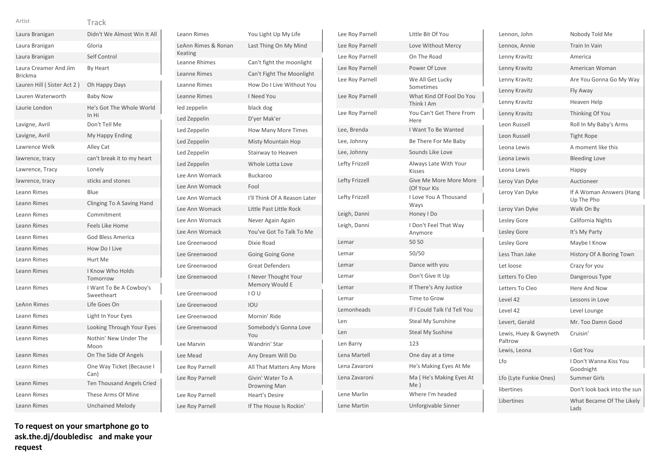| Laura Branigan                          | Didn't We Almost Win It All           |
|-----------------------------------------|---------------------------------------|
| Laura Branigan                          | Gloria                                |
| Laura Branigan                          | Self Control                          |
| Laura Creamer And Jim<br><b>Brickma</b> | By Heart                              |
| Lauren Hill (Sister Act 2)              | Oh Happy Days                         |
| Lauren Waterworth                       | <b>Baby Now</b>                       |
| Laurie London                           | He's Got The Whole World<br>In Hi     |
| Lavigne, Avril                          | Don't Tell Me                         |
| Lavigne, Avril                          | My Happy Ending                       |
| Lawrence Welk                           | Alley Cat                             |
| lawrence, tracy                         | can't break it to my heart            |
| Lawrence, Tracy                         | Lonely                                |
| lawrence, tracy                         | sticks and stones                     |
| Leann Rimes                             | Blue                                  |
| <b>Leann Rimes</b>                      | Clinging To A Saving Hand             |
| Leann Rimes                             | Commitment                            |
| <b>Leann Rimes</b>                      | <b>Feels Like Home</b>                |
| Leann Rimes                             | God Bless America                     |
| <b>Leann Rimes</b>                      | How Do I Live                         |
| <b>Leann Rimes</b>                      | Hurt Me                               |
| <b>Leann Rimes</b>                      | <b>I Know Who Holds</b><br>Tomorrow   |
| Leann Rimes                             | I Want To Be A Cowboy's<br>Sweetheart |
| <b>LeAnn Rimes</b>                      | Life Goes On                          |
| Leann Rimes                             | Light In Your Eyes                    |
| <b>Leann Rimes</b>                      | Looking Through Your Eyes             |
| Leann Rimes                             | Nothin' New Under The<br>Moon         |
| <b>Leann Rimes</b>                      | On The Side Of Angels                 |
| Leann Rimes                             | One Way Ticket (Because I<br>Can)     |
| Leann Rimes                             | <b>Ten Thousand Angels Cried</b>      |
| Leann Rimes                             | These Arms Of Mine                    |
| Leann Rimes                             | <b>Unchained Melody</b>               |

| <b>Leann Rimes</b>             | You Light Up My Life                     |
|--------------------------------|------------------------------------------|
| LeAnn Rimes & Ronan<br>Keating | Last Thing On My Mind                    |
| Leanne Rhimes                  | Can't fight the moonlight                |
| <b>Leanne Rimes</b>            | Can't Fight The Moonlight                |
| Leanne Rimes                   | How Do I Live Without You                |
| Leanne Rimes                   | I Need You                               |
| led zeppelin                   | black dog                                |
| Led Zeppelin                   | D'yer Mak'er                             |
| Led Zeppelin                   | <b>How Many More Times</b>               |
| Led Zeppelin                   | Misty Mountain Hop                       |
| Led Zeppelin                   | Stairway to Heaven                       |
| Led Zeppelin                   | Whole Lotta Love                         |
| Lee Ann Womack                 | <b>Buckaroo</b>                          |
| Lee Ann Womack                 | Fool                                     |
| Lee Ann Womack                 | I'll Think Of A Reason Later             |
| Lee Ann Womack                 | Little Past Little Rock                  |
| Lee Ann Womack                 | Never Again Again                        |
| Lee Ann Womack                 | You've Got To Talk To Me                 |
| Lee Greenwood                  | Dixie Road                               |
| Lee Greenwood                  | Going Going Gone                         |
| Lee Greenwood                  | <b>Great Defenders</b>                   |
| Lee Greenwood                  | I Never Thought Your<br>Memory Would E   |
| Lee Greenwood                  | 10U                                      |
| Lee Greenwood                  | IOU                                      |
| Lee Greenwood                  | Mornin' Ride                             |
| Lee Greenwood                  | Somebody's Gonna Love<br>You             |
| Lee Marvin                     | Wandrin' Star                            |
| Lee Mead                       | Any Dream Will Do                        |
| Lee Roy Parnell                | All That Matters Any More                |
| Lee Roy Parnell                | Givin' Water To A<br><b>Drowning Man</b> |
| Lee Roy Parnell                | <b>Heart's Desire</b>                    |
| Lee Roy Parnell                | If The House Is Rockin'                  |

| Lee Roy Parnell | Little Bit Of You                      |
|-----------------|----------------------------------------|
| Lee Roy Parnell | Love Without Mercy                     |
| Lee Roy Parnell | On The Road                            |
| Lee Roy Parnell | Power Of Love                          |
| Lee Roy Parnell | We All Get Lucky<br>Sometimes          |
| Lee Roy Parnell | What Kind Of Fool Do You<br>Think I Am |
| Lee Roy Parnell | You Can't Get There From<br>Here       |
| Lee, Brenda     | I Want To Be Wanted                    |
| Lee, Johnny     | Be There For Me Baby                   |
| Lee, Johnny     | Sounds Like Love                       |
| Lefty Frizzell  | Always Late With Your<br><b>Kisses</b> |
| Lefty Frizzell  | Give Me More More More<br>(Of Your Kis |
| Lefty Frizzell  | I Love You A Thousand<br>Ways          |
| Leigh, Danni    | Honey I Do                             |
| Leigh, Danni    | I Don't Feel That Way<br>Anymore       |
| Lemar           | 50 50                                  |
| Lemar           | 50/50                                  |
| Lemar           | Dance with you                         |
| Lemar           | Don't Give It Up                       |
| Lemar           | If There's Any Justice                 |
| Lemar           | Time to Grow                           |
| Lemonheads      | If I Could Talk I'd Tell You           |
| Len             | <b>Steal My Sunshine</b>               |
| Len             | <b>Steal My Sushine</b>                |
| Len Barry       | 123                                    |
| Lena Martell    | One day at a time                      |
| Lena Zavaroni   | He's Making Eyes At Me                 |
| Lena Zavaroni   | Ma (He's Making Eyes At<br>Me)         |
| Lene Marlin     | Where I'm headed                       |
| Lene Martin     | Unforgivable Sinner                    |

| Lennon, John                     | Nobody Told Me                         |
|----------------------------------|----------------------------------------|
| Lennox, Annie                    | <b>Train In Vain</b>                   |
| Lenny Kravitz                    | America                                |
| Lenny Kravitz                    | American Woman                         |
| Lenny Kravitz                    | Are You Gonna Go My Way                |
| Lenny Kravitz                    | Fly Away                               |
| Lenny Kravitz                    | Heaven Help                            |
| Lenny Kravitz                    | Thinking Of You                        |
| Leon Russell                     | Roll In My Baby's Arms                 |
| Leon Russell                     | Tight Rope                             |
| Leona Lewis                      | A moment like this                     |
| Leona Lewis                      | <b>Bleeding Love</b>                   |
| Leona Lewis                      | Happy                                  |
| Leroy Van Dyke                   | Auctioneer                             |
| Leroy Van Dyke                   | If A Woman Answers (Hang<br>Up The Pho |
| Leroy Van Dyke                   | Walk On By                             |
| Lesley Gore                      | California Nights                      |
| Lesley Gore                      | It's My Party                          |
| Lesley Gore                      | Maybe I Know                           |
| Less Than Jake                   | History Of A Boring Town               |
| Let loose                        | Crazy for you                          |
| Letters To Cleo                  | Dangerous Type                         |
| Letters To Cleo                  | Here And Now                           |
| Level 42                         | Lessons in Love                        |
| Level 42                         | Level Lounge                           |
| Levert, Gerald                   | Mr. Too Damn Good                      |
| Lewis, Huey & Gwyneth<br>Paltrow | Cruisin'                               |
| Lewis, Leona                     | I Got You                              |
| Lfo                              | I Don't Wanna Kiss You<br>Goodnight    |
| Lfo (Lyte Funkie Ones)           | <b>Summer Girls</b>                    |
| libertines                       | Don't look back into the sun           |
| Libertines                       | What Became Of The Likely<br>Lads      |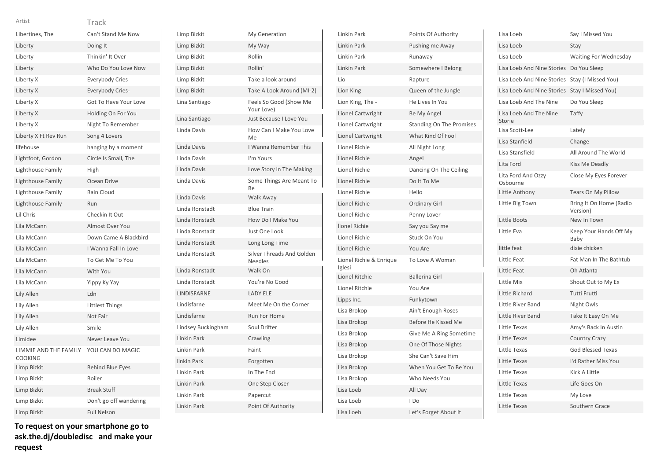| w | v |
|---|---|
|   | ۹ |

| Artist                                  | Track                   |
|-----------------------------------------|-------------------------|
| Libertines, The                         | Can't Stand Me Now      |
| Liberty                                 | Doing It                |
| Liberty                                 | Thinkin' It Over        |
| Liberty                                 | Who Do You Love Now     |
| Liberty X                               | <b>Everybody Cries</b>  |
| Liberty X                               | Everybody Cries-        |
| Liberty X                               | Got To Have Your Love   |
| Liberty X                               | Holding On For You      |
| Liberty X                               | Night To Remember       |
| Liberty X Ft Rev Run                    | Song 4 Lovers           |
| lifehouse                               | hanging by a moment     |
| Lightfoot, Gordon                       | Circle Is Small, The    |
| Lighthouse Family                       | High                    |
| Lighthouse Family                       | Ocean Drive             |
| Lighthouse Family                       | Rain Cloud              |
| Lighthouse Family                       | Run                     |
| Lil Chris                               | Checkin It Out          |
| Lila McCann                             | <b>Almost Over You</b>  |
| Lila McCann                             | Down Came A Blackbird   |
| Lila McCann                             | I Wanna Fall In Love    |
| Lila McCann                             | To Get Me To You        |
| Lila McCann                             | With You                |
| Lila McCann                             | Yippy Ky Yay            |
| Lily Allen                              | Ldn                     |
| Lily Allen                              | Littlest Things         |
| Lily Allen                              | Not Fair                |
| Lily Allen                              | Smile                   |
| Limidee                                 | Never Leave You         |
| LIMMIE AND THE FAMILY<br><b>COOKING</b> | YOU CAN DO MAGIC        |
| Limp Bizkit                             | <b>Behind Blue Eyes</b> |
| Limp Bizkit                             | Boiler                  |
| Limp Bizkit                             | <b>Break Stuff</b>      |
| Limp Bizkit                             | Don't go off wandering  |
| Limp Bizkit                             | <b>Full Nelson</b>      |

| Limp Bizkit        | My Generation                               |
|--------------------|---------------------------------------------|
| Limp Bizkit        | My Way                                      |
| Limp Bizkit        | Rollin                                      |
| Limp Bizkit        | Rollin'                                     |
| Limp Bizkit        | Take a look around                          |
| Limp Bizkit        | Take A Look Around (MI-2)                   |
| Lina Santiago      | Feels So Good (Show Me<br>Your Love)        |
| Lina Santiago      | Just Because I Love You                     |
| Linda Davis        | How Can I Make You Love<br>Me               |
| Linda Davis        | I Wanna Remember This                       |
| Linda Davis        | I'm Yours                                   |
| Linda Davis        | Love Story In The Making                    |
| Linda Davis        | Some Things Are Meant To<br>Вe              |
| Linda Davis        | Walk Away                                   |
| Linda Ronstadt     | <b>Blue Train</b>                           |
| Linda Ronstadt     | How Do I Make You                           |
| Linda Ronstadt     | Just One Look                               |
| Linda Ronstadt     | Long Long Time                              |
| Linda Ronstadt     | Silver Threads And Golden<br><b>Needles</b> |
| Linda Ronstadt     | Walk On                                     |
| Linda Ronstadt     | You're No Good                              |
| LINDISFARNE        | <b>LADY ELE</b>                             |
| Lindisfarne        | Meet Me On the Corner                       |
| Lindisfarne        | Run For Home                                |
| Lindsey Buckingham | Soul Drifter                                |
| Linkin Park        | Crawling                                    |
| Linkin Park        | Faint                                       |
| linkin Park        | Forgotten                                   |
| Linkin Park        | In The End                                  |
| Linkin Park        | One Step Closer                             |
| Linkin Park        | Papercut                                    |
| Linkin Park        | Point Of Authority                          |

| <b>Linkin Park</b>                | Points Of Authority             |
|-----------------------------------|---------------------------------|
| Linkin Park                       | Pushing me Away                 |
| Linkin Park                       | Runaway                         |
| <b>Linkin Park</b>                | Somewhere I Belong              |
| Lio                               | Rapture                         |
| Lion King                         | Queen of the Jungle             |
| Lion King, The -                  | He Lives In You                 |
| Lionel Cartwright                 | Be My Angel                     |
| Lionel Cartwright                 | <b>Standing On The Promises</b> |
| Lionel Cartwright                 | What Kind Of Fool               |
| Lionel Richie                     | All Night Long                  |
| <b>Lionel Richie</b>              | Angel                           |
| <b>Lionel Richie</b>              | Dancing On The Ceiling          |
| <b>Lionel Richie</b>              | Do It To Me                     |
| Lionel Richie                     | Hello                           |
| <b>Lionel Richie</b>              | <b>Ordinary Girl</b>            |
| Lionel Richie                     | Penny Lover                     |
| lionel Richie                     | Say you Say me                  |
| Lionel Richie                     | Stuck On You                    |
| <b>Lionel Richie</b>              | You Are                         |
| Lionel Richie & Enrique<br>Iglesi | To Love A Woman                 |
| <b>Lionel Ritchie</b>             | <b>Ballerina Girl</b>           |
| Lionel Ritchie                    | You Are                         |
| Lipps Inc.                        | Funkytown                       |
| Lisa Brokop                       | Ain't Enough Roses              |
| Lisa Brokop                       | Before He Kissed Me             |
| Lisa Brokop                       | Give Me A Ring Sometime         |
| Lisa Brokop                       | One Of Those Nights             |
| Lisa Brokop                       | She Can't Save Him              |
| Lisa Brokop                       | When You Get To Be You          |
| Lisa Brokop                       | Who Needs You                   |
| Lisa Loeb                         | All Day                         |
| Lisa Loeb                         | I Do                            |
| Lisa Loeb                         | Let's Forget About It           |

| Lisa Loeb                         | Say I Missed You                    |
|-----------------------------------|-------------------------------------|
| Lisa Loeb                         | Stay                                |
| Lisa Loeb                         | <b>Waiting For Wednesday</b>        |
| <b>Lisa Loeb And Nine Stories</b> | Do You Sleep                        |
| Lisa Loeb And Nine Stories        | Stay (I Missed You)                 |
| Lisa Loeb And Nine Stories        | Stay I Missed You)                  |
| Lisa Loeb And The Nine            | Do You Sleep                        |
| Lisa Loeb And The Nine<br>Storie  | Taffy                               |
| Lisa Scott-Lee                    | Lately                              |
| Lisa Stanfield                    | Change                              |
| Lisa Stansfield                   | All Around The World                |
| Lita Ford                         | Kiss Me Deadly                      |
| Lita Ford And Ozzy<br>Osbourne    | Close My Eyes Forever               |
| Little Anthony                    | Tears On My Pillow                  |
| Little Big Town                   | Bring It On Home (Radio<br>Version) |
| Little Boots                      | New In Town                         |
| Little Eva                        | Keep Your Hands Off My<br>Baby      |
| little feat                       | dixie chicken                       |
| Little Feat                       | Fat Man In The Bathtub              |
| Little Feat                       | Oh Atlanta                          |
| Little Mix                        | Shout Out to My Ex                  |
| Little Richard                    | Tutti Frutti                        |
| Little River Band                 | Night Owls                          |
| Little River Band                 | Take It Easy On Me                  |
| Little Texas                      | Amy's Back In Austin                |
| Little Texas                      | <b>Country Crazy</b>                |
| Little Texas                      | <b>God Blessed Texas</b>            |
| Little Texas                      | I'd Rather Miss You                 |
| Little Texas                      | Kick A Little                       |
| Little Texas                      | Life Goes On                        |
| Little Texas                      | My Love                             |
| Little Texas                      | Southern Grace                      |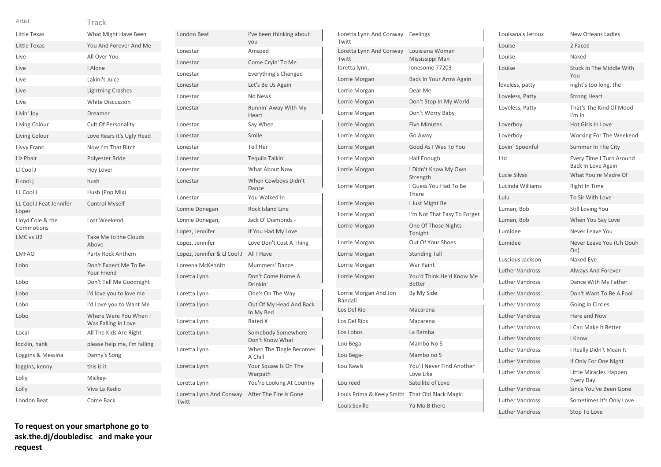| w | v   |  |
|---|-----|--|
|   | ___ |  |

| Artist                           | Track                                        |
|----------------------------------|----------------------------------------------|
| Little Texas                     | What Might Have Been                         |
| Little Texas                     | You And Forever And Me                       |
| Live                             | All Over You                                 |
| Live                             | I Alone                                      |
| Live                             | Lakini's Juice                               |
| Live                             | <b>Lightning Crashes</b>                     |
| Live                             | <b>White Discussion</b>                      |
| Livin' Joy                       | Dreamer                                      |
| Living Colour                    | <b>Cult Of Personality</b>                   |
| Living Colour                    | Love Rears it's Ugly Head                    |
| Livvy Franc                      | Now I'm That Bitch                           |
| Liz Phair                        | Polyester Bride                              |
| LI Cool J                        | Hey Lover                                    |
| Il cool j                        | hush                                         |
| LL Cool J                        | Hush (Pop Mix)                               |
| LL Cool J Feat Jennifer<br>Lopez | <b>Control Myself</b>                        |
| Lloyd Cole & the<br>Commotions   | Lost Weekend                                 |
| LMC vs U2                        | Take Me to the Clouds<br>Above               |
| <b>LMFAO</b>                     | Party Rock Anthem                            |
| Lobo                             | Don't Expect Me To Be<br>Your Friend         |
| Lobo                             | Don't Tell Me Goodnight                      |
| Lobo                             | I'd love you to love me                      |
| Lobo                             | I'd Love you to Want Me                      |
| Lobo                             | Where Were You When I<br>Was Falling In Love |
| Local                            | All The Kids Are Right                       |
| locklin, hank                    | please help me, i'm falling                  |
| Loggins & Messina                | Danny's Song                                 |
| loggins, kenny                   | this is it                                   |
| Lolly                            | Mickey-                                      |
| Lolly                            | Viva La Radio                                |
| London Beat                      | Come Back                                    |
|                                  |                                              |

| London Beat                       | I've been thinking about<br>vou       |
|-----------------------------------|---------------------------------------|
| Lonestar                          | Amazed                                |
| Lonestar                          | Come Cryin' To Me                     |
| Lonestar                          | <b>Everything's Changed</b>           |
| Lonestar                          | Let's Be Us Again                     |
| Lonestar                          | No News                               |
| Lonestar                          | Runnin' Away With My<br>Heart         |
| Lonestar                          | Sav When                              |
| Lonestar                          | Smile                                 |
| Lonestar                          | Tell Her                              |
| Lonestar                          | Tequila Talkin'                       |
| Lonestar                          | <b>What About Now</b>                 |
| Lonestar                          | When Cowboys Didn't<br>Dance          |
| Lonestar                          | You Walked In                         |
| Lonnie Donegan                    | <b>Rock Island Line</b>               |
| Lonnie Donegan,                   | Jack O' Diamonds -                    |
| Lopez, Jennifer                   | If You Had My Love                    |
| Lopez, Jennifer                   | Love Don't Cost A Thing               |
| Lopez, Jennifer & Ll Cool J       | All I Have                            |
| Loreena McKennitt                 | Mummers' Dance                        |
| Loretta Lynn                      | Don't Come Home A<br>Drinkin'         |
| Loretta Lynn                      | One's On The Way                      |
| Loretta Lynn                      | Out Of My Head And Back<br>In My Bed  |
| Loretta Lynn                      | Rated X                               |
| Loretta Lynn                      | Somebody Somewhere<br>Don't Know What |
| Loretta Lynn                      | When The Tingle Becomes<br>A Chill    |
| Loretta Lynn                      | Your Squaw Is On The<br>Warpath       |
| Loretta Lynn                      | You're Looking At Country             |
| Loretta Lynn And Conway<br>Twitt. | After The Fire Is Gone                |

| Loretta Lynn And Conway<br>Twitt | Feelings                                  |
|----------------------------------|-------------------------------------------|
| Loretta Lynn And Conway<br>Twitt | Louisiana Woman<br>Mississippi Man        |
| loretta lynn,                    | lonesome 77203                            |
| Lorrie Morgan                    | Back In Your Arms Again                   |
| Lorrie Morgan                    | Dear Me                                   |
| Lorrie Morgan                    | Don't Stop In My World                    |
| Lorrie Morgan                    | Don't Worry Baby                          |
| Lorrie Morgan                    | <b>Five Minutes</b>                       |
| Lorrie Morgan                    | Go Away                                   |
| Lorrie Morgan                    | Good As I Was To You                      |
| Lorrie Morgan                    | Half Enough                               |
| Lorrie Morgan                    | I Didn't Know My Own<br>Strength          |
| Lorrie Morgan                    | I Guess You Had To Be<br>There            |
| Lorrie Morgan                    | I Just Might Be                           |
| Lorrie Morgan                    | I'm Not That Easy To Forget               |
| Lorrie Morgan                    | One Of Those Nights<br>Tonight            |
| Lorrie Morgan                    | Out Of Your Shoes                         |
| Lorrie Morgan                    | <b>Standing Tall</b>                      |
| Lorrie Morgan                    | War Paint                                 |
| Lorrie Morgan                    | You'd Think He'd Know Me<br><b>Better</b> |
| Lorrie Morgan And Jon<br>Randall | By My Side                                |
| Los Del Rio                      | Macarena                                  |
| Los Del Rios                     | Macarena                                  |
| Los Lobos                        | La Bamba                                  |
| Lou Bega                         | Mambo No 5                                |
| Lou Bega-                        | Mambo no 5                                |
| Lou Rawls                        | You'll Never Find Another<br>Love Like    |
| Lou reed                         | Satellite of Love                         |
| Louis Prima & Keely Smith        | That Old Black Magic                      |
| Louis Seville                    | Ya Mo B there                             |

| Louisana's Leroux      | New Orleans Ladies                             |
|------------------------|------------------------------------------------|
| Louise                 | 2 Faced                                        |
| Louise                 | Naked                                          |
| Louise                 | Stuck In The Middle With<br>You                |
| loveless, patty        | night's too long, the                          |
| Loveless, Patty        | <b>Strong Heart</b>                            |
| Loveless, Patty        | That's The Kind Of Mood<br>$l'm$ In            |
| Loverboy               | Hot Girls In Love                              |
| Loverboy               | Working For The Weekend                        |
| Lovin' Spoonful        | Summer In The City                             |
| Ltd                    | Every Time I Turn Around<br>Back In Love Again |
| Lucie Silvas           | What You're Madre Of                           |
| Lucinda Williams       | Right In Time                                  |
| Lulu                   | To Sir With Love -                             |
| Luman, Bob             | Still Loving You                               |
| Luman, Bob             | When You Say Love                              |
| Lumidee                | Never Leave You                                |
| Lumidee                | Never Leave You (Uh Oouh<br>O <sub>O</sub>     |
| Luscious Jackson       | Naked Eye                                      |
| <b>Luther Vandross</b> | <b>Always And Forever</b>                      |
| <b>Luther Vandross</b> | Dance With My Father                           |
| <b>Luther Vandross</b> | Don't Want To Be A Fool                        |
| <b>Luther Vandross</b> | Going In Circles                               |
| <b>Luther Vandross</b> | Here and Now                                   |
| <b>Luther Vandross</b> | I Can Make It Better                           |
| <b>Luther Vandross</b> | I Know                                         |
| <b>Luther Vandross</b> | I Really Didn't Mean It                        |
| <b>Luther Vandross</b> | If Only For One Night                          |
| <b>Luther Vandross</b> | Little Miracles Happen<br><b>Every Day</b>     |
| <b>Luther Vandross</b> | Since You've Been Gone                         |
| <b>Luther Vandross</b> | Sometimes It's Only Love                       |
| <b>Luther Vandross</b> | Stop To Love                                   |

Twitt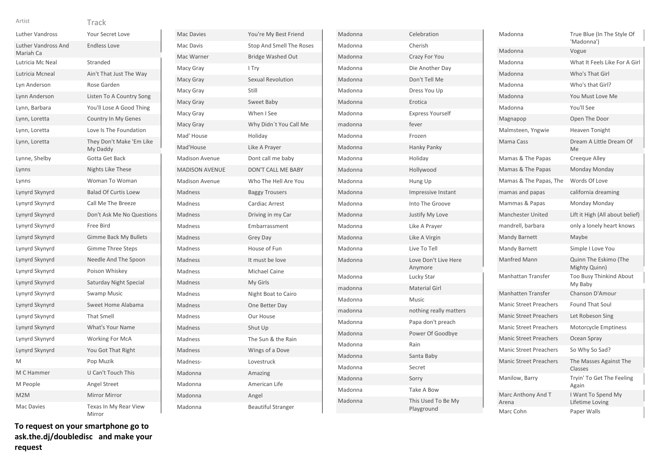| ٧ |  |  |
|---|--|--|
|   |  |  |

| Artist                                  | Track                                |
|-----------------------------------------|--------------------------------------|
| <b>Luther Vandross</b>                  | Your Secret Love                     |
| <b>Luther Vandross And</b><br>Mariah Ca | <b>Endless Love</b>                  |
| Lutricia Mc Neal                        | Stranded                             |
| Lutricia Mcneal                         | Ain't That Just The Way              |
| Lyn Anderson                            | Rose Garden                          |
| Lynn Anderson                           | Listen To A Country Song             |
| Lynn, Barbara                           | You'll Lose A Good Thing             |
| Lynn, Loretta                           | Country In My Genes                  |
| Lynn, Loretta                           | Love Is The Foundation               |
| Lynn, Loretta                           | They Don't Make 'Em Like<br>My Daddy |
| Lynne, Shelby                           | Gotta Get Back                       |
| Lynns                                   | Nights Like These                    |
| Lynns                                   | Woman To Woman                       |
| Lynyrd Skynyrd                          | <b>Balad Of Curtis Loew</b>          |
| Lynyrd Skynyrd                          | Call Me The Breeze                   |
| Lynyrd Skynyrd                          | Don't Ask Me No Questions            |
| Lynyrd Skynyrd                          | Free Bird                            |
| Lynyrd Skynyrd                          | <b>Gimme Back My Bullets</b>         |
| Lynyrd Skynyrd                          | <b>Gimme Three Steps</b>             |
| Lynyrd Skynyrd                          | Needle And The Spoon                 |
| Lynyrd Skynyrd                          | Poison Whiskey                       |
| Lynyrd Skynyrd                          | Saturday Night Special               |
| Lynyrd Skynyrd                          | <b>Swamp Music</b>                   |
| Lynyrd Skynyrd                          | Sweet Home Alabama                   |
| Lynyrd Skynyrd                          | <b>That Smell</b>                    |
| Lynyrd Skynyrd                          | What's Your Name                     |
| Lynyrd Skynyrd                          | Working For McA                      |
| Lynyrd Skynyrd                          | You Got That Right                   |
| M                                       | Pop Muzik                            |
| M C Hammer                              | U Can't Touch This                   |
| M People                                | Angel Street                         |
| M <sub>2</sub> M                        | <b>Mirror Mirror</b>                 |
| Mac Davies                              | Texas In My Rear View<br>Mirror      |

| <b>Mac Davies</b>     | You're My Best Friend     |
|-----------------------|---------------------------|
| Mac Davis             | Stop And Smell The Roses  |
| Mac Warner            | <b>Bridge Washed Out</b>  |
| Macy Gray             | I Try                     |
| Macy Gray             | <b>Sexual Revolution</b>  |
| Macy Gray             | Still                     |
| Macy Gray             | Sweet Baby                |
| Macy Gray             | When I See                |
| Macy Gray             | Why Didn't You Call Me    |
| Mad' House            | Holiday                   |
| Mad'House             | Like A Prayer             |
| <b>Madison Avenue</b> | Dont call me baby         |
| <b>MADISON AVENUE</b> | <b>DON'T CALL ME BABY</b> |
| <b>Madison Avenue</b> | Who The Hell Are You      |
| <b>Madness</b>        | <b>Baggy Trousers</b>     |
| Madness               | Cardiac Arrest            |
| Madness               | Driving in my Car         |
| Madness               | Embarrassment             |
| Madness               | <b>Grey Day</b>           |
| Madness               | House of Fun              |
| <b>Madness</b>        | It must be love           |
| Madness               | Michael Caine             |
| Madness               | My Girls                  |
| Madness               | Night Boat to Cairo       |
| Madness               | One Better Day            |
| <b>Madness</b>        | Our House                 |
| <b>Madness</b>        | Shut Up                   |
| Madness               | The Sun & the Rain        |
| Madness               | Wings of a Dove           |
| Madness-              | Lovestruck                |
| Madonna               | Amazing                   |
| Madonna               | American Life             |
| Madonna               | Angel                     |
| Madonna               | <b>Beautiful Stranger</b> |

| Madonna | Celebration                      |
|---------|----------------------------------|
| Madonna | Cherish                          |
| Madonna | Crazy For You                    |
| Madonna | Die Another Day                  |
| Madonna | Don't Tell Me                    |
| Madonna | Dress You Up                     |
| Madonna | Erotica                          |
| Madonna | <b>Express Yourself</b>          |
| madonna | fever                            |
| Madonna | Frozen                           |
| Madonna | Hanky Panky                      |
| Madonna | Holiday                          |
| Madonna | Hollywood                        |
| Madonna | Hung Up                          |
| Madonna | Impressive Instant               |
| Madonna | Into The Groove                  |
| Madonna | Justify My Love                  |
| Madonna | Like A Prayer                    |
| Madonna | Like A Virgin                    |
| Madonna | Live To Tell                     |
| Madonna | Love Don't Live Here<br>Anymore  |
| Madonna | Lucky Star                       |
| madonna | <b>Material Girl</b>             |
| Madonna | Music                            |
| madonna | nothing really matters           |
| Madonna | Papa don't preach                |
| Madonna | Power Of Goodbye                 |
| Madonna | Rain                             |
| Madonna | Santa Baby                       |
| Madonna | Secret                           |
| Madonna | Sorry                            |
| Madonna | Take A Bow                       |
| Madonna | This Used To Be My<br>Playground |

| Madonna                       | True Blue (In The Style Of<br>'Madonna') |
|-------------------------------|------------------------------------------|
| Madonna                       | Vogue                                    |
| Madonna                       | What It Feels Like For A Girl            |
| Madonna                       | Who's That Girl                          |
| Madonna                       | Who's that Girl?                         |
| Madonna                       | You Must Love Me                         |
| Madonna                       | You'll See                               |
| Magnapop                      | Open The Door                            |
| Malmsteen, Yngwie             | <b>Heaven Tonight</b>                    |
| Mama Cass                     | Dream A Little Dream Of<br>Me            |
| Mamas & The Papas             | Creeque Alley                            |
| Mamas & The Papas             | Monday Monday                            |
| Mamas & The Papas, The        | Words Of Love                            |
| mamas and papas               | california dreaming                      |
| Mammas & Papas                | Monday Monday                            |
| <b>Manchester United</b>      | Lift it High (All about belief)          |
| mandrell, barbara             | only a lonely heart knows                |
| <b>Mandy Barnett</b>          | Maybe                                    |
| Mandy Barnett                 | Simple I Love You                        |
| <b>Manfred Mann</b>           | Quinn The Eskimo (The<br>Mighty Quinn)   |
| <b>Manhattan Transfer</b>     | Too Busy Thinkind About<br>My Baby       |
| <b>Manhatten Transfer</b>     | Chanson D'Amour                          |
| <b>Manic Street Preachers</b> | <b>Found That Soul</b>                   |
| <b>Manic Street Preachers</b> | Let Robeson Sing                         |
| <b>Manic Street Preachers</b> | <b>Motorcycle Emptiness</b>              |
| <b>Manic Street Preachers</b> | Ocean Spray                              |
| <b>Manic Street Preachers</b> | So Why So Sad?                           |
| <b>Manic Street Preachers</b> | The Masses Against The                   |
|                               | Classes                                  |
| Manilow, Barry                | Tryin' To Get The Feeling<br>Again       |
| Marc Anthony And T<br>Arena   | I Want To Spend My<br>Lifetime Loving    |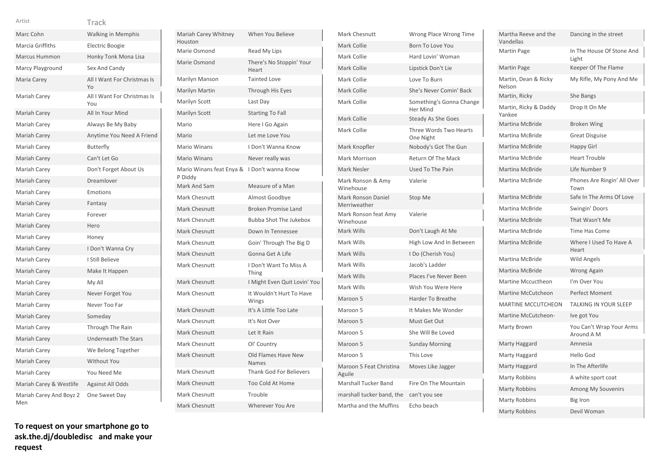| Artist                         | Track                              |
|--------------------------------|------------------------------------|
| Marc Cohn                      | <b>Walking in Memphis</b>          |
| Marcia Griffiths               | <b>Electric Boogie</b>             |
| <b>Marcus Hummon</b>           | Honky Tonk Mona Lisa               |
| Marcy Playground               | Sex And Candy                      |
| Maria Carey                    | All I Want For Christmas Is<br>Yo  |
| Mariah Carey                   | All I Want For Christmas Is<br>You |
| <b>Mariah Carey</b>            | All In Your Mind                   |
| Mariah Carey                   | Always Be My Baby                  |
| Mariah Carey                   | Anytime You Need A Friend          |
| Mariah Carey                   | <b>Butterfly</b>                   |
| Mariah Carey                   | Can't Let Go                       |
| Mariah Carey                   | Don't Forget About Us              |
| Mariah Carey                   | Dreamlover                         |
| Mariah Carey                   | Emotions                           |
| Mariah Carey                   | Fantasy                            |
| Mariah Carey                   | Forever                            |
| Mariah Carey                   | Hero                               |
| Mariah Carey                   | Honey                              |
| <b>Mariah Carey</b>            | I Don't Wanna Cry                  |
| Mariah Carey                   | I Still Believe                    |
| Mariah Carey                   | Make It Happen                     |
| Mariah Carey                   | My All                             |
| <b>Mariah Carey</b>            | Never Forget You                   |
| Mariah Carey                   | Never Too Far                      |
| Mariah Carey                   | Someday                            |
| Mariah Carey                   | Through The Rain                   |
| Mariah Carey                   | <b>Underneath The Stars</b>        |
| Mariah Carey                   | We Belong Together                 |
| Mariah Carey                   | <b>Without You</b>                 |
| Mariah Carey                   | You Need Me                        |
| Mariah Carey & Westlife        | <b>Against All Odds</b>            |
| Mariah Carey And Boyz 2<br>Men | One Sweet Day                      |

| Mariah Carey Whitney<br>Houston     | When You Believe                    |
|-------------------------------------|-------------------------------------|
| Marie Osmond                        | Read My Lips                        |
| Marie Osmond                        | There's No Stoppin' Your<br>Heart   |
| Marilyn Manson                      | <b>Tainted Love</b>                 |
| Marilyn Martin                      | Through His Eyes                    |
| Marilyn Scott                       | Last Day                            |
| Marilyn Scott                       | <b>Starting To Fall</b>             |
| Mario                               | Here I Go Again                     |
| Mario                               | Let me Love You                     |
| <b>Mario Winans</b>                 | I Don't Wanna Know                  |
| <b>Mario Winans</b>                 | Never really was                    |
| Mario Winans feat Enya &<br>P Diddy | I Don't wanna Know                  |
| Mark And Sam                        | Measure of a Man                    |
| Mark Chesnutt                       | Almost Goodbye                      |
| <b>Mark Chesnutt</b>                | <b>Broken Promise Land</b>          |
| Mark Chesnutt                       | <b>Bubba Shot The Jukebox</b>       |
| <b>Mark Chesnutt</b>                | Down In Tennessee                   |
| Mark Chesnutt                       | Goin' Through The Big D             |
| Mark Chesnutt                       | Gonna Get A Life                    |
| Mark Chesnutt                       | I Don't Want To Miss A<br>Thing     |
| <b>Mark Chesnutt</b>                | I Might Even Quit Lovin' You        |
| Mark Chesnutt                       | It Wouldn't Hurt To Have<br>Wings   |
| <b>Mark Chesnutt</b>                | It's A Little Too Late              |
| Mark Chesnutt                       | It's Not Over                       |
| <b>Mark Chesnutt</b>                | Let It Rain                         |
| <b>Mark Chesnutt</b>                | Ol' Country                         |
| <b>Mark Chesnutt</b>                | Old Flames Have New<br><b>Names</b> |
| <b>Mark Chesnutt</b>                | <b>Thank God For Believers</b>      |
| <b>Mark Chesnutt</b>                | Too Cold At Home                    |
| <b>Mark Chesnutt</b>                | Trouble                             |
| <b>Mark Chesnutt</b>                | Wherever You Are                    |
|                                     |                                     |

| <b>Mark Chesnutt</b>               | Wrong Place Wrong Time                      |
|------------------------------------|---------------------------------------------|
| Mark Collie                        | Born To Love You                            |
| Mark Collie                        | Hard Lovin' Woman                           |
| Mark Collie                        | Lipstick Don't Lie                          |
| Mark Collie                        | Love To Burn                                |
| Mark Collie                        | She's Never Comin' Back                     |
| Mark Collie                        | Something's Gonna Change<br><b>Her Mind</b> |
| Mark Collie                        | <b>Steady As She Goes</b>                   |
| Mark Collie                        | Three Words Two Hearts<br>One Night         |
| Mark Knopfler                      | Nobody's Got The Gun                        |
| Mark Morrison                      | Return Of The Mack                          |
| Mark Nesler                        | Used To The Pain                            |
| Mark Ronson & Amy<br>Winehouse     | Valerie                                     |
| Mark Ronson Daniel<br>Merriweather | Stop Me                                     |
| Mark Ronson feat Amy<br>Winehouse  | Valerie                                     |
| Mark Wills                         | Don't Laugh At Me                           |
| Mark Wills                         | High Low And In Between                     |
| Mark Wills                         | I Do (Cherish You)                          |
| Mark Wills                         | Jacob's Ladder                              |
| Mark Wills                         | Places I've Never Been                      |
| Mark Wills                         | Wish You Were Here                          |
| Maroon 5                           | <b>Harder To Breathe</b>                    |
| Maroon 5                           | It Makes Me Wonder                          |
| Maroon 5                           | Must Get Out                                |
| Maroon 5                           | She Will Be Loved                           |
| Maroon 5                           | <b>Sunday Morning</b>                       |
| Maroon 5                           | This Love                                   |
| Maroon 5 Feat Christina<br>Aguile  | Moves Like Jagger                           |
| <b>Marshall Tucker Band</b>        | Fire On The Mountain                        |
| marshall tucker band, the          | can't you see                               |
| Martha and the Muffins             | Echo beach                                  |

| Martha Reeve and the<br>Vandellas | Dancing in the street                  |
|-----------------------------------|----------------------------------------|
| Martin Page                       | In The House Of Stone And<br>Light     |
| Martin Page                       | Keeper Of The Flame                    |
| Martin, Dean & Ricky<br>Nelson    | My Rifle, My Pony And Me               |
| Martin, Ricky                     | She Bangs                              |
| Martin, Ricky & Daddy<br>Yankee   | Drop It On Me                          |
| Martina McBride                   | <b>Broken Wing</b>                     |
| <b>Martina McBride</b>            | <b>Great Disguise</b>                  |
| Martina McBride                   | <b>Happy Girl</b>                      |
| Martina McBride                   | <b>Heart Trouble</b>                   |
| Martina McBride                   | Life Number 9                          |
| <b>Martina McBride</b>            | Phones Are Ringin' All Over<br>Town    |
| Martina McBride                   | Safe In The Arms Of Love               |
| <b>Martina McBride</b>            | Swingin' Doors                         |
| <b>Martina McBride</b>            | That Wasn't Me                         |
| Martina McBride                   | <b>Time Has Come</b>                   |
| Martina McBride                   | Where I Used To Have A<br>Heart        |
| Martina McBride                   | <b>Wild Angels</b>                     |
| <b>Martina McBride</b>            | <b>Wrong Again</b>                     |
| <b>Martine Mccuctheon</b>         | I'm Over You                           |
| <b>Martine McCutcheon</b>         | Perfect Moment                         |
| <b>MARTINE MCCUTCHEON</b>         | TALKING IN YOUR SLEEP                  |
| Martine McCutcheon-               | Ive got You                            |
| Marty Brown                       | You Can't Wrap Your Arms<br>Around A M |
| Marty Haggard                     | Amnesia                                |
| Marty Haggard                     | Hello God                              |
| Marty Haggard                     | In The Afterlife                       |
| <b>Marty Robbins</b>              | A white sport coat                     |
| <b>Marty Robbins</b>              | Among My Souvenirs                     |
| <b>Marty Robbins</b>              | Big Iron                               |
| <b>Marty Robbins</b>              | Devil Woman                            |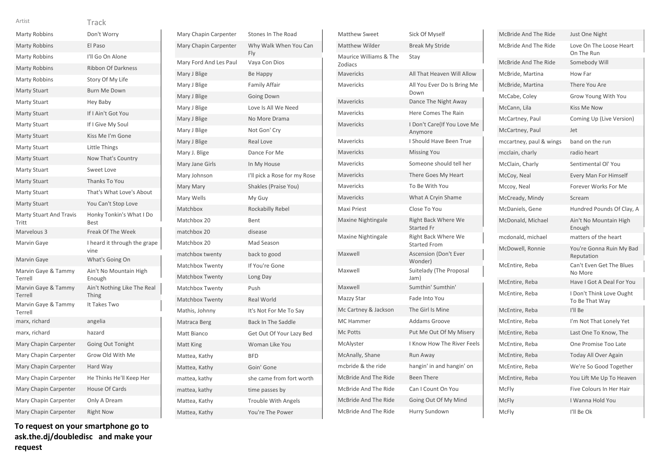| Artist                                  | Track                                   |
|-----------------------------------------|-----------------------------------------|
| <b>Marty Robbins</b>                    | Don't Worry                             |
| <b>Marty Robbins</b>                    | El Paso                                 |
| <b>Marty Robbins</b>                    | I'll Go On Alone                        |
| <b>Marty Robbins</b>                    | <b>Ribbon Of Darkness</b>               |
| Marty Robbins                           | Story Of My Life                        |
| <b>Marty Stuart</b>                     | <b>Burn Me Down</b>                     |
| <b>Marty Stuart</b>                     | Hey Baby                                |
| <b>Marty Stuart</b>                     | If I Ain't Got You                      |
| <b>Marty Stuart</b>                     | If I Give My Soul                       |
| <b>Marty Stuart</b>                     | Kiss Me I'm Gone                        |
| Marty Stuart                            | Little Things                           |
| <b>Marty Stuart</b>                     | Now That's Country                      |
| <b>Marty Stuart</b>                     | Sweet Love                              |
| <b>Marty Stuart</b>                     | Thanks To You                           |
| <b>Marty Stuart</b>                     | That's What Love's About                |
| <b>Marty Stuart</b>                     | You Can't Stop Love                     |
| <b>Marty Stuart And Travis</b><br>Tritt | Honky Tonkin's What I Do<br><b>Best</b> |
| Marvelous 3                             | Freak Of The Week                       |
| Marvin Gaye                             | I heard it through the grape<br>vine    |
| Marvin Gaye                             | What's Going On                         |
| Marvin Gaye & Tammy<br>Terrell          | Ain't No Mountain High<br>Enough        |
| Marvin Gaye & Tammy<br>Terrell          | Ain't Nothing Like The Real<br>Thing    |
| Marvin Gaye & Tammy<br>Terrell          | It Takes Two                            |
| marx, richard                           | angelia                                 |
| marx, richard                           | hazard                                  |
| Mary Chapin Carpenter                   | Going Out Tonight                       |
| Mary Chapin Carpenter                   | Grow Old With Me                        |
| Mary Chapin Carpenter                   | Hard Way                                |
| Mary Chapin Carpenter                   | He Thinks He'll Keep Her                |
| Mary Chapin Carpenter                   | House Of Cards                          |
| Mary Chapin Carpenter                   | Only A Dream                            |
| Mary Chapin Carpenter                   | <b>Right Now</b>                        |

| Mary Chapin Carpenter  | Stones In The Road           |
|------------------------|------------------------------|
| Mary Chapin Carpenter  | Why Walk When You Can<br>Fly |
| Mary Ford And Les Paul | Vaya Con Dios                |
| Mary J Blige           | Be Happy                     |
| Mary J Blige           | Family Affair                |
| Mary J Blige           | <b>Going Down</b>            |
| Mary J Blige           | Love Is All We Need          |
| Mary J Blige           | No More Drama                |
| Mary J Blige           | Not Gon' Crv                 |
| Mary J Blige           | <b>Real Love</b>             |
| Mary J. Blige          | Dance For Me                 |
| Mary Jane Girls        | In My House                  |
| Mary Johnson           | I'll pick a Rose for my Rose |
| Mary Mary              | Shakles (Praise You)         |
| Mary Wells             | My Guy                       |
| Matchbox               | <b>Rockabilly Rebel</b>      |
| Matchbox 20            | Bent                         |
| matchbox 20            | disease                      |
| Matchbox 20            | Mad Season                   |
| matchbox twenty        | back to good                 |
| Matchbox Twenty        | If You're Gone               |
| Matchbox Twenty        | Long Day                     |
| Matchbox Twenty        | Push                         |
| <b>Matchbox Twenty</b> | <b>Real World</b>            |
| Mathis, Johnny         | It's Not For Me To Say       |
| Matraca Berg           | <b>Back In The Saddle</b>    |
| Matt Bianco            | Get Out Of Your Lazy Bed     |
| Matt King              | Woman Like You               |
| Mattea, Kathy          | <b>BFD</b>                   |
| Mattea, Kathy          | Goin' Gone                   |
| mattea, kathy          | she came from fort worth     |
| mattea, kathy          | time passes by               |
| Mattea, Kathy          | <b>Trouble With Angels</b>   |
| Mattea, Kathy          | You're The Power             |
|                        |                              |

| <b>Matthew Sweet</b>              | Sick Of Myself                                    |
|-----------------------------------|---------------------------------------------------|
| <b>Matthew Wilder</b>             | <b>Break My Stride</b>                            |
| Maurice Williams & The<br>Zodiacs | Stay                                              |
| <b>Mavericks</b>                  | All That Heaven Will Allow                        |
| <b>Mavericks</b>                  | All You Ever Do Is Bring Me<br>Down               |
| <b>Mavericks</b>                  | Dance The Night Away                              |
| Mavericks                         | Here Comes The Rain                               |
| <b>Mavericks</b>                  | I Don't Care(If You Love Me<br>Anymore            |
| <b>Mavericks</b>                  | I Should Have Been True                           |
| Mavericks                         | <b>Missing You</b>                                |
| Mavericks                         | Someone should tell her                           |
| <b>Mavericks</b>                  | There Goes My Heart                               |
| <b>Mavericks</b>                  | To Be With You                                    |
| Mavericks                         | What A Cryin Shame                                |
| Maxi Priest                       | Close To You                                      |
| <b>Maxine Nightingale</b>         | <b>Right Back Where We</b><br><b>Started Fr</b>   |
| Maxine Nightingale                | <b>Right Back Where We</b><br><b>Started From</b> |
| Maxwell                           | Ascension (Don't Ever<br>Wonder)                  |
| Maxwell                           | Suitelady (The Proposal<br>Jam)                   |
| Maxwell                           | Sumthin' Sumthin'                                 |
| Mazzy Star                        | Fade Into You                                     |
| Mc Cartney & Jackson              | The Girl Is Mine                                  |
| <b>MC</b> Hammer                  | <b>Addams Groove</b>                              |
| Mc Potts                          | Put Me Out Of My Misery                           |
| McAlyster                         | I Know How The River Feels                        |
| McAnally, Shane                   | Run Away                                          |
| mcbride & the ride                | hangin' in and hangin' on                         |
| McBride And The Ride              | <b>Been There</b>                                 |
| McBride And The Ride              | Can I Count On You                                |
| McBride And The Ride              | Going Out Of My Mind                              |
| McBride And The Ride              | Hurry Sundown                                     |

| McBride And The Ride    | Just One Night                             |
|-------------------------|--------------------------------------------|
| McBride And The Ride    | Love On The Loose Heart<br>On The Run      |
| McBride And The Ride    | Somebody Will                              |
| McBride, Martina        | How Far                                    |
| McBride, Martina        | There You Are                              |
| McCabe, Coley           | Grow Young With You                        |
| McCann, Lila            | <b>Kiss Me Now</b>                         |
| McCartney, Paul         | Coming Up (Live Version)                   |
| McCartney, Paul         | Jet                                        |
| mccartney, paul & wings | band on the run                            |
| mcclain, charly         | radio heart                                |
| McClain, Charly         | Sentimental Ol' You                        |
| McCoy, Neal             | <b>Every Man For Himself</b>               |
| Mccoy, Neal             | Forever Works For Me                       |
| McCready, Mindy         | Scream                                     |
| McDaniels, Gene         | Hundred Pounds Of Clay, A                  |
| McDonald, Michael       | Ain't No Mountain High<br>Enough           |
| mcdonald, michael       | matters of the heart                       |
| McDowell, Ronnie        | You're Gonna Ruin My Bad<br>Reputation     |
| McEntire, Reba          | Can't Even Get The Blues<br>No More        |
| McEntire, Reba          | Have I Got A Deal For You                  |
| McEntire, Reba          | I Don't Think Love Ought<br>To Be That Way |
| McEntire, Reba          | I'll Be                                    |
| McEntire, Reba          | I'm Not That Lonely Yet                    |
| McEntire, Reba          | Last One To Know, The                      |
| McEntire, Reba          | One Promise Too Late                       |
| McEntire, Reba          | Today All Over Again                       |
| McEntire, Reba          | We're So Good Together                     |
| McEntire, Reba          | You Lift Me Up To Heaven                   |
| <b>McFly</b>            | Five Colours In Her Hair                   |
| <b>McFly</b>            | I Wanna Hold You                           |
| <b>McFlv</b>            | I'll Be Ok                                 |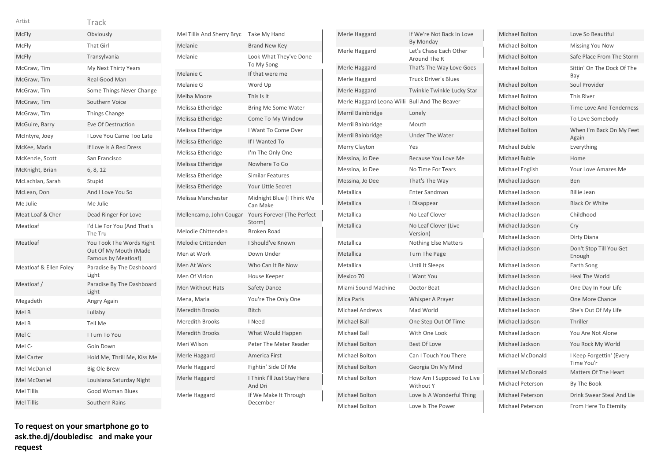| Artist                 | Track                                                                    |
|------------------------|--------------------------------------------------------------------------|
| <b>McFly</b>           | Obviously                                                                |
| McFly                  | <b>That Girl</b>                                                         |
| McFly                  | Transylvania                                                             |
| McGraw, Tim            | My Next Thirty Years                                                     |
| McGraw, Tim            | Real Good Man                                                            |
| McGraw, Tim            | Some Things Never Change                                                 |
| McGraw, Tim            | Southern Voice                                                           |
| McGraw, Tim            | Things Change                                                            |
| McGuire, Barry         | <b>Eve Of Destruction</b>                                                |
| McIntyre, Joey         | I Love You Came Too Late                                                 |
| McKee, Maria           | If Love Is A Red Dress                                                   |
| McKenzie, Scott        | San Francisco                                                            |
| McKnight, Brian        | 6, 8, 12                                                                 |
| McLachlan, Sarah       | Stupid                                                                   |
| McLean, Don            | And I Love You So                                                        |
| Me Julie               | Me Julie                                                                 |
| Meat Loaf & Cher       | Dead Ringer For Love                                                     |
| Meatloaf               | I'd Lie For You (And That's<br>The Tru                                   |
| Meatloaf               | You Took The Words Right<br>Out Of My Mouth (Made<br>Famous by Meatloaf) |
| Meatloaf & Ellen Foley | Paradise By The Dashboard<br>Light                                       |
| Meatloaf /             | Paradise By The Dashboard<br>Light                                       |
| Megadeth               | Angry Again                                                              |
| Mel B                  | Lullaby                                                                  |
| Mel B                  | <b>Tell Me</b>                                                           |
| Mel C                  | I Turn To You                                                            |
| Mel C-                 | Goin Down                                                                |
| Mel Carter             | Hold Me, Thrill Me, Kiss Me                                              |
| Mel McDaniel           | Big Ole Brew                                                             |
| Mel McDaniel           | Louisiana Saturday Night                                                 |
| <b>Mel Tillis</b>      | <b>Good Woman Blues</b>                                                  |
| <b>Mel Tillis</b>      | Southern Rains                                                           |

| Mel Tillis And Sherry Bryc | Take My Hand                           |
|----------------------------|----------------------------------------|
| Melanie                    | <b>Brand New Key</b>                   |
| Melanie                    | Look What They've Done<br>To My Song   |
| Melanie C                  | If that were me                        |
| Melanie G                  | Word Up                                |
| Melba Moore                | This Is It                             |
| Melissa Etheridge          | <b>Bring Me Some Water</b>             |
| Melissa Etheridge          | Come To My Window                      |
| Melissa Etheridge          | I Want To Come Over                    |
| Melissa Etheridge          | If I Wanted To                         |
| Melissa Etheridge          | I'm The Only One                       |
| Melissa Etheridge          | Nowhere To Go                          |
| Melissa Etheridge          | <b>Similar Features</b>                |
| Melissa Etheridge          | Your Little Secret                     |
| Melissa Manchester         | Midnight Blue (I Think We<br>Can Make  |
| Mellencamp, John Cougar    | Yours Forever (The Perfect<br>Storm)   |
| Melodie Chittenden         | <b>Broken Road</b>                     |
| Melodie Crittenden         | I Should've Known                      |
| Men at Work                | Down Under                             |
| Men At Work                | Who Can It Be Now                      |
| Men Of Vizion              | House Keeper                           |
| <b>Men Without Hats</b>    | Safety Dance                           |
| Mena, Maria                | You're The Only One                    |
| <b>Meredith Brooks</b>     | <b>Bitch</b>                           |
| <b>Meredith Brooks</b>     | I Need                                 |
| <b>Meredith Brooks</b>     | What Would Happen                      |
| Meri Wilson                | Peter The Meter Reader                 |
| Merle Haggard              | America First                          |
| Merle Haggard              | Fightin' Side Of Me                    |
| Merle Haggard              | I Think I'll Just Stay Here<br>And Dri |
| Merle Haggard              | If We Make It Through<br>December      |

| Merle Haggard             | If We're Not Back In Love<br>By Monday |
|---------------------------|----------------------------------------|
| Merle Haggard             | Let's Chase Each Other<br>Around The R |
| Merle Haggard             | That's The Way Love Goes               |
| Merle Haggard             | <b>Truck Driver's Blues</b>            |
| Merle Haggard             | Twinkle Twinkle Lucky Star             |
| Merle Haggard Leona Willi | <b>Bull And The Beaver</b>             |
| Merril Bainbridge         | Lonely                                 |
| Merril Bainbridge         | Mouth                                  |
| Merril Bainbridge         | <b>Under The Water</b>                 |
| Merry Clayton             | Yes                                    |
| Messina, Jo Dee           | Because You Love Me                    |
| Messina, Jo Dee           | <b>No Time For Tears</b>               |
| Messina, Jo Dee           | That's The Way                         |
| Metallica                 | Enter Sandman                          |
| Metallica                 | I Disappear                            |
| Metallica                 | No Leaf Clover                         |
| Metallica                 | No Leaf Clover (Live<br>Version)       |
| Metallica                 | <b>Nothing Else Matters</b>            |
| Metallica                 | <b>Turn The Page</b>                   |
| Metallica                 | Until It Sleeps                        |
| Mexico 70                 | I Want You                             |
| Miami Sound Machine       | Doctor Beat                            |
| Mica Paris                | Whisper A Prayer                       |
| <b>Michael Andrews</b>    | Mad World                              |
| Michael Ball              | One Step Out Of Time                   |
| <b>Michael Ball</b>       | With One Look                          |
| Michael Bolton            | <b>Best Of Love</b>                    |
| Michael Bolton            | Can I Touch You There                  |
| Michael Bolton            | Georgia On My Mind                     |
| Michael Bolton            | How Am I Supposed To Live<br>Without Y |
| Michael Bolton            | Love Is A Wonderful Thing              |
| Michael Bolton            | Love Is The Power                      |

| Michael Bolton          | Love So Beautiful                      |
|-------------------------|----------------------------------------|
| Michael Bolton          | <b>Missing You Now</b>                 |
| Michael Bolton          | Safe Place From The Storm              |
| Michael Bolton          | Sittin' On The Dock Of The<br>Bay      |
| Michael Bolton          | Soul Provider                          |
| Michael Bolton          | <b>This River</b>                      |
| Michael Bolton          | <b>Time Love And Tenderness</b>        |
| Michael Bolton          | To Love Somebody                       |
| Michael Bolton          | When I'm Back On My Feet<br>Again      |
| Michael Buble           | Everything                             |
| Michael Buble           | Home                                   |
| Michael English         | Your Love Amazes Me                    |
| Michael Jackson         | Ben                                    |
| Michael Jackson         | <b>Billie Jean</b>                     |
| Michael Jackson         | <b>Black Or White</b>                  |
| Michael Jackson         | Childhood                              |
| Michael Jackson         | Cry                                    |
| Michael Jackson         | Dirty Diana                            |
| Michael Jackson         | Don't Stop Till You Get<br>Enough      |
| Michael Jackson         | Earth Song                             |
| Michael Jackson         | <b>Heal The World</b>                  |
| Michael Jackson         | One Day In Your Life                   |
| Michael Jackson         | <b>One More Chance</b>                 |
| Michael Jackson         | She's Out Of My Life                   |
| Michael Jackson         | Thriller                               |
| Michael Jackson         | You Are Not Alone                      |
| Michael Jackson         | You Rock My World                      |
| Michael McDonald        | I Keep Forgettin' (Every<br>Time You'r |
| Michael McDonald        | Matters Of The Heart                   |
| <b>Michael Peterson</b> | By The Book                            |
| <b>Michael Peterson</b> | Drink Swear Steal And Lie              |
| Michael Peterson        | From Here To Eternity                  |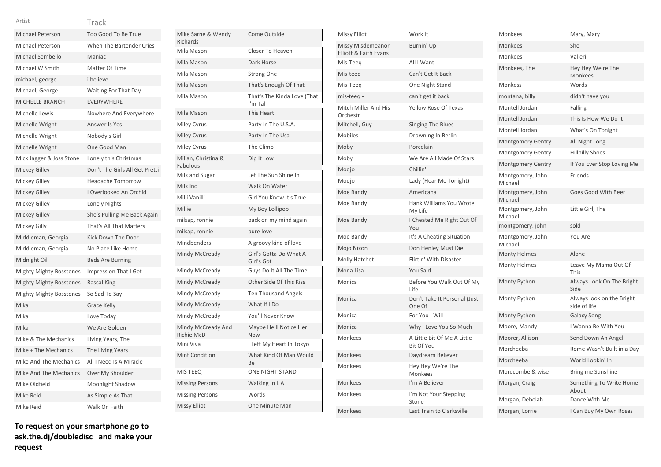| Michael Peterson               | Too Good To Be True            |
|--------------------------------|--------------------------------|
| Michael Peterson               | When The Bartender Cries       |
| Michael Sembello               | Maniac                         |
| Michael W Smith                | Matter Of Time                 |
| michael, george                | i believe                      |
| Michael, George                | Waiting For That Day           |
| MICHELLE BRANCH                | <b>EVERYWHERE</b>              |
| Michelle Lewis                 | Nowhere And Everywhere         |
| Michelle Wright                | Answer Is Yes                  |
| Michelle Wright                | Nobody's Girl                  |
| Michelle Wright                | One Good Man                   |
| Mick Jagger & Joss Stone       | Lonely this Christmas          |
| <b>Mickey Gilley</b>           | Don't The Girls All Get Pretti |
| Mickey Gilley                  | <b>Headache Tomorrow</b>       |
| Mickey Gilley                  | I Overlooked An Orchid         |
| Mickey Gilley                  | Lonely Nights                  |
| <b>Mickey Gilley</b>           | She's Pulling Me Back Again    |
| Mickey Gilly                   | That's All That Matters        |
| Middleman, Georgia             | Kick Down The Door             |
| Middleman, Georgia             | No Place Like Home             |
| Midnight Oil                   | <b>Beds Are Burning</b>        |
| <b>Mighty Mighty Bosstones</b> | Impression That I Get          |
| <b>Mighty Mighty Bosstones</b> | <b>Rascal King</b>             |
| Mighty Mighty Bosstones        | So Sad To Say                  |
| Mika                           | <b>Grace Kelly</b>             |
| Mika                           | Love Today                     |
| Mika                           | We Are Golden                  |
| Mike & The Mechanics           | Living Years, The              |
| Mike + The Mechanics           | The Living Years               |
| Mike And The Mechanics         | All I Need Is A Miracle        |
| Mike And The Mechanics         | Over My Shoulder               |
| Mike Oldfield                  | Moonlight Shadow               |
| Mike Reid                      | As Simple As That              |
| Mike Reid                      | Walk On Faith                  |

| Mike Sarne & Wendy<br>Richards   | Come Outside                           |
|----------------------------------|----------------------------------------|
| Mila Mason                       | Closer To Heaven                       |
| Mila Mason                       | Dark Horse                             |
| Mila Mason                       | <b>Strong One</b>                      |
| Mila Mason                       | That's Enough Of That                  |
| Mila Mason                       | That's The Kinda Love (That<br>I'm Tal |
| Mila Mason                       | This Heart                             |
| Miley Cyrus                      | Party In The U.S.A.                    |
| <b>Miley Cyrus</b>               | Party In The Usa                       |
| Miley Cyrus                      | The Climb                              |
| Milian, Christina &<br>Fabolous  | Dip It Low                             |
| Milk and Sugar                   | Let The Sun Shine In                   |
| Milk Inc                         | Walk On Water                          |
| Milli Vanilli                    | Girl You Know It's True                |
| Millie                           | My Boy Lollipop                        |
| milsap, ronnie                   | back on my mind again                  |
| milsap, ronnie                   | pure love                              |
| Mindbenders                      | A groovy kind of love                  |
| Mindy McCready                   | Girl's Gotta Do What A<br>Girl's Got   |
| Mindy McCready                   | Guys Do It All The Time                |
| Mindy McCready                   | Other Side Of This Kiss                |
| Mindy McCready                   | <b>Ten Thousand Angels</b>             |
| Mindy McCready                   | What If I Do                           |
| Mindy McCready                   | You'll Never Know                      |
| Mindy McCready And<br>Richie McD | Maybe He'll Notice Her<br><b>Now</b>   |
| Mini Viva                        | I Left My Heart In Tokyo               |
| <b>Mint Condition</b>            | What Kind Of Man Would I<br>Be         |
| <b>MIS TEEQ</b>                  | <b>ONE NIGHT STAND</b>                 |
| <b>Missing Persons</b>           | Walking In LA                          |
| <b>Missing Persons</b>           | Words                                  |
| <b>Missy Elliot</b>              | One Minute Man                         |
|                                  |                                        |

| <b>Missy Elliot</b>                        | Work It                                          |
|--------------------------------------------|--------------------------------------------------|
| Missy Misdemeanor<br>Elliott & Faith Evans | Burnin' Up                                       |
| Mis-Teeg                                   | All I Want                                       |
| Mis-teeg                                   | Can't Get It Back                                |
| Mis-Teeg                                   | One Night Stand                                  |
| mis-teeq -                                 | can't get it back                                |
| Mitch Miller And His<br>Orchestr           | <b>Yellow Rose Of Texas</b>                      |
| Mitchell, Guy                              | <b>Singing The Blues</b>                         |
| <b>Mobiles</b>                             | Drowning In Berlin                               |
| Moby                                       | Porcelain                                        |
| Moby                                       | We Are All Made Of Stars                         |
| Modjo                                      | Chillin'                                         |
| Modjo                                      | Lady (Hear Me Tonight)                           |
| Moe Bandy                                  | Americana                                        |
| Moe Bandy                                  | Hank Williams You Wrote<br>My Life               |
| Moe Bandy                                  | I Cheated Me Right Out Of<br>You                 |
| Moe Bandy                                  | It's A Cheating Situation                        |
| Mojo Nixon                                 | Don Henley Must Die                              |
| Molly Hatchet                              | Flirtin' With Disaster                           |
| Mona Lisa                                  | <b>You Said</b>                                  |
| Monica                                     | Before You Walk Out Of My<br>Life                |
| Monica                                     | Don't Take It Personal (Just<br>One Of           |
| Monica                                     | For You I Will                                   |
| Monica                                     | Why I Love You So Much                           |
| Monkees                                    | A Little Bit Of Me A Little<br><b>Bit Of You</b> |
| Monkees                                    | Daydream Believer                                |
| Monkees                                    | Hey Hey We're The<br>Monkees                     |
| <b>Monkees</b>                             | I'm A Believer                                   |
| <b>Monkees</b>                             | I'm Not Your Stepping<br>Stone                   |
| Monkees                                    | Last Train to Clarksville                        |

| Monkees                     | Mary, Mary                                |
|-----------------------------|-------------------------------------------|
| Monkees                     | She                                       |
| Monkees                     | Valleri                                   |
| Monkees, The                | Hey Hey We're The<br><b>Monkees</b>       |
| Monkess                     | Words                                     |
| montana, billy              | didn't have you                           |
| Montell Jordan              | Falling                                   |
| Montell Jordan              | This Is How We Do It                      |
| Montell Jordan              | What's On Tonight                         |
| Montgomery Gentry           | All Night Long                            |
| <b>Montgomery Gentry</b>    | <b>Hillbilly Shoes</b>                    |
| <b>Montgomery Gentry</b>    | If You Ever Stop Loving Me                |
| Montgomery, John<br>Michael | Friends                                   |
| Montgomery, John<br>Michael | Goes Good With Beer                       |
| Montgomery, John<br>Michael | Little Girl, The                          |
| montgomery, john            | sold                                      |
| Montgomery, John<br>Michael | You Are                                   |
| <b>Monty Holmes</b>         | Alone                                     |
| <b>Monty Holmes</b>         | Leave My Mama Out Of<br>This              |
| Monty Python                | Always Look On The Bright<br>Side         |
| Monty Python                | Always look on the Bright<br>side of life |
| Monty Python                | <b>Galaxy Song</b>                        |
| Moore, Mandy                | I Wanna Be With You                       |
| Moorer, Allison             | Send Down An Angel                        |
| Morcheeba                   | Rome Wasn't Built in a Day                |
| Morcheeba                   | World Lookin' In                          |
| Morecombe & wise            | Bring me Sunshine                         |
| Morgan, Craig               | Something To Write Home<br>About          |
| Morgan, Debelah             |                                           |
|                             | Dance With Me                             |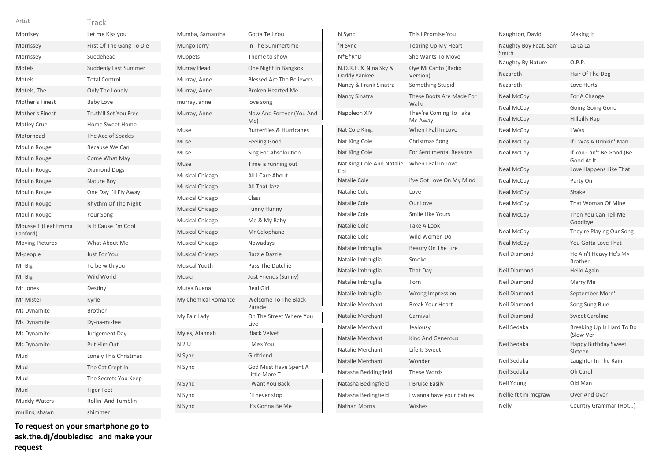| Morrisey                        | Let me Kiss you              |
|---------------------------------|------------------------------|
| Morrissey                       | First Of The Gang To Die     |
| Morrissey                       | Suedehead                    |
| Motels                          | <b>Suddenly Last Summer</b>  |
| Motels                          | <b>Total Control</b>         |
| Motels, The                     | Only The Lonely              |
| Mother's Finest                 | <b>Baby Love</b>             |
| Mother's Finest                 | <b>Truth'll Set You Free</b> |
| Motley Crue                     | <b>Home Sweet Home</b>       |
| Motorhead                       | The Ace of Spades            |
| Moulin Rouge                    | Because We Can               |
| <b>Moulin Rouge</b>             | Come What May                |
| Moulin Rouge                    | Diamond Dogs                 |
| Moulin Rouge                    | Nature Boy                   |
| Moulin Rouge                    | One Day I'll Fly Away        |
| Moulin Rouge                    | Rhythm Of The Night          |
| Moulin Rouge                    | Your Song                    |
| Mousse T (Feat Emma<br>Lanford) | Is It Cause I'm Cool         |
| <b>Moving Pictures</b>          | What About Me                |
| M-people                        | Just For You                 |
| Mr Big                          | To be with you               |
| Mr Big                          | Wild World                   |
| Mr Jones                        | Destiny                      |
| Mr Mister                       | Kyrie                        |
| Ms Dynamite                     | <b>Brother</b>               |
| Ms Dynamite                     | Dy-na-mi-tee                 |
| Ms Dynamite                     | Judgement Day                |
| Ms Dynamite                     | Put Him Out                  |
| Mud                             | Lonely This Christmas        |
| Mud                             | The Cat Crept In             |
| Mud                             | The Secrets You Keep         |
| Mud                             | <b>Tiger Feet</b>            |
| <b>Muddy Waters</b>             | Rollin' And Tumblin          |
| mullins, shawn                  | shimmer                      |

**To request on your smartphone go to ask.the.dj/doubledisc and make your request**

| Mumba, Samantha        | Gotta Tell You                         |
|------------------------|----------------------------------------|
| Mungo Jerry            | In The Summertime                      |
| <b>Muppets</b>         | Theme to show                          |
| Murray Head            | One Night In Bangkok                   |
| Murray, Anne           | <b>Blessed Are The Believers</b>       |
| Murray, Anne           | <b>Broken Hearted Me</b>               |
| murray, anne           | love song                              |
| Murray, Anne           | Now And Forever (You And<br>Me)        |
| Muse                   | <b>Butterflies &amp; Hurricanes</b>    |
| Muse                   | <b>Feeling Good</b>                    |
| Muse                   | Sing For Absoloution                   |
| Muse                   | Time is running out                    |
| <b>Musical Chicago</b> | All I Care About                       |
| <b>Musical Chicago</b> | All That Jazz                          |
| Musical Chicago        | Class                                  |
| <b>Musical Chicago</b> | <b>Funny Hunny</b>                     |
| Musical Chicago        | Me & My Baby                           |
| Musical Chicago        | Mr Celophane                           |
| <b>Musical Chicago</b> | Nowadays                               |
| <b>Musical Chicago</b> | Razzle Dazzle                          |
| <b>Musical Youth</b>   | Pass The Dutchie                       |
| Musiq                  | Just Friends (Sunny)                   |
| Mutya Buena            | <b>Real Girl</b>                       |
| My Chemical Romance    | <b>Welcome To The Black</b><br>Parade  |
| My Fair Lady           | On The Street Where You<br>Live        |
| Myles, Alannah         | <b>Black Velvet</b>                    |
| N 2 U                  | I Miss You                             |
| N Sync                 | Girlfriend                             |
| N Sync                 | God Must Have Spent A<br>Little More T |
| N Sync                 | I Want You Back                        |
| N Sync                 | I'll never stop                        |
| N Sync                 | It's Gonna Be Me                       |
|                        |                                        |

| N Sync                                | This I Promise You                |
|---------------------------------------|-----------------------------------|
| 'N Sync                               | <b>Tearing Up My Heart</b>        |
| $N*E*R*D$                             | <b>She Wants To Move</b>          |
| N.O.R.E. & Nina Sky &<br>Daddy Yankee | Oye Mi Canto (Radio<br>Version)   |
| Nancy & Frank Sinatra                 | Something Stupid                  |
| Nancy Sinatra                         | These Boots Are Made For<br>Walki |
| Napoleon XIV                          | They're Coming To Take<br>Me Away |
| Nat Cole King,                        | When I Fall In Love -             |
| Nat King Cole                         | Christmas Song                    |
| Nat King Cole                         | <b>For Sentimental Reasons</b>    |
| Nat King Cole And Natalie<br>Col      | When I Fall In Love               |
| Natalie Cole                          | I've Got Love On My Mind          |
| Natalie Cole                          | Love                              |
| Natalie Cole                          | Our Love                          |
| Natalie Cole                          | Smile Like Yours                  |
| Natalie Cole                          | <b>Take A Look</b>                |
| Natalie Cole                          | Wild Women Do                     |
| Natalie Imbruglia                     | Beauty On The Fire                |
| Natalie Imbruglia                     | Smoke                             |
| Natalie Imbruglia                     | That Day                          |
| Natalie Imbruglia                     | Torn                              |
| Natalie Imbruglia                     | Wrong Impression                  |
| Natalie Merchant                      | <b>Break Your Heart</b>           |
| Natalie Merchant                      | Carnival                          |
| Natalie Merchant                      | Jealousy                          |
| Natalie Merchant                      | <b>Kind And Generous</b>          |
| Natalie Merchant                      | Life Is Sweet                     |
| Natalie Merchant                      | Wonder                            |
| Natasha Beddingfield                  | <b>These Words</b>                |
| Natasha Bedingfield                   | I Bruise Easily                   |
| Natasha Bedingfield                   | I wanna have your babies          |
| <b>Nathan Morris</b>                  | Wishes                            |

| Naughton, David                | Making It                                |
|--------------------------------|------------------------------------------|
| Naughty Boy Feat. Sam<br>Smith | La La La                                 |
| Naughty By Nature              | O.P.P.                                   |
| Nazareth                       | Hair Of The Dog                          |
| Nazareth                       | Love Hurts                               |
| Neal McCoy                     | For A Change                             |
| Neal McCoy                     | Going Going Gone                         |
| <b>Neal McCoy</b>              | Hillbilly Rap                            |
| Neal McCoy                     | I Was                                    |
| <b>Neal McCoy</b>              | If I Was A Drinkin' Man                  |
| Neal McCoy                     | If You Can't Be Good (Be<br>Good At It   |
| <b>Neal McCoy</b>              | Love Happens Like That                   |
| Neal McCoy                     | Party On                                 |
| <b>Neal McCoy</b>              | Shake                                    |
| Neal McCoy                     | That Woman Of Mine                       |
| <b>Neal McCov</b>              | Then You Can Tell Me<br>Goodbye          |
| Neal McCoy                     | They're Playing Our Song                 |
| <b>Neal McCoy</b>              | You Gotta Love That                      |
| Neil Diamond                   | He Ain't Heavy He's My<br><b>Brother</b> |
| Neil Diamond                   | Hello Again                              |
| Neil Diamond                   | Marry Me                                 |
| <b>Neil Diamond</b>            | September Morn'                          |
| Neil Diamond                   | Song Sung Blue                           |
| <b>Neil Diamond</b>            | <b>Sweet Caroline</b>                    |
| Neil Sedaka                    | Breaking Up Is Hard To Do<br>(Slow Ver   |
| Neil Sedaka                    | <b>Happy Birthday Sweet</b><br>Sixteen   |
| Neil Sedaka                    | Laughter In The Rain                     |
| Neil Sedaka                    | Oh Carol                                 |
| Neil Young                     | Old Man                                  |
| Nellie ft tim mcgraw           | Over And Over                            |
| Nelly                          | Country Grammar (Hot)                    |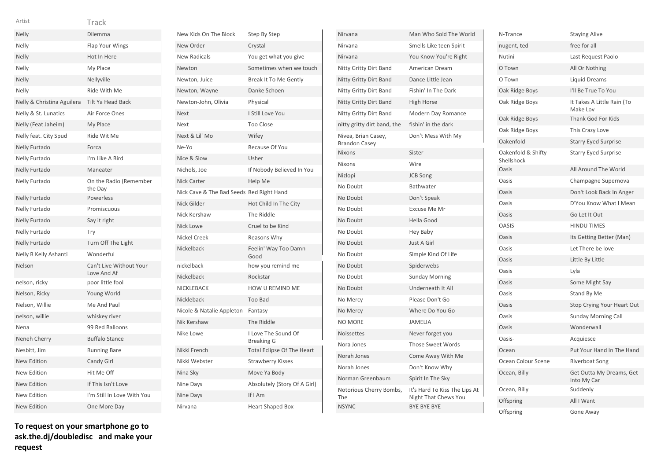| Artist                     | Track                                  |
|----------------------------|----------------------------------------|
| Nelly                      | Dilemma                                |
| Nelly                      | <b>Flap Your Wings</b>                 |
| Nelly                      | Hot In Here                            |
| Nelly                      | My Place                               |
| Nelly                      | Nellyville                             |
| Nelly                      | Ride With Me                           |
| Nelly & Christina Aguilera | <b>Tilt Ya Head Back</b>               |
| Nelly & St. Lunatics       | Air Force Ones                         |
| Nelly (Feat Jaheim)        | My Place                               |
| Nelly feat. City Spud      | Ride Wit Me                            |
| Nelly Furtado              | Forca                                  |
| Nelly Furtado              | I'm Like A Bird                        |
| <b>Nelly Furtado</b>       | Maneater                               |
| Nelly Furtado              | On the Radio (Remember<br>the Day      |
| <b>Nelly Furtado</b>       | Powerless                              |
| Nelly Furtado              | Promiscuous                            |
| <b>Nelly Furtado</b>       | Say it right                           |
| Nelly Furtado              | Try                                    |
| Nelly Furtado              | Turn Off The Light                     |
| Nelly R Kelly Ashanti      | Wonderful                              |
| Nelson                     | Can't Live Without Your<br>Love And Af |
| nelson, ricky              | poor little fool                       |
| Nelson, Ricky              | Young World                            |
| Nelson, Willie             | Me And Paul                            |
| nelson, willie             | whiskey river                          |
| Nena                       | 99 Red Balloons                        |
| Neneh Cherry               | <b>Buffalo Stance</b>                  |
| Nesbitt, Jim               | <b>Running Bare</b>                    |
| <b>New Edition</b>         | Candy Girl                             |
| <b>New Edition</b>         | Hit Me Off                             |
| <b>New Edition</b>         | If This Isn't Love                     |
| New Edition                | I'm Still In Love With You             |
| <b>New Edition</b>         | One More Day                           |

| New Kids On The Block                    | Step By Step                             |
|------------------------------------------|------------------------------------------|
| New Order                                | Crystal                                  |
| <b>New Radicals</b>                      | You get what you give                    |
| Newton                                   | Sometimes when we touch                  |
| Newton, Juice                            | Break It To Me Gently                    |
| Newton, Wayne                            | Danke Schoen                             |
| Newton-John, Olivia                      | Physical                                 |
| <b>Next</b>                              | I Still Love You                         |
| Next                                     | <b>Too Close</b>                         |
| Next & Lil' Mo                           | Wifev                                    |
| Ne-Yo                                    | Because Of You                           |
| Nice & Slow                              | Usher                                    |
| Nichols, Joe                             | If Nobody Believed In You                |
| <b>Nick Carter</b>                       | Help Me                                  |
| Nick Cave & The Bad Seeds Red Right Hand |                                          |
| Nick Gilder                              | Hot Child In The City                    |
| Nick Kershaw                             | The Riddle                               |
| <b>Nick Lowe</b>                         | Cruel to be Kind                         |
| Nickel Creek                             | Reasons Why                              |
| Nickelback                               | Feelin' Way Too Damn<br>Good             |
| nickelback                               | how you remind me                        |
| Nickelback                               | Rockstar                                 |
| NICKLEBACK                               | <b>HOW U REMIND ME</b>                   |
| Nickleback                               | Too Bad                                  |
| Nicole & Natalie Appleton                | Fantasy                                  |
| Nik Kershaw                              | The Riddle                               |
| Nike Lowe                                | I Love The Sound Of<br><b>Breaking G</b> |
| Nikki French                             | <b>Total Eclipse Of The Heart</b>        |
| Nikki Webster                            | <b>Strawberry Kisses</b>                 |
| Nina Sky                                 | Move Ya Body                             |
| Nine Days                                | Absolutely (Story Of A Girl)             |
| Nine Days                                | If I Am                                  |
| Nirvana                                  | <b>Heart Shaped Box</b>                  |

| Nirvana                                        | Man Who Sold The World                                                      |
|------------------------------------------------|-----------------------------------------------------------------------------|
| Nirvana                                        | Smells Like teen Spirit                                                     |
| Nirvana                                        | You Know You're Right                                                       |
| <b>Nitty Gritty Dirt Band</b>                  | American Dream                                                              |
| Nitty Gritty Dirt Band                         | Dance Little Jean                                                           |
| Nitty Gritty Dirt Band                         | Fishin' In The Dark                                                         |
| <b>Nitty Gritty Dirt Band</b>                  | <b>High Horse</b>                                                           |
| Nitty Gritty Dirt Band                         | <b>Modern Day Romance</b>                                                   |
| nitty gritty dirt band, the                    | fishin' in the dark                                                         |
| Nivea, Brian Casey,<br><b>Brandon Casey</b>    | Don't Mess With My                                                          |
| <b>Nixons</b>                                  | Sister                                                                      |
| <b>Nixons</b>                                  | Wire                                                                        |
| Nizlopi                                        | <b>JCB Song</b>                                                             |
| No Doubt                                       | Bathwater                                                                   |
| No Doubt                                       | Don't Speak                                                                 |
| No Doubt                                       | Excuse Me Mr                                                                |
| No Doubt                                       | <b>Hella Good</b>                                                           |
| No Doubt                                       | <b>Hey Baby</b>                                                             |
| No Doubt                                       | Just A Girl                                                                 |
| No Doubt                                       | Simple Kind Of Life                                                         |
| No Doubt                                       | Spiderwebs                                                                  |
| No Doubt                                       | <b>Sunday Morning</b>                                                       |
| No Doubt                                       | Underneath It All                                                           |
| No Mercy                                       | Please Don't Go                                                             |
| No Mercy                                       | Where Do You Go                                                             |
| <b>NO MORE</b>                                 | JAMELIA                                                                     |
| <b>Noissettes</b>                              | Never forget you                                                            |
| Nora Jones                                     | <b>Those Sweet Words</b>                                                    |
| Norah Jones                                    | Come Away With Me                                                           |
| Norah Jones                                    | Don't Know Why                                                              |
| Norman Greenbaum                               | Spirit In The Sky                                                           |
| Notorious Cherry Bombs,<br>The<br><b>NSYNC</b> | It's Hard To Kiss The Lips At<br>Night That Chews You<br><b>BYE BYE BYE</b> |

| N-Trance                         | <b>Staying Alive</b>                    |
|----------------------------------|-----------------------------------------|
| nugent, ted                      | free for all                            |
| Nutini                           | Last Request Paolo                      |
| O Town                           | All Or Nothing                          |
| O Town                           | Liquid Dreams                           |
| Oak Ridge Boys                   | I'll Be True To You                     |
| Oak Ridge Boys                   | It Takes A Little Rain (To<br>Make Lov  |
| Oak Ridge Boys                   | <b>Thank God For Kids</b>               |
| Oak Ridge Boys                   | This Crazy Love                         |
| Oakenfold                        | <b>Starry Eyed Surprise</b>             |
| Oakenfold & Shifty<br>Shellshock | <b>Starry Eyed Surprise</b>             |
| Oasis                            | All Around The World                    |
| Oasis                            | Champagne Supernova                     |
| Oasis                            | Don't Look Back In Anger                |
| Oasis                            | D'You Know What I Mean                  |
| Oasis                            | Go Let It Out                           |
| <b>OASIS</b>                     | <b>HINDU TIMES</b>                      |
| Oasis                            | Its Getting Better (Man)                |
| Oasis                            | Let There be love                       |
| Oasis                            | Little By Little                        |
| Oasis                            | Lyla                                    |
| Oasis                            | Some Might Say                          |
| Oasis                            | Stand By Me                             |
| Oasis                            | Stop Crying Your Heart Out              |
| Oasis                            | <b>Sunday Morning Call</b>              |
| Oasis                            | Wonderwall                              |
| Oasis-                           | Acquiesce                               |
| Ocean                            | Put Your Hand In The Hand               |
| Ocean Colour Scene               | Riverboat Song                          |
| Ocean, Billy                     | Get Outta My Dreams, Get<br>Into My Car |
| Ocean, Billy                     | Suddenly                                |
| Offspring                        | All I Want                              |
| Offspring                        | Gone Away                               |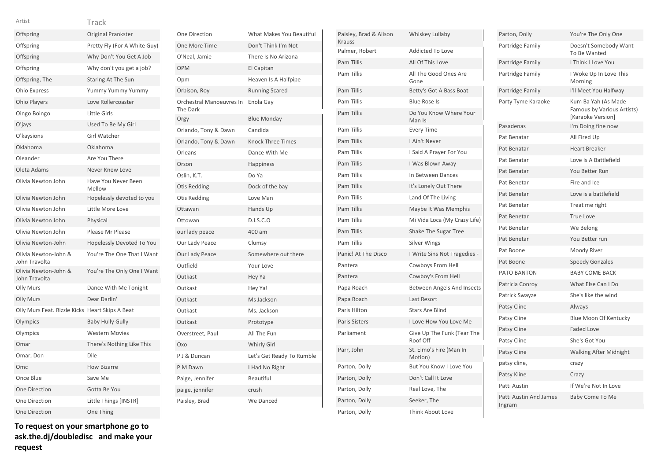# Offspring Original Prankster Offspring Pretty Fly (For A White Guy) Offspring Why Don't You Get A Job Offspring Why don't you get a job? Offspring, The Staring At The Sun Ohio Express Yummy Yummy Yummy Ohio Players Love Rollercoaster Oingo Boingo Little Girls O'jays Used To Be My Girl O'kaysions Girl Watcher Oklahoma Oklahoma Oleander **Are You There** Oleta Adams Never Knew Love Olivia Newton John Have You Never Been Mellow Olivia Newton John Hopelessly devoted to you Olivia Newton John Little More Love Olivia Newton John Physical Olivia Newton John Please Mr Please Olivia Newton-John Hopelessly Devoted To You Olivia Newton-John & John Travolta You're The One That I Want Olivia Newton-John & John Travolta You're The Only One I Want Olly Murs Dance With Me Tonight Olly Murs Dear Darlin' Olly Murs Feat. Rizzle Kicks Heart Skips A Beat Olympics Baby Hully Gully Olympics Western Movies Omar There's Nothing Like This Omar, Don Dile Omc How Bizarre Once Blue Save Me One Direction Gotta Be You One Direction Little Things [INSTR]

Artist **Track** 

One Direction One More Time O'Neal, Jamie OPM El Capitan Opm **Heaven Is A Halfpipe** Orbison, Roy Orchestral Manoeuvres The Dark Orgy Orlando, Tony & Dawn Orlando, Tony & Dawn Orleans Orson Oslin, K.T. Otis Redding Otis Redding Ottawan Ottowan our lady peace Our Lady Peace Our Lady Peace Outfield Outkast Outkast Outkast Outkast Outkast Overstreet, Paul Oxo P J & Duncan P M Dawn Paige, Jennifer paige, jennifer Paisley, Brad

|        | What Makes You Beautiful  | Pais |
|--------|---------------------------|------|
|        | Don't Think I'm Not       | Krau |
|        | There Is No Arizona       | Paln |
|        | El Capitan                | Pam  |
|        | Heaven Is A Halfpipe      | Pam  |
|        | <b>Running Scared</b>     | Pam  |
| $\sin$ | Enola Gay                 | Pam  |
|        | <b>Blue Monday</b>        | Pam  |
|        | Candida                   | Pam  |
|        | Knock Three Times         | Pam  |
|        | Dance With Me             | Pam  |
|        | <b>Happiness</b>          | Pam  |
|        | Do Ya                     | Pam  |
|        | Dock of the bay           | Pam  |
|        | Love Man                  | Pam  |
|        | Hands Up                  | Pam  |
|        | D.I.S.C.O                 | Pam  |
|        | 400 am                    | Pam  |
|        | Clumsy                    | Pam  |
|        | Somewhere out there       | Pani |
|        | Your Love                 | Pan  |
|        | Hey Ya                    | Pant |
|        | Hey Ya!                   | Pap  |
|        | Ms Jackson                | Pap  |
|        | Ms. Jackson               | Pari |
|        | Prototype                 | Pari |
|        | All The Fun               | Parl |
|        | <b>Whirly Girl</b>        |      |
|        | Let's Get Ready To Rumble | Parr |
|        | I Had No Right            | Part |
|        | <b>Beautiful</b>          | Part |
|        | crush                     | Part |
|        | We Danced                 | Part |

| Paisley, Brad & Alison<br><b>Krauss</b> | Whiskey Lullaby                        |
|-----------------------------------------|----------------------------------------|
| Palmer, Robert                          | <b>Addicted To Love</b>                |
| <b>Pam Tillis</b>                       | All Of This Love                       |
| <b>Pam Tillis</b>                       | All The Good Ones Are<br>Gone          |
| Pam Tillis                              | Betty's Got A Bass Boat                |
| <b>Pam Tillis</b>                       | <b>Blue Rose Is</b>                    |
| <b>Pam Tillis</b>                       | Do You Know Where Your<br>Man Is       |
| Pam Tillis                              | <b>Every Time</b>                      |
| <b>Pam Tillis</b>                       | I Ain't Never                          |
| Pam Tillis                              | I Said A Prayer For You                |
| <b>Pam Tillis</b>                       | I Was Blown Away                       |
| <b>Pam Tillis</b>                       | In Between Dances                      |
| <b>Pam Tillis</b>                       | It's Lonely Out There                  |
| <b>Pam Tillis</b>                       | Land Of The Living                     |
| <b>Pam Tillis</b>                       | Maybe It Was Memphis                   |
| Pam Tillis                              | Mi Vida Loca (My Crazy Life)           |
| <b>Pam Tillis</b>                       | <b>Shake The Sugar Tree</b>            |
| Pam Tillis                              | <b>Silver Wings</b>                    |
| Panic! At The Disco                     | I Write Sins Not Tragedies -           |
| Pantera                                 | Cowboys From Hell                      |
| Pantera                                 | Cowboy's From Hell                     |
| Papa Roach                              | Between Angels And Insects             |
| Papa Roach                              | <b>Last Resort</b>                     |
| Paris Hilton                            | <b>Stars Are Blind</b>                 |
| <b>Paris Sisters</b>                    | I Love How You Love Me                 |
| Parliament                              | Give Up The Funk (Tear The<br>Roof Off |
| Parr, John                              | St. Elmo's Fire (Man In<br>Motion)     |
| Parton, Dolly                           | But You Know I Love You                |
| Parton, Dolly                           | Don't Call It Love                     |
| Parton, Dolly                           | Real Love, The                         |
| Parton, Dolly                           | Seeker, The                            |
| Parton, Dolly                           | Think About Love                       |

| Parton, Dolly                    | You're The Only One                                                    |
|----------------------------------|------------------------------------------------------------------------|
| Partridge Family                 | Doesn't Somebody Want<br>To Be Wanted                                  |
| Partridge Family                 | I Think I Love You                                                     |
| Partridge Family                 | I Woke Up In Love This<br>Morning                                      |
| Partridge Family                 | I'll Meet You Halfway                                                  |
| Party Tyme Karaoke               | Kum Ba Yah (As Made<br>Famous by Various Artists)<br>[Karaoke Version] |
| Pasadenas                        | I'm Doing fine now                                                     |
| Pat Benatar                      | All Fired Up                                                           |
| Pat Benatar                      | <b>Heart Breaker</b>                                                   |
| Pat Benatar                      | Love Is A Battlefield                                                  |
| Pat Benatar                      | You Better Run                                                         |
| Pat Benetar                      | Fire and Ice                                                           |
| Pat Benetar                      | Love is a battlefield                                                  |
| Pat Benetar                      | Treat me right                                                         |
| Pat Benetar                      | <b>True Love</b>                                                       |
| Pat Benetar                      | We Belong                                                              |
| Pat Benetar                      | You Better run                                                         |
| Pat Boone                        | Moody River                                                            |
| Pat Boone                        | <b>Speedy Gonzales</b>                                                 |
| PATO BANTON                      | <b>BABY COME BACK</b>                                                  |
| Patricia Conroy                  | What Else Can I Do                                                     |
| Patrick Swayze                   | She's like the wind                                                    |
| Patsy Cline                      | Always                                                                 |
| Patsy Cline                      | <b>Blue Moon Of Kentucky</b>                                           |
| Patsy Cline                      | <b>Faded Love</b>                                                      |
| Patsy Cline                      | She's Got You                                                          |
| Patsy Cline                      | <b>Walking After Midnight</b>                                          |
| patsy cline,                     | crazy                                                                  |
| Patsy Kline                      | Crazy                                                                  |
| Patti Austin                     | If We're Not In Love                                                   |
| Patti Austin And James<br>Ingram | Baby Come To Me                                                        |

**To request on your smartphone go to ask.the.dj/doubledisc and make your request**

One Direction One Thing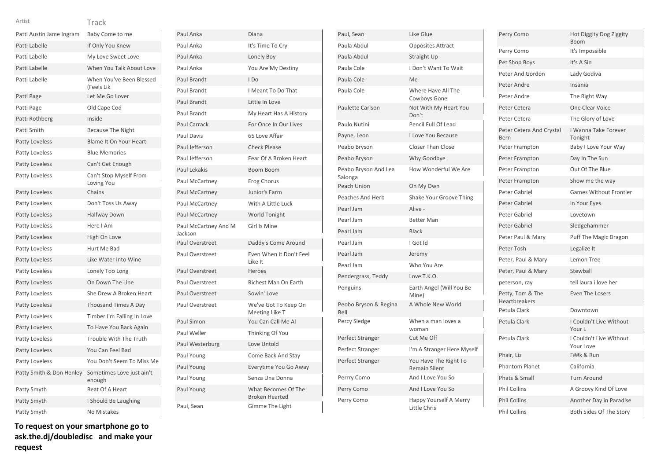| Artist                   | Track                                  |
|--------------------------|----------------------------------------|
| Patti Austin Jame Ingram | Baby Come to me                        |
| Patti Labelle            | If Only You Knew                       |
| Patti Labelle            | My Love Sweet Love                     |
| Patti Labelle            | When You Talk About Love               |
| Patti Labelle            | When You've Been Blessed<br>(Feels Lik |
| Patti Page               | Let Me Go Lover                        |
| Patti Page               | Old Cape Cod                           |
| Patti Rothberg           | Inside                                 |
| Patti Smith              | <b>Because The Night</b>               |
| <b>Patty Loveless</b>    | Blame It On Your Heart                 |
| Patty Loveless           | <b>Blue Memories</b>                   |
| Patty Loveless           | Can't Get Enough                       |
| Patty Loveless           | Can't Stop Myself From<br>Loving You   |
| Patty Loveless           | Chains                                 |
| Patty Loveless           | Don't Toss Us Away                     |
| <b>Patty Loveless</b>    | <b>Halfway Down</b>                    |
| Patty Loveless           | Here I Am                              |
| Patty Loveless           | High On Love                           |
| Patty Loveless           | Hurt Me Bad                            |
| <b>Patty Loveless</b>    | Like Water Into Wine                   |
| Patty Loveless           | Lonely Too Long                        |
| Patty Loveless           | On Down The Line                       |
| Patty Loveless           | She Drew A Broken Heart                |
| Patty Loveless           | <b>Thousand Times A Day</b>            |
| Patty Loveless           | Timber I'm Falling In Love             |
| Patty Loveless           | To Have You Back Again                 |
| Patty Loveless           | Trouble With The Truth                 |
| Patty Loveless           | You Can Feel Bad                       |
| Patty Loveless           | You Don't Seem To Miss Me              |
| Patty Smith & Don Henley | Sometimes Love just ain't<br>enough    |
| Patty Smyth              | Beat Of A Heart                        |
| Patty Smyth              | I Should Be Laughing                   |
| Patty Smyth              | <b>No Mistakes</b>                     |

| Paul Anka                       | Diana                                        |
|---------------------------------|----------------------------------------------|
| Paul Anka                       | It's Time To Cry                             |
| Paul Anka                       | Lonely Boy                                   |
| Paul Anka                       | You Are My Destiny                           |
| Paul Brandt                     | I Do                                         |
| Paul Brandt                     | I Meant To Do That                           |
| Paul Brandt                     | Little In Love                               |
| Paul Brandt                     | My Heart Has A History                       |
| Paul Carrack                    | For Once In Our Lives                        |
| Paul Davis                      | 65 Love Affair                               |
| Paul Jefferson                  | <b>Check Please</b>                          |
| Paul Jefferson                  | Fear Of A Broken Heart                       |
| <b>Paul Lekakis</b>             | <b>Boom Boom</b>                             |
| Paul McCartney                  | Frog Chorus                                  |
| Paul McCartney                  | Junior's Farm                                |
| Paul McCartney                  | With A Little Luck                           |
| Paul McCartney                  | World Tonight                                |
| Paul McCartney And M<br>Jackson | Girl Is Mine                                 |
| Paul Overstreet                 | Daddy's Come Around                          |
| Paul Overstreet                 | Even When It Don't Feel<br>Like It           |
| Paul Overstreet                 | Heroes                                       |
| Paul Overstreet                 | Richest Man On Earth                         |
| Paul Overstreet                 | Sowin' Love                                  |
| Paul Overstreet                 | We've Got To Keep On<br>Meeting Like T       |
| Paul Simon                      | You Can Call Me Al                           |
| Paul Weller                     | Thinking Of You                              |
| Paul Westerburg                 | Love Untold                                  |
| Paul Young                      | Come Back And Stay                           |
| Paul Young                      | Everytime You Go Away                        |
| Paul Young                      | Senza Una Donna                              |
| Paul Young                      | What Becomes Of The<br><b>Broken Hearted</b> |
| Paul, Sean                      | Gimme The Light                              |

| Paul, Sean                      | Like Glue                                     |
|---------------------------------|-----------------------------------------------|
| Paula Abdul                     | <b>Opposites Attract</b>                      |
| Paula Abdul                     | <b>Straight Up</b>                            |
| Paula Cole                      | I Don't Want To Wait                          |
| Paula Cole                      | Me                                            |
| Paula Cole                      | Where Have All The<br>Cowboys Gone            |
| Paulette Carlson                | Not With My Heart You<br>Don't                |
| Paulo Nutini                    | Pencil Full Of Lead                           |
| Payne, Leon                     | <b>Love You Because</b>                       |
| Peabo Bryson                    | <b>Closer Than Close</b>                      |
| Peabo Bryson                    | Why Goodbye                                   |
| Peabo Bryson And Lea<br>Salonga | How Wonderful We Are                          |
| Peach Union                     | On My Own                                     |
| <b>Peaches And Herb</b>         | Shake Your Groove Thing                       |
| Pearl Jam                       | Alive -                                       |
| Pearl Jam                       | <b>Better Man</b>                             |
| Pearl Jam                       | <b>Black</b>                                  |
| Pearl Jam                       | I Got Id                                      |
| Pearl Jam                       | Jeremy                                        |
| Pearl Jam                       | Who You Are                                   |
| Pendergrass, Teddy              | Love T.K.O.                                   |
| Penguins                        | Earth Angel (Will You Be<br>Mine)             |
| Peobo Bryson & Regina<br>Bell   | A Whole New World                             |
| Percy Sledge                    | When a man loves a<br>woman                   |
| Perfect Stranger                | Cut Me Off                                    |
| Perfect Stranger                | I'm A Stranger Here Myself                    |
| Perfect Stranger                | You Have The Right To<br><b>Remain Silent</b> |
| Perrry Como                     | And I Love You So                             |
| Perry Como                      | And I Love You So                             |
| Perry Como                      | Happy Yourself A Merry<br>Little Chris        |

| Perry Como                               | Hot Diggity Dog Ziggity<br><b>Boom</b> |
|------------------------------------------|----------------------------------------|
| Perry Como                               | It's Impossible                        |
| Pet Shop Boys                            | It's A Sin                             |
| Peter And Gordon                         | Lady Godiva                            |
| Peter Andre                              | Insania                                |
| Peter Andre                              | The Right Way                          |
| Peter Cetera                             | One Clear Voice                        |
| Peter Cetera                             | The Glory of Love                      |
| Peter Cetera And Crystal<br>Bern         | I Wanna Take Forever<br>Tonight        |
| Peter Frampton                           | Baby I Love Your Way                   |
| Peter Frampton                           | Day In The Sun                         |
| Peter Frampton                           | Out Of The Blue                        |
| Peter Frampton                           | Show me the way                        |
| Peter Gabriel                            | <b>Games Without Frontier</b>          |
| Peter Gabriel                            | In Your Eyes                           |
| Peter Gabriel                            | Lovetown                               |
| Peter Gabriel                            | Sledgehammer                           |
| Peter Paul & Mary                        | <b>Puff The Magic Dragon</b>           |
| Peter Tosh                               | Legalize It                            |
| Peter, Paul & Mary                       | Lemon Tree                             |
| Peter, Paul & Mary                       | Stewball                               |
| peterson, ray                            | tell laura i love her                  |
| Petty, Tom & The<br><b>Heartbreakers</b> | <b>Even The Losers</b>                 |
| Petula Clark                             | Downtown                               |
| Petula Clark                             | I Couldn't Live Without<br>Your L      |
| Petula Clark                             | I Couldn't Live Without<br>Your Love   |
| Phair, Liz                               | F##k & Run                             |
| <b>Phantom Planet</b>                    | California                             |
| Phats & Small                            | <b>Turn Around</b>                     |
| <b>Phil Collins</b>                      | A Groovy Kind Of Love                  |
| <b>Phil Collins</b>                      | Another Day in Paradise                |
| <b>Phil Collins</b>                      | Both Sides Of The Story                |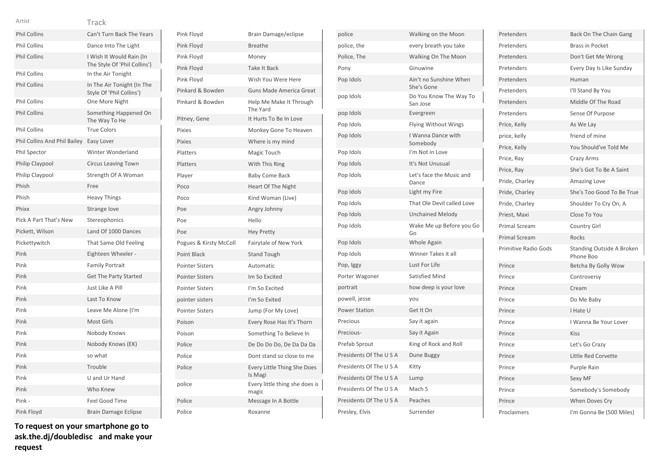| Artist                       | Track                                                    |
|------------------------------|----------------------------------------------------------|
| <b>Phil Collins</b>          | Can't Turn Back The Years                                |
| <b>Phil Collins</b>          | Dance Into The Light                                     |
| <b>Phil Collins</b>          | I Wish It Would Rain (In<br>The Style Of 'Phil Collins') |
| <b>Phil Collins</b>          | In the Air Tonight                                       |
| <b>Phil Collins</b>          | In The Air Tonight (In The<br>Style Of 'Phil Collins')   |
| <b>Phil Collins</b>          | One More Night                                           |
| <b>Phil Collins</b>          | Something Happened On<br>The Way To He                   |
| <b>Phil Collins</b>          | <b>True Colors</b>                                       |
| Phil Collins And Phil Bailey | Easy Lover                                               |
| <b>Phil Spector</b>          | Winter Wonderland                                        |
| Philip Claypool              | <b>Circus Leaving Town</b>                               |
| Philip Claypool              | Strength Of A Woman                                      |
| Phish                        | Free                                                     |
| Phish                        | <b>Heavy Things</b>                                      |
| Phixx                        | Strange love                                             |
| Pick A Part That's New       | Stereophonics                                            |
| Pickett, Wilson              | Land Of 1000 Dances                                      |
| Pickettywitch                | That Same Old Feeling                                    |
| Pink                         | Eighteen Wheeler -                                       |
| Pink                         | <b>Family Portrait</b>                                   |
| Pink                         | <b>Get The Party Started</b>                             |
| Pink                         | Just Like A Pill                                         |
| Pink                         | Last To Know                                             |
| Pink                         | Leave Me Alone (I'm                                      |
| Pink                         | Most Girls                                               |
| Pink                         | Nobody Knows                                             |
| Pink                         | Nobody Knows (EK)                                        |
| Pink                         | so what                                                  |
| Pink                         | Trouble                                                  |
| Pink                         | U and Ur Hand                                            |
| Pink                         | Who Knew                                                 |
| Pink-                        | Feel Good Time                                           |
| Pink Floyd                   | <b>Brain Damage Eclipse</b>                              |

| Pink Floyd             | Brain Damage/eclipse                          |
|------------------------|-----------------------------------------------|
| Pink Floyd             | <b>Breathe</b>                                |
| Pink Floyd             | Money                                         |
| Pink Floyd             | Take It Back                                  |
| Pink Floyd             | Wish You Were Here                            |
| Pinkard & Bowden       | <b>Guns Made America Great</b>                |
| Pinkard & Bowden       | Help Me Make It Through<br>The Yard           |
| Pitney, Gene           | It Hurts To Be In Love                        |
| <b>Pixies</b>          | Monkey Gone To Heaven                         |
| <b>Pixies</b>          | Where is my mind                              |
| Platters               | Magic Touch                                   |
| Platters               | With This Ring                                |
| Player                 | <b>Baby Come Back</b>                         |
| Poco                   | <b>Heart Of The Night</b>                     |
| Poco                   | Kind Woman (Live)                             |
| Poe                    | Angry Johnny                                  |
| Poe                    | Hello                                         |
| Poe                    | <b>Hey Pretty</b>                             |
| Pogues & Kirsty McColl | Fairytale of New York                         |
| Point Black            | <b>Stand Tough</b>                            |
| <b>Pointer Sisters</b> | Automatic                                     |
| <b>Pointer Sisters</b> | Im So Excited                                 |
| <b>Pointer Sisters</b> | I'm So Excited                                |
| pointer sisters        | I'm So Exited                                 |
| <b>Pointer Sisters</b> | Jump (For My Love)                            |
| Poison                 | Every Rose Has It's Thorn                     |
| Poison                 | Something To Believe In                       |
| Police                 | De Do Do Do, De Da Da Da                      |
| Police                 | Dont stand so close to me                     |
| Police                 | <b>Every Little Thing She Does</b><br>Is Magi |
| police                 | Every little thing she does is<br>magic       |
| Police                 | Message In A Bottle                           |
| Police                 | Roxanne                                       |

| police                  | Walking on the Moon                  |
|-------------------------|--------------------------------------|
| police, the             | every breath you take                |
| Police, The             | Walking On The Moon                  |
| Pony                    | Ginuwine                             |
| Pop Idols               | Ain't no Sunshine When<br>She's Gone |
| pop Idols               | Do You Know The Way To<br>San Jose   |
| pop Idols               | Evergreen                            |
| Pop Idols               | Flying Without Wings                 |
| Pop Idols               | I Wanna Dance with<br>Somebody       |
| Pop Idols               | I'm Not in Love                      |
| Pop Idols               | It's Not Unusual                     |
| Pop Idols               | Let's face the Music and<br>Dance    |
| Pop Idols               | Light my Fire                        |
| Pop Idols               | That Ole Devil called Love           |
| Pop Idols               | <b>Unchained Melody</b>              |
| Pop Idols               | Wake Me up Before you Go             |
|                         | Go                                   |
| Pop Idols               | Whole Again                          |
| Pop Idols               | Winner Takes it all                  |
| Pop, Iggy               | Lust For Life                        |
| Porter Wagoner          | <b>Satisfied Mind</b>                |
| portrait                | how deep is your love                |
| powell, jesse           | you                                  |
| <b>Power Station</b>    | Get It On                            |
| Precious                | Say it again                         |
| Precious-               | Say it Again                         |
| Prefab Sprout           | King of Rock and Roll                |
| Presidents Of The USA   | Dune Buggy                           |
| Presidents Of The USA   | Kitty                                |
| Presidents Of The USA   | Lump                                 |
| Presidents Of The U S A | Mach <sub>5</sub>                    |
| Presidents Of The U S A | Peaches                              |

| Pretenders                  | Back On The Chain Gang                 |
|-----------------------------|----------------------------------------|
| Pretenders                  | <b>Brass in Pocket</b>                 |
| Pretenders                  | Don't Get Me Wrong                     |
| Pretenders                  | Every Day Is Like Sunday               |
| Pretenders                  | Human                                  |
| Pretenders                  | I'll Stand By You                      |
| Pretenders                  | Middle Of The Road                     |
| Pretenders                  | Sense Of Purpose                       |
| Price, Kelly                | As We Lay                              |
| price, kelly                | friend of mine                         |
| Price, Kelly                | You Should've Told Me                  |
| Price, Ray                  | Crazy Arms                             |
| Price, Ray                  | She's Got To Be A Saint                |
| Pride, Charley              | Amazing Love                           |
| Pride, Charley              | She's Too Good To Be True              |
| Pride, Charley              | Shoulder To Cry On, A                  |
| Priest, Maxi                | Close To You                           |
| <b>Primal Scream</b>        | Country Girl                           |
| <b>Primal Scream</b>        | <b>Rocks</b>                           |
| <b>Primitive Radio Gods</b> | Standing Outside A Broken<br>Phone Boo |
| Prince                      | Betcha By Golly Wow                    |
| Prince                      | Controversy                            |
| Prince                      | Cream                                  |
| Prince                      | Do Me Baby                             |
| Prince                      | I Hate U                               |
| Prince                      | I Wanna Be Your Lover                  |
| Prince                      | <b>Kiss</b>                            |
| Prince                      | Let's Go Crazy                         |
| Prince                      | Little Red Corvette                    |
| Prince                      | Purple Rain                            |
| Prince                      | Sexy MF                                |
| Prince                      | Somebody's Somebody                    |
| Prince                      | When Doves Cry                         |
| Proclaimers                 | I'm Gonna Be (500 Miles)               |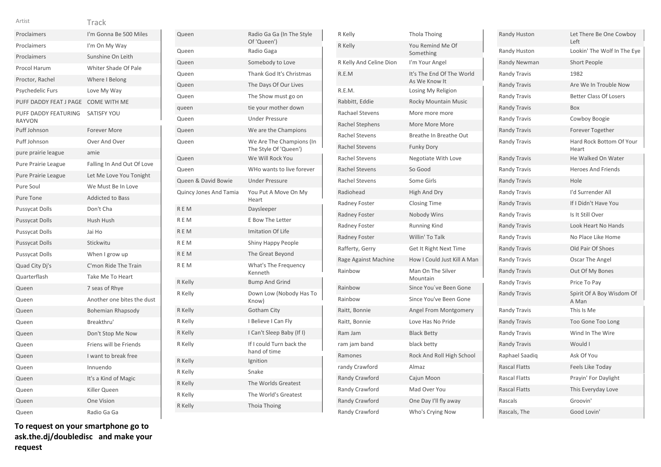| Proclaimers                           | I'm Gonna Be 500 Miles     |
|---------------------------------------|----------------------------|
| Proclaimers                           | I'm On My Way              |
| Proclaimers                           | Sunshine On Leith          |
| Procol Harum                          | Whiter Shade Of Pale       |
| Proctor, Rachel                       | Where I Belong             |
| Psychedelic Furs                      | Love My Way                |
| PUFF DADDY FEAT J PAGE                | <b>COME WITH ME</b>        |
| PUFF DADDY FEATURING<br><b>RAYVON</b> | <b>SATISFY YOU</b>         |
| Puff Johnson                          | Forever More               |
| Puff Johnson                          | Over And Over              |
| pure prairie league                   | amie                       |
| Pure Prairie League                   | Falling In And Out Of Love |
| Pure Prairie League                   | Let Me Love You Tonight    |
| Pure Soul                             | We Must Be In Love         |
| Pure Tone                             | <b>Addicted to Bass</b>    |
| <b>Pussycat Dolls</b>                 | Don't Cha                  |
| <b>Pussycat Dolls</b>                 | Hush Hush                  |
| <b>Pussycat Dolls</b>                 | Jai Ho                     |
| <b>Pussycat Dolls</b>                 | Stickwitu                  |
| <b>Pussycat Dolls</b>                 | When I grow up             |
| Quad City Dj's                        | C'mon Ride The Train       |
| Quarterflash                          | Take Me To Heart           |
| Queen                                 | 7 seas of Rhye             |
| Queen                                 | Another one bites the dust |
| Queen                                 | Bohemian Rhapsody          |
| Queen                                 | Breakthru'                 |
| Queen                                 | Don't Stop Me Now          |
| Queen                                 | Friens will be Friends     |
| Queen                                 | I want to break free       |
| Queen                                 | Innuendo                   |
| Queen                                 | It's a Kind of Magic       |
| Queen                                 | Killer Queen               |
| Queen                                 | One Vision                 |
| Queen                                 | Radio Ga Ga                |

| To request on your smartphone go to |  |  |
|-------------------------------------|--|--|
| ask.the.dj/doubledisc and make your |  |  |
| request                             |  |  |

| Queen                  | Radio Ga Ga (In The Style<br>Of 'Queen')          |
|------------------------|---------------------------------------------------|
| Queen                  | Radio Gaga                                        |
| Queen                  | Somebody to Love                                  |
| Queen                  | Thank God It's Christmas                          |
| Queen                  | The Days Of Our Lives                             |
| Queen                  | The Show must go on                               |
| queen                  | tie your mother down                              |
| Queen                  | <b>Under Pressure</b>                             |
| Queen                  | We are the Champions                              |
| Queen                  | We Are The Champions (In<br>The Style Of 'Queen') |
| Queen                  | We Will Rock You                                  |
| Queen                  | WHo wants to live forever                         |
| Queen & David Bowie    | <b>Under Pressure</b>                             |
| Quincy Jones And Tamia | You Put A Move On My<br>Heart                     |
| <b>REM</b>             | Daysleeper                                        |
| REM                    | <b>E Bow The Letter</b>                           |
| <b>REM</b>             | Imitation Of Life                                 |
| <b>REM</b>             | Shiny Happy People                                |
| <b>REM</b>             | The Great Beyond                                  |
| REM                    | What's The Frequency<br>Kenneth                   |
| R Kelly                | <b>Bump And Grind</b>                             |
| R Kelly                | Down Low (Nobody Has To<br>Know)                  |
| R Kelly                | <b>Gotham City</b>                                |
| R Kelly                | I Believe I Can Fly                               |
| R Kelly                | I Can't Sleep Baby (If I)                         |
| R Kelly                | If I could Turn back the<br>hand of time          |
| R Kelly                | Ignition                                          |
| R Kelly                | Snake                                             |
| R Kelly                | The Worlds Greatest                               |
| R Kelly                | The World's Greatest                              |
| R Kelly                | <b>Thoia Thoing</b>                               |
|                        |                                                   |

| R Kelly                 | <b>Thola Thoing</b>                        |
|-------------------------|--------------------------------------------|
| R Kelly                 | You Remind Me Of<br>Something              |
| R Kelly And Celine Dion | I'm Your Angel                             |
| R.E.M                   | It's The End Of The World<br>As We Know It |
| R.E.M.                  | Losing My Religion                         |
| Rabbitt, Eddie          | Rocky Mountain Music                       |
| Rachael Stevens         | More more more                             |
| Rachel Stephens         | More More More                             |
| <b>Rachel Stevens</b>   | Breathe In Breathe Out                     |
| <b>Rachel Stevens</b>   | <b>Funky Dory</b>                          |
| Rachel Stevens          | Negotiate With Love                        |
| <b>Rachel Stevens</b>   | So Good                                    |
| Rachel Stevens          | Some Girls                                 |
| Radiohead               | High And Dry                               |
| Radney Foster           | <b>Closing Time</b>                        |
| <b>Radney Foster</b>    | Nobody Wins                                |
| Radney Foster           | <b>Running Kind</b>                        |
| Radney Foster           | Willin' To Talk                            |
| Rafferty, Gerry         | Get It Right Next Time                     |
| Rage Against Machine    | How I Could Just Kill A Man                |
| Rainbow                 | Man On The Silver<br>Mountain              |
| Rainbow                 | Since You've Been Gone                     |
| Rainbow                 | Since You've Been Gone                     |
| Raitt, Bonnie           | Angel From Montgomery                      |
| Raitt, Bonnie           | Love Has No Pride                          |
| Ram Jam                 | <b>Black Betty</b>                         |
| ram jam band            | black betty                                |
| Ramones                 | Rock And Roll High School                  |
| randy Crawford          | Almaz                                      |
| Randy Crawford          | Cajun Moon                                 |
| Randy Crawford          | Mad Over You                               |
| Randy Crawford          | One Day I'll fly away                      |
| Randy Crawford          | Who's Crying Now                           |

| Randy Huston         | Let There Be One Cowboy<br>Left    |
|----------------------|------------------------------------|
| Randy Huston         | Lookin' The Wolf In The Eye        |
| Randy Newman         | <b>Short People</b>                |
| <b>Randy Travis</b>  | 1982                               |
| <b>Randy Travis</b>  | Are We In Trouble Now              |
| <b>Randy Travis</b>  | <b>Better Class Of Losers</b>      |
| <b>Randy Travis</b>  | <b>Box</b>                         |
| <b>Randy Travis</b>  | Cowboy Boogie                      |
| <b>Randy Travis</b>  | Forever Together                   |
| <b>Randy Travis</b>  | Hard Rock Bottom Of Your<br>Heart  |
| <b>Randy Travis</b>  | He Walked On Water                 |
| <b>Randy Travis</b>  | <b>Heroes And Friends</b>          |
| <b>Randy Travis</b>  | Hole                               |
| <b>Randy Travis</b>  | I'd Surrender All                  |
| <b>Randy Travis</b>  | If I Didn't Have You               |
| <b>Randy Travis</b>  | Is It Still Over                   |
| <b>Randy Travis</b>  | Look Heart No Hands                |
| <b>Randy Travis</b>  | No Place Like Home                 |
| <b>Randy Travis</b>  | Old Pair Of Shoes                  |
| <b>Randy Travis</b>  | Oscar The Angel                    |
| <b>Randy Travis</b>  | Out Of My Bones                    |
| <b>Randy Travis</b>  | Price To Pay                       |
| <b>Randy Travis</b>  | Spirit Of A Boy Wisdom Of<br>A Man |
| <b>Randy Travis</b>  | This Is Me                         |
| <b>Randy Travis</b>  | Too Gone Too Long                  |
| <b>Randy Travis</b>  | Wind In The Wire                   |
| <b>Randy Travis</b>  | Would I                            |
| Raphael Saadig       | Ask Of You                         |
| <b>Rascal Flatts</b> | Feels Like Today                   |
| <b>Rascal Flatts</b> | Prayin' For Daylight               |
| <b>Rascal Flatts</b> | This Everyday Love                 |
| Rascals              | Groovin'                           |
| Rascals, The         | Good Lovin'                        |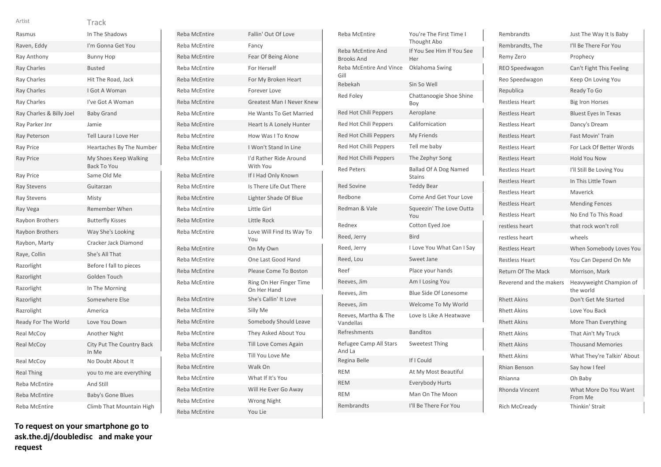|  | × |  |
|--|---|--|
|  |   |  |

| Artist                   | Track                                       |
|--------------------------|---------------------------------------------|
| Rasmus                   | In The Shadows                              |
| Raven, Eddy              | I'm Gonna Get You                           |
| Ray Anthony              | <b>Bunny Hop</b>                            |
| <b>Ray Charles</b>       | <b>Busted</b>                               |
| Ray Charles              | Hit The Road, Jack                          |
| <b>Ray Charles</b>       | I Got A Woman                               |
| Ray Charles              | I've Got A Woman                            |
| Ray Charles & Billy Joel | <b>Baby Grand</b>                           |
| Ray Parker Jnr           | Jamie                                       |
| Ray Peterson             | Tell Laura I Love Her                       |
| <b>Ray Price</b>         | Heartaches By The Number                    |
| <b>Ray Price</b>         | My Shoes Keep Walking<br><b>Back To You</b> |
| Ray Price                | Same Old Me                                 |
| <b>Ray Stevens</b>       | Guitarzan                                   |
| <b>Ray Stevens</b>       | Misty                                       |
| Ray Vega                 | Remember When                               |
| Raybon Brothers          | <b>Butterfly Kisses</b>                     |
| Raybon Brothers          | Way She's Looking                           |
| Raybon, Marty            | Cracker Jack Diamond                        |
| Raye, Collin             | She's All That                              |
| Razorlight               | Before I fall to pieces                     |
| Razorlight               | Golden Touch                                |
| Razorlight               | In The Morning                              |
| Razorlight               | Somewhere Else                              |
| Razrolight               | America                                     |
| Ready For The World      | Love You Down                               |
| Real McCoy               | Another Night                               |
| <b>Real McCoy</b>        | City Put The Country Back<br>In Me          |
| Real McCoy               | No Doubt About It                           |
| <b>Real Thing</b>        | you to me are everything                    |
| Reba McEntire            | And Still                                   |
| <b>Reba McEntire</b>     | <b>Baby's Gone Blues</b>                    |
| Reba McEntire            | Climb That Mountain High                    |

| <b>Reba McEntire</b> | Fallin' Out Of Love                    |
|----------------------|----------------------------------------|
| Reba McEntire        | Fancy                                  |
| Reba McEntire        | Fear Of Being Alone                    |
| Reba McEntire        | For Herself                            |
| <b>Reba McEntire</b> | For My Broken Heart                    |
| Reba McEntire        | Forever Love                           |
| Reba McEntire        | <b>Greatest Man I Never Knew</b>       |
| Reba McEntire        | He Wants To Get Married                |
| <b>Reba McEntire</b> | Heart Is A Lonely Hunter               |
| Reba McEntire        | How Was I To Know                      |
| <b>Reba McEntire</b> | I Won't Stand In Line                  |
| Reba McEntire        | I'd Rather Ride Around<br>With You     |
| Reba McEntire        | If I Had Only Known                    |
| Reba McEntire        | Is There Life Out There                |
| <b>Reba McEntire</b> | Lighter Shade Of Blue                  |
| Reba McEntire        | Little Girl                            |
| <b>Reba McEntire</b> | Little Rock                            |
| Reba McEntire        | Love Will Find Its Way To<br>You       |
| Reba McEntire        | On My Own                              |
| Reba McEntire        | One Last Good Hand                     |
| Reba McEntire        | Please Come To Boston                  |
| Reba McEntire        | Ring On Her Finger Time<br>On Her Hand |
| <b>Reba McEntire</b> | She's Callin' It Love                  |
| Reba McEntire        | Silly Me                               |
| <b>Reba McEntire</b> | Somebody Should Leave                  |
| Reba McEntire        | They Asked About You                   |
| Reba McEntire        | <b>Till Love Comes Again</b>           |
| Reba McEntire        | Till You Love Me                       |
| Reba McEntire        | Walk On                                |
| Reba McEntire        | What If It's You                       |
| Reba McEntire        | Will He Ever Go Away                   |
| Reba McEntire        | <b>Wrong Night</b>                     |
| <b>Reba McEntire</b> | You Lie                                |

| <b>Reba McEntire</b>                   | You're The First Time I<br>Thought Abo        |
|----------------------------------------|-----------------------------------------------|
| Reba McEntire And<br><b>Brooks And</b> | If You See Him If You See<br>Her              |
| Reba McEntire And Vince<br>Gill        | Oklahoma Swing                                |
| Rebekah                                | Sin So Well                                   |
| <b>Red Folev</b>                       | Chattanoogie Shoe Shine<br>Boy                |
| Red Hot Chili Peppers                  | Aeroplane                                     |
| Red Hot Chili Peppers                  | Californication                               |
| Red Hot Chilli Peppers                 | My Friends                                    |
| Red Hot Chilli Peppers                 | Tell me baby                                  |
| Red Hot Chilli Peppers                 | The Zephyr Song                               |
| <b>Red Peters</b>                      | <b>Ballad Of A Dog Named</b><br><b>Stains</b> |
| <b>Red Sovine</b>                      | <b>Teddy Bear</b>                             |
| Redbone                                | Come And Get Your Love                        |
| Redman & Vale                          | Squeezin' The Love Outta<br>You               |
| Rednex                                 | Cotton Eyed Joe                               |
| Reed, Jerry                            | <b>Bird</b>                                   |
| Reed, Jerry                            | I Love You What Can I Say                     |
| Reed, Lou                              | Sweet Jane                                    |
| Reef                                   | Place your hands                              |
| Reeves, Jim                            | Am I Losing You                               |
| Reeves, Jim                            | Blue Side Of Lonesome                         |
| Reeves, Jim                            | Welcome To My World                           |
| Reeves, Martha & The<br>Vandellas      | Love Is Like A Heatwave                       |
| Refreshments                           | <b>Banditos</b>                               |
| Refugee Camp All Stars<br>And La       | <b>Sweetest Thing</b>                         |
| Regina Belle                           | If I Could                                    |
| <b>REM</b>                             | At My Most Beautiful                          |
| <b>REM</b>                             | <b>Everybody Hurts</b>                        |
| <b>REM</b>                             | Man On The Moon                               |
| Rembrandts                             | I'll Be There For You                         |

| Rembrandts              | Just The Way It Is Baby              |
|-------------------------|--------------------------------------|
| Rembrandts, The         | I'll Be There For You                |
| Remy Zero               | Prophecy                             |
| REO Speedwagon          | Can't Fight This Feeling             |
| Reo Speedwagon          | Keep On Loving You                   |
| Republica               | Ready To Go                          |
| <b>Restless Heart</b>   | <b>Big Iron Horses</b>               |
| <b>Restless Heart</b>   | <b>Bluest Eyes In Texas</b>          |
| <b>Restless Heart</b>   | Dancy's Dream                        |
| <b>Restless Heart</b>   | <b>Fast Movin' Train</b>             |
| <b>Restless Heart</b>   | For Lack Of Better Words             |
| <b>Restless Heart</b>   | <b>Hold You Now</b>                  |
| <b>Restless Heart</b>   | I'll Still Be Loving You             |
| <b>Restless Heart</b>   | In This Little Town                  |
| <b>Restless Heart</b>   | Maverick                             |
| <b>Restless Heart</b>   | <b>Mending Fences</b>                |
| <b>Restless Heart</b>   | No End To This Road                  |
| restless heart          | that rock won't roll                 |
| restless heart          | wheels                               |
| <b>Restless Heart</b>   | When Somebody Loves You              |
| <b>Restless Heart</b>   | You Can Depend On Me                 |
| Return Of The Mack      | Morrison, Mark                       |
| Reverend and the makers | Heavyweight Champion of<br>the world |
| <b>Rhett Akins</b>      | Don't Get Me Started                 |
| <b>Rhett Akins</b>      | Love You Back                        |
| <b>Rhett Akins</b>      | More Than Everything                 |
| <b>Rhett Akins</b>      | That Ain't My Truck                  |
| <b>Rhett Akins</b>      | <b>Thousand Memories</b>             |
| <b>Rhett Akins</b>      | What They're Talkin' About           |
| <b>Rhian Benson</b>     | Say how I feel                       |
| Rhianna                 | Oh Baby                              |
| Rhonda Vincent          | What More Do You Want<br>From Me     |
| Rich McCready           | Thinkin' Strait                      |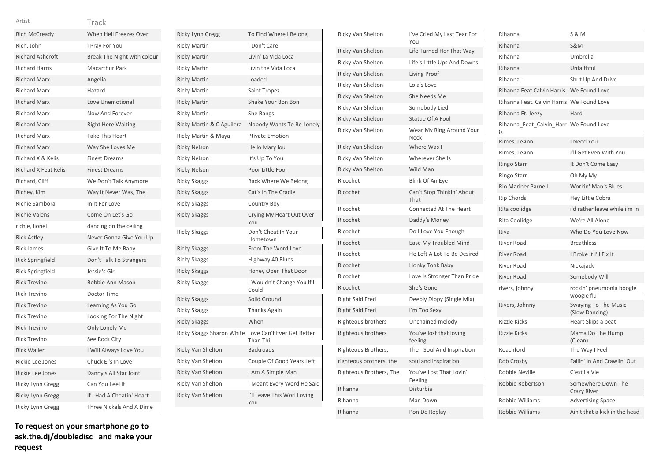| Artist                      | Track                       |
|-----------------------------|-----------------------------|
| Rich McCready               | When Hell Freezes Over      |
| Rich, John                  | I Pray For You              |
| <b>Richard Ashcroft</b>     | Break The Night with colour |
| <b>Richard Harris</b>       | <b>Macarthur Park</b>       |
| <b>Richard Marx</b>         | Angelia                     |
| <b>Richard Marx</b>         | Hazard                      |
| <b>Richard Marx</b>         | Love Unemotional            |
| <b>Richard Marx</b>         | Now And Forever             |
| <b>Richard Marx</b>         | <b>Right Here Waiting</b>   |
| <b>Richard Marx</b>         | <b>Take This Heart</b>      |
| <b>Richard Marx</b>         | Way She Loves Me            |
| Richard X & Kelis           | <b>Finest Dreams</b>        |
| <b>Richard X Feat Kelis</b> | <b>Finest Dreams</b>        |
| Richard, Cliff              | We Don't Talk Anymore       |
| Richey, Kim                 | Way It Never Was, The       |
| Richie Sambora              | In It For Love              |
| <b>Richie Valens</b>        | Come On Let's Go            |
| richie, lionel              | dancing on the ceiling      |
| <b>Rick Astley</b>          | Never Gonna Give You Up     |
| <b>Rick James</b>           | Give It To Me Baby          |
| Rick Springfield            | Don't Talk To Strangers     |
| <b>Rick Springfield</b>     | Jessie's Girl               |
| <b>Rick Trevino</b>         | <b>Bobbie Ann Mason</b>     |
| <b>Rick Trevino</b>         | Doctor Time                 |
| <b>Rick Trevino</b>         | Learning As You Go          |
| <b>Rick Trevino</b>         | Looking For The Night       |
| <b>Rick Trevino</b>         | Only Lonely Me              |
| <b>Rick Trevino</b>         | See Rock City               |
| <b>Rick Waller</b>          | I Will Always Love You      |
| Rickie Lee Jones            | Chuck E's In Love           |
| Rickie Lee Jones            | Danny's All Star Joint      |
| Ricky Lynn Gregg            | Can You Feel It             |
| Ricky Lynn Gregg            | If I Had A Cheatin' Heart   |
| Ricky Lynn Gregg            | Three Nickels And A Dime    |

Ricky Lynn Gregg To Find Where I Belong Ricky Martin I Don't Care Ricky Martin Livin' La Vida Loca Ricky Martin Livin the Vida Loca Ricky Martin Loaded Ricky Martin Saint Tropez Ricky Martin Shake Your Bon Bon Ricky Martin She Bangs Ricky Martin & C Aguilera Nobody Wants To Be Lonely Ricky Martin & Maya Ptivate Emotion Ricky Nelson Hello Mary lou Ricky Nelson It's Up To You Ricky Nelson Poor Little Fool Ricky Skaggs Back Where We Belong Ricky Skaggs Cat's In The Cradle Ricky Skaggs **Country Boy** Ricky Skaggs Crying My Heart Out Over You Ricky Skaggs Don't Cheat In Your Hometown Ricky Skaggs From The Word Love Ricky Skaggs Highway 40 Blues Ricky Skaggs **Honey Open That Door** Ricky Skaggs **I Wouldn't Change You If I** Could Ricky Skaggs Solid Ground Ricky Skaggs Thanks Again Ricky Skaggs When Ricky Skaggs Sharon White Love Can't Ever Get Better Than Thi Ricky Van Shelton Backroads Ricky Van Shelton Couple Of Good Years Left Ricky Van Shelton I Am A Simple Man Ricky Van Shelton I Meant Every Word He Said Ricky Van Shelton I'll Leave This Worl Loving You

| Ricky Van Shelton        | I've Cried My Last Tear For<br>You |
|--------------------------|------------------------------------|
| <b>Ricky Van Shelton</b> | Life Turned Her That Way           |
| Ricky Van Shelton        | Life's Little Ups And Downs        |
| <b>Ricky Van Shelton</b> | Living Proof                       |
| Ricky Van Shelton        | Lola's Love                        |
| <b>Ricky Van Shelton</b> | She Needs Me                       |
| Ricky Van Shelton        | Somebody Lied                      |
| Ricky Van Shelton        | Statue Of A Fool                   |
| Ricky Van Shelton        | Wear My Ring Around Your<br>Neck   |
| Ricky Van Shelton        | Where Was I                        |
| Ricky Van Shelton        | Wherever She Is                    |
| <b>Ricky Van Shelton</b> | Wild Man                           |
| Ricochet                 | Blink Of An Eye                    |
| Ricochet                 | Can't Stop Thinkin' About<br>That  |
| Ricochet                 | Connected At The Heart             |
| Ricochet                 | Daddy's Money                      |
| Ricochet                 | Do I Love You Enough               |
| Ricochet                 | Ease My Troubled Mind              |
| Ricochet                 | He Left A Lot To Be Desired        |
| Ricochet                 | <b>Honky Tonk Baby</b>             |
| Ricochet                 | Love Is Stronger Than Pride        |
| Ricochet                 | She's Gone                         |
| <b>Right Said Fred</b>   | Deeply Dippy (Single Mix)          |
| <b>Right Said Fred</b>   | I'm Too Sexy                       |
| Righteous brothers       | Unchained melody                   |
| Righteous brothers       | You've lost that loving<br>feeling |
| Righteous Brothers,      | The - Soul And Inspiration         |
| righteous brothers, the  | soul and inspiration               |
| Righteous Brothers, The  | You've Lost That Lovin'<br>Feeling |
| Rihanna                  | Disturbia                          |
| Rihanna                  | Man Down                           |
| Rihanna                  | Pon De Replay -                    |

| Rihanna                                      | <b>S &amp; M</b>                              |
|----------------------------------------------|-----------------------------------------------|
| Rihanna                                      | <b>S&amp;M</b>                                |
| Rihanna                                      | Umbrella                                      |
| Rihanna                                      | Unfaithful                                    |
| Rihanna -                                    | Shut Up And Drive                             |
| Rihanna Feat Calvin Harris                   | We Found Love                                 |
| Rihanna Feat, Calvin Harris We Found Love    |                                               |
| Rihanna Ft. Jeezy                            | Hard                                          |
| Rihanna_Feat_Calvin_Harr We Found Love<br>i٢ |                                               |
| Rimes, LeAnn                                 | I Need You                                    |
| Rimes, LeAnn                                 | I'll Get Even With You                        |
| Ringo Starr                                  | It Don't Come Easy                            |
| Ringo Starr                                  | Oh My My                                      |
| <b>Rio Mariner Parnell</b>                   | <b>Workin' Man's Blues</b>                    |
| <b>Rip Chords</b>                            | Hey Little Cobra                              |
| Rita coolidge                                | i'd rather leave while i'm in                 |
| Rita Coolidge                                | We're All Alone                               |
| Riva                                         | Who Do You Love Now                           |
| <b>River Road</b>                            | <b>Breathless</b>                             |
| <b>River Road</b>                            | I Broke It I'll Fix It                        |
| <b>River Road</b>                            | Nickajack                                     |
| <b>River Road</b>                            | Somebody Will                                 |
| rivers, johnny                               | rockin' pneumonia boogie<br>woogie flu        |
| Rivers, Johnny                               | <b>Swaying To The Music</b><br>(Slow Dancing) |
| <b>Rizzle Kicks</b>                          | Heart Skips a beat                            |
| <b>Rizzle Kicks</b>                          | Mama Do The Hump<br>(Clean)                   |
| Roachford                                    | The Way I Feel                                |
| Rob Crosby                                   | Fallin' In And Crawlin' Out                   |
| Robbie Neville                               | C'est La Vie                                  |
| Robbie Robertson                             | Somewhere Down The<br><b>Crazy River</b>      |
| Robbie Williams                              | <b>Advertising Space</b>                      |
| Robbie Williams                              | Ain't that a kick in the head                 |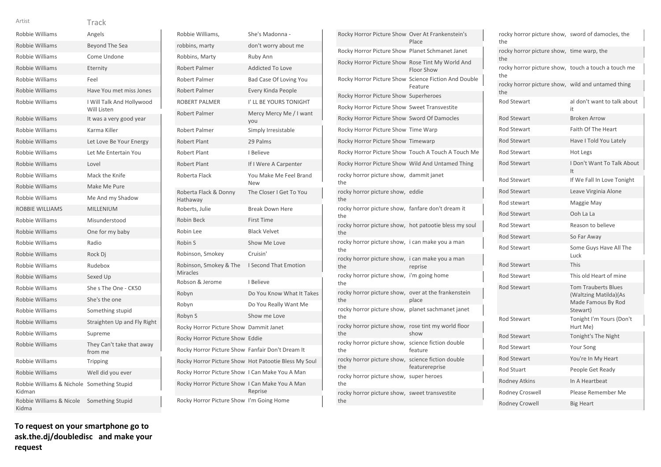|  | ×.<br>٧ |
|--|---------|
|  |         |
|  |         |
|  |         |
|  |         |
|  |         |

| Robbie Williams                                      | Angels                                   |
|------------------------------------------------------|------------------------------------------|
| Robbie Williams                                      | <b>Beyond The Sea</b>                    |
| Robbie Williams                                      | Come Undone                              |
| Robbie Williams                                      | Eternity                                 |
| Robbie Williams                                      | Feel                                     |
| Robbie Williams                                      | Have You met miss Jones                  |
| Robbie Williams                                      | I Will Talk And Hollywood<br>Will Listen |
| Robbie Williams                                      | It was a very good year                  |
| Robbie Williams                                      | Karma Killer                             |
| Robbie Williams                                      | Let Love Be Your Energy                  |
| Robbie Williams                                      | Let Me Entertain You                     |
| Robbie Williams                                      | Lovel                                    |
| Robbie Williams                                      | Mack the Knife                           |
| Robbie Williams                                      | Make Me Pure                             |
| Robbie Williams                                      | Me And my Shadow                         |
| <b>ROBBIE WILLIAMS</b>                               | MILLENIUM                                |
| Robbie Williams                                      | Misunderstood                            |
| Robbie Williams                                      | One for my baby                          |
| Robbie Williams                                      | Radio                                    |
| Robbie Williams                                      | Rock Dj                                  |
| Robbie Williams                                      | Rudebox                                  |
| Robbie Williams                                      | Sexed Up                                 |
| Robbie Williams                                      | She s The One - CK50                     |
| Robbie Williams                                      | She's the one                            |
| Robbie Williams                                      | Something stupid                         |
| Robbie Williams                                      | Straighten Up and Fly Right              |
| Robbie Williams                                      | Supreme                                  |
| Robbie Williams                                      | They Can't take that away<br>from me     |
| Robbie Williams                                      | Tripping                                 |
| Robbie Williams                                      | Well did you ever                        |
| Robbie Williams & Nichole Something Stupid<br>Kidman |                                          |
| Robbie Williams & Nicole<br>Kidma                    | Something Stupid                         |

**To request on your smartphone go to ask.the.dj/doubledisc and make your request**

| Robbie Williams,                                 | She's Madonna -                                      |
|--------------------------------------------------|------------------------------------------------------|
| robbins, marty                                   | don't worry about me                                 |
| Robbins, Marty                                   | Ruby Ann                                             |
| <b>Robert Palmer</b>                             | <b>Addicted To Love</b>                              |
| Robert Palmer                                    | Bad Case Of Loving You                               |
| <b>Robert Palmer</b>                             | Every Kinda People                                   |
| <b>ROBERT PALMER</b>                             | I' LL BE YOURS TONIGHT                               |
| <b>Robert Palmer</b>                             | Mercy Mercy Me / I want<br>you                       |
| Robert Palmer                                    | Simply Irresistable                                  |
| <b>Robert Plant</b>                              | 29 Palms                                             |
| Robert Plant                                     | I Believe                                            |
| <b>Robert Plant</b>                              | If I Were A Carpenter                                |
| Roberta Flack                                    | You Make Me Feel Brand<br>New                        |
| Roberta Flack & Donny<br>Hathaway                | The Closer I Get To You                              |
| Roberts, Julie                                   | <b>Break Down Here</b>                               |
| <b>Robin Beck</b>                                | <b>First Time</b>                                    |
| Robin Lee                                        | <b>Black Velvet</b>                                  |
| Robin S                                          | Show Me Love                                         |
| Robinson, Smokey                                 | Cruisin'                                             |
| Robinson, Smokey & The<br><b>Miracles</b>        | <b>I Second That Emotion</b>                         |
| Robson & Jerome                                  | I Believe                                            |
| Robyn                                            | Do You Know What It Takes                            |
| Robyn                                            | Do You Really Want Me                                |
| Robyn S                                          | Show me Love                                         |
| Rocky Horror Picture Show Dammit Janet           |                                                      |
| Rocky Horror Picture Show Eddie                  |                                                      |
| Rocky Horror Picture Show Fanfair Don't Dream It |                                                      |
|                                                  | Rocky Horror Picture Show Hot Patootie Bless My Soul |
| Rocky Horror Picture Show I Can Make You A Man   |                                                      |
| Rocky Horror Picture Show I Can Make You A Man   | Reprise                                              |
| Rocky Horror Picture Show I'm Going Home         |                                                      |

| Rocky Horror Picture Show Over At Frankenstein's             | Place                                                           |
|--------------------------------------------------------------|-----------------------------------------------------------------|
| Rocky Horror Picture Show Planet Schmanet Janet              |                                                                 |
| Rocky Horror Picture Show Rose Tint My World And             | Floor Show                                                      |
|                                                              | Rocky Horror Picture Show Science Fiction And Double<br>Feature |
| Rocky Horror Picture Show Superheroes                        |                                                                 |
| Rocky Horror Picture Show Sweet Transvestite                 |                                                                 |
| Rocky Horror Picture Show Sword Of Damocles                  |                                                                 |
| Rocky Horror Picture Show Time Warp                          |                                                                 |
| Rocky Horror Picture Show Timewarp                           |                                                                 |
|                                                              | Rocky Horror Picture Show Touch A Touch A Touch Me              |
| Rocky Horror Picture Show Wild And Untamed Thing             |                                                                 |
| rocky horror picture show, dammit janet<br>the               |                                                                 |
| rocky horror picture show, eddie<br>the                      |                                                                 |
| rocky horror picture show, fanfare don't dream it<br>the     |                                                                 |
| rocky horror picture show, hot patootie bless my soul<br>the |                                                                 |
| rocky horror picture show, i can make you a man<br>the       |                                                                 |
| rocky horror picture show, i can make you a man<br>the       | reprise                                                         |
| rocky horror picture show, i'm going home<br>the             |                                                                 |
| rocky horror picture show,<br>the                            | over at the frankenstein<br>place                               |
| rocky horror picture show, planet sachmanet janet<br>the     |                                                                 |
| rocky horror picture show,<br>the                            | rose tint my world floor<br>show                                |
| rocky horror picture show, science fiction double<br>the     | feature                                                         |
| rocky horror picture show,<br>the                            | science fiction double<br>featurereprise                        |
| rocky horror picture show, super heroes<br>the               |                                                                 |
| rocky horror picture show, sweet transvestite<br>the         |                                                                 |

| rocky horror picture show, sword of damocles, the<br>the   |                                                                                       |
|------------------------------------------------------------|---------------------------------------------------------------------------------------|
| rocky horror picture show, time warp, the<br>the           |                                                                                       |
| rocky horror picture show, touch a touch a touch me<br>the |                                                                                       |
| rocky horror picture show, wild and untamed thing<br>the   |                                                                                       |
| Rod Stewart                                                | al don't want to talk about<br>it.                                                    |
| <b>Rod Stewart</b>                                         | <b>Broken Arrow</b>                                                                   |
| Rod Stewart                                                | Faith Of The Heart                                                                    |
| <b>Rod Stewart</b>                                         | Have I Told You Lately                                                                |
| <b>Rod Stewart</b>                                         | Hot Legs                                                                              |
| <b>Rod Stewart</b>                                         | I Don't Want To Talk About<br>It                                                      |
| Rod Stewart                                                | If We Fall In Love Tonight                                                            |
| <b>Rod Stewart</b>                                         | Leave Virginia Alone                                                                  |
| Rod stewart                                                | Maggie May                                                                            |
| <b>Rod Stewart</b>                                         | Ooh La La                                                                             |
| Rod Stewart                                                | Reason to believe                                                                     |
| <b>Rod Stewart</b>                                         | So Far Away                                                                           |
| Rod Stewart                                                | Some Guys Have All The<br>Luck                                                        |
| Rod Stewart                                                | This                                                                                  |
| Rod Stewart                                                | This old Heart of mine                                                                |
| Rod Stewart                                                | <b>Tom Trauberts Blues</b><br>(Waltzing Matilda)(As<br>Made Famous By Rod<br>Stewart) |
| Rod Stewart                                                | Tonight I'm Yours (Don't<br>Hurt Me)                                                  |
| <b>Rod Stewart</b>                                         | Tonight's The Night                                                                   |
| Rod Stewart                                                | Your Song                                                                             |
| Rod Stewart                                                | You're In My Heart                                                                    |
| <b>Rod Stuart</b>                                          | People Get Ready                                                                      |
| <b>Rodney Atkins</b>                                       | In A Heartbeat                                                                        |
| Rodney Croswell                                            | Please Remember Me                                                                    |
| Rodney Crowell                                             | <b>Big Heart</b>                                                                      |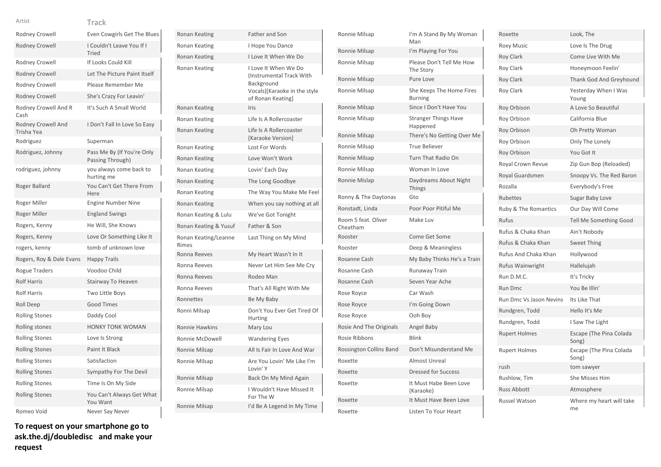### Track Artist

| Rodney Crowell                   | Even Cowgirls Get The Blues                    |
|----------------------------------|------------------------------------------------|
| <b>Rodney Crowell</b>            | I Couldn't Leave You If I<br><b>Tried</b>      |
| <b>Rodney Crowell</b>            | If Looks Could Kill                            |
| <b>Rodney Crowell</b>            | Let The Picture Paint Itself                   |
| Rodney Crowell                   | Please Remember Me                             |
| Rodney Crowell                   | She's Crazy For Leavin'                        |
| Rodney Crowell And R<br>Cash     | It's Such A Small World                        |
| Rodney Crowell And<br>Trisha Yea | I Don't Fall In Love So Easy                   |
| Rodriguez                        | Superman                                       |
| Rodriguez, Johnny                | Pass Me By (If You're Only<br>Passing Through) |
| rodriguez, johnny                | you always come back to<br>hurting me          |
| Roger Ballard                    | You Can't Get There From<br>Here               |
| Roger Miller                     | <b>Engine Number Nine</b>                      |
| Roger Miller                     | <b>England Swings</b>                          |
| Rogers, Kenny                    | He Will, She Knows                             |
| Rogers, Kenny                    | Love Or Something Like It                      |
| rogers, kenny                    | tomb of unknown love                           |
| Rogers, Roy & Dale Evans         | <b>Happy Trails</b>                            |
| Rogue Traders                    | Voodoo Child                                   |
| <b>Rolf Harris</b>               | Stairway To Heaven                             |
| <b>Rolf Harris</b>               | <b>Two Little Boys</b>                         |
| Roll Deep                        | <b>Good Times</b>                              |
| <b>Rolling Stones</b>            | Daddy Cool                                     |
| Rolling stones                   | <b>HONKY TONK WOMAN</b>                        |
| <b>Rolling Stones</b>            | Love Is Strong                                 |
| <b>Rolling Stones</b>            | Paint It Black                                 |
| <b>Rolling Stones</b>            | Satisfaction                                   |
| <b>Rolling Stones</b>            | Sympathy For The Devil                         |
| <b>Rolling Stones</b>            | Time Is On My Side                             |
| <b>Rolling Stones</b>            | You Can't Always Get What<br>You Want          |
| Romeo Void                       | Never Say Never                                |

| Ronan Keating                 | Father and Son                                                                                                     |
|-------------------------------|--------------------------------------------------------------------------------------------------------------------|
| Ronan Keating                 | I Hope You Dance                                                                                                   |
| Ronan Keating                 | I Love It When We Do                                                                                               |
| Ronan Keating                 | I Love It When We Do<br>Instrumental Track With<br>Background<br>Vocals)[Karaoke in the style<br>of Ronan Keating] |
| Ronan Keating                 | Iris                                                                                                               |
| Ronan Keating                 | Life Is A Rollercoaster                                                                                            |
| Ronan Keating                 | Life Is A Rollercoaster<br>[Karaoke Version]                                                                       |
| Ronan Keating                 | Lost For Words                                                                                                     |
| Ronan Keating                 | Love Won't Work                                                                                                    |
| Ronan Keating                 | Lovin' Each Day                                                                                                    |
| Ronan Keating                 | The Long Goodbye                                                                                                   |
| Ronan Keating                 | The Way You Make Me Feel                                                                                           |
| <b>Ronan Keating</b>          | When you say nothing at all                                                                                        |
| Ronan Keating & Lulu          | We've Got Tonight                                                                                                  |
| Ronan Keating & Yusuf         | Father & Son                                                                                                       |
| Ronan Keating/Leanne<br>Rimes | Last Thing on My Mind                                                                                              |
| Ronna Reeves                  | My Heart Wasn't In It                                                                                              |
| Ronna Reeves                  | Never Let Him See Me Cry                                                                                           |
| Ronna Reeves                  | Rodeo Man                                                                                                          |
| Ronna Reeves                  | That's All Right With Me                                                                                           |
| Ronnettes                     | Be My Baby                                                                                                         |
| Ronni Milsap                  |                                                                                                                    |
|                               | Don't You Ever Get Tired Of<br>Hurting                                                                             |
| <b>Ronnie Hawkins</b>         | Mary Lou                                                                                                           |
| Ronnie McDowell               | <b>Wandering Eyes</b>                                                                                              |
| Ronnie Milsap                 | All Is Fair In Love And War                                                                                        |
| Ronnie Milsap                 | Are You Lovin' Me Like I'm<br>Lovin' Y                                                                             |
| Ronnie Milsap                 | Back On My Mind Again                                                                                              |
| Ronnie Milsap                 | I Wouldn't Have Missed It<br>For The W                                                                             |

| Ronnie Milsap                   | I'm A Stand By My Woman<br>Man             |
|---------------------------------|--------------------------------------------|
| Ronnie Milsap                   | I'm Playing For You                        |
| Ronnie Milsap                   | Please Don't Tell Me How<br>The Story      |
| Ronnie Milsap                   | Pure Love                                  |
| Ronnie Milsap                   | She Keeps The Home Fires<br><b>Burning</b> |
| Ronnie Milsap                   | Since I Don't Have You                     |
| Ronnie Milsap                   | <b>Stranger Things Have</b><br>Happened    |
| Ronnie Milsap                   | There's No Getting Over Me                 |
| Ronnie Milsap                   | <b>True Believer</b>                       |
| Ronnie Milsap                   | Turn That Radio On                         |
| Ronnie Milsap                   | Woman In Love                              |
| Ronnie Mislap                   | Daydreams About Night<br><b>Things</b>     |
| Ronny & The Daytonas            | Gto                                        |
| Ronstadt, Linda                 | Poor Poor Pitiful Me                       |
| Room 5 feat. Oliver<br>Cheatham | Make Luv                                   |
| Rooster                         | Come Get Some                              |
| Rooster                         | Deep & Meaningless                         |
| Rosanne Cash                    | My Baby Thinks He's a Train                |
| Rosanne Cash                    | Runaway Train                              |
| Rosanne Cash                    | Seven Year Ache                            |
| Rose Royce                      | Car Wash                                   |
| Rose Royce                      | I'm Going Down                             |
| Rose Royce                      | Ooh Boy                                    |
| Rosie And The Originals         | Angel Baby                                 |
| Rosie Ribbons                   | Blink                                      |
| Rossington Collins Band         | Don't Misunderstand Me                     |
| Roxette                         | <b>Almost Unreal</b>                       |
| Roxette                         | <b>Dressed for Success</b>                 |
| Roxette                         | It Must Habe Been Love<br>(Karaoke)        |
| Roxette                         | It Must Have Been Love                     |
| Roxette                         | Listen To Your Heart                       |

| Roxette                         | Look, The                        |
|---------------------------------|----------------------------------|
| <b>Roxy Music</b>               | Love Is The Drug                 |
| <b>Roy Clark</b>                | Come Live With Me                |
| Roy Clark                       | Honeymoon Feelin'                |
| <b>Roy Clark</b>                | Thank God And Greyhound          |
| <b>Roy Clark</b>                | Yesterday When I Was<br>Young    |
| Roy Orbison                     | A Love So Beautiful              |
| Roy Orbison                     | California Blue                  |
| Roy Orbison                     | Oh Pretty Woman                  |
| Roy Orbison                     | Only The Lonely                  |
| Roy Orbison                     | You Got It                       |
| Royal Crown Revue               | Zip Gun Bop (Reloaded)           |
| Royal Guardsmen                 | Snoopy Vs. The Red Baron         |
| Rozalla                         | Everybody's Free                 |
| Rubettes                        | Sugar Baby Love                  |
| <b>Ruby &amp; The Romantics</b> | Our Day Will Come                |
| <b>Rufus</b>                    | Tell Me Something Good           |
| Rufus & Chaka Khan              | Ain't Nobody                     |
| Rufus & Chaka Khan              | <b>Sweet Thing</b>               |
| Rufus And Chaka Khan            | Hollywood                        |
| Rufus Wainwright                | Hallelujah                       |
| Run D.M.C.                      | It's Tricky                      |
| <b>Run Dmc</b>                  | You Be Illin'                    |
| Run Dmc Vs Jason Nevins         | Its Like That                    |
| Rundgren, Todd                  | Hello It's Me                    |
| Rundgren, Todd                  | I Saw The Light                  |
| <b>Rupert Holmes</b>            | Escape (The Pina Colada<br>Song) |
| <b>Rupert Holmes</b>            | Excape (The Pina Colada<br>Song) |
| rush                            | tom sawyer                       |
| Rushlow, Tim                    | <b>She Misses Him</b>            |
| <b>Russ Abbott</b>              | Atmosphere                       |
| Russel Watson                   | Where my heart will take<br>me   |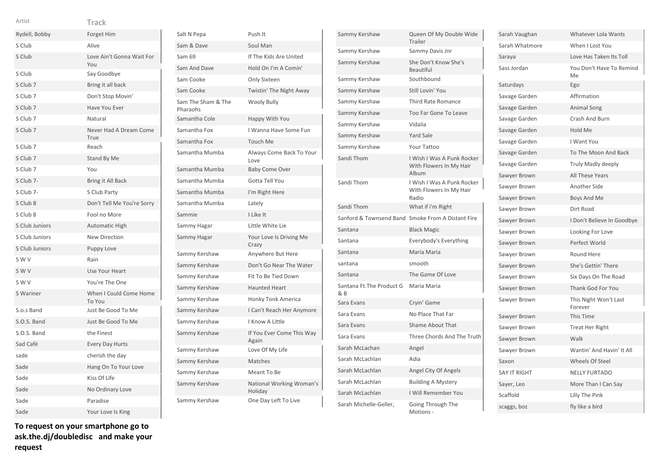| $\sim$<br>$\sim$<br>$\sim$ |  |
|----------------------------|--|
|                            |  |

Track

| ٧ | v  |  |  |
|---|----|--|--|
|   | __ |  |  |

| Rydell, Bobby       | Forget Him                       |
|---------------------|----------------------------------|
| S Club              | Alive                            |
| S Club              | Love Ain't Gonna Wait For<br>You |
| S Club              | Say Goodbye                      |
| S Club 7            | Bring it all back                |
| S Club <sub>7</sub> | Don't Stop Movin'                |
| S Club 7            | Have You Ever                    |
| S Club 7            | Natural                          |
| S Club <sub>7</sub> | Never Had A Dream Come<br>True   |
| S Club 7            | Reach                            |
| S Club 7            | Stand By Me                      |
| S Club 7            | You                              |
| S Club 7-           | Bring it All Back                |
| S Club 7-           | S Club Party                     |
| S Club 8            | Don't Tell Me You're Sorry       |
| S Club 8            | Fool no More                     |
| S Club Juniors      | <b>Automatic High</b>            |
| S Club Juniors      | <b>New Direction</b>             |
| S Club Juniors      | Puppy Love                       |
| S W V               | Rain                             |
| S W V               | Use Your Heart                   |
| S W V               | You're The One                   |
| S Wariner           | When I Could Come Home<br>To You |
| S.o.s Band          | Just Be Good To Me               |
| S.O.S. Band         | Just Be Good To Me               |
| S.O.S. Band         | the Finest                       |
| Sad Café            | <b>Every Day Hurts</b>           |
| sade                | cherish the day                  |
| Sade                | Hang On To Your Love             |
| Sade                | Kiss Of Life                     |
| Sade                | No Ordinary Love                 |
| Sade                | Paradise                         |
| Sade                | Your Love Is King                |

| To request on your smartphone go to |  |
|-------------------------------------|--|
| ask.the.dj/doubledisc and make your |  |
| request                             |  |

| Salt N Pepa                    | Push It                             |
|--------------------------------|-------------------------------------|
| Sam & Dave                     | Soul Man                            |
| Sam 69                         | If The Kids Are United              |
| Sam And Dave                   | Hold On I'm A Comin'                |
| Sam Cooke                      | Only Sixteen                        |
| Sam Cooke                      | Twistin' The Night Away             |
| Sam The Sham & The<br>Pharaohs | <b>Wooly Bully</b>                  |
| Samantha Cole                  | Happy With You                      |
| Samantha Fox                   | I Wanna Have Some Fun               |
| Samantha Fox                   | <b>Touch Me</b>                     |
| Samantha Mumba                 | Always Come Back To Your<br>Love    |
| Samantha Mumba                 | <b>Baby Come Over</b>               |
| Samantha Mumba                 | Gotta Tell You                      |
| Samantha Mumba                 | I'm Right Here                      |
| Samantha Mumba                 | Lately                              |
| Sammie                         | I Like It                           |
| Sammy Hagar                    | Little White Lie                    |
| Sammy Hagar                    | Your Love Is Driving Me<br>Crazy    |
| Sammy Kershaw                  | Anywhere But Here                   |
| Sammy Kershaw                  | Don't Go Near The Water             |
| Sammy Kershaw                  | Fit To Be Tied Down                 |
| Sammy Kershaw                  | <b>Haunted Heart</b>                |
| Sammy Kershaw                  | <b>Honky Tonk America</b>           |
| Sammy Kershaw                  | I Can't Reach Her Anymore           |
| Sammy Kershaw                  | I Know A Little                     |
| Sammy Kershaw                  | If You Ever Come This Way<br>Again  |
| Sammy Kershaw                  | Love Of My Life                     |
| Sammy Kershaw                  | Matches                             |
| Sammy Kershaw                  | Meant To Be                         |
| Sammy Kershaw                  | National Working Woman's<br>Holiday |
| Sammy Kershaw                  | One Day Left To Live                |

| Sammy Kershaw                    | Queen Of My Double Wide<br>Trailer                             |
|----------------------------------|----------------------------------------------------------------|
| Sammy Kershaw                    | Sammy Davis Jnr                                                |
| Sammy Kershaw                    | She Don't Know She's<br><b>Beautiful</b>                       |
| Sammy Kershaw                    | Southbound                                                     |
| Sammy Kershaw                    | Still Lovin' You                                               |
| Sammy Kershaw                    | Third Rate Romance                                             |
| Sammy Kershaw                    | <b>Too Far Gone To Leave</b>                                   |
| Sammy Kershaw                    | Vidalia                                                        |
| Sammy Kershaw                    | <b>Yard Sale</b>                                               |
| Sammy Kershaw                    | Your Tattoo                                                    |
| Sandi Thom                       | I Wish I Was A Punk Rocker<br>With Flowers In My Hair<br>Album |
| Sandi Thom                       | I Wish I Was A Punk Rocker<br>With Flowers In My Hair<br>Radio |
| Sandi Thom                       | What if i'm Right                                              |
| Sanford & Townsend Band          | Smoke From A Distant Fire                                      |
| Santana                          | <b>Black Magic</b>                                             |
| Santana                          | Everybody's Everything                                         |
| Santana                          | Maria Maria                                                    |
| santana                          | smooth                                                         |
| Santana                          | The Game Of Love                                               |
| Santana Ft. The Product G<br>& B | Maria Maria                                                    |
| Sara Evans                       | Cryin' Game                                                    |
| Sara Evans                       | No Place That Far                                              |
| Sara Evans                       | <b>Shame About That</b>                                        |
| Sara Evans                       | Three Chords And The Truth                                     |
| Sarah McLachan                   | Angel                                                          |
| Sarah McLachlan                  | Adia                                                           |
| Sarah McLachlan                  | Angel City Of Angels                                           |
| Sarah McLachlan                  | <b>Building A Mystery</b>                                      |
| Sarah McLachlan                  | I Will Remember You                                            |
| Sarah Michelle-Geller,           | Going Through The<br>Motions -                                 |

| Sarah Vaughan       | Whatever Lola Wants              |
|---------------------|----------------------------------|
| Sarah Whatmore      | When I Lost You                  |
| Saraya              | Love Has Taken Its Toll          |
| Sass Jordan         | You Don't Have To Remind<br>Me   |
| Saturdays           | Ego                              |
| Savage Garden       | Affirmation                      |
| Savage Garden       | <b>Animal Song</b>               |
| Savage Garden       | Crash And Burn                   |
| Savage Garden       | Hold Me                          |
| Savage Garden       | I Want You                       |
| Savage Garden       | To The Moon And Back             |
| Savage Garden       | Truly Madly deeply               |
| Sawyer Brown        | All These Years                  |
| Sawyer Brown        | Another Side                     |
| Sawyer Brown        | Boys And Me                      |
| Sawyer Brown        | Dirt Road                        |
| Sawyer Brown        | I Don't Believe In Goodbye       |
| Sawyer Brown        | Looking For Love                 |
| Sawyer Brown        | Perfect World                    |
| Sawyer Brown        | Round Here                       |
| Sawyer Brown        | She's Gettin' There              |
| Sawyer Brown        | Six Days On The Road             |
| Sawyer Brown        | Thank God For You                |
| Sawyer Brown        | This Night Won't Last<br>Forever |
| Sawyer Brown        | <b>This Time</b>                 |
| Sawyer Brown        | Treat Her Right                  |
| Sawyer Brown        | Walk                             |
| Sawyer Brown        | Wantin' And Havin' It All        |
| Saxon               | Wheels Of Steel                  |
| <b>SAY IT RIGHT</b> | <b>NELLY FURTADO</b>             |
| Sayer, Leo          | More Than I Can Say              |
| Scaffold            | Lilly The Pink                   |
| scaggs, boz         | fly like a bird                  |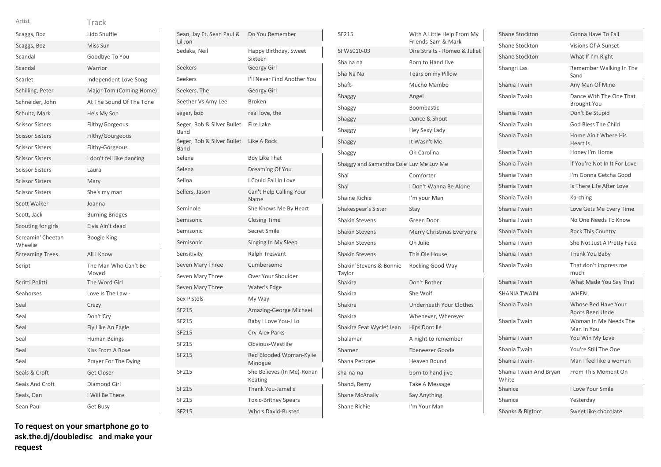| Track |
|-------|
|       |

| Scaggs, Boz                  | Lido Shuffle                  |
|------------------------------|-------------------------------|
| Scaggs, Boz                  | Miss Sun                      |
| Scandal                      | Goodbye To You                |
| Scandal                      | Warrior                       |
| Scarlet                      | Independent Love Song         |
| Schilling, Peter             | Major Tom (Coming Home)       |
| Schneider, John              | At The Sound Of The Tone      |
| Schultz, Mark                | He's My Son                   |
| <b>Scissor Sisters</b>       | Filthy/Gorgeous               |
| <b>Scissor Sisters</b>       | Filthy/Gourgeous              |
| <b>Scissor Sisters</b>       | Filthy-Gorgeous               |
| <b>Scissor Sisters</b>       | I don't fell like dancing     |
| <b>Scissor Sisters</b>       | Laura                         |
| <b>Scissor Sisters</b>       | Mary                          |
| <b>Scissor Sisters</b>       | She's my man                  |
| Scott Walker                 | Joanna                        |
| Scott, Jack                  | <b>Burning Bridges</b>        |
| Scouting for girls           | Elvis Ain't dead              |
| Screamin' Cheetah<br>Wheelie | <b>Boogie King</b>            |
| <b>Screaming Trees</b>       | All I Know                    |
| Script                       | The Man Who Can't Be<br>Moved |
| Scritti Politti              | The Word Girl                 |
| Seahorses                    | Love Is The Law -             |
| Seal                         | Crazy                         |
| Seal                         | Don't Cry                     |
| Seal                         | Fly Like An Eagle             |
| Seal                         | Human Beings                  |
| Seal                         | Kiss From A Rose              |
| Seal                         | Prayer For The Dying          |
| Seals & Croft                | <b>Get Closer</b>             |
| Seals And Croft              | Diamond Girl                  |
| Seals, Dan                   | I Will Be There               |
| Sean Paul                    | Get Busy                      |

| Sean, Jay Ft. Sean Paul &<br>Lil Jon | Do You Remember                       |
|--------------------------------------|---------------------------------------|
| Sedaka, Neil                         | Happy Birthday, Sweet<br>Sixteen      |
| Seekers                              | Georgy Girl                           |
| Seekers                              | I'll Never Find Another You           |
| Seekers, The                         | <b>Georgy Girl</b>                    |
| Seether Vs Amy Lee                   | <b>Broken</b>                         |
| seger, bob                           | real love, the                        |
| Seger, Bob & Silver Bullet<br>Band   | Fire Lake                             |
| Seger, Bob & Silver Bullet<br>Band   | Like A Rock                           |
| Selena                               | Boy Like That                         |
| Selena                               | Dreaming Of You                       |
| Selina                               | I Could Fall In Love                  |
| Sellers, Jason                       | Can't Help Calling Your<br>Name       |
| Seminole                             | She Knows Me By Heart                 |
| Semisonic                            | <b>Closing Time</b>                   |
| Semisonic                            | Secret Smile                          |
| Semisonic                            | Singing In My Sleep                   |
| Sensitivity                          | <b>Ralph Tresvant</b>                 |
| Seven Mary Three                     | Cumbersome                            |
| Seven Mary Three                     | Over Your Shoulder                    |
| Seven Mary Three                     | Water's Edge                          |
| <b>Sex Pistols</b>                   | My Way                                |
| SF215                                | Amazing-George Michael                |
| SF215                                | Baby I Love You-J Lo                  |
| <b>SF215</b>                         | Cry-Alex Parks                        |
| SF215                                | Obvious-Westlife                      |
| SF215                                | Red Blooded Woman-Kylie<br>Minogue    |
| SF215                                | She Believes (In Me)-Ronan<br>Keating |
| <b>SF215</b>                         | Thank You-Jamelia                     |
| SF215                                | <b>Toxic-Britney Spears</b>           |
| SF215                                | Who's David-Busted                    |

| SF215                                  | With A Little Help From My<br>Friends-Sam & Mark |
|----------------------------------------|--------------------------------------------------|
| SFWS010-03                             | Dire Straits - Romeo & Juliet                    |
| Sha na na                              | Born to Hand Jive                                |
| Sha Na Na                              | Tears on my Pillow                               |
| Shaft-                                 | Mucho Mambo                                      |
| Shaggy                                 | Angel                                            |
| Shaggy                                 | Boombastic                                       |
| Shaggy                                 | Dance & Shout                                    |
| Shaggy                                 | Hey Sexy Lady                                    |
| Shaggy                                 | It Wasn't Me                                     |
| Shaggy                                 | Oh Carolina                                      |
| Shaggy and Samantha Cole Luv Me Luv Me |                                                  |
| Shai                                   | Comforter                                        |
| Shai                                   | I Don't Wanna Be Alone                           |
| <b>Shaine Richie</b>                   | I'm your Man                                     |
| Shakespear's Sister                    | Stay                                             |
| <b>Shakin Stevens</b>                  | Green Door                                       |
| <b>Shakin Stevens</b>                  | Merry Christmas Everyone                         |
| <b>Shakin Stevens</b>                  | Oh Julie                                         |
| <b>Shakin Stevens</b>                  | This Ole House                                   |
| Shakin'Stevens & Bonnie<br>Taylor      | Rocking Good Way                                 |
| Shakira                                | Don't Bother                                     |
| Shakira                                | She Wolf                                         |
| Shakira                                | <b>Underneath Your Clothes</b>                   |
| Shakira                                | Whenever, Wherever                               |
| Shakira Feat Wyclef Jean               | Hips Dont lie                                    |
| Shalamar                               | A night to remember                              |
| Shamen                                 | Ebeneezer Goode                                  |
| Shana Petrone                          | Heaven Bound                                     |
| sha-na-na                              | born to hand jive                                |
| Shand, Remy                            | Take A Message                                   |
| <b>Shane McAnally</b>                  | Say Anything                                     |
| <b>Shane Richie</b>                    | I'm Your Man                                     |

| <b>Shane Stockton</b>           | Gonna Have To Fall                            |
|---------------------------------|-----------------------------------------------|
| Shane Stockton                  | Visions Of A Sunset                           |
| <b>Shane Stockton</b>           | What If I'm Right                             |
| Shangri Las                     | Remember Walking In The<br>Sand               |
| Shania Twain                    | Any Man Of Mine                               |
| Shania Twain                    | Dance With The One That<br><b>Brought You</b> |
| Shania Twain                    | Don't Be Stupid                               |
| Shania Twain                    | God Bless The Child                           |
| Shania Twain                    | Home Ain't Where His<br>Heart Is              |
| Shania Twain                    | Honey I'm Home                                |
| Shania Twain                    | If You're Not In It For Love                  |
| Shania Twain                    | I'm Gonna Getcha Good                         |
| Shania Twain                    | Is There Life After Love                      |
| Shania Twain                    | Ka-ching                                      |
| Shania Twain                    | Love Gets Me Every Time                       |
| Shania Twain                    | No One Needs To Know                          |
| Shania Twain                    | <b>Rock This Country</b>                      |
| Shania Twain                    | She Not Just A Pretty Face                    |
| Shania Twain                    | Thank You Baby                                |
| Shania Twain                    | That don't impress me<br>much                 |
| Shania Twain                    | What Made You Say That                        |
| <b>SHANIA TWAIN</b>             | <b>WHEN</b>                                   |
| Shania Twain                    | Whose Bed Have Your<br><b>Boots Been Unde</b> |
| Shania Twain                    | Woman In Me Needs The<br>Man In You           |
| Shania Twain                    | You Win My Love                               |
| Shania Twain                    | You're Still The One                          |
| Shania Twain-                   | Man I feel like a woman                       |
| Shania Twain And Bryan<br>White | From This Moment On                           |
| Shanice                         | <b>Love Your Smile</b>                        |
| Shanice                         | Yesterday                                     |
| Shanks & Bigfoot                | Sweet like chocolate                          |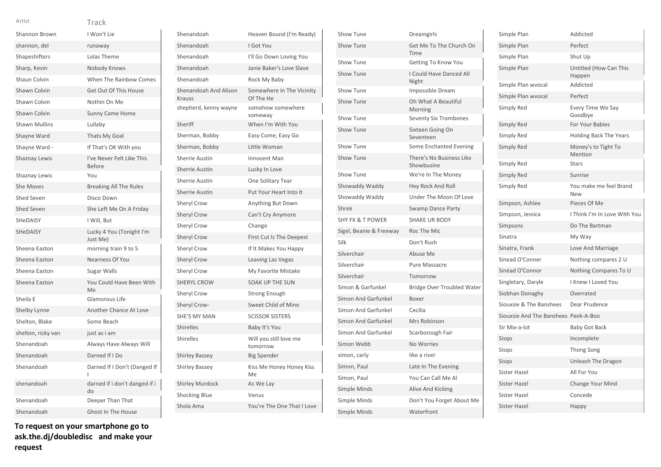| Shannon Brown        | I Won't Lie                                |
|----------------------|--------------------------------------------|
| shannon, del         | runaway                                    |
| Shapeshifters        | Lolas Theme                                |
| Sharp, Kevin         | Nobody Knows                               |
| Shaun Colvin         | When The Rainbow Comes                     |
| Shawn Colvin         | Get Out Of This House                      |
| Shawn Colvin         | Nothin On Me                               |
| Shawn Colvin         | <b>Sunny Came Home</b>                     |
| <b>Shawn Mullins</b> | Lullaby                                    |
| Shayne Ward          | Thats My Goal                              |
| Shayne Ward -        | If That's OK With you                      |
| Shaznay Lewis        | I've Never Felt Like This<br><b>Before</b> |
| Shaznay Lewis        | You                                        |
| She Moves            | <b>Breaking All The Rules</b>              |
| <b>Shed Seven</b>    | Disco Down                                 |
| <b>Shed Seven</b>    | She Left Me On A Friday                    |
| <b>SHeDAISY</b>      | I Will, But                                |
| SHeDAISY             | Lucky 4 You (Tonight I'm<br>Just Me)       |
| Sheena Easton        | morning train 9 to 5                       |
| Sheena Easton        | Nearness Of You                            |
| Sheena Easton        | Sugar Walls                                |
| Sheena Easton        | You Could Have Been With<br>Me             |
| Sheila E             | Glamorous Life                             |
| Shelby Lynne         | Another Chance At Love                     |
| Shelton, Blake       | Some Beach                                 |
| shelton, ricky van   | just as i am                               |
| Shenandoah           | Always Have Always Will                    |
| Shenandoah           | Darned If I Do                             |
| Shenandoah           | Darned If I Don't (Danged If               |
| shenandoah           | darned if i don't danged if i<br>do        |
| Shenandoah           | Deeper Than That                           |
| Shenandoah           | <b>Ghost In The House</b>                  |

**To request on your smartphone go to ask.the.dj/doubledisc and make your request**

| Shenandoah                             | Heaven Bound (I'm Ready)               |
|----------------------------------------|----------------------------------------|
| Shenandoah                             | I Got You                              |
| Shenandoah                             | I'll Go Down Loving You                |
| Shenandoah                             | Janie Baker's Love Slave               |
| Shenandoah                             | Rock My Baby                           |
| Shenandoah And Alison<br><b>Krauss</b> | Somewhere In The Vicinity<br>Of The He |
| shepherd, kenny wayne                  | somehow somewhere<br>someway           |
| Sheriff                                | When I'm With You                      |
| Sherman, Bobby                         | Easy Come, Easy Go                     |
| Sherman, Bobby                         | Little Woman                           |
| Sherrie Austin                         | <b>Innocent Man</b>                    |
| <b>Sherrie Austin</b>                  | Lucky In Love                          |
| <b>Sherrie Austin</b>                  | One Solitary Tear                      |
| <b>Sherrie Austin</b>                  | Put Your Heart Into It                 |
| <b>Sheryl Crow</b>                     | Anything But Down                      |
| <b>Sheryl Crow</b>                     | Can't Cry Anymore                      |
| Sheryl Crow                            | Change                                 |
| <b>Sheryl Crow</b>                     | First Cut Is The Deepest               |
| <b>Sheryl Crow</b>                     | If It Makes You Happy                  |
| <b>Sheryl Crow</b>                     | Leaving Las Vegas                      |
| Sheryl Crow                            | My Favorite Mistake                    |
| <b>SHERYL CROW</b>                     | <b>SOAK UP THE SUN</b>                 |
| <b>Sheryl Crow</b>                     | <b>Strong Enough</b>                   |
| Sheryl Crow-                           | Sweet Child of Mine                    |
| <b>SHE'S MY MAN</b>                    | <b>SCISSOR SISTERS</b>                 |
| <b>Shirelles</b>                       | Baby It's You                          |
| <b>Shirelles</b>                       | Will you still love me<br>tomorrow     |
| <b>Shirley Bassey</b>                  | <b>Big Spender</b>                     |
| <b>Shirley Bassey</b>                  | Kiss Me Honey Honey Kiss<br>Me         |
| <b>Shirley Murdock</b>                 | As We Lay                              |
| <b>Shocking Blue</b>                   | Venus                                  |
| Shola Ama                              | You're The One That I Love             |
|                                        |                                        |

| Show Tune                   | Dreamgirls                             |
|-----------------------------|----------------------------------------|
| Show Tune                   | Get Me To The Church On<br>Time        |
| Show Tune                   | Getting To Know You                    |
| Show Tune                   | I Could Have Danced All<br>Night       |
| <b>Show Tune</b>            | Impossible Dream                       |
| Show Tune                   | Oh What A Beautiful<br>Morning         |
| Show Tune                   | <b>Seventy Six Trombones</b>           |
| Show Tune                   | Sixteen Going On<br>Seventeen          |
| Show Tune                   | Some Enchanted Evening                 |
| Show Tune                   | There's No Business Like<br>Showbusine |
| Show Tune                   | We're In The Money                     |
| Showaddy Waddy              | <b>Hey Rock And Roll</b>               |
| Showaddy Waddy              | Under The Moon Of Love                 |
| Shrek                       | <b>Swamp Dance Party</b>               |
| <b>SHY FX &amp; T POWER</b> | <b>SHAKE UR BODY</b>                   |
| Sigel, Beanie & Freeway     | Roc The Mic                            |
| Silk                        | Don't Rush                             |
| Silverchair                 | Abuse Me                               |
| Silverchair                 | <b>Pure Massacre</b>                   |
| Silverchair                 | Tomorrow                               |
| Simon & Garfunkel           | Bridge Over Troubled Water             |
| Simon And Garfunkel         | Boxer                                  |
| Simon And Garfunkel         | Cecilia                                |
| Simon And Garfunkel         | Mrs Robinson                           |
| Simon And Garfunkel         | Scarborough Fair                       |
| Simon Webb                  | <b>No Worries</b>                      |
| simon, carly                | like a river                           |
| Simon, Paul                 | Late In The Evening                    |
| Simon, Paul                 | You Can Call Me Al                     |
| Simple Minds                | Alive And Kicking                      |
| Simple Minds                | Don't You Forget About Me              |
| <b>Simple Minds</b>         | Waterfront                             |

| Simple Plan                          | Addicted                             |
|--------------------------------------|--------------------------------------|
| Simple Plan                          | Perfect                              |
| Simple Plan                          | Shut Up                              |
| Simple Plan                          | Untitled (How Can This<br>Happen     |
| Simple Plan wvocal                   | Addicted                             |
| Simple Plan wvocal                   | Perfect                              |
| Simply Red                           | Every Time We Say<br>Goodbye         |
| Simply Red                           | For Your Babies                      |
| Simply Red                           | <b>Holding Back The Years</b>        |
| Simply Red                           | Money's to Tight To<br>Mention       |
| Simply Red                           | <b>Stars</b>                         |
| Simply Red                           | Sunrise                              |
| Simply Red                           | You make me feel Brand<br><b>New</b> |
| Simpson, Ashlee                      | Pieces Of Me                         |
| Simpson, Jessica                     | I Think I'm In Love With You         |
| Simpsons                             | Do The Bartman                       |
| Sinatra                              | My Way                               |
| Sinatra, Frank                       | Love And Marriage                    |
| Sinead O'Conner                      | Nothing compares 2 U                 |
| Sinéad O'Connor                      | Nothing Compares To U                |
|                                      |                                      |
| Singletary, Daryle                   | <b>I Knew I Loved You</b>            |
| Siobhan Donaghy                      | Overrated                            |
| Siouxsie & The Banshees              | Dear Prudence                        |
| Siouxsie And The Banshees Peek-A-Boo |                                      |
| Sir Mix-a-lot                        | <b>Baby Got Back</b>                 |
| Sisgo                                | Incomplete                           |
| Sisgo                                | <b>Thong Song</b>                    |
| Sisgo                                | Unleash The Dragon                   |
| <b>Sister Hazel</b>                  | All For You                          |
| Sister Hazel                         | <b>Change Your Mind</b>              |
| <b>Sister Hazel</b>                  | Concede                              |
| <b>Sister Hazel</b>                  | Happy                                |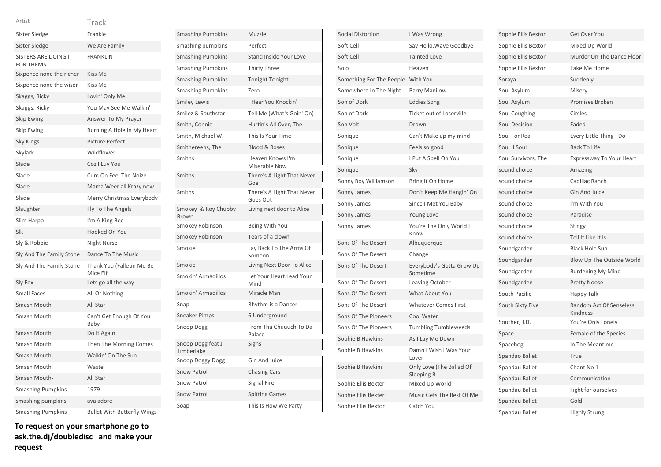| Sister Sledge                            | Frankie                               |
|------------------------------------------|---------------------------------------|
| Sister Sledge                            | We Are Family                         |
| SISTERS ARE DOING IT<br><b>FOR THEMS</b> | <b>FRANKLIN</b>                       |
| Sixpence none the richer                 | Kiss Me                               |
| Sixpence none the wiser-                 | Kiss Me                               |
| Skaggs, Ricky                            | Lovin' Only Me                        |
| Skaggs, Ricky                            | You May See Me Walkin'                |
| <b>Skip Ewing</b>                        | Answer To My Prayer                   |
| Skip Ewing                               | Burning A Hole In My Heart            |
| <b>Sky Kings</b>                         | <b>Picture Perfect</b>                |
| Skylark                                  | Wildflower                            |
| Slade                                    | Coz I Luv You                         |
| Slade                                    | Cum On Feel The Noize                 |
| Slade                                    | Mama Weer all Krazy now               |
| Slade                                    | Merry Christmas Everybody             |
| Slaughter                                | Fly To The Angels                     |
| Slim Harpo                               | I'm A King Bee                        |
| Slk                                      | Hooked On You                         |
| Sly & Robbie                             | Night Nurse                           |
| Sly And The Family Stone                 | Dance To The Music                    |
| Sly And The Family Stone                 | Thank You (Falletin Me Be<br>Mice Elf |
| Sly Fox                                  | Lets go all the way                   |
| <b>Small Faces</b>                       | All Or Nothing                        |
| Smash Mouth                              | All Star                              |
| Smash Mouth                              | Can't Get Enough Of You<br>Baby       |
| Smash Mouth                              | Do It Again                           |
| Smash Mouth                              | Then The Morning Comes                |
| Smash Mouth                              | Walkin' On The Sun                    |
| Smash Mouth                              | Waste                                 |
| Smash Mouth-                             | All Star                              |
| <b>Smashing Pumpkins</b>                 | 1979                                  |
| smashing pumpkins                        | ava adore                             |
| <b>Smashing Pumpkins</b>                 | <b>Bullet With Butterfly Wings</b>    |

**To request on your smartphone go to ask.the.dj/doubledisc and make your request**

| <b>Smashing Pumpkins</b>        | Muzzle                                 |
|---------------------------------|----------------------------------------|
| smashing pumpkins               | Perfect                                |
| <b>Smashing Pumpkins</b>        | Stand Inside Your Love                 |
| <b>Smashing Pumpkins</b>        | <b>Thirty Three</b>                    |
| <b>Smashing Pumpkins</b>        | Tonight Tonight                        |
| <b>Smashing Pumpkins</b>        | Zero                                   |
| <b>Smiley Lewis</b>             | I Hear You Knockin'                    |
| Smilez & Southstar              | Tell Me (What's Goin' On)              |
| Smith, Connie                   | Hurtin's All Over, The                 |
| Smith, Michael W.               | This Is Your Time                      |
| Smithereens, The                | <b>Blood &amp; Roses</b>               |
| Smiths                          | Heaven Knows I'm<br>Miserable Now      |
| Smiths                          | There's A Light That Never<br>Goe      |
| Smiths                          | There's A Light That Never<br>Goes Out |
| Smokey & Roy Chubby<br>Brown    | Living next door to Alice              |
|                                 |                                        |
| Smokey Robinson                 | Being With You                         |
| Smokey Robinson                 | Tears of a clown                       |
| Smokie                          | Lay Back To The Arms Of<br>Someon      |
| Smokie                          | Living Next Door To Alice              |
| Smokin' Armadillos              | Let Your Heart Lead Your<br>Mind       |
| Smokin' Armadillos              | Miracle Man                            |
| Snap                            | Rhythm is a Dancer                     |
| <b>Sneaker Pimps</b>            | 6 Underground                          |
| Snoop Dogg                      | From Tha Chuuuch To Da<br>Palace       |
| Snoop Dogg feat J<br>Timberlake | Signs                                  |
| Snoop Doggy Dogg                | <b>Gin And Juice</b>                   |
| <b>Snow Patrol</b>              | <b>Chasing Cars</b>                    |
| <b>Snow Patrol</b>              | <b>Signal Fire</b>                     |
| <b>Snow Patrol</b>              | <b>Spitting Games</b>                  |

| <b>Social Distortion</b> | I Was Wrong                            |
|--------------------------|----------------------------------------|
| Soft Cell                | Say Hello, Wave Goodbye                |
| Soft Cell                | <b>Tainted Love</b>                    |
| Solo                     | Heaven                                 |
| Something For The People | With You                               |
| Somewhere In The Night   | <b>Barry Manilow</b>                   |
| Son of Dork              | <b>Eddies Song</b>                     |
| Son of Dork              | <b>Ticket out of Loserville</b>        |
| Son Volt                 | Drown                                  |
| Sonique                  | Can't Make up my mind                  |
| Sonique                  | Feels so good                          |
| Sonique                  | I Put A Spell On You                   |
| Sonique                  | Sky                                    |
| Sonny Boy Williamson     | Bring It On Home                       |
| Sonny James              | Don't Keep Me Hangin' On               |
| Sonny James              | Since I Met You Baby                   |
| Sonny James              | Young Love                             |
| Sonny James              | You're The Only World I<br>Know        |
| Sons Of The Desert       | Albuquerque                            |
| Sons Of The Desert       | Change                                 |
| Sons Of The Desert       | Everybody's Gotta Grow Up<br>Sometime  |
| Sons Of The Desert       | <b>Leaving October</b>                 |
| Sons Of The Desert       | <b>What About You</b>                  |
| Sons Of The Desert       | <b>Whatever Comes First</b>            |
| Sons Of The Pioneers     | Cool Water                             |
| Sons Of The Pioneers     | <b>Tumbling Tumbleweeds</b>            |
| Sophie B Hawkins         | As I Lay Me Down                       |
| Sophie B Hawkins         | Damn I Wish I Was Your<br>Lover        |
| Sophie B Hawkins         | Only Love (The Ballad Of<br>Sleeping B |
| Sophie Ellis Bexter      | Mixed Up World                         |
| Sophie Ellis Bexter      | Music Gets The Best Of Me              |
| Sophie Ellis Bextor      | Catch You                              |

| Sophie Ellis Bextor  | Get Over You                               |
|----------------------|--------------------------------------------|
| Sophie Ellis Bextor  | Mixed Up World                             |
| Sophie Ellis Bextor  | Murder On The Dance Floor                  |
| Sophie Ellis Bextor  | Take Me Home                               |
| Soraya               | Suddenly                                   |
| Soul Asylum          | Misery                                     |
| Soul Asylum          | <b>Promises Broken</b>                     |
| Soul Coughing        | Circles                                    |
| <b>Soul Decision</b> | Faded                                      |
| Soul For Real        | Every Little Thing I Do                    |
| Soul II Soul         | <b>Back To Life</b>                        |
| Soul Survivors, The  | Expressway To Your Heart                   |
| sound choice         | Amazing                                    |
| sound choice         | Cadillac Ranch                             |
| sound choice         | <b>Gin And Juice</b>                       |
| sound choice         | I'm With You                               |
| sound choice         | Paradise                                   |
| sound choice         | Stingy                                     |
| sound choice         | Tell It Like It Is                         |
| Soundgarden          | <b>Black Hole Sun</b>                      |
| Soundgarden          | Blow Up The Outside World                  |
| Soundgarden          | <b>Burdening My Mind</b>                   |
| Soundgarden          | <b>Pretty Noose</b>                        |
| South Pacific        | Happy Talk                                 |
| South Sixty Five     | <b>Random Act Of Senseless</b><br>Kindness |
| Souther, J.D.        | You're Only Lonely                         |
| Space                | Female of the Species                      |
| Spacehog             | In The Meantime                            |
| Spandao Ballet       | True                                       |
| Spandau Ballet       | Chant No 1                                 |
| Spandau Ballet       | Communication                              |
| Spandau Ballet       | Fight for ourselves                        |
| Spandau Ballet       | Gold                                       |
| Spandau Ballet       | <b>Highly Strung</b>                       |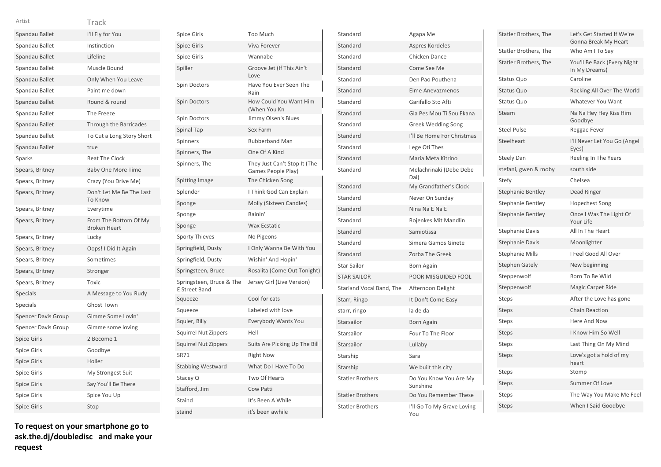| Spandau Ballet             | I'll Fly for You                             |
|----------------------------|----------------------------------------------|
| Spandau Ballet             | Instinction                                  |
| Spandau Ballet             | Lifeline                                     |
| Spandau Ballet             | Muscle Bound                                 |
| Spandau Ballet             | Only When You Leave                          |
| Spandau Ballet             | Paint me down                                |
| Spandau Ballet             | Round & round                                |
| Spandau Ballet             | The Freeze                                   |
| Spandau Ballet             | <b>Through the Barricades</b>                |
| Spandau Ballet             | To Cut a Long Story Short                    |
| Spandau Ballet             | true                                         |
| Sparks                     | <b>Beat The Clock</b>                        |
| Spears, Britney            | <b>Baby One More Time</b>                    |
| Spears, Britney            | Crazy (You Drive Me)                         |
| Spears, Britney            | Don't Let Me Be The Last<br><b>To Know</b>   |
| Spears, Britney            | Everytime                                    |
| Spears, Britney            | From The Bottom Of My<br><b>Broken Heart</b> |
| Spears, Britney            | Lucky                                        |
| Spears, Britney            | Oops! I Did It Again                         |
| Spears, Britney            | Sometimes                                    |
| Spears, Britney            | Stronger                                     |
| Spears, Britney            | Toxic                                        |
| Specials                   | A Message to You Rudy                        |
| <b>Specials</b>            | <b>Ghost Town</b>                            |
| <b>Spencer Davis Group</b> | Gimme Some Lovin'                            |
| Spencer Davis Group        | Gimme some loving                            |
| <b>Spice Girls</b>         | 2 Become 1                                   |
| <b>Spice Girls</b>         | Goodbye                                      |
| <b>Spice Girls</b>         | Holler                                       |
| <b>Spice Girls</b>         | My Strongest Suit                            |
| <b>Spice Girls</b>         | Say You'll Be There                          |
| <b>Spice Girls</b>         | Spice You Up                                 |
| <b>Spice Girls</b>         | Stop                                         |

**To request on your smartphone go to ask.the.dj/doubledisc and make your request**

| <b>Spice Girls</b>                               | <b>Too Much</b>                                    |
|--------------------------------------------------|----------------------------------------------------|
| <b>Spice Girls</b>                               | Viva Forever                                       |
| <b>Spice Girls</b>                               | Wannabe                                            |
| Spiller                                          | Groove Jet (If This Ain't<br>Love                  |
| Spin Doctors                                     | Have You Ever Seen The<br>Rain                     |
| Spin Doctors                                     | How Could You Want Him<br>(When You Kn             |
| Spin Doctors                                     | Jimmy Olsen's Blues                                |
| <b>Spinal Tap</b>                                | Sex Farm                                           |
| Spinners                                         | <b>Rubberband Man</b>                              |
| Spinners, The                                    | One Of A Kind                                      |
| Spinners, The                                    | They Just Can't Stop It (The<br>Games People Play) |
| Spitting Image                                   | The Chicken Song                                   |
| Splender                                         | I Think God Can Explain                            |
| Sponge                                           | Molly (Sixteen Candles)                            |
| Sponge                                           | Rainin'                                            |
| Sponge                                           | <b>Wax Ecstatic</b>                                |
| <b>Sporty Thieves</b>                            | No Pigeons                                         |
| Springfield, Dusty                               | I Only Wanna Be With You                           |
| Springfield, Dusty                               | Wishin' And Hopin'                                 |
| Springsteen, Bruce                               | Rosalita (Come Out Tonight)                        |
| Springsteen, Bruce & The<br><b>E Street Band</b> | Jersey Girl (Live Version)                         |
| Squeeze                                          | Cool for cats                                      |
| Squeeze                                          | Labeled with love                                  |
| Squier, Billy                                    | Everybody Wants You                                |
| Squirrel Nut Zippers                             | Hell                                               |
| <b>Squirrel Nut Zippers</b>                      | Suits Are Picking Up The Bill                      |
| SR71                                             | <b>Right Now</b>                                   |
| <b>Stabbing Westward</b>                         | What Do I Have To Do                               |
| Stacey Q                                         | Two Of Hearts                                      |
| Stafford, Jim                                    | Cow Patti                                          |
| Staind                                           | It's Been A While                                  |
| staind                                           | it's been awhile                                   |
|                                                  |                                                    |

| Standard                 | Agapa Me                           |
|--------------------------|------------------------------------|
| Standard                 | Aspres Kordeles                    |
| Standard                 | Chicken Dance                      |
| Standard                 | Come See Me                        |
| Standard                 | Den Pao Pouthena                   |
| Standard                 | <b>Eime Anevazmenos</b>            |
| Standard                 | Garifallo Sto Afti                 |
| Standard                 | Gia Pes Mou Ti Sou Ekana           |
| Standard                 | Greek Wedding Song                 |
| Standard                 | I'll Be Home For Christmas         |
| Standard                 | Lege Oti Thes                      |
| Standard                 | Maria Meta Kitrino                 |
| Standard                 | Melachrinaki (Debe Debe<br>Dai)    |
| Standard                 | My Grandfather's Clock             |
| Standard                 | Never On Sunday                    |
| Standard                 | Nina Na E Na E                     |
| Standard                 | Rojenkes Mit Mandlin               |
| Standard                 | Samiotissa                         |
| Standard                 | Simera Gamos Ginete                |
| Standard                 | Zorba The Greek                    |
| <b>Star Sailor</b>       | Born Again                         |
| <b>STAR SAILOR</b>       | POOR MISGUIDED FOOL                |
| Starland Vocal Band, The | Afternoon Delight                  |
| Starr, Ringo             | It Don't Come Easy                 |
| starr, ringo             | la de da                           |
| Starsailor               | <b>Born Again</b>                  |
| Starsailor               | Four To The Floor                  |
| Starsailor               | Lullaby                            |
| Starship                 | Sara                               |
| Starship                 | We built this city                 |
| <b>Statler Brothers</b>  | Do You Know You Are My<br>Sunshine |
| <b>Statler Brothers</b>  | Do You Remember These              |
| <b>Statler Brothers</b>  | I'll Go To My Grave Loving<br>You  |

| Statler Brothers, The  | Let's Get Started If We're<br>Gonna Break My Heart |
|------------------------|----------------------------------------------------|
| Statler Brothers, The  | Who Am I To Say                                    |
| Statler Brothers, The  | You'll Be Back (Every Night<br>In My Dreams)       |
| <b>Status Quo</b>      | Caroline                                           |
| <b>Status Quo</b>      | Rocking All Over The World                         |
| Status Quo             | <b>Whatever You Want</b>                           |
| Steam                  | Na Na Hey Hey Kiss Him<br>Goodbye                  |
| <b>Steel Pulse</b>     | Reggae Fever                                       |
| Steelheart             | I'll Never Let You Go (Angel<br>Eyes)              |
| <b>Steely Dan</b>      | Reeling In The Years                               |
| stefani, gwen & moby   | south side                                         |
| Stefy                  | Chelsea                                            |
| Stephanie Bentley      | Dead Ringer                                        |
| Stephanie Bentley      | <b>Hopechest Song</b>                              |
| Stephanie Bentley      | Once I Was The Light Of<br>Your Life               |
| <b>Stephanie Davis</b> | All In The Heart                                   |
| <b>Stephanie Davis</b> | Moonlighter                                        |
| <b>Stephanie Mills</b> | I Feel Good All Over                               |
| <b>Stephen Gately</b>  | New beginning                                      |
| Steppenwolf            | Born To Be Wild                                    |
| Steppenwolf            | Magic Carpet Ride                                  |
| <b>Steps</b>           | After the Love has gone                            |
| <b>Steps</b>           | <b>Chain Reaction</b>                              |
| Steps                  | Here And Now                                       |
| <b>Steps</b>           | I Know Him So Well                                 |
| <b>Steps</b>           | Last Thing On My Mind                              |
| <b>Steps</b>           | Love's got a hold of my<br>heart                   |
| <b>Steps</b>           | Stomp                                              |
| <b>Steps</b>           | Summer Of Love                                     |
| <b>Steps</b>           | The Way You Make Me Feel                           |
| <b>Steps</b>           | When I Said Goodbye                                |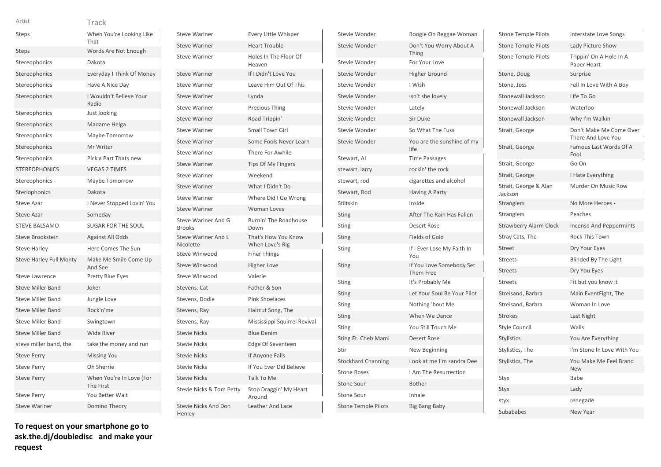| w | v |  |
|---|---|--|
|   |   |  |
|   |   |  |

| Artist                         | Track                                 |
|--------------------------------|---------------------------------------|
| Steps                          | When You're Looking Like<br>That      |
| <b>Steps</b>                   | Words Are Not Enough                  |
| Stereophonics                  | Dakota                                |
| Stereophonics                  | Everyday I Think Of Money             |
| Stereophonics                  | Have A Nice Day                       |
| Stereophonics                  | I Wouldn't Believe Your<br>Radio      |
| Stereophonics                  | Just looking                          |
| Stereophonics                  | Madame Helga                          |
| Stereophonics                  | Maybe Tomorrow                        |
| Stereophonics                  | Mr Writer                             |
| Stereophonics                  | Pick a Part Thats new                 |
| <b>STEREOPHONICS</b>           | <b>VEGAS 2 TIMES</b>                  |
| Stereophonics -                | Maybe Tomorrow                        |
| Steriophonics                  | Dakota                                |
| <b>Steve Azar</b>              | I Never Stopped Lovin' You            |
| <b>Steve Azar</b>              | Someday                               |
| <b>STEVE BALSAMO</b>           | <b>SUGAR FOR THE SOUL</b>             |
| Steve Brookstein               | <b>Against All Odds</b>               |
| <b>Steve Harley</b>            | Here Comes The Sun                    |
| <b>Steve Harley Full Monty</b> | Make Me Smile Come Up<br>And See      |
| <b>Steve Lawrence</b>          | <b>Pretty Blue Eyes</b>               |
| <b>Steve Miller Band</b>       | Joker                                 |
| <b>Steve Miller Band</b>       | Jungle Love                           |
| <b>Steve Miller Band</b>       | Rock'n'me                             |
| <b>Steve Miller Band</b>       | Swingtown                             |
| <b>Steve Miller Band</b>       | <b>Wide River</b>                     |
| steve miller band, the         | take the money and run                |
| <b>Steve Perry</b>             | <b>Missing You</b>                    |
| <b>Steve Perry</b>             | Oh Sherrie                            |
| <b>Steve Perry</b>             | When You're In Love (For<br>The First |
| <b>Steve Perry</b>             | You Better Wait                       |
| <b>Steve Wariner</b>           | Domino Theory                         |

Steve Wariner **Every Little Whisper** Steve Wariner **Heart Trouble** Steve Wariner Holes In The Floor Of Heaven Steve Wariner If I Didn't Love You Steve Wariner Leave Him Out Of This Steve Wariner **Lynda** Steve Wariner Precious Thing Steve Wariner Road Trippin' Steve Wariner Small Town Girl Steve Wariner Some Fools Never Learn Steve Wariner There For Awhile Steve Wariner Tips Of My Fingers Steve Wariner **Weekend** Steve Wariner What I Didn't Do Steve Wariner Where Did I Go Wrong Steve Wariner **Woman Loves** Steve Wariner And G Burnin' The Roadhouse Down Steve Wariner And L Nicolette That's How You Know When Love's Rig Steve Winwood Finer Things Steve Winwood Higher Love Steve Winwood Valerie Stevens, Cat Father & Son Stevens, Dodie Pink Shoelaces Stevens, Ray Haircut Song, The Stevens, Ray Mississippi Squirrel Revival Stevie Nicks Blue Denim Stevie Nicks Edge Of Seventeen Stevie Nicks If Anyone Falls Stevie Nicks **If You Ever Did Believe** Stevie Nicks Talk To Me Stevie Nicks & Tom Petty Stop Draggin' My Heart Around Stevie Nicks And Don Leather And Lace

Brooks

Henley

| Stevie Wonder              | Boogie On Reggae Woman                |
|----------------------------|---------------------------------------|
| Stevie Wonder              | Don't You Worry About A<br>Thing      |
| Stevie Wonder              | For Your Love                         |
| Stevie Wonder              | Higher Ground                         |
| Stevie Wonder              | I Wish                                |
| Stevie Wonder              | Isn't she lovely                      |
| Stevie Wonder              | Lately                                |
| Stevie Wonder              | Sir Duke                              |
| Stevie Wonder              | So What The Fuss                      |
| Stevie Wonder              | You are the sunshine of my<br>life    |
| Stewart, Al                | <b>Time Passages</b>                  |
| stewart, larry             | rockin' the rock                      |
| stewart, rod               | cigarettes and alcohol                |
| Stewart, Rod               | Having A Party                        |
| Stiltskin                  | Inside                                |
| Sting                      | After The Rain Has Fallen             |
| <b>Sting</b>               | <b>Desert Rose</b>                    |
| <b>Sting</b>               | <b>Fields of Gold</b>                 |
| Sting                      | If I Ever Lose My Faith In<br>You     |
| Sting                      | If You Love Somebody Set<br>Them Free |
| Sting                      | It's Probably Me                      |
| <b>Sting</b>               | Let Your Soul Be Your Pilot           |
| Sting                      | Nothing 'bout Me                      |
| <b>Sting</b>               | When We Dance                         |
| <b>Sting</b>               | You Still Touch Me                    |
| Sting Ft. Cheb Mami        | <b>Desert Rose</b>                    |
| Stir                       | New Beginning                         |
| <b>Stockhard Channing</b>  | Look at me I'm sandra Dee             |
| <b>Stone Roses</b>         | I Am The Resurrection                 |
| <b>Stone Sour</b>          | Bother                                |
| <b>Stone Sour</b>          | Inhale                                |
| <b>Stone Temple Pilots</b> | <b>Big Bang Baby</b>                  |

| <b>Stone Temple Pilots</b>       | Interstate Love Songs                         |
|----------------------------------|-----------------------------------------------|
| <b>Stone Temple Pilots</b>       | Lady Picture Show                             |
| <b>Stone Temple Pilots</b>       | Trippin' On A Hole In A<br>Paper Heart        |
| Stone, Doug                      | Surprise                                      |
| Stone, Joss                      | Fell In Love With A Boy                       |
| Stonewall Jackson                | Life To Go                                    |
| Stonewall Jackson                | Waterloo                                      |
| Stonewall Jackson                | Why I'm Walkin'                               |
| Strait, George                   | Don't Make Me Come Over<br>There And Love You |
| Strait, George                   | Famous Last Words Of A<br>Fool                |
| Strait, George                   | Go On                                         |
| Strait, George                   | I Hate Everything                             |
| Strait, George & Alan<br>Jackson | Murder On Music Row                           |
| <b>Stranglers</b>                | No More Heroes -                              |
| Stranglers                       | Peaches                                       |
| <b>Strawberry Alarm Clock</b>    | <b>Incense And Peppermints</b>                |
| Stray Cats, The                  | <b>Rock This Town</b>                         |
| <b>Street</b>                    | Dry Your Eyes                                 |
| <b>Streets</b>                   | Blinded By The Light                          |
| <b>Streets</b>                   | Dry You Eyes                                  |
| <b>Streets</b>                   | Fit but you know it                           |
| Streisand, Barbra                | Main EventFight, The                          |
| Streisand, Barbra                | Woman In Love                                 |
| <b>Strokes</b>                   | Last Night                                    |
| <b>Style Council</b>             | Walls                                         |
| <b>Stylistics</b>                | You Are Everything                            |
| Stylistics, The                  | I'm Stone In Love With You                    |
| Stylistics, The                  | You Make Me Feel Brand<br><b>New</b>          |
| Styx                             | Babe                                          |
| Styx                             | Lady                                          |
| styx                             | renegade                                      |
| Subababes                        | New Year                                      |
|                                  |                                               |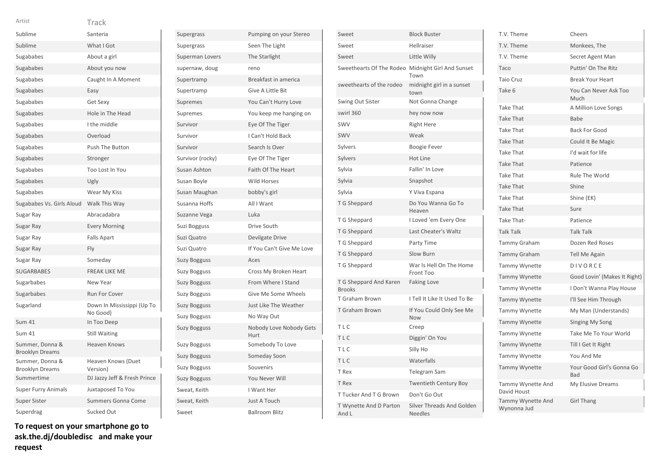| Artist                                    | Track                                  |
|-------------------------------------------|----------------------------------------|
| Sublime                                   | Santeria                               |
| Sublime                                   | What I Got                             |
| Sugababes                                 | About a girl                           |
| Sugababes                                 | About you now                          |
| Sugababes                                 | Caught In A Moment                     |
| Sugababes                                 | Easy                                   |
| Sugababes                                 | Get Sexy                               |
| Sugababes                                 | Hole in The Head                       |
| Sugababes                                 | I the middle                           |
| Sugababes                                 | Overload                               |
| Sugababes                                 | Push The Button                        |
| Sugababes                                 | Stronger                               |
| Sugababes                                 | Too Lost In You                        |
| Sugababes                                 | Ugly                                   |
| Sugababes                                 | Wear My Kiss                           |
| Sugababes Vs. Girls Aloud                 | Walk This Way                          |
| Sugar Ray                                 | Abracadabra                            |
| Sugar Ray                                 | <b>Every Morning</b>                   |
| Sugar Ray                                 | <b>Falls Apart</b>                     |
| Sugar Ray                                 | Fly                                    |
| Sugar Ray                                 | Someday                                |
| <b>SUGARBABES</b>                         | <b>FREAK LIKE ME</b>                   |
| Sugarbabes                                | New Year                               |
| Sugarbabes                                | Run For Cover                          |
| Sugarland                                 | Down In Mississippi (Up To<br>No Good) |
| <b>Sum 41</b>                             | In Too Deep                            |
| <b>Sum 41</b>                             | <b>Still Waiting</b>                   |
| Summer, Donna &<br><b>Brooklyn Dreams</b> | <b>Heaven Knows</b>                    |
| Summer, Donna &<br><b>Brooklyn Dreams</b> | Heaven Knows (Duet<br>Version)         |
| Summertime                                | DJ Jazzy Jeff & Fresh Prince           |
| <b>Super Furry Animals</b>                | Juxtaposed To You                      |
| <b>Super Sister</b>                       | <b>Summers Gonna Come</b>              |
| Superdrag                                 | Sucked Out                             |

| Supergrass          | Pumping on your Stereo          |
|---------------------|---------------------------------|
| Supergrass          | Seen The Light                  |
| Superman Lovers     | The Starlight                   |
| supernaw, doug      | reno                            |
| Supertramp          | Breakfast in america            |
| Supertramp          | Give A Little Bit               |
| Supremes            | You Can't Hurry Love            |
| Supremes            | You keep me hanging on          |
| Survivor            | Eye Of The Tiger                |
| Survivor            | I Can't Hold Back               |
| Survivor            | Search Is Over                  |
| Survivor (rocky)    | Eye Of The Tiger                |
| Susan Ashton        | Faith Of The Heart              |
| Susan Boyle         | <b>Wild Horses</b>              |
| Susan Maughan       | bobby's girl                    |
| Susanna Hoffs       | All I Want                      |
| Suzanne Vega        | Luka                            |
| Suzi Bogguss        | Drive South                     |
| Suzi Quatro         | Devilgate Drive                 |
| Suzi Quatro         | If You Can't Give Me Love       |
| Suzy Bogguss        | Aces                            |
| <b>Suzy Bogguss</b> | Cross My Broken Heart           |
| <b>Suzy Bogguss</b> | From Where I Stand              |
| <b>Suzy Bogguss</b> | Give Me Some Wheels             |
| <b>Suzy Bogguss</b> | Just Like The Weather           |
| <b>Suzy Bogguss</b> | No Way Out                      |
| <b>Suzy Bogguss</b> | Nobody Love Nobody Gets<br>Hurt |
| <b>Suzy Bogguss</b> | Somebody To Love                |
| <b>Suzy Bogguss</b> | Someday Soon                    |
| Suzy Bogguss        | Souvenirs                       |
| Suzy Bogguss        | You Never Will                  |
| Sweat, Keith        | I Want Her                      |
| Sweat, Keith        | <b>Just A Touch</b>             |
| Sweet               | <b>Ballroom Blitz</b>           |

| Sweet                                   | <b>Block Buster</b>                         |
|-----------------------------------------|---------------------------------------------|
| Sweet                                   | Hellraiser                                  |
| Sweet                                   | Little Willy                                |
| Sweethearts Of The Rodeo                | Midnight Girl And Sunset<br>Town            |
| sweethearts of the rodeo                | midnight girl in a sunset<br>town           |
| Swing Out Sister                        | Not Gonna Change                            |
| swirl 360                               | hey now now                                 |
| <b>SWV</b>                              | <b>Right Here</b>                           |
| SWV                                     | Weak                                        |
| Sylvers                                 | <b>Boogie Fever</b>                         |
| Sylvers                                 | Hot Line                                    |
| Sylvia                                  | Fallin' In Love                             |
| Sylvia                                  | Snapshot                                    |
| Sylvia                                  | Y Viva Espana                               |
| T G Sheppard                            | Do You Wanna Go To<br>Heaven                |
| T G Sheppard                            | I Loved 'em Every One                       |
| T G Sheppard                            | Last Cheater's Waltz                        |
| T G Sheppard                            | Party Time                                  |
| T G Sheppard                            | Slow Burn                                   |
| T G Sheppard                            | War Is Hell On The Home<br>Front Too        |
| T G Sheppard And Karen<br><b>Brooks</b> | <b>Faking Love</b>                          |
| T Graham Brown                          | I Tell It Like It Used To Be                |
| <b>T</b> Graham Brown                   | If You Could Only See Me<br>Now             |
| <b>TLC</b>                              | Creep                                       |
| TLC                                     | Diggin' On You                              |
| TLC                                     | Silly Ho                                    |
| TLC                                     | Waterfalls                                  |
| T Rex                                   | Telegram Sam                                |
| T Rex                                   | <b>Twentieth Century Boy</b>                |
| T Tucker And T G Brown                  | Don't Go Out                                |
| T Wynette And D Parton<br>And L         | Silver Threads And Golden<br><b>Needles</b> |

| T.V. Theme                       | Cheers                           |
|----------------------------------|----------------------------------|
| T.V. Theme                       | Monkees, The                     |
| T.V. Theme                       | Secret Agent Man                 |
| Taco                             | Puttin' On The Ritz              |
| <b>Taio Cruz</b>                 | <b>Break Your Heart</b>          |
| Take 6                           | You Can Never Ask Too<br>Much    |
| <b>Take That</b>                 | A Million Love Songs             |
| <b>Take That</b>                 | Babe                             |
| <b>Take That</b>                 | <b>Back For Good</b>             |
| <b>Take That</b>                 | Could It Be Magic                |
| <b>Take That</b>                 | I'd wait for life                |
| <b>Take That</b>                 | Patience                         |
| <b>Take That</b>                 | Rule The World                   |
| <b>Take That</b>                 | Shine                            |
| <b>Take That</b>                 | Shine (EK)                       |
| <b>Take That</b>                 | Sure                             |
| Take That-                       | Patience                         |
| <b>Talk Talk</b>                 | <b>Talk Talk</b>                 |
| Tammy Graham                     | Dozen Red Roses                  |
| <b>Tammy Graham</b>              | <b>Tell Me Again</b>             |
| <b>Tammy Wynette</b>             | DIVORCE                          |
| <b>Tammy Wynette</b>             | Good Lovin' (Makes It Right)     |
| Tammy Wynette                    | I Don't Wanna Play House         |
| Tammy Wynette                    | I'll See Him Through             |
| <b>Tammy Wynette</b>             | My Man (Understands)             |
| <b>Tammy Wynette</b>             | <b>Singing My Song</b>           |
| Tammy Wynette                    | Take Me To Your World            |
| <b>Tammy Wynette</b>             | Till I Get It Right              |
| <b>Tammy Wynette</b>             | You And Me                       |
| <b>Tammy Wynette</b>             | Your Good Girl's Gonna Go<br>Bad |
| Tammy Wynette And<br>David Houst | My Elusive Dreams                |
| Tammy Wynette And<br>Wynonna Jud | <b>Girl Thang</b>                |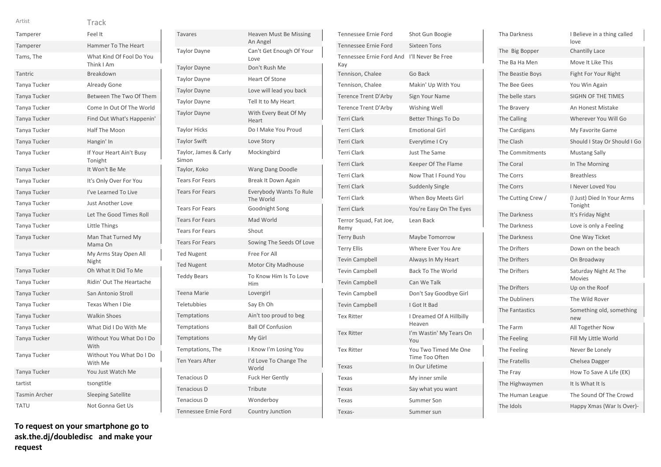| Artist        | Track                                  |
|---------------|----------------------------------------|
| Tamperer      | Feel It                                |
| Tamperer      | Hammer To The Heart                    |
| Tams, The     | What Kind Of Fool Do You<br>Think I Am |
| Tantric       | Breakdown                              |
| Tanya Tucker  | Already Gone                           |
| Tanya Tucker  | Between The Two Of Them                |
| Tanya Tucker  | Come In Out Of The World               |
| Tanya Tucker  | Find Out What's Happenin'              |
| Tanya Tucker  | Half The Moon                          |
| Tanya Tucker  | Hangin' In                             |
| Tanya Tucker  | If Your Heart Ain't Busy<br>Tonight    |
| Tanya Tucker  | It Won't Be Me                         |
| Tanya Tucker  | It's Only Over For You                 |
| Tanya Tucker  | I've Learned To Live                   |
| Tanya Tucker  | <b>Just Another Love</b>               |
| Tanya Tucker  | Let The Good Times Roll                |
| Tanya Tucker  | Little Things                          |
| Tanya Tucker  | Man That Turned My<br>Mama On          |
| Tanya Tucker  | My Arms Stay Open All<br>Night         |
| Tanya Tucker  | Oh What It Did To Me                   |
| Tanya Tucker  | Ridin' Out The Heartache               |
| Tanya Tucker  | San Antonio Stroll                     |
| Tanya Tucker  | Texas When I Die                       |
| Tanya Tucker  | <b>Walkin Shoes</b>                    |
| Tanya Tucker  | What Did I Do With Me                  |
| Tanya Tucker  | Without You What Do I Do<br>With       |
| Tanya Tucker  | Without You What Do I Do<br>With Me    |
| Tanya Tucker  | You Just Watch Me                      |
| tartist       | tsongtitle                             |
| Tasmin Archer | <b>Sleeping Satellite</b>              |

| <b>Tavares</b>                 | Heaven Must Be Missing<br>An Angel   |
|--------------------------------|--------------------------------------|
| <b>Taylor Dayne</b>            | Can't Get Enough Of Your<br>Love     |
| <b>Taylor Dayne</b>            | Don't Rush Me                        |
| <b>Taylor Dayne</b>            | <b>Heart Of Stone</b>                |
| <b>Taylor Dayne</b>            | Love will lead you back              |
| <b>Taylor Dayne</b>            | Tell It to My Heart                  |
| <b>Taylor Dayne</b>            | With Every Beat Of My<br>Heart       |
| <b>Taylor Hicks</b>            | Do I Make You Proud                  |
| <b>Taylor Swift</b>            | Love Story                           |
| Taylor, James & Carly<br>Simon | Mockingbird                          |
| Taylor, Koko                   | Wang Dang Doodle                     |
| <b>Tears For Fears</b>         | Break It Down Again                  |
| <b>Tears For Fears</b>         | Everybody Wants To Rule<br>The World |
| <b>Tears For Fears</b>         | Goodnight Song                       |
| <b>Tears For Fears</b>         | Mad World                            |
| <b>Tears For Fears</b>         | Shout                                |
| <b>Tears For Fears</b>         | Sowing The Seeds Of Love             |
| <b>Ted Nugent</b>              | Free For All                         |
| <b>Ted Nugent</b>              | <b>Motor City Madhouse</b>           |
| <b>Teddy Bears</b>             | To Know Him Is To Love<br>Him        |
| <b>Teena Marie</b>             | Lovergirl                            |
| Teletubbies                    | Say Eh Oh                            |
| Temptations                    | Ain't too proud to beg               |
| Temptations                    | <b>Ball Of Confusion</b>             |
| Temptations                    | My Girl                              |
| Temptations, The               | I Know I'm Losing You                |
| <b>Ten Years After</b>         | I'd Love To Change The<br>World      |
| Tenacious D                    | <b>Fuck Her Gently</b>               |
| <b>Tenacious D</b>             | Tribute                              |
| Tenacious D                    | Wonderboy                            |
| Tennessee Ernie Ford           | Country Junction                     |

| <b>Tennessee Ernie Ford</b>     | Shot Gun Boogie                        |
|---------------------------------|----------------------------------------|
| Tennessee Ernie Ford            | <b>Sixteen Tons</b>                    |
| Tennessee Ernie Ford And<br>Kay | I'll Never Be Free                     |
| Tennison, Chalee                | Go Back                                |
| Tennison, Chalee                | Makin' Up With You                     |
| <b>Terence Trent D'Arby</b>     | Sign Your Name                         |
| <b>Terence Trent D'Arby</b>     | Wishing Well                           |
| <b>Terri Clark</b>              | <b>Better Things To Do</b>             |
| <b>Terri Clark</b>              | <b>Emotional Girl</b>                  |
| <b>Terri Clark</b>              | Everytime I Cry                        |
| <b>Terri Clark</b>              | Just The Same                          |
| <b>Terri Clark</b>              | Keeper Of The Flame                    |
| <b>Terri Clark</b>              | Now That I Found You                   |
| <b>Terri Clark</b>              | Suddenly Single                        |
| <b>Terri Clark</b>              | When Boy Meets Girl                    |
| <b>Terri Clark</b>              | You're Easy On The Eyes                |
| Terror Squad, Fat Joe,<br>Remy  | Lean Back                              |
| <b>Terry Bush</b>               | Maybe Tomorrow                         |
| <b>Terry Ellis</b>              | Where Ever You Are                     |
| <b>Tevin Campbell</b>           | Always In My Heart                     |
| <b>Tevin Campbell</b>           | <b>Back To The World</b>               |
| <b>Tevin Campbell</b>           | Can We Talk                            |
| <b>Tevin Campbell</b>           | Don't Say Goodbye Girl                 |
| <b>Tevin Campbell</b>           | I Got It Bad                           |
| <b>Tex Ritter</b>               | I Dreamed Of A Hillbilly<br>Heaven     |
| <b>Tex Ritter</b>               | I'm Wastin' My Tears On<br>You         |
| <b>Tex Ritter</b>               | You Two Timed Me One<br>Time Too Often |
| Texas                           | In Our Lifetime                        |
| Texas                           | My inner smile                         |
| Texas                           | Say what you want                      |
| Texas                           | Summer Son                             |
| Texas-                          | Summer sun                             |

| Tha Darkness        | I Believe in a thing called<br>love   |
|---------------------|---------------------------------------|
| The Big Bopper      | Chantilly Lace                        |
| The Ba Ha Men       | Move It Like This                     |
| The Beastie Boys    | Fight For Your Right                  |
| The Bee Gees        | You Win Again                         |
| The belle stars     | <b>SIGHN OF THE TIMES</b>             |
| The Bravery         | An Honest Mistake                     |
| The Calling         | Wherever You Will Go                  |
| The Cardigans       | My Favorite Game                      |
| The Clash           | Should I Stay Or Should I Go          |
| The Commitments     | <b>Mustang Sally</b>                  |
| The Coral           | In The Morning                        |
| The Corrs           | <b>Breathless</b>                     |
| The Corrs           | I Never Loved You                     |
| The Cutting Crew /  | (I Just) Died In Your Arms<br>Tonight |
| The Darkness        | It's Friday Night                     |
| The Darkness        | Love is only a Feeling                |
| The Darkness        | One Way Ticket                        |
| <b>The Drifters</b> | Down on the beach                     |
| The Drifters        | On Broadway                           |
| The Drifters        | Saturday Night At The<br>Movies       |
| The Drifters        | Up on the Roof                        |
| The Dubliners       | The Wild Rover                        |
| The Fantastics      | Something old, something<br>new       |
| The Farm            | All Together Now                      |
| The Feeling         | Fill My Little World                  |
| The Feeling         | Never Be Lonely                       |
| The Fratellis       | Chelsea Dagger                        |
| The Fray            | How To Save A Life (EK)               |
| The Highwaymen      | It Is What It Is                      |
| The Human League    | The Sound Of The Crowd                |
| The Idols           | Happy Xmas (War Is Over)-             |

TATU Not Gonna Get Us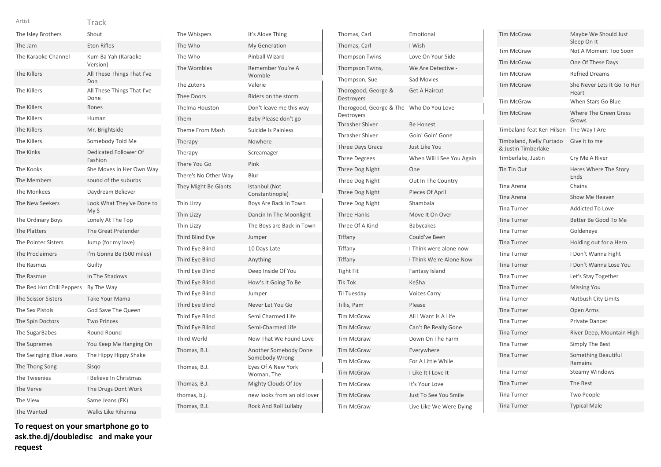| The Isley Brothers         | Shout                              |
|----------------------------|------------------------------------|
| The Jam                    | <b>Eton Rifles</b>                 |
| The Karaoke Channel        | Kum Ba Yah (Karaoke<br>Version)    |
| The Killers                | All These Things That I've<br>Don  |
| The Killers                | All These Things That I've<br>Done |
| <b>The Killers</b>         | <b>Bones</b>                       |
| The Killers                | Human                              |
| The Killers                | Mr. Brightside                     |
| The Killers                | Somebody Told Me                   |
| The Kinks                  | Dedicated Follower Of<br>Fashion   |
| The Kooks                  | She Moves In Her Own Way           |
| The Members                | sound of the suburbs               |
| The Monkees                | Daydream Believer                  |
| The New Seekers            | Look What They've Done to<br>My S  |
| The Ordinary Boys          | Lonely At The Top                  |
| The Platters               | The Great Pretender                |
| <b>The Pointer Sisters</b> | Jump (for my love)                 |
| The Proclaimers            | I'm Gonna Be (500 miles)           |
| The Rasmus                 | Guilty                             |
| The Rasmus                 | In The Shadows                     |
| The Red Hot Chili Peppers  | By The Way                         |
| The Scissor Sisters        | Take Your Mama                     |
| The Sex Pistols            | God Save The Queen                 |
| The Spin Doctors           | <b>Two Princes</b>                 |
| The SugarBabes             | Round Round                        |
| The Supremes               | You Keep Me Hanging On             |
| The Swinging Blue Jeans    | The Hippy Hippy Shake              |
| The Thong Song             | Sisgo                              |
| The Tweenies               | I Believe In Christmas             |
| The Verve                  | The Drugs Dont Work                |
| The View                   | Same Jeans (EK)                    |
| The Wanted                 | Walks Like Rihanna                 |

**To request on your smartphone go to ask.the.dj/doubledisc and make your request**

| The Whispers           | It's Alove Thing                        |
|------------------------|-----------------------------------------|
| The Who                | My Generation                           |
| The Who                | Pinball Wizard                          |
| The Wombles            | Remember You're A<br>Womble             |
| The Zutons             | Valerie                                 |
| <b>Thee Doors</b>      | Riders on the storm                     |
| Thelma Houston         | Don't leave me this way                 |
| Them                   | Baby Please don't go                    |
| Theme From Mash        | Suicide Is Painless                     |
| Therapy                | Nowhere -                               |
| Therapy                | Screamager -                            |
| There You Go           | Pink                                    |
| There's No Other Way   | Blur                                    |
| They Might Be Giants   | Istanbul (Not<br>Constantinople)        |
| Thin Lizzy             | Boys Are Back In Town                   |
| Thin Lizzy             | Dancin In The Moonlight -               |
| Thin Lizzy             | The Boys are Back in Town               |
| <b>Third Blind Eye</b> | Jumper                                  |
| Third Eye Blind        | 10 Days Late                            |
| Third Eye Blind        | Anything                                |
| Third Eye Blind        | Deep Inside Of You                      |
| Third Eye Blind        | How's It Going To Be                    |
| Third Eye Blind        | Jumper                                  |
| Third Eye Blind        | Never Let You Go                        |
| Third Eye Blind        | Semi Charmed Life                       |
| Third Eye Blind        |                                         |
|                        | Semi-Charmed Life                       |
| <b>Third World</b>     | Now That We Found Love                  |
| Thomas, B.J.           | Another Somebody Done<br>Somebody Wrong |
| Thomas, B.J.           | Eyes Of A New York<br>Woman, The        |
| Thomas, B.J.           | Mighty Clouds Of Joy                    |
| thomas, b.j.           | new looks from an old lover             |

| Thomas, Carl                          | Emotional                 |
|---------------------------------------|---------------------------|
| Thomas, Carl                          | I Wish                    |
| <b>Thompson Twins</b>                 | Love On Your Side         |
| Thompson Twins,                       | We Are Detective -        |
| Thompson, Sue                         | Sad Movies                |
| Thorogood, George &<br>Destroyers     | <b>Get A Haircut</b>      |
| Thorogood, George & The<br>Destroyers | Who Do You Love           |
| <b>Thrasher Shiver</b>                | <b>Be Honest</b>          |
| Thrasher Shiver                       | Goin' Goin' Gone          |
| Three Days Grace                      | Just Like You             |
| <b>Three Degrees</b>                  | When Will I See You Again |
| Three Dog Night                       | One                       |
| Three Dog Night                       | Out In The Country        |
| Three Dog Night                       | Pieces Of April           |
| Three Dog Night                       | Shambala                  |
| <b>Three Hanks</b>                    | Move It On Over           |
| Three Of A Kind                       | <b>Babycakes</b>          |
| Tiffany                               | Could've Been             |
| Tiffany                               | I Think were alone now    |
| Tiffany                               | I Think We're Alone Now   |
| <b>Tight Fit</b>                      | Fantasy Island            |
| <b>Tik Tok</b>                        | Ke\$ha                    |
| <b>Til Tuesday</b>                    | <b>Voices Carry</b>       |
| Tillis, Pam                           | Please                    |
| <b>Tim McGraw</b>                     | All I Want Is A Life      |
| <b>Tim McGraw</b>                     | Can't Be Really Gone      |
| <b>Tim McGraw</b>                     | Down On The Farm          |
| <b>Tim McGraw</b>                     | Everywhere                |
| <b>Tim McGraw</b>                     | For A Little While        |
| <b>Tim McGraw</b>                     | I Like It I Love It       |
| <b>Tim McGraw</b>                     | It's Your Love            |
| <b>Tim McGraw</b>                     | Just To See You Smile     |
| <b>Tim McGraw</b>                     | Live Like We Were Dying   |

| <b>Tim McGraw</b>                               | Maybe We Should Just<br>Sleep On It  |
|-------------------------------------------------|--------------------------------------|
| <b>Tim McGraw</b>                               | Not A Moment Too Soon                |
| <b>Tim McGraw</b>                               | One Of These Days                    |
| <b>Tim McGraw</b>                               | <b>Refried Dreams</b>                |
| <b>Tim McGraw</b>                               | She Never Lets It Go To Her<br>Heart |
| <b>Tim McGraw</b>                               | When Stars Go Blue                   |
| <b>Tim McGraw</b>                               | Where The Green Grass<br>Grows       |
| Timbaland feat Keri Hilson                      | The Way I Are                        |
| Timbaland, Nelly Furtado<br>& Justin Timberlake | Give it to me                        |
| Timberlake, Justin                              | Cry Me A River                       |
| Tin Tin Out                                     | Heres Where The Story<br>Ends        |
| Tina Arena                                      | Chains                               |
| Tina Arena                                      | Show Me Heaven                       |
| <b>Tina Turner</b>                              | <b>Addicted To Love</b>              |
| <b>Tina Turner</b>                              | Better Be Good To Me                 |
| <b>Tina Turner</b>                              | Goldeneye                            |
| <b>Tina Turner</b>                              | Holding out for a Hero               |
| <b>Tina Turner</b>                              | I Don't Wanna Fight                  |
| <b>Tina Turner</b>                              | I Don't Wanna Lose You               |
| <b>Tina Turner</b>                              | Let's Stay Together                  |
| <b>Tina Turner</b>                              | <b>Missing You</b>                   |
| <b>Tina Turner</b>                              | Nutbush City Limits                  |
| <b>Tina Turner</b>                              | Open Arms                            |
| <b>Tina Turner</b>                              | Private Dancer                       |
| <b>Tina Turner</b>                              | River Deep, Mountain High            |
| <b>Tina Turner</b>                              | Simply The Best                      |
| <b>Tina Turner</b>                              | Something Beautiful<br>Remains       |
| <b>Tina Turner</b>                              | <b>Steamy Windows</b>                |
| <b>Tina Turner</b>                              | The Best                             |
| <b>Tina Turner</b>                              | <b>Two People</b>                    |
| <b>Tina Turner</b>                              | <b>Typical Male</b>                  |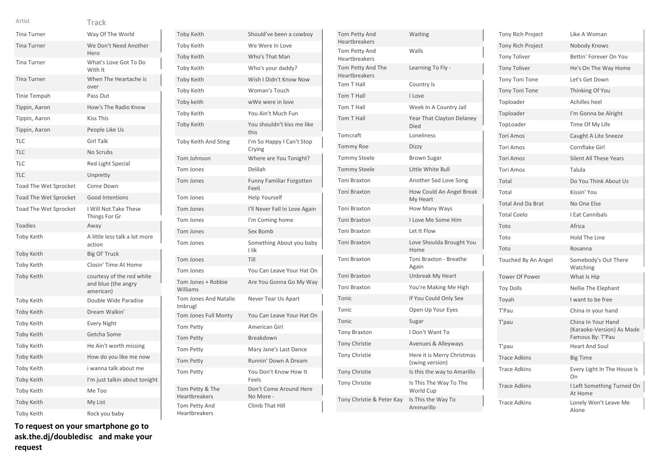Toby Toby Toby Toby Toby Toby Toby Toby

| Artist                | Track                                                         |
|-----------------------|---------------------------------------------------------------|
| <b>Tina Turner</b>    | Way Of The World                                              |
| <b>Tina Turner</b>    | We Don't Need Another<br>Hero                                 |
| <b>Tina Turner</b>    | What's Love Got To Do<br>With It                              |
| <b>Tina Turner</b>    | When The Heartache is<br>over                                 |
| Tinie Tempah          | Pass Out                                                      |
| Tippin, Aaron         | How's The Radio Know                                          |
| Tippin, Aaron         | <b>Kiss This</b>                                              |
| Tippin, Aaron         | People Like Us                                                |
| <b>TLC</b>            | <b>Girl Talk</b>                                              |
| TLC                   | No Scrubs                                                     |
| <b>TLC</b>            | Red Light Special                                             |
| <b>TLC</b>            | Unpretty                                                      |
| Toad The Wet Sprocket | Come Down                                                     |
| Toad The Wet Sprocket | <b>Good Intentions</b>                                        |
| Toad The Wet Sprocket | I Will Not Take These<br>Things For Gr                        |
| <b>Toadies</b>        | Away                                                          |
| Toby Keith            | A little less talk a lot more<br>action                       |
| <b>Toby Keith</b>     | Big Ol' Truck                                                 |
| <b>Toby Keith</b>     | Closin' Time At Home                                          |
| <b>Toby Keith</b>     | courtesy of the red white<br>and blue (the angry<br>american) |
| Toby Keith            | Double Wide Paradise                                          |
| <b>Toby Keith</b>     | Dream Walkin'                                                 |
| <b>Toby Keith</b>     | <b>Every Night</b>                                            |
| Toby Keith            | Getcha Some                                                   |
| <b>Toby Keith</b>     | He Ain't worth missing                                        |
| <b>Toby Keith</b>     | How do you like me now                                        |
| Toby Keith            | i wanna talk about me                                         |
| <b>Toby Keith</b>     | I'm just talkin about tonight                                 |
| Toby Keith            | Me Too                                                        |
| <b>Toby Keith</b>     | My List                                                       |
| <b>Toby Keith</b>     | Rock you baby                                                 |

| <b>Toby Keith</b>                       | Should've been a cowboy             |
|-----------------------------------------|-------------------------------------|
| Toby Keith                              | We Were In Love                     |
| <b>Toby Keith</b>                       | Who's That Man                      |
| <b>Toby Keith</b>                       | Who's your daddy?                   |
| <b>Toby Keith</b>                       | Wish I Didn't Know Now              |
| Toby Keith                              | <b>Woman's Touch</b>                |
| Toby keith                              | wWe were in love                    |
| Toby Keith                              | You Ain't Much Fun                  |
| <b>Toby Keith</b>                       | You shouldn't kiss me like<br>this  |
| Toby Keith And Sting                    | I'm So Happy I Can't Stop<br>Crying |
| Tom Johnson                             | Where are You Tonight?              |
| Tom Jones                               | Delilah                             |
| Tom Jones                               | Funny Familiar Forgotten<br>Feeli   |
| Tom Jones                               | <b>Help Yourself</b>                |
| Tom Jones                               | I'll Never Fall In Love Again       |
| Tom Jones                               | I'm Coming home                     |
| <b>Tom Jones</b>                        | Sex Bomb                            |
| Tom Jones                               | Something About you baby<br>I lik   |
| Tom Jones                               | Till                                |
| Tom Jones                               | You Can Leave Your Hat On           |
| Tom Jones + Robbie<br>Williams          | Are You Gonna Go My Way             |
| Tom Jones And Natalie<br>Imbrugl        | Never Tear Us Apart                 |
| Tom Jones Full Monty                    | You Can Leave Your Hat On           |
| Tom Petty                               | American Girl                       |
| <b>Tom Petty</b>                        | Breakdown                           |
| <b>Tom Petty</b>                        | Mary Jane's Last Dance              |
| <b>Tom Petty</b>                        | Runnin' Down A Dream                |
| <b>Tom Petty</b>                        | You Don't Know How It<br>Feels      |
| Tom Petty & The<br><b>Heartbreakers</b> | Don't Come Around Here<br>No More - |
| <b>Tom Petty And</b><br>Heartbreakers   | Climb That Hill                     |

| <b>Tom Petty And</b><br>Heartbreakers | Waiting                                       |
|---------------------------------------|-----------------------------------------------|
| Tom Petty And<br>Heartbreakers        | Walls                                         |
| Tom Petty And The<br>Heartbreakers    | Learning To Fly -                             |
| Tom T Hall                            | Country Is                                    |
| Tom T Hall                            | I Love                                        |
| Tom T Hall                            | Week In A Country Jail                        |
| Tom T Hall                            | Year That Clayton Delaney<br>Died             |
| Tomcraft                              | Loneliness                                    |
| Tommy Roe                             | Dizzy                                         |
| <b>Tommy Steele</b>                   | <b>Brown Sugar</b>                            |
| <b>Tommy Steele</b>                   | Little White Bull                             |
| <b>Toni Braxton</b>                   | Another Sad Love Song                         |
| <b>Toni Braxton</b>                   | How Could An Angel Break<br>My Heart          |
| <b>Toni Braxton</b>                   | How Many Ways                                 |
| <b>Toni Braxton</b>                   | I Love Me Some Him                            |
| <b>Toni Braxton</b>                   | Let It Flow                                   |
| <b>Toni Braxton</b>                   | Love Shoulda Brought You<br>Home              |
| <b>Toni Braxton</b>                   | Toni Braxton - Breathe<br>Again               |
| <b>Toni Braxton</b>                   | Unbreak My Heart                              |
| <b>Toni Braxton</b>                   | You're Making Me High                         |
| Tonic                                 | If You Could Only See                         |
| Tonic                                 | Open Up Your Eyes                             |
| Tonic                                 | Sugar                                         |
| <b>Tony Braxton</b>                   | I Don't Want To                               |
| <b>Tony Christie</b>                  | Avenues & Alleyways                           |
| <b>Tony Christie</b>                  | Here it is Merry Christmas<br>(swing version) |
| <b>Tony Christie</b>                  | Is this the way to Amarillo                   |
| Tony Christie                         | Is This The Way To The<br>World Cup           |
| Tony Christie & Peter Kay             | Is This the Way To<br>Ammarillo               |

| Tony Rich Project        | Like A Woman                                                        |
|--------------------------|---------------------------------------------------------------------|
| <b>Tony Rich Project</b> | Nobody Knows                                                        |
| <b>Tony Toliver</b>      | Bettin' Forever On You                                              |
| <b>Tony Toliver</b>      | He's On The Way Home                                                |
| <b>Tony Toni Tone</b>    | Let's Get Down                                                      |
| <b>Tony Toni Tone</b>    | Thinking Of You                                                     |
| Toploader                | Achilles heel                                                       |
| Toploader                | I'm Gonna be Alright                                                |
| TopLoader                | Time Of My Life                                                     |
| <b>Tori Amos</b>         | Caught A Lite Sneeze                                                |
| <b>Tori Amos</b>         | Cornflake Girl                                                      |
| <b>Tori Amos</b>         | <b>Silent All These Years</b>                                       |
| <b>Tori Amos</b>         | Talula                                                              |
| Total                    | Do You Think About Us                                               |
| Total                    | Kissin' You                                                         |
| <b>Total And Da Brat</b> | No One Else                                                         |
| <b>Total Coelo</b>       | <b>LEat Cannibals</b>                                               |
| Toto                     | Africa                                                              |
| Toto                     | Hold The Line                                                       |
| Toto                     | Rosanna                                                             |
| Touched By An Angel      | Somebody's Out There<br>Watching                                    |
| <b>Tower Of Power</b>    | What Is Hip                                                         |
| <b>Toy Dolls</b>         | Nellie The Elephant                                                 |
| Toyah                    | I want to be free                                                   |
| T'Pau                    | China in your hand                                                  |
| T'pau                    | China In Your Hand<br>(Karaoke-Version) As Made<br>Famous By: T'Pau |
| T'pau                    | <b>Heart And Soul</b>                                               |
| <b>Trace Adkins</b>      | <b>Big Time</b>                                                     |
| <b>Trace Adkins</b>      | Every Light In The House Is<br>On                                   |
| <b>Trace Adkins</b>      | I Left Something Turned On<br>At Home                               |
| <b>Trace Adkins</b>      | Lonely Won't Leave Me<br>Alone                                      |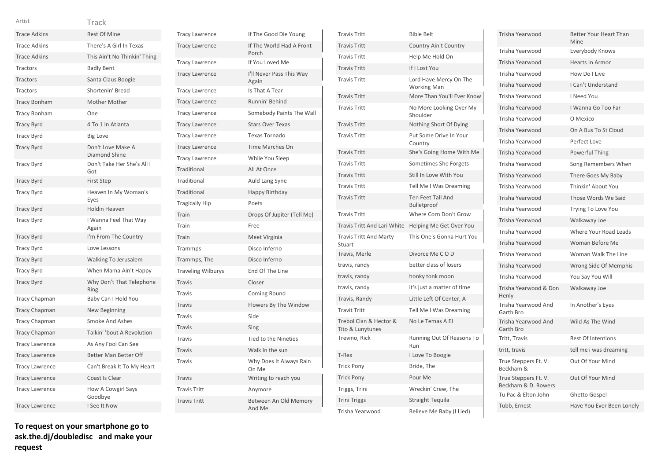| Artist                | Track                              |
|-----------------------|------------------------------------|
| <b>Trace Adkins</b>   | <b>Rest Of Mine</b>                |
| <b>Trace Adkins</b>   | There's A Girl In Texas            |
| <b>Trace Adkins</b>   | This Ain't No Thinkin' Thing       |
| Tractors              | <b>Badly Bent</b>                  |
| <b>Tractors</b>       | Santa Claus Boogie                 |
| Tractors              | Shortenin' Bread                   |
| <b>Tracy Bonham</b>   | <b>Mother Mother</b>               |
| <b>Tracy Bonham</b>   | One                                |
| <b>Tracy Byrd</b>     | 4 To 1 In Atlanta                  |
| <b>Tracy Byrd</b>     | <b>Big Love</b>                    |
| <b>Tracy Byrd</b>     | Don't Love Make A<br>Diamond Shine |
| <b>Tracy Byrd</b>     | Don't Take Her She's All I<br>Got  |
| <b>Tracy Byrd</b>     | <b>First Step</b>                  |
| <b>Tracy Byrd</b>     | Heaven In My Woman's<br>Eyes       |
| <b>Tracy Byrd</b>     | <b>Holdin Heaven</b>               |
| <b>Tracy Byrd</b>     | I Wanna Feel That Way<br>Again     |
| <b>Tracy Byrd</b>     | I'm From The Country               |
| <b>Tracy Byrd</b>     | Love Lessons                       |
| <b>Tracy Byrd</b>     | Walking To Jerusalem               |
| <b>Tracy Byrd</b>     | When Mama Ain't Happy              |
| <b>Tracy Byrd</b>     | Why Don't That Telephone<br>Ring   |
| Tracy Chapman         | Baby Can I Hold You                |
| <b>Tracy Chapman</b>  | New Beginning                      |
| <b>Tracy Chapman</b>  | Smoke And Ashes                    |
| <b>Tracy Chapman</b>  | Talkin' 'bout A Revolution         |
| <b>Tracy Lawrence</b> | As Any Fool Can See                |
| <b>Tracy Lawrence</b> | Better Man Better Off              |
| <b>Tracy Lawrence</b> | Can't Break It To My Heart         |
| <b>Tracy Lawrence</b> | Coast Is Clear                     |
| <b>Tracy Lawrence</b> | How A Cowgirl Says<br>Goodbye      |
| <b>Tracy Lawrence</b> | I See It Now                       |

| <b>Tracy Lawrence</b>     | If The Good Die Young             |
|---------------------------|-----------------------------------|
| <b>Tracy Lawrence</b>     | If The World Had A Front<br>Porch |
| <b>Tracy Lawrence</b>     | If You Loved Me                   |
| <b>Tracy Lawrence</b>     | I'll Never Pass This Way<br>Again |
| <b>Tracy Lawrence</b>     | Is That A Tear                    |
| <b>Tracy Lawrence</b>     | Runnin' Behind                    |
| <b>Tracy Lawrence</b>     | Somebody Paints The Wall          |
| <b>Tracy Lawrence</b>     | <b>Stars Over Texas</b>           |
| <b>Tracy Lawrence</b>     | Texas Tornado                     |
| <b>Tracy Lawrence</b>     | <b>Time Marches On</b>            |
| <b>Tracy Lawrence</b>     | While You Sleep                   |
| Traditional               | All At Once                       |
| Traditional               | Auld Lang Syne                    |
| Traditional               | Happy Birthday                    |
| <b>Tragically Hip</b>     | Poets                             |
| Train                     | Drops Of Jupiter (Tell Me)        |
| Train                     | Free                              |
| Train                     | Meet Virginia                     |
| Trammps                   | Disco Inferno                     |
| Trammps, The              | Disco Inferno                     |
| <b>Traveling Wilburys</b> | End Of The Line                   |
| <b>Travis</b>             | Closer                            |
| <b>Travis</b>             | Coming Round                      |
| <b>Travis</b>             | Flowers By The Window             |
| <b>Travis</b>             | Side                              |
| <b>Travis</b>             | Sing                              |
| <b>Travis</b>             | <b>Tied to the Nineties</b>       |
| <b>Travis</b>             | Walk In the sun                   |
| <b>Travis</b>             | Why Does It Always Rain<br>On Me  |
| <b>Travis</b>             | Writing to reach you              |
| <b>Travis Tritt</b>       |                                   |
|                           | Anymore                           |

| <b>Travis Tritt</b>                        | <b>Bible Belt</b>                            |
|--------------------------------------------|----------------------------------------------|
| <b>Travis Tritt</b>                        | <b>Country Ain't Country</b>                 |
| <b>Travis Tritt</b>                        | Help Me Hold On                              |
| <b>Travis Tritt</b>                        | If I Lost You                                |
| <b>Travis Tritt</b>                        | Lord Have Mercy On The<br><b>Working Man</b> |
| <b>Travis Tritt</b>                        | More Than You'll Ever Know                   |
| <b>Travis Tritt</b>                        | No More Looking Over My<br>Shoulder          |
| <b>Travis Tritt</b>                        | Nothing Short Of Dying                       |
| <b>Travis Tritt</b>                        | Put Some Drive In Your<br>Country            |
| <b>Travis Tritt</b>                        | She's Going Home With Me                     |
| <b>Travis Tritt</b>                        | Sometimes She Forgets                        |
| <b>Travis Tritt</b>                        | Still In Love With You                       |
| <b>Travis Tritt</b>                        | Tell Me I Was Dreaming                       |
| <b>Travis Tritt</b>                        | <b>Ten Feet Tall And</b><br>Bulletproof      |
| <b>Travis Tritt</b>                        | Where Corn Don't Grow                        |
|                                            |                                              |
| Travis Tritt And Lari White                | Helping Me Get Over You                      |
| <b>Travis Tritt And Marty</b><br>Stuart    | This One's Gonna Hurt You                    |
| Travis, Merle                              | Divorce Me COD                               |
| travis, randy                              | better class of losers                       |
| travis, randy                              | honky tonk moon                              |
| travis, randy                              | it's just a matter of time                   |
| Travis, Randy                              | Little Left Of Center, A                     |
| <b>Travit Tritt</b>                        | Tell Me I Was Dreaming                       |
| Trebol Clan & Hector &<br>Tito & Lunytunes | No Le Temas A El                             |
| Trevino, Rick                              | Running Out Of Reasons To<br>Run             |
| T-Rex                                      | I Love To Boogie                             |
| <b>Trick Pony</b>                          | Bride, The                                   |
| <b>Trick Pony</b>                          | Pour Me                                      |
| Triggs, Trini                              | Wreckin' Crew, The                           |
| <b>Trini Triggs</b>                        | <b>Straight Tequila</b>                      |

| Trisha Yearwood                             | <b>Better Your Heart Than</b><br>Mine |
|---------------------------------------------|---------------------------------------|
| Trisha Yearwood                             | Everybody Knows                       |
| Trisha Yearwood                             | <b>Hearts In Armor</b>                |
| Trisha Yearwood                             | How Do I Live                         |
| Trisha Yearwood                             | I Can't Understand                    |
| Trisha Yearwood                             | I Need You                            |
| Trisha Yearwood                             | I Wanna Go Too Far                    |
| Trisha Yearwood                             | O Mexico                              |
| Trisha Yearwood                             | On A Bus To St Cloud                  |
| Trisha Yearwood                             | Perfect Love                          |
| Trisha Yearwood                             | Powerful Thing                        |
| Trisha Yearwood                             | Song Remembers When                   |
| Trisha Yearwood                             | There Goes My Baby                    |
| Trisha Yearwood                             | Thinkin' About You                    |
| Trisha Yearwood                             | Those Words We Said                   |
| Trisha Yearwood                             | Trying To Love You                    |
| Trisha Yearwood                             | Walkaway Joe                          |
| Trisha Yearwood                             | Where Your Road Leads                 |
| Trisha Yearwood                             | Woman Before Me                       |
| Trisha Yearwood                             | Woman Walk The Line                   |
| Trisha Yearwood                             | Wrong Side Of Memphis                 |
| Trisha Yearwood                             | You Say You Will                      |
| Trisha Yearwood & Don<br>Henly              | Walkaway Joe                          |
| Trisha Yearwood And<br>Garth Bro            | In Another's Eyes                     |
| Trisha Yearwood And<br>Garth Bro            | Wild As The Wind                      |
| Tritt, Travis                               | <b>Best Of Intentions</b>             |
| tritt, travis                               | tell me i was dreaming                |
| True Steppers Ft. V.<br>Beckham &           | Out Of Your Mind                      |
| True Steppers Ft. V.<br>Beckham & D. Bowers | Out Of Your Mind                      |
| Tu Pac & Elton John                         | Ghetto Gospel                         |
| Tubb, Ernest                                | Have You Ever Been Lonely             |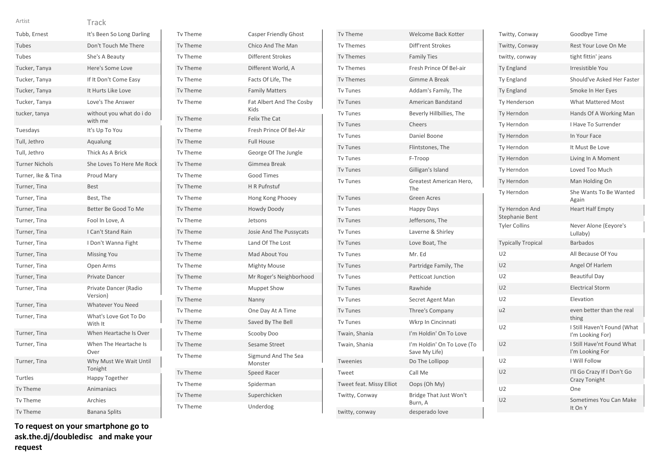| Artist                | Track                               |
|-----------------------|-------------------------------------|
| Tubb, Ernest          | It's Been So Long Darling           |
| Tubes                 | Don't Touch Me There                |
| Tubes                 | She's A Beauty                      |
| Tucker, Tanya         | Here's Some Love                    |
| Tucker, Tanya         | If It Don't Come Easy               |
| Tucker, Tanya         | It Hurts Like Love                  |
| Tucker, Tanya         | Love's The Answer                   |
| tucker, tanya         | without you what do i do<br>with me |
| Tuesdays              | It's Up To You                      |
| Tull, Jethro          | Aqualung                            |
| Tull, Jethro          | Thick As A Brick                    |
| <b>Turner Nichols</b> | She Loves To Here Me Rock           |
| Turner, Ike & Tina    | Proud Mary                          |
| Turner, Tina          | <b>Best</b>                         |
| Turner, Tina          | Best, The                           |
| Turner, Tina          | Better Be Good To Me                |
| Turner, Tina          | Fool In Love, A                     |
| Turner, Tina          | <b>LCan't Stand Rain</b>            |
| Turner, Tina          | I Don't Wanna Fight                 |
| Turner, Tina          | <b>Missing You</b>                  |
| Turner, Tina          | Open Arms                           |
| Turner, Tina          | Private Dancer                      |
| Turner, Tina          | Private Dancer (Radio<br>Version)   |
| Turner, Tina          | <b>Whatever You Need</b>            |
| Turner, Tina          | What's Love Got To Do<br>With It    |
| Turner, Tina          | When Heartache Is Over              |
| Turner, Tina          | When The Heartache Is<br>Over       |
| Turner, Tina          | Why Must We Wait Until<br>Tonight   |
| Turtles               | Happy Together                      |
| Tv Theme              | Animaniacs                          |

| <b>Tv Theme</b> | <b>Casper Friendly Ghost</b>     |
|-----------------|----------------------------------|
| <b>Tv Theme</b> | Chico And The Man                |
| <b>Tv Theme</b> | <b>Different Strokes</b>         |
| <b>Tv Theme</b> | Different World, A               |
| <b>Tv Theme</b> | Facts Of Life, The               |
| <b>Tv Theme</b> | <b>Family Matters</b>            |
| Tv Theme        | Fat Albert And The Cosby<br>Kids |
| <b>Tv Theme</b> | <b>Felix The Cat</b>             |
| <b>Tv Theme</b> | Fresh Prince Of Bel-Air          |
| <b>Tv Theme</b> | <b>Full House</b>                |
| Tv Theme        | George Of The Jungle             |
| <b>Tv Theme</b> | Gimmea Break                     |
| Tv Theme        | <b>Good Times</b>                |
| <b>Tv Theme</b> | <b>H</b> R Pufnstuf              |
| <b>Tv Theme</b> | Hong Kong Phooey                 |
| <b>Tv Theme</b> | <b>Howdy Doody</b>               |
| <b>Tv Theme</b> | Jetsons                          |
| <b>Tv Theme</b> | Josie And The Pussycats          |
| <b>Tv Theme</b> | Land Of The Lost                 |
| <b>Tv Theme</b> | Mad About You                    |
| Tv Theme        | <b>Mighty Mouse</b>              |
| <b>Tv Theme</b> | Mr Roger's Neighborhood          |
| Tv Theme        | <b>Muppet Show</b>               |
| <b>Tv Theme</b> | Nanny                            |
| <b>Tv Theme</b> | One Day At A Time                |
| <b>Tv Theme</b> | Saved By The Bell                |
| <b>Tv Theme</b> | Scooby Doo                       |
| <b>Tv Theme</b> | Sesame Street                    |
| Tv Theme        | Sigmund And The Sea<br>Monster   |
| Tv Theme        | Speed Racer                      |
| <b>Tv Theme</b> | Spiderman                        |
| Tv Theme        | Superchicken                     |
| Tv Theme        | Underdog                         |

| Tv Theme                 | Welcome Back Kotter                         |
|--------------------------|---------------------------------------------|
| <b>Tv Themes</b>         | Diff'rent Strokes                           |
| <b>Tv Themes</b>         | <b>Family Ties</b>                          |
| <b>Tv Themes</b>         | Fresh Prince Of Bel-air                     |
| <b>Tv Themes</b>         | Gimme A Break                               |
| <b>Tv Tunes</b>          | Addam's Family, The                         |
| <b>Tv Tunes</b>          | American Bandstand                          |
| <b>Tv Tunes</b>          | Beverly Hillbillies, The                    |
| <b>Tv Tunes</b>          | Cheers                                      |
| <b>Tv Tunes</b>          | Daniel Boone                                |
| <b>Tv Tunes</b>          | Flintstones, The                            |
| <b>Tv Tunes</b>          | F-Troop                                     |
| <b>Tv Tunes</b>          | Gilligan's Island                           |
| <b>Tv Tunes</b>          | Greatest American Hero,<br>The              |
| <b>Tv Tunes</b>          | <b>Green Acres</b>                          |
| <b>Tv Tunes</b>          | Happy Days                                  |
| <b>Tv Tunes</b>          | Jeffersons, The                             |
| <b>Tv Tunes</b>          | Laverne & Shirley                           |
| <b>Tv Tunes</b>          | Love Boat, The                              |
| <b>Tv Tunes</b>          | Mr. Ed                                      |
| <b>Tv Tunes</b>          | Partridge Family, The                       |
| <b>Tv Tunes</b>          | <b>Petticoat Junction</b>                   |
| <b>Tv Tunes</b>          | Rawhide                                     |
| <b>Tv Tunes</b>          | Secret Agent Man                            |
| <b>Tv Tunes</b>          | Three's Company                             |
| <b>Tv Tunes</b>          | Wkrp In Cincinnati                          |
| Twain, Shania            | I'm Holdin' On To Love                      |
| Twain, Shania            | I'm Holdin' On To Love (To<br>Save My Life) |
| <b>Tweenies</b>          | Do The Lollipop                             |
| Tweet                    | Call Me                                     |
| Tweet feat. Missy Elliot | Oops (Oh My)                                |
| Twitty, Conway           | Bridge That Just Won't<br>Burn, A           |
| twitty, conway           | desperado love                              |

| Twitty, Conway                   | Goodbye Time                                    |
|----------------------------------|-------------------------------------------------|
| Twitty, Conway                   | Rest Your Love On Me                            |
| twitty, conway                   | tight fittin' jeans                             |
| Ty England                       | Irresistible You                                |
| <b>Ty England</b>                | Should've Asked Her Faster                      |
| <b>Ty England</b>                | Smoke In Her Eyes                               |
| Ty Henderson                     | <b>What Mattered Most</b>                       |
| Ty Herndon                       | Hands Of A Working Man                          |
| Ty Herndon                       | I Have To Surrender                             |
| Ty Herndon                       | In Your Face                                    |
| Ty Herndon                       | It Must Be Love                                 |
| Ty Herndon                       | Living In A Moment                              |
| Ty Herndon                       | Loved Too Much                                  |
| Ty Herndon                       | Man Holding On                                  |
| Ty Herndon                       | She Wants To Be Wanted<br>Again                 |
| Ty Herndon And<br>Stephanie Bent | <b>Heart Half Empty</b>                         |
| <b>Tyler Collins</b>             | Never Alone (Eeyore's<br>Lullaby)               |
| <b>Typically Tropical</b>        | <b>Barbados</b>                                 |
| U <sub>2</sub>                   | All Because Of You                              |
| U <sub>2</sub>                   | Angel Of Harlem                                 |
| U <sub>2</sub>                   | <b>Beautiful Day</b>                            |
| U <sub>2</sub>                   | <b>Electrical Storm</b>                         |
| U <sub>2</sub>                   | Elevation                                       |
| u2                               | even better than the real<br>thing              |
| U <sub>2</sub>                   | I Still Haven't Found (What<br>I'm Looking For) |
| U <sub>2</sub>                   | I Still Have'nt Found What<br>I'm Looking For   |
| U <sub>2</sub>                   | I Will Follow                                   |
| U <sub>2</sub>                   | I'll Go Crazy If I Don't Go<br>Crazy Tonight    |
| U <sub>2</sub>                   | One                                             |
| U <sub>2</sub>                   | Sometimes You Can Make<br>It On Y               |

Tv Theme Archies Tv Theme Banana Splits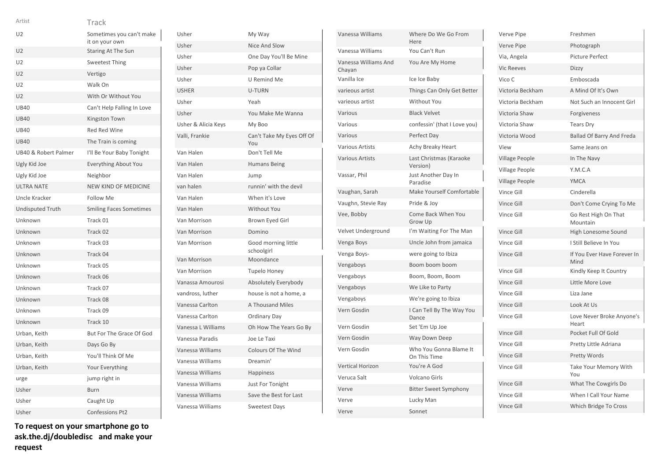| Artist                  | Track                                      |
|-------------------------|--------------------------------------------|
| U <sub>2</sub>          | Sometimes you can't make<br>it on your own |
| U <sub>2</sub>          | Staring At The Sun                         |
| U <sub>2</sub>          | <b>Sweetest Thing</b>                      |
| U <sub>2</sub>          | Vertigo                                    |
| U <sub>2</sub>          | Walk On                                    |
| U <sub>2</sub>          | With Or Without You                        |
| <b>UB40</b>             | Can't Help Falling In Love                 |
| <b>UB40</b>             | Kingston Town                              |
| <b>UB40</b>             | Red Red Wine                               |
| <b>UB40</b>             | The Train is coming                        |
| UB40 & Robert Palmer    | I'll Be Your Baby Tonight                  |
| Ugly Kid Joe            | <b>Everything About You</b>                |
| Ugly Kid Joe            | Neighbor                                   |
| <b>ULTRA NATE</b>       | <b>NEW KIND OF MEDICINE</b>                |
| Uncle Kracker           | <b>Follow Me</b>                           |
| <b>Undisputed Truth</b> | <b>Smiling Faces Sometimes</b>             |
| Unknown                 | Track 01                                   |
| Unknown                 | Track 02                                   |
| Unknown                 | Track 03                                   |
| Unknown                 | Track 04                                   |
| Unknown                 | Track 05                                   |
| Unknown                 | Track 06                                   |
| Unknown                 | Track 07                                   |
| Unknown                 | Track 08                                   |
| Unknown                 | Track 09                                   |
| Unknown                 | Track 10                                   |
| Urban, Keith            | But For The Grace Of God                   |
| Urban, Keith            | Days Go By                                 |
| Urban, Keith            | You'll Think Of Me                         |
| Urban, Keith            | <b>Your Everything</b>                     |
| urge                    | jump right in                              |
| Usher                   | <b>Burn</b>                                |
| Usher                   | Caught Up                                  |
| Usher                   | <b>Confessions Pt2</b>                     |

Usher My Way Usher Nice And Slow Usher One Day You'll Be Mine Usher Pop ya Collar Usher U Remind Me USHER U-TURN Usher Yeah Usher You Make Me Wanna Usher & Alicia Keys My Boo Valli, Frankie Can't Take My Eyes Off Of You Van Halen Don't Tell Me Van Halen Humans Being Van Halen Jump van halen runnin' with the devil Van Halen When it's Love Van Halen Without You Van Morrison Brown Eyed Girl Van Morrison Domino Van Morrison Good morning little schoolgirl Van Morrison Moondance Van Morrison Tupelo Honey Vanassa Amourosi Absolutely Everybody vandross, luther house is not a home, a Vanessa Carlton A Thousand Miles Vanessa Carlton **Ordinary Day** Vanessa L Williams Oh How The Years Go By Vanessa Paradis Joe Le Taxi Vanessa Williams Colours Of The Wind Vanessa Williams Dreamin' Vanessa Williams Happiness Vanessa Williams Just For Tonight Vanessa Williams Save the Best for Last Vanessa Williams Sweetest Days

| Vanessa Williams               | Where Do We Go From<br>Here            |
|--------------------------------|----------------------------------------|
| Vanessa Williams               | You Can't Run                          |
| Vanessa Williams And<br>Chayan | You Are My Home                        |
| Vanilla Ice                    | Ice Ice Baby                           |
| varieous artist                | Things Can Only Get Better             |
| varieous artist                | Without You                            |
| Various                        | <b>Black Velvet</b>                    |
| Various                        | confessin' (that I Love you)           |
| Various                        | Perfect Day                            |
| <b>Various Artists</b>         | Achy Breaky Heart                      |
| <b>Various Artists</b>         | Last Christmas (Karaoke<br>Version)    |
| Vassar, Phil                   | Just Another Day In<br>Paradise        |
| Vaughan, Sarah                 | Make Yourself Comfortable              |
| Vaughn, Stevie Ray             | Pride & Joy                            |
| Vee, Bobby                     | <b>Come Back When You</b><br>Grow Up   |
| Velvet Underground             | I'm Waiting For The Man                |
| Venga Boys                     | Uncle John from jamaica                |
| Venga Boys-                    | were going to Ibiza                    |
| Vengaboys                      | Boom boom boom                         |
| Vengaboys                      | Boom, Boom, Boom                       |
| Vengaboys                      | We Like to Party                       |
| Vengaboys                      | We're going to Ibiza                   |
| Vern Gosdin                    | I Can Tell By The Way You<br>Dance     |
| Vern Gosdin                    | Set 'Em Up Joe                         |
| Vern Gosdin                    | Way Down Deep                          |
| Vern Gosdin                    | Who You Gonna Blame It<br>On This Time |
| <b>Vertical Horizon</b>        | You're A God                           |
| Veruca Salt                    | <b>Volcano Girls</b>                   |
| Verve                          | <b>Bitter Sweet Symphony</b>           |
| Verve                          | Lucky Man                              |
| Verve                          | Sonnet                                 |

| Verve Pipe            | Freshmen                            |
|-----------------------|-------------------------------------|
| Verve Pipe            | Photograph                          |
| Via, Angela           | <b>Picture Perfect</b>              |
| <b>Vic Reeves</b>     | Dizzy                               |
| Vico C                | Emboscada                           |
| Victoria Beckham      | A Mind Of It's Own                  |
| Victoria Beckham      | Not Such an Innocent Girl           |
| Victoria Shaw         | Forgiveness                         |
| Victoria Shaw         | <b>Tears Dry</b>                    |
| Victoria Wood         | <b>Ballad Of Barry And Freda</b>    |
| View                  | Same Jeans on                       |
| Village People        | In The Navy                         |
| Village People        | Y.M.C.A                             |
| <b>Village People</b> | <b>YMCA</b>                         |
| Vince Gill            | Cinderella                          |
| Vince Gill            | Don't Come Crying To Me             |
| Vince Gill            | Go Rest High On That<br>Mountain    |
| Vince Gill            | High Lonesome Sound                 |
| Vince Gill            | I Still Believe In You              |
| Vince Gill            | If You Ever Have Forever In<br>Mind |
| Vince Gill            | Kindly Keep It Country              |
| Vince Gill            | Little More Love                    |
| Vince Gill            | Liza Jane                           |
| Vince Gill            | Look At Us                          |
| Vince Gill            | Love Never Broke Anyone's<br>Heart  |
| Vince Gill            | Pocket Full Of Gold                 |
| Vince Gill            | Pretty Little Adriana               |
| Vince Gill            | <b>Pretty Words</b>                 |
| Vince Gill            | Take Your Memory With<br>You        |
| Vince Gill            | What The Cowgirls Do                |
| Vince Gill            | When I Call Your Name               |
| <b>Vince Gill</b>     | Which Bridge To Cross               |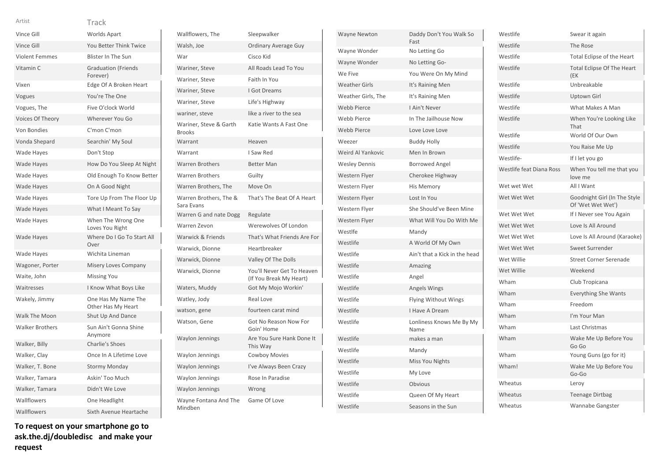### Track Artist

| Vince Gill             | <b>Worlds Apart</b>                       |
|------------------------|-------------------------------------------|
| Vince Gill             | You Better Think Twice                    |
| <b>Violent Femmes</b>  | <b>Blister In The Sun</b>                 |
| Vitamin C              | <b>Graduation (Friends</b><br>Forever)    |
| Vixen                  | Edge Of A Broken Heart                    |
| Vogues                 | You're The One                            |
| Vogues, The            | Five O'clock World                        |
| Voices Of Theory       | Wherever You Go                           |
| <b>Von Bondies</b>     | C'mon C'mon                               |
| Vonda Shepard          | Searchin' My Soul                         |
| Wade Hayes             | Don't Stop                                |
| Wade Hayes             | How Do You Sleep At Night                 |
| Wade Hayes             | Old Enough To Know Better                 |
| <b>Wade Hayes</b>      | On A Good Night                           |
| Wade Hayes             | Tore Up From The Floor Up                 |
| <b>Wade Hayes</b>      | What I Meant To Say                       |
| Wade Hayes             | When The Wrong One<br>Loves You Right     |
| Wade Hayes             | Where Do I Go To Start All<br>Over        |
| Wade Hayes             | Wichita Lineman                           |
| Wagoner, Porter        | Misery Loves Company                      |
| Waite, John            | <b>Missing You</b>                        |
| Waitresses             | I Know What Boys Like                     |
| Wakely, Jimmy          | One Has My Name The<br>Other Has My Heart |
| Walk The Moon          | Shut Up And Dance                         |
| <b>Walker Brothers</b> | Sun Ain't Gonna Shine<br>Anymore          |
| Walker, Billy          | <b>Charlie's Shoes</b>                    |
| Walker, Clay           | Once In A Lifetime Love                   |
| Walker, T. Bone        | <b>Stormy Monday</b>                      |
| Walker, Tamara         | Askin' Too Much                           |
| Walker, Tamara         | Didn't We Love                            |
| Wallflowers            | One Headlight                             |
| Wallflowers            | Sixth Avenue Heartache                    |

| Wallflowers, The                        | Sleepwalker                                           |
|-----------------------------------------|-------------------------------------------------------|
| Walsh, Joe                              | <b>Ordinary Average Guy</b>                           |
| War                                     | Cisco Kid                                             |
| Wariner, Steve                          | All Roads Lead To You                                 |
| Wariner, Steve                          | Faith In You                                          |
| Wariner, Steve                          | <b>I Got Dreams</b>                                   |
| Wariner, Steve                          | Life's Highway                                        |
| wariner, steve                          | like a river to the sea                               |
| Wariner, Steve & Garth<br><b>Brooks</b> | Katie Wants A Fast One                                |
| Warrant                                 | Heaven                                                |
| Warrant                                 | I Saw Red                                             |
| <b>Warren Brothers</b>                  | <b>Better Man</b>                                     |
| Warren Brothers                         | Guilty                                                |
| Warren Brothers, The                    | Move On                                               |
| Warren Brothers, The &<br>Sara Evans    | That's The Beat Of A Heart                            |
| Warren G and nate Dogg                  | Regulate                                              |
|                                         |                                                       |
| Warren Zevon                            | Werewolves Of London                                  |
| Warwick & Friends                       | That's What Friends Are For                           |
| Warwick, Dionne                         | Heartbreaker                                          |
| Warwick, Dionne                         | Valley Of The Dolls                                   |
| Warwick, Dionne                         | You'll Never Get To Heaven<br>(If You Break My Heart) |
| Waters, Muddy                           | Got My Mojo Workin'                                   |
| Watley, Jody                            | <b>Real Love</b>                                      |
| watson, gene                            | fourteen carat mind                                   |
| Watson, Gene                            | Got No Reason Now For<br>Goin' Home                   |
| <b>Waylon Jennings</b>                  | Are You Sure Hank Done It<br>This Way                 |
| <b>Waylon Jennings</b>                  | <b>Cowboy Movies</b>                                  |
| <b>Waylon Jennings</b>                  | I've Always Been Crazy                                |
| <b>Waylon Jennings</b>                  | Rose In Paradise                                      |
| <b>Waylon Jennings</b>                  | Wrong                                                 |

| Wayne Newton         | Daddy Don't You Walk So<br>Fast  |
|----------------------|----------------------------------|
| Wayne Wonder         | No Letting Go                    |
| Wayne Wonder         | No Letting Go-                   |
| We Five              | You Were On My Mind              |
| <b>Weather Girls</b> | It's Raining Men                 |
| Weather Girls, The   | It's Raining Men                 |
| <b>Webb Pierce</b>   | I Ain't Never                    |
| <b>Webb Pierce</b>   | In The Jailhouse Now             |
| <b>Webb Pierce</b>   | Love Love Love                   |
| Weezer               | <b>Buddy Holly</b>               |
| Weird Al Yankovic    | Men In Brown                     |
| <b>Wesley Dennis</b> | <b>Borrowed Angel</b>            |
| Western Flyer        | Cherokee Highway                 |
| Western Flyer        | His Memory                       |
| Western Flyer        | Lost In You                      |
| Western Flyer        | She Should've Been Mine          |
| Western Flyer        | What Will You Do With Me         |
| Westlfe              | Mandy                            |
| Westlife             | A World Of My Own                |
| Westlife             | Ain't that a Kick in the head    |
| Westlife             | Amazing                          |
| Westlife             | Angel                            |
| Westlife             | Angels Wings                     |
| Westlife             | <b>Flying Without Wings</b>      |
| Westlife             | I Have A Dream                   |
| Westlife             | Lonliness Knows Me By My<br>Name |
| Westlife             | makes a man                      |
| Westlife             | Mandy                            |
| Westlife             | Miss You Nights                  |
| Westlife             | My Love                          |
| Westlife             | Obvious                          |
| Westlife             | Queen Of My Heart                |
| Westlife             | Seasons in the Sun               |

| Westlife                 | Swear it again                                    |
|--------------------------|---------------------------------------------------|
| Westlife                 | The Rose                                          |
| Westlife                 | <b>Total Eclipse of the Heart</b>                 |
| Westlife                 | <b>Total Eclipse Of The Heart</b><br>(EK          |
| Westlife                 | Unbreakable                                       |
| Westlife                 | Uptown Girl                                       |
| Westlife                 | What Makes A Man                                  |
| Westlife                 | When You're Looking Like<br>That                  |
| Westlife                 | World Of Our Own                                  |
| Westlife                 | You Raise Me Up                                   |
| Westlife-                | If I let you go                                   |
| Westlife feat Diana Ross | When You tell me that you<br>love me              |
| Wet wet Wet              | All I Want                                        |
| Wet Wet Wet              | Goodnight Girl (In The Style<br>Of 'Wet Wet Wet') |
| Wet Wet Wet              | If I Never see You Again                          |
| Wet Wet Wet              | Love Is All Around                                |
| Wet Wet Wet              | Love Is All Around (Karaoke)                      |
| Wet Wet Wet              | Sweet Surrender                                   |
| Wet Willie               | <b>Street Corner Serenade</b>                     |
| Wet Willie               | Weekend                                           |
| Wham                     | Club Tropicana                                    |
| Wham                     | <b>Everything She Wants</b>                       |
| Wham                     | Freedom                                           |
| Wham                     | I'm Your Man                                      |
| Wham                     | Last Christmas                                    |
| Wham                     | Wake Me Up Before You<br>Go Go                    |
| Wham                     | Young Guns (go for it)                            |
| Wham!                    | Wake Me Up Before You<br>Go-Go                    |
| Wheatus                  | Leroy                                             |
| Wheatus                  | Teenage Dirtbag                                   |
| Wheatus                  | <b>Wannabe Gangster</b>                           |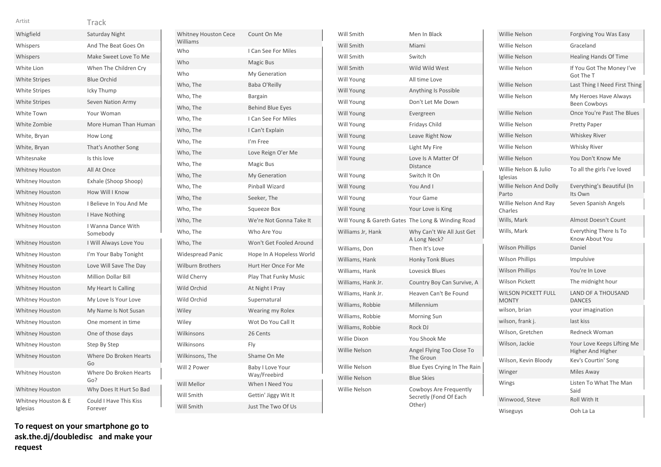| Artist                          | Track                             |
|---------------------------------|-----------------------------------|
| Whigfield                       | Saturday Night                    |
| Whispers                        | And The Beat Goes On              |
| Whispers                        | Make Sweet Love To Me             |
| White Lion                      | When The Children Cry             |
| <b>White Stripes</b>            | <b>Blue Orchid</b>                |
| <b>White Stripes</b>            | Icky Thump                        |
| <b>White Stripes</b>            | Seven Nation Army                 |
| White Town                      | Your Woman                        |
| White Zombie                    | More Human Than Human             |
| White, Bryan                    | How Long                          |
| White, Bryan                    | That's Another Song               |
| Whitesnake                      | Is this love                      |
| <b>Whitney Houston</b>          | All At Once                       |
| Whitney Houston                 | Exhale (Shoop Shoop)              |
| <b>Whitney Houston</b>          | How Will I Know                   |
| Whitney Houston                 | I Believe In You And Me           |
| <b>Whitney Houston</b>          | I Have Nothing                    |
| <b>Whitney Houston</b>          | I Wanna Dance With<br>Somebody    |
| <b>Whitney Houston</b>          | I Will Always Love You            |
| Whitney Houston                 | I'm Your Baby Tonight             |
| Whitney Houston                 | Love Will Save The Day            |
| Whitney Houston                 | <b>Million Dollar Bill</b>        |
| <b>Whitney Houston</b>          | My Heart Is Calling               |
| <b>Whitney Houston</b>          | My Love Is Your Love              |
| Whitney Houston                 | My Name Is Not Susan              |
| <b>Whitney Houston</b>          | One moment in time                |
| <b>Whitney Houston</b>          | One of those days                 |
| <b>Whitney Houston</b>          | Step By Step                      |
| <b>Whitney Houston</b>          | Where Do Broken Hearts<br>Go      |
| <b>Whitney Houston</b>          | Where Do Broken Hearts<br>Go?     |
| <b>Whitney Houston</b>          | Why Does It Hurt So Bad           |
| Whitney Houston & E<br>Iglesias | Could I Have This Kiss<br>Forever |

| <b>Whitney Houston Cece</b><br>Williams | Count On Me                      |
|-----------------------------------------|----------------------------------|
| Who                                     | I Can See For Miles              |
| Who                                     | <b>Magic Bus</b>                 |
| Who                                     | My Generation                    |
| Who, The                                | Baba O'Reilly                    |
| Who, The                                | <b>Bargain</b>                   |
| Who, The                                | <b>Behind Blue Eyes</b>          |
| Who, The                                | I Can See For Miles              |
| Who, The                                | I Can't Explain                  |
| Who, The                                | I'm Free                         |
| Who, The                                | Love Reign O'er Me               |
| Who, The                                | Magic Bus                        |
| Who, The                                | <b>My Generation</b>             |
| Who, The                                | Pinball Wizard                   |
| Who, The                                | Seeker, The                      |
| Who, The                                | Squeeze Box                      |
| Who, The                                | We're Not Gonna Take It          |
| Who, The                                | Who Are You                      |
| Who. The                                | Won't Get Fooled Around          |
| <b>Widespread Panic</b>                 | Hope In A Hopeless World         |
| <b>Wilburn Brothers</b>                 | Hurt Her Once For Me             |
| <b>Wild Cherry</b>                      | Play That Funky Music            |
| Wild Orchid                             | At Night I Pray                  |
| Wild Orchid                             | Supernatural                     |
| Wiley                                   | Wearing my Rolex                 |
| Wiley                                   | Wot Do You Call It               |
| Wilkinsons                              | 26 Cents                         |
| Wilkinsons                              | Fly                              |
| Wilkinsons, The                         | Shame On Me                      |
| Will 2 Power                            | Baby I Love Your<br>Way/Freebird |
| Will Mellor                             | When I Need You                  |
| Will Smith                              | Gettin' Jiggy Wit It             |
| Will Smith                              | Just The Two Of Us               |

| Will Smith                                        | Men In Black                                               |
|---------------------------------------------------|------------------------------------------------------------|
| Will Smith                                        | Miami                                                      |
| Will Smith                                        | Switch                                                     |
| Will Smith                                        | Wild Wild West                                             |
| Will Young                                        | All time Love                                              |
| Will Young                                        | Anything Is Possible                                       |
| Will Young                                        | Don't Let Me Down                                          |
| <b>Will Young</b>                                 | Evergreen                                                  |
| Will Young                                        | Fridays Child                                              |
| Will Young                                        | Leave Right Now                                            |
| Will Young                                        | Light My Fire                                              |
| Will Young                                        | Love Is A Matter Of<br><b>Distance</b>                     |
| Will Young                                        | Switch It On                                               |
| Will Young                                        | You And I                                                  |
| <b>Will Young</b>                                 | Your Game                                                  |
| Will Young                                        | Your Love is King                                          |
| Will Young & Gareth Gates The Long & Winding Road |                                                            |
| Williams Jr, Hank                                 | Why Can't We All Just Get<br>A Long Neck?                  |
| Williams, Don                                     | Then It's Love                                             |
| Williams, Hank                                    | <b>Honky Tonk Blues</b>                                    |
| Williams, Hank                                    | Lovesick Blues                                             |
| Williams, Hank Jr.                                | Country Boy Can Survive, A                                 |
| Williams, Hank Jr.                                | Heaven Can't Be Found                                      |
| Williams, Robbie                                  | Millennium                                                 |
| Williams, Robbie                                  | Morning Sun                                                |
| Williams, Robbie                                  | Rock DJ                                                    |
| <b>Willie Dixon</b>                               | You Shook Me                                               |
| Willie Nelson                                     | Angel Flying Too Close To<br>The Groun                     |
| Willie Nelson                                     | Blue Eyes Crying In The Rain                               |
| <b>Willie Nelson</b>                              | <b>Blue Skies</b>                                          |
| Willie Nelson                                     | Cowboys Are Frequently<br>Secretly (Fond Of Each<br>Other) |

| Willie Nelson                              | Forgiving You Was Easy                          |
|--------------------------------------------|-------------------------------------------------|
| <b>Willie Nelson</b>                       | Graceland                                       |
| <b>Willie Nelson</b>                       | <b>Healing Hands Of Time</b>                    |
| Willie Nelson                              | If You Got The Money I've<br>Got The T          |
| <b>Willie Nelson</b>                       | Last Thing I Need First Thing                   |
| Willie Nelson                              | My Heroes Have Always<br><b>Been Cowboys</b>    |
| <b>Willie Nelson</b>                       | Once You're Past The Blues                      |
| <b>Willie Nelson</b>                       | Pretty Paper                                    |
| <b>Willie Nelson</b>                       | <b>Whiskey River</b>                            |
| Willie Nelson                              | Whisky River                                    |
| Willie Nelson                              | You Don't Know Me                               |
| Willie Nelson & Julio<br>Iglesias          | To all the girls i've loved                     |
| Willie Nelson And Dolly<br>Parto           | Everything's Beautiful (In<br>Its Own           |
| Willie Nelson And Ray<br>Charles           | Seven Spanish Angels                            |
| Wills, Mark                                | <b>Almost Doesn't Count</b>                     |
| Wills, Mark                                | Everything There Is To<br>Know About You        |
| <b>Wilson Phillips</b>                     | Daniel                                          |
| <b>Wilson Phillips</b>                     | Impulsive                                       |
| <b>Wilson Phillips</b>                     | You're In Love                                  |
| <b>Wilson Pickett</b>                      | The midnight hour                               |
| <b>WILSON PICKETT FULL</b><br><b>MONTY</b> | <b>LAND OF A THOUSAND</b><br><b>DANCES</b>      |
| wilson, brian                              | your imagination                                |
| wilson, frank j.                           | last kiss                                       |
| Wilson, Gretchen                           | Redneck Woman                                   |
| Wilson, Jackie                             | Your Love Keeps Lifting Me<br>Higher And Higher |
| Wilson, Kevin Bloody                       | Kev's Courtin' Song                             |
| Winger                                     | Miles Away                                      |
| Wings                                      | Listen To What The Man<br>Said                  |
| Winwood, Steve                             | Roll With It                                    |
| Wiseguys                                   | Ooh La La                                       |